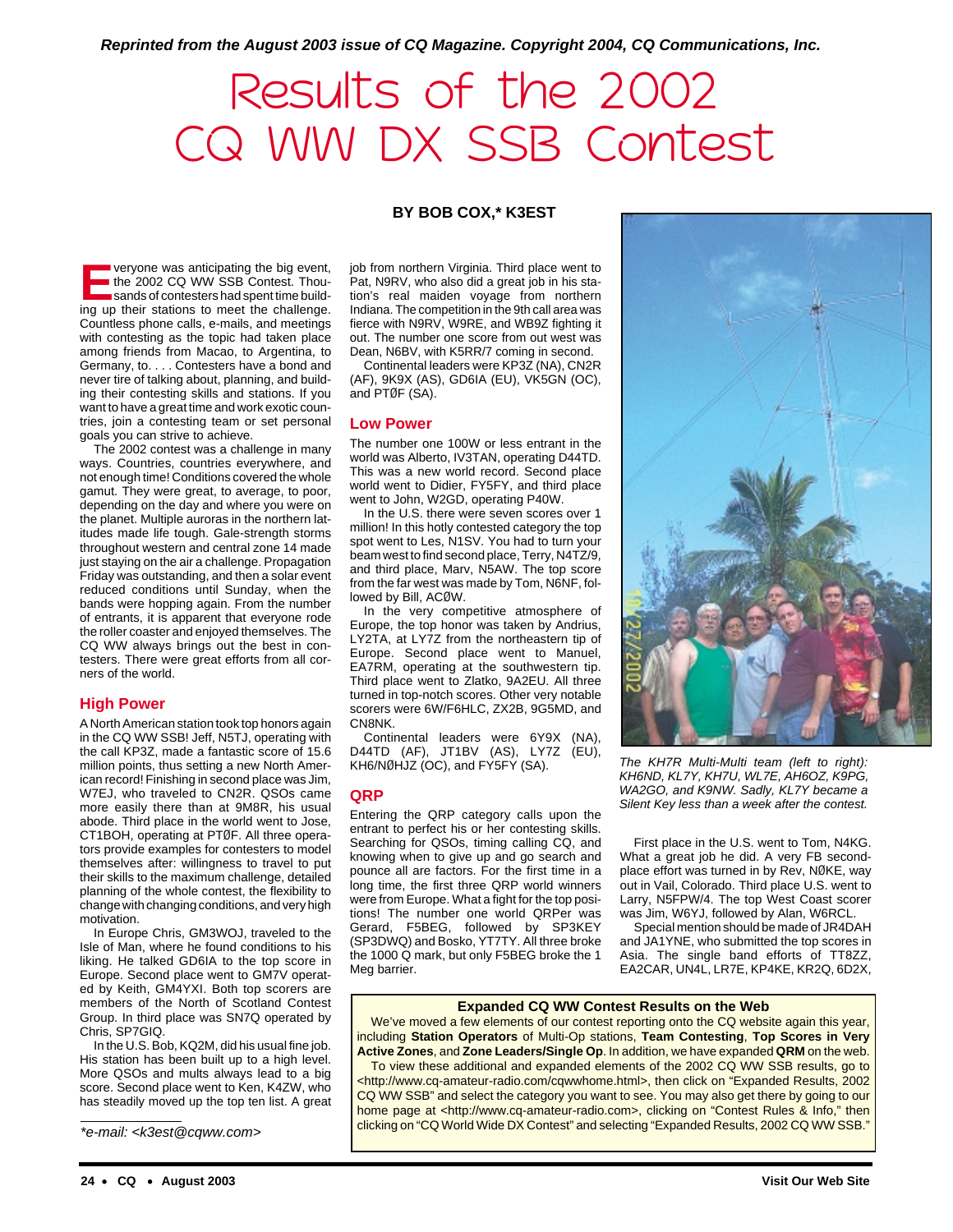**Reprinted from the August 2003 issue of CQ Magazine. Copyright 2004, CQ Communications, Inc.**

# Results of the 2002 CQ WW DX SSB Contest

# **BY BOB COX,\* K3EST**

**EVERYONE WAS ANTICIPATION TO EVERY AND SERVERT THEORYONE SANDS CONTESTS AND SAND SAND SAND STATE STATE OF THE SAND SERVERT THEORY OF THE STATE OF THE SAND STATE STATE STATE STATE STATE STATE STATE STATE STATE STATE STATE** the 2002 CQ WW SSB Contest. Thousands of contesters had spent time building up their stations to meet the challenge. Countless phone calls, e-mails, and meetings with contesting as the topic had taken place among friends from Macao, to Argentina, to Germany, to. . . . Contesters have a bond and never tire of talking about, planning, and building their contesting skills and stations. If you want to have a great time and work exotic countries, join a contesting team or set personal goals you can strive to achieve.

The 2002 contest was a challenge in many ways. Countries, countries everywhere, and not enough time! Conditions covered the whole gamut. They were great, to average, to poor, depending on the day and where you were on the planet. Multiple auroras in the northern latitudes made life tough. Gale-strength storms throughout western and central zone 14 made just staying on the air a challenge. Propagation Friday was outstanding, and then a solar event reduced conditions until Sunday, when the bands were hopping again. From the number of entrants, it is apparent that everyone rode the roller coaster and enjoyed themselves. The CQ WW always brings out the best in contesters. There were great efforts from all corners of the world.

# **High Power**

A North American station took top honors again in the CQ WW SSB! Jeff, N5TJ, operating with the call KP3Z, made a fantastic score of 15.6 million points, thus setting a new North American record! Finishing in second place was Jim, W7EJ, who traveled to CN2R. QSOs came more easily there than at 9M8R, his usual abode. Third place in the world went to Jose, CT1BOH, operating at PTØF. All three operators provide examples for contesters to model themselves after: willingness to travel to put their skills to the maximum challenge, detailed planning of the whole contest, the flexibility to change with changing conditions, and very high motivation.

In Europe Chris, GM3WOJ, traveled to the Isle of Man, where he found conditions to his liking. He talked GD6IA to the top score in Europe. Second place went to GM7V operated by Keith, GM4YXI. Both top scorers are members of the North of Scotland Contest Group. In third place was SN7Q operated by Chris, SP7GIQ.

In the U.S. Bob, KQ2M, did his usual fine job. His station has been built up to a high level. More QSOs and mults always lead to a big score. Second place went to Ken, K4ZW, who has steadily moved up the top ten list. A great

\*e-mail: <k3est@cqww.com>

job from northern Virginia. Third place went to Pat, N9RV, who also did a great job in his station's real maiden voyage from northern Indiana. The competition in the 9th call area was fierce with N9RV, W9RE, and WB9Z fighting it out. The number one score from out west was Dean, N6BV, with K5RR/7 coming in second.

Continental leaders were KP3Z (NA), CN2R (AF), 9K9X (AS), GD6IA (EU), VK5GN (OC), and PTØF (SA).

#### **Low Power**

The number one 100W or less entrant in the world was Alberto, IV3TAN, operating D44TD. This was a new world record. Second place world went to Didier, FY5FY, and third place went to John, W2GD, operating P40W.

In the U.S. there were seven scores over 1 million! In this hotly contested category the top spot went to Les, N1SV. You had to turn your beam west to find second place, Terry, N4TZ/9, and third place, Marv, N5AW. The top score from the far west was made by Tom, N6NF, followed by Bill, ACØW.

In the very competitive atmosphere of Europe, the top honor was taken by Andrius, LY2TA, at LY7Z from the northeastern tip of Europe. Second place went to Manuel, EA7RM, operating at the southwestern tip. Third place went to Zlatko, 9A2EU. All three turned in top-notch scores. Other very notable scorers were 6W/F6HLC, ZX2B, 9G5MD, and CN8NK.

Continental leaders were 6Y9X (NA), D44TD (AF), JT1BV (AS), LY7Z (EU), KH6/NØHJZ (OC), and FY5FY (SA).

#### **QRP**

Entering the QRP category calls upon the entrant to perfect his or her contesting skills. Searching for QSOs, timing calling CQ, and knowing when to give up and go search and pounce all are factors. For the first time in a long time, the first three QRP world winners were from Europe. What a fight for the top positions! The number one world QRPer was Gerard, F5BEG, followed by SP3KEY (SP3DWQ) and Bosko, YT7TY. All three broke the 1000 Q mark, but only F5BEG broke the 1 Meg barrier.



The KH7R Multi-Multi team (left to right): KH6ND, KL7Y, KH7U, WL7E, AH6OZ, K9PG, WA2GO, and K9NW. Sadly, KL7Y became a Silent Key less than a week after the contest.

First place in the U.S. went to Tom, N4KG. What a great job he did. A very FB secondplace effort was turned in by Rev, NØKE, way out in Vail, Colorado. Third place U.S. went to Larry, N5FPW/4. The top West Coast scorer was Jim, W6YJ, followed by Alan, W6RCL.

Special mention should be made of JR4DAH and JA1YNE, who submitted the top scores in Asia. The single band efforts of TT8ZZ, EA2CAR, UN4L, LR7E, KP4KE, KR2Q, 6D2X,

#### **Expanded CQ WW Contest Results on the Web**

We've moved a few elements of our contest reporting onto the CQ website again this year, including **Station Operators** of Multi-Op stations, **Team Contesting**, **Top Scores in Very Active Zones**, and **Zone Leaders/Single Op**. In addition, we have expanded **QRM** on the web.

To view these additional and expanded elements of the 2002 CQ WW SSB results, go to <http://www.cq-amateur-radio.com/cqwwhome.html>, then click on "Expanded Results, 2002 CQ WW SSB" and select the category you want to see. You may also get there by going to our home page at <http://www.cq-amateur-radio.com>, clicking on "Contest Rules & Info," then clicking on "CQ World Wide DX Contest" and selecting "Expanded Results, 2002 CQ WW SSB."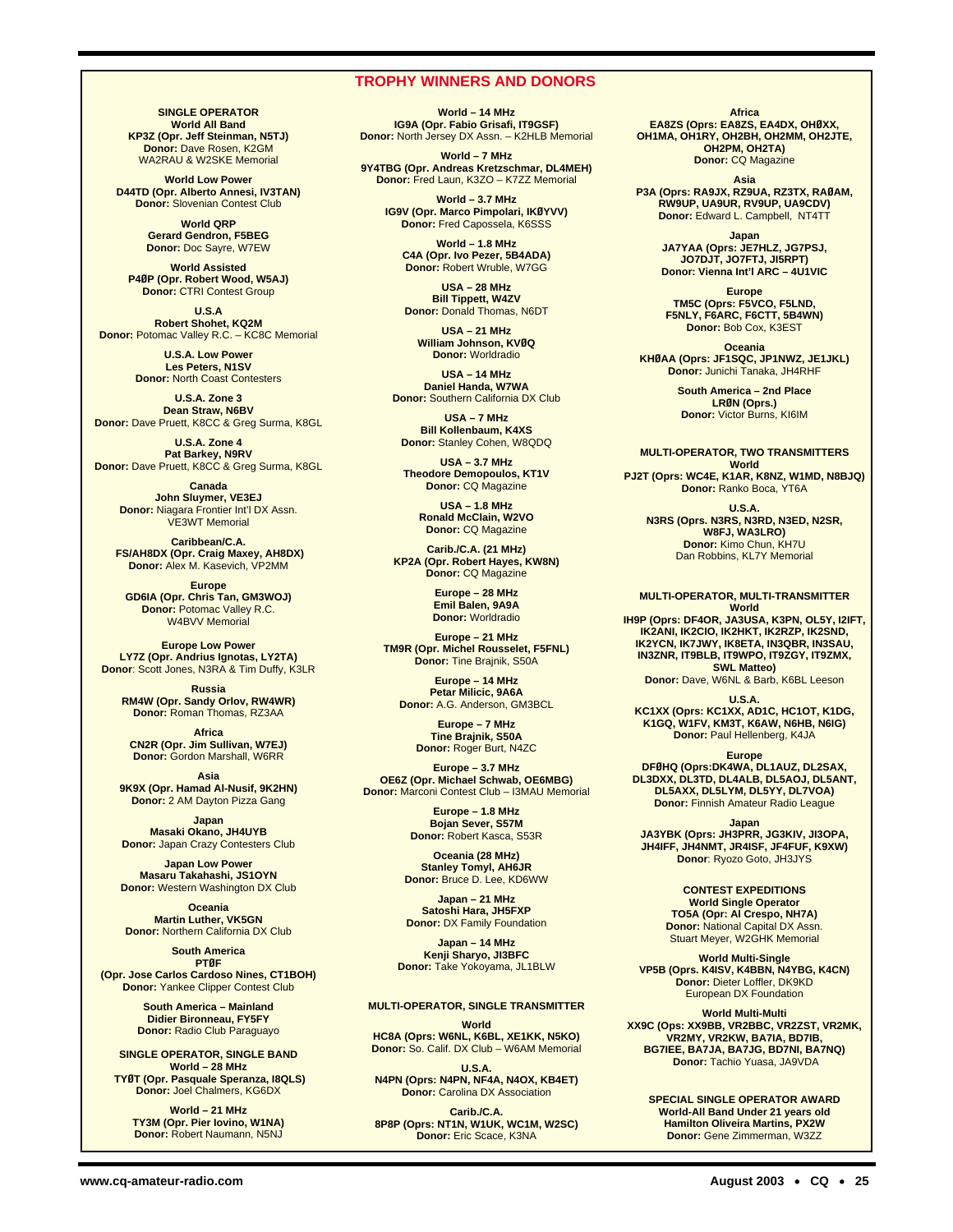# **TROPHY WINNERS AND DONORS**

**SINGLE OPERATOR World All Band KP3Z (Opr. Jeff Steinman, N5TJ) Donor:** Dave Rosen, K2GM WA2RAU & W2SKE Memorial

**World Low Power D44TD (Opr. Alberto Annesi, IV3TAN) Donor:** Slovenian Contest Club

> **World QRP Gerard Gendron, F5BEG Donor:** Doc Sayre, W7EW

**World Assisted P4ØP (Opr. Robert Wood, W5AJ) Donor:** CTRI Contest Group

**U.S.A Robert Shohet, KQ2M Donor:** Potomac Valley R.C. – KC8C Memorial

> **U.S.A. Low Power Les Peters, N1SV Donor:** North Coast Contesters

**U.S.A. Zone 3 Dean Straw, N6BV Donor:** Dave Pruett, K8CC & Greg Surma, K8GL

**U.S.A. Zone 4 Pat Barkey, N9RV Donor:** Dave Pruett, K8CC & Greg Surma, K8GL

> **Canada John Sluymer, VE3EJ Donor:** Niagara Frontier Int'l DX Assn. VE3WT Memorial

**Caribbean/C.A. FS/AH8DX (Opr. Craig Maxey, AH8DX) Donor:** Alex M. Kasevich, VP2MM

**Europe GD6IA (Opr. Chris Tan, GM3WOJ) Donor:** Potomac Valley R.C. W4BVV Memorial

**Europe Low Power LY7Z (Opr. Andrius Ignotas, LY2TA) Donor**: Scott Jones, N3RA & Tim Duffy, K3LR

**Russia RM4W (Opr. Sandy Orlov, RW4WR) Donor:** Roman Thomas, RZ3AA

**Africa CN2R (Opr. Jim Sullivan, W7EJ) Donor:** Gordon Marshall, W6RR

**Asia 9K9X (Opr. Hamad Al-Nusif, 9K2HN) Donor:** 2 AM Dayton Pizza Gang

**Japan Masaki Okano, JH4UYB Donor:** Japan Crazy Contesters Club

**Japan Low Power Masaru Takahashi, JS1OYN Donor:** Western Washington DX Club

**Oceania Martin Luther, VK5GN Donor:** Northern California DX Club

**South America PTØF (Opr. Jose Carlos Cardoso Nines, CT1BOH) Donor: Yankee Clipper Contest Club** 

> **South America – Mainland Didier Bironneau, FY5FY Donor:** Radio Club Paraguayo

**SINGLE OPERATOR, SINGLE BAND World – 28 MHz TYØT (Opr. Pasquale Speranza, I8QLS) Donor:** Joel Chalmers, KG6DX

**World – 21 MHz TY3M (Opr. Pier Iovino, W1NA) Donor:** Robert Naumann, N5NJ

**World – 14 MHz IG9A (Opr. Fabio Grisafi, IT9GSF) Donor:** North Jersey DX Assn. – K2HLB Memorial

**World – 7 MHz 9Y4TBG (Opr. Andreas Kretzschmar, DL4MEH) Donor:** Fred Laun, K3ZO – K7ZZ Memorial

> **World – 3.7 MHz IG9V (Opr. Marco Pimpolari, IKØYVV) Donor:** Fred Capossela, K6SSS

**World – 1.8 MHz C4A (Opr. Ivo Pezer, 5B4ADA) Donor:** Robert Wruble, W7GG

**USA – 28 MHz Bill Tippett, W4ZV Donor:** Donald Thomas, N6DT

**USA – 21 MHz William Johnson, KVØQ Donor:** Worldradio

**USA – 14 MHz Daniel Handa, W7WA Donor:** Southern California DX Club

**USA – 7 MHz Bill Kollenbaum, K4XS Donor:** Stanley Cohen, W8QDQ

**USA – 3.7 MHz Theodore Demopoulos, KT1V Donor:** CQ Magazine

> **USA – 1.8 MHz Ronald McClain, W2VO Donor:** CQ Magazine

**Carib./C.A. (21 MHz) KP2A (Opr. Robert Hayes, KW8N) Donor:** CQ Magazine

> **Europe – 28 MHz Emil Balen, 9A9A Donor:** Worldradio

**Europe – 21 MHz TM9R (Opr. Michel Rousselet, F5FNL) Donor:** Tine Brajnik, S50A

**Europe – 14 MHz Petar Milicic, 9A6A Donor:** A.G. Anderson, GM3BCL

> **Europe – 7 MHz Tine Brajnik, S50A Donor:** Roger Burt, N4ZC

**Europe – 3.7 MHz OE6Z (Opr. Michael Schwab, OE6MBG) Donor:** Marconi Contest Club – I3MAU Memorial

> **Europe – 1.8 MHz Bojan Sever, S57M Donor:** Robert Kasca, S53R

**Oceania (28 MHz) Stanley Tomyl, AH6JR Donor:** Bruce D. Lee, KD6WW

**Japan – 21 MHz Satoshi Hara, JH5FXP Donor:** DX Family Foundation

**Japan – 14 MHz Kenji Sharyo, JI3BFC Donor:** Take Yokoyama, JL1BLW

#### **MULTI-OPERATOR, SINGLE TRANSMITTER**

**World HC8A (Oprs: W6NL, K6BL, XE1KK, N5KO) Donor:** So. Calif. DX Club – W6AM Memorial

**U.S.A. N4PN (Oprs: N4PN, NF4A, N4OX, KB4ET) Donor:** Carolina DX Association

**Carib./C.A. 8P8P (Oprs: NT1N, W1UK, WC1M, W2SC) Donor:** Eric Scace, K3NA

**Africa EA8ZS (Oprs: EA8ZS, EA4DX, OHØXX, OH1MA, OH1RY, OH2BH, OH2MM, OH2JTE, OH2PM, OH2TA) Donor:** CQ Magazine

**Asia P3A (Oprs: RA9JX, RZ9UA, RZ3TX, RAØAM, RW9UP, UA9UR, RV9UP, UA9CDV) Donor:** Edward L. Campbell, NT4TT

> **Japan JA7YAA (Oprs: JE7HLZ, JG7PSJ, JO7DJT, JO7FTJ, JI5RPT) Donor: Vienna Int'l ARC – 4U1VIC**

**Europe TM5C (Oprs: F5VCO, F5LND, F5NLY, F6ARC, F6CTT, 5B4WN) Donor:** Bob Cox, K3EST

**Oceania KHØAA (Oprs: JF1SQC, JP1NWZ, JE1JKL) Donor:** Junichi Tanaka, JH4RHF

> **South America – 2nd Place LRØN (Oprs.) Donor:** Victor Burns, KI6IM

**MULTI-OPERATOR, TWO TRANSMITTERS**

**World PJ2T (Oprs: WC4E, K1AR, K8NZ, W1MD, N8BJQ) Donor:** Ranko Boca, YT6A

**U.S.A. N3RS (Oprs. N3RS, N3RD, N3ED, N2SR, W8FJ, WA3LRO) Donor:** Kimo Chun, KH7U Dan Robbins, KL7Y Memorial

#### **MULTI-OPERATOR, MULTI-TRANSMITTER World**

**IH9P (Oprs: DF4OR, JA3USA, K3PN, OL5Y, I2IFT, IK2ANI, IK2CIO, IK2HKT, IK2RZP, IK2SND, IK2YCN, IK7JWY, IK8ETA, IN3QBR, IN3SAU, IN3ZNR, IT9BLB, IT9WPO, IT9ZGY, IT9ZMX, SWL Matteo)**

**Donor:** Dave, W6NL & Barb, K6BL Leeson

**U.S.A.**

**KC1XX (Oprs: KC1XX, AD1C, HC1OT, K1DG, K1GQ, W1FV, KM3T, K6AW, N6HB, N6IG) Donor:** Paul Hellenberg, K4JA

**Europe**

**DFØHQ (Oprs:DK4WA, DL1AUZ, DL2SAX, DL3DXX, DL3TD, DL4ALB, DL5AOJ, DL5ANT, DL5AXX, DL5LYM, DL5YY, DL7VOA) Donor:** Finnish Amateur Radio League

**Japan**

**JA3YBK (Oprs: JH3PRR, JG3KIV, JI3OPA, JH4IFF, JH4NMT, JR4ISF, JF4FUF, K9XW) Donor**: Ryozo Goto, JH3JYS

> **CONTEST EXPEDITIONS World Single Operator TO5A (Opr: Al Crespo, NH7A) Donor:** National Capital DX Assn. Stuart Meyer, W2GHK Memorial

**World Multi-Single VP5B (Oprs. K4ISV, K4BBN, N4YBG, K4CN) Donor:** Dieter Loffler, DK9KD European DX Foundation

**World Multi-Multi XX9C (Ops: XX9BB, VR2BBC, VR2ZST, VR2MK, VR2MY, VR2KW, BA7IA, BD7IB, BG7IEE, BA7JA, BA7JG, BD7NI, BA7NQ) Donor:** Tachio Yuasa, JA9VDA

> **SPECIAL SINGLE OPERATOR AWARD World-All Band Under 21 years old Hamilton Oliveira Martins, PX2W Donor:** Gene Zimmerman, W3ZZ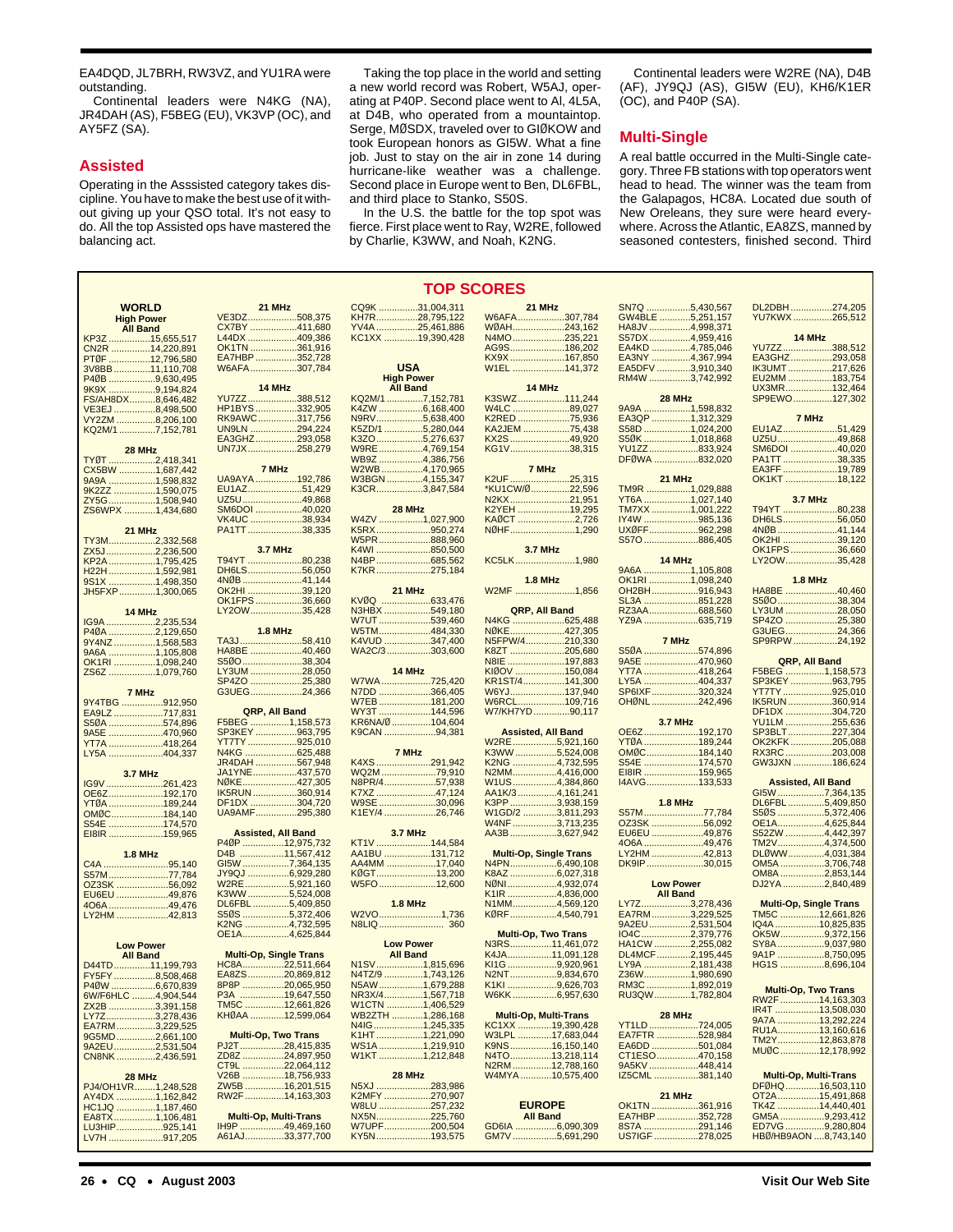EA4DQD, JL7BRH, RW3VZ, and YU1RA were outstanding.

Continental leaders were N4KG (NA), JR4DAH (AS), F5BEG (EU), VK3VP (OC), and AY5FZ (SA).

# **Assisted**

Operating in the Asssisted category takes discipline. You have to make the best use of it without giving up your QSO total. It's not easy to do. All the top Assisted ops have mastered the balancing act.

Taking the top place in the world and setting a new world record was Robert, W5AJ, operating at P40P. Second place went to Al, 4L5A, at D4B, who operated from a mountaintop. Serge, MØSDX, traveled over to GIØKOW and took European honors as GI5W. What a fine job. Just to stay on the air in zone 14 during hurricane-like weather was a challenge. Second place in Europe went to Ben, DL6FBL, and third place to Stanko, S50S.

In the U.S. the battle for the top spot was fierce. First place went to Ray, W2RE, followed by Charlie, K3WW, and Noah, K2NG.

Continental leaders were W2RE (NA), D4B  $(AF)$ , JY9QJ  $(AS)$ , GI5W  $(EU)$ , KH6/K1ER  $(OC)$ , and P40P  $(SA)$ .

# **Multi-Single**

A real battle occurred in the Multi-Single category. Three FB stations with top operators went head to head. The winner was the team from the Galapagos, HC8A. Located due south of New Oreleans, they sure were heard everywhere. Across the Atlantic, EA8ZS, manned by seasoned contesters, finished second. Third

> DL2DBH ................274,205 YU7KWX ...............265,512 **14 MHz**

|                                      |                               | <b>TOP SC</b>     |
|--------------------------------------|-------------------------------|-------------------|
| <b>WORLD</b>                         | 21 MHz                        | CQ9K 31,004,311   |
| <b>High Power</b>                    | VE3DZ508,375                  | KH7R28,795,122    |
| <b>All Band</b>                      | CX7BY 411,680                 | YV4A 25,461,886   |
| KP3Z 15,655,517                      | L44DX 409,386                 | KC1XX 19,390,428  |
| CN2R 14,220,891                      | OK1TN 361,916                 |                   |
| PTØF 12,796,580                      | EA7HBP352,728                 |                   |
| 3V8BB 11,110,708                     | W6AFA307,784                  | <b>USA</b>        |
| P40B 9,630,495                       |                               | <b>High Power</b> |
| 9K9X 9,194,824                       | 14 MHz                        | <b>All Band</b>   |
|                                      | YU7ZZ388,512                  | KQ2M/17,152,781   |
| FS/AH8DX8,646,482<br>VE3EJ 8,498,500 | HP1BYS332,905                 | K4ZW 6,168,400    |
| VY2ZM 8,206,100                      | RK9AWC317,756                 | N9RV5,638,400     |
| KQ2M/1 7,152,781                     | UN9LN 294,224                 | K5ZD/1 5,280,044  |
|                                      | EA3GHZ293,058                 | K3ZO 5,276,637    |
| 28 MHz                               | UN7JX258,279                  | W9RE4,769,154     |
| TYØT 2,418,341                       |                               | WB9Z 4,386,756    |
| CX5BW 1,687,442                      | 7 MHz                         | W2WB4,170,965     |
| 9A9A 1,598,832                       | UA9AYA192.786                 | W3BGN4,155,347    |
| 9K2ZZ 1,590,075                      | EU1AZ51,429                   | K3CR3,847,584     |
| ZY5G1,508,940                        | UZ5U49,868                    |                   |
| ZS6WPX 1,434,680                     | SM6DOI 40,020                 | 28 MHz            |
|                                      | VK4UC 38,934                  | W4ZV 1,027,900    |
| 21 MHz                               | PA1TT38,335                   | K5RX950,274       |
| TY3M2,332,568                        |                               | W5PR888,960       |
| ZX5J2,236,500                        | <b>3.7 MHz</b>                | K4WI 850,500      |
|                                      | T94YT 80,238                  | N4BP685,562       |
| KP2A 1,795,425                       | DH6LS56,050                   | K7KR275,184       |
| H22H 1,592,981<br>9S1X 1,498,350     | 4NØB41,144                    |                   |
|                                      | OK2HI 39,120                  | 21 MHz            |
| JH5FXP1,300,065                      | OK1FPS36,660                  | KVØQ 633,476      |
|                                      | LY2OW35,428                   | N3HBX 549,180     |
| 14 MHz                               |                               | W7UT539,460       |
| IG9A 2,235,534<br>P40A 2,129,650     | <b>1.8 MHz</b>                | W5TM484,330       |
| 9Y4NZ1,568,583                       | TA3J58,410                    | K4VUD 347,400     |
|                                      | HA8BE 40,460                  | WA2C/3303,600     |
| 9A6A 1,105,808<br>OK1RI 1,098,240    | S50038,304                    |                   |
| ZS6Z 1,079,760                       | LY3UM 28,050                  | 14 MHz            |
|                                      | SP4ZO 25,380                  | W7WA 725,420      |
| 7 MHz                                | G3UEG24,366                   | N7DD 366,405      |
| 9Y4TBG 912,950                       |                               | W7EB181,200       |
| EA9LZ 717,831                        | QRP, All Band                 | WY3T 144,596      |
| S50A 574,896                         | F5BEG 1,158,573               | KR6NA/Ø 104,604   |
| 9A5E 470,960                         | SP3KEY963,795                 | K9CAN 94,381      |
| YT7A 418,264                         | YT7TY925,010                  |                   |
| LY5A 404,337                         | N4KG 625,488                  | 7 MHz             |
|                                      | JR4DAH 567,948                | K4XS 291,942      |
| <b>3.7 MHz</b>                       | JA1YNE437,570                 | WQ2M 79,910       |
| IG9V 261,423                         | NØKE427,305                   | N8PR/457,938      |
| OE6Z192,170                          | IK5RUN360,914                 | K7XZ 47,124       |
| YTØA 189,244                         | DF1DX 304,720                 | W9SE 30,096       |
| OMØC184,140                          | UA9AMF295,380                 | K1EY/4 26,746     |
| S54E 174,570                         |                               |                   |
| EI8IR 159,965                        | <b>Assisted, All Band</b>     | <b>3.7 MHz</b>    |
|                                      | P40P 12,975,732               | KT1V 144,584      |
| <b>1.8 MHz</b>                       | D4B 11,567,412                | AA1BU 131,712     |
| C4A 95,140                           | GI5W 7,364,135                | AA4MM 17,040      |
| S57M77,784                           | JY9QJ 6,929,280               | KØGT13,200        |
| OZ3SK 56,092                         | W2RE5,921,160                 | W5FO12,600        |
| EU6EU 49,876                         | K3WW5,524,008                 |                   |
| 406A 49,476                          | DL6FBL5,409,850               | $1.8$ MHz         |
| LY2HM 42,813                         | S50S 5,372,406                | W2VO1,736         |
|                                      | K2NG 4,732,595                |                   |
|                                      | OE1A4,625,844                 |                   |
| <b>Low Power</b>                     |                               | <b>Low Power</b>  |
| <b>All Band</b>                      | <b>Multi-Op, Single Trans</b> | <b>All Band</b>   |
| D44TD11,199,793                      | HC8A22,511,664                | N1SV1,815,696     |
| Y5FY8,508,468                        | EA8ZS20,869,812               | N4TZ/9 1,743,126  |
| P40W 6,670,839                       | 8P8P 20,065,950               | N5AW1,679,288     |
| 6W/F6HLC 4,904,544                   | P3A 19,647,550                | NR3X/41,567,718   |
| ZX2B 3,391,158                       | TM5C 12,661,826               | W1CTN 1,406,529   |
| LY7Z3,278,436                        | KHØAA 12,599,064              | WB2ZTH 1,286,168  |
| EA7RM3,229,525                       |                               | N4IG1,245,335     |
| 9G5MD2,661,100                       | <b>Multi-Op, Two Trans</b>    | K1HT1,221,090     |
| 9A2EU2,531,504                       | PJ2T28,415,835                | WS1A 1,219,910    |
| CN8NK2,436,591                       | ZD8Z 24,897,950               | W1KT 1,212,848    |
|                                      | CT9L 22,064,112               |                   |
| 28 MHz                               | V26B 18,756,933               | 28 MHz            |
| PJ4/OH1VR1,248,528                   | ZW5B 16,201,515               | N5XJ 283,986      |
| AY4DX 1,162,842                      | RW2F 14,163,303               | K2MFY 270,907     |
| HC1JQ 1,187,460                      |                               | W8LU 257,232      |
| EA8TX1,106,481                       | <b>Multi-Op, Multi-Trans</b>  | NX5N225,760       |
| LU3HIP925,141                        | IH9P 49,469,160               | W7UPF200,504      |
| LV7H 917,205                         | A61AJ33,377,700               | KY5N193,575       |

| 31,004,311<br>28,795,122<br>25,461,886                                                                                                              | <b>21 MHz</b>                    |
|-----------------------------------------------------------------------------------------------------------------------------------------------------|----------------------------------|
|                                                                                                                                                     | W6AFA                            |
| 19,390,428                                                                                                                                          | N4MO                             |
|                                                                                                                                                     | AG9S <sup>3</sup>                |
| A                                                                                                                                                   |                                  |
| ower                                                                                                                                                |                                  |
| and                                                                                                                                                 | 14 MHz                           |
| $\begin{array}{l} \text{7,152,781} \\ \text{6,168,400} \\ \text{5,638,400} \\ \text{5,280,044} \\ \text{5,276,637} \\ \text{4,769,154} \end{array}$ | K3SWZ                            |
|                                                                                                                                                     | W4LC                             |
|                                                                                                                                                     | K2RED<br>KA2JEM                  |
|                                                                                                                                                     |                                  |
|                                                                                                                                                     | KX2S<br>KG1V                     |
|                                                                                                                                                     |                                  |
|                                                                                                                                                     | 7 MHz                            |
|                                                                                                                                                     | K2UF<br>*KU1CW/Ø                 |
|                                                                                                                                                     | N2KX                             |
| Нz                                                                                                                                                  | K2YEH                            |
| $\dots$ 1,027,900                                                                                                                                   | KAØCT<br>NØHF                    |
| 950,274                                                                                                                                             |                                  |
| 888,960<br>850,500                                                                                                                                  | <b>3.7 MHz</b>                   |
|                                                                                                                                                     | KC5LK                            |
| 685,562<br>275,184                                                                                                                                  |                                  |
|                                                                                                                                                     | <b>1.8 MHz</b>                   |
| Hz                                                                                                                                                  | W2MF                             |
| 633,476                                                                                                                                             |                                  |
| 549,180<br>539,460                                                                                                                                  | QRP, All Bar                     |
| 484,330                                                                                                                                             | N4KG<br>NØKE                     |
| 347,400<br>303,600                                                                                                                                  | N5FPW/4                          |
|                                                                                                                                                     | <b>K8ZT</b>                      |
|                                                                                                                                                     |                                  |
| Hz<br>725,420                                                                                                                                       |                                  |
| 366,405                                                                                                                                             | W6YJ <sup>.</sup>                |
| 181,200<br>144,596                                                                                                                                  | W6RCL <sup>.</sup><br>W7/KH7YD   |
|                                                                                                                                                     |                                  |
| 104,604                                                                                                                                             |                                  |
| 94,381                                                                                                                                              | <b>Assisted, All B</b>           |
| Iz                                                                                                                                                  | W2RE5,1<br>K3WW5,1<br>K2NG4,     |
| 291,942<br>79,910                                                                                                                                   |                                  |
|                                                                                                                                                     | N2MM4,                           |
|                                                                                                                                                     |                                  |
| 57,938                                                                                                                                              |                                  |
|                                                                                                                                                     | $W1US$<br>AA1K/3                 |
|                                                                                                                                                     |                                  |
| $\frac{47,124}{30,096}$                                                                                                                             |                                  |
| Illz                                                                                                                                                | W4NF 3,<br>AA3B 3,               |
| 144,584                                                                                                                                             |                                  |
|                                                                                                                                                     | Multi-Op, Single                 |
|                                                                                                                                                     |                                  |
| 131,712<br>17,040<br>13,200                                                                                                                         |                                  |
| 12,600                                                                                                                                              | NØNI4,9<br>$K1IR$ 4,             |
| Illz                                                                                                                                                | N1MM4,                           |
|                                                                                                                                                     | KØRF4,                           |
| 1,736<br>360                                                                                                                                        |                                  |
| ower                                                                                                                                                | Multi-Op, Two T<br>N3RS11,       |
| and                                                                                                                                                 | K4JA11,                          |
| 1,815,696                                                                                                                                           | KI1G 9,                          |
|                                                                                                                                                     |                                  |
| $\frac{1}{1,743,126}$<br>$\frac{1}{1,679,288}$                                                                                                      |                                  |
| $\dots$ 1,567,718                                                                                                                                   |                                  |
| $\dots$ 1,406,529                                                                                                                                   | Multi-Op, Multi-1                |
| 1,286,168<br>1,245, <mark>3</mark> 35                                                                                                               | KC1XX 19,                        |
|                                                                                                                                                     |                                  |
| $\dots$ 1,221,090<br>$\dots$ 1,219,910                                                                                                              |                                  |
| 1,212,848                                                                                                                                           | N2RM 12,                         |
|                                                                                                                                                     | W4MYA 10,                        |
| Hz<br>283,986                                                                                                                                       |                                  |
| 270,907                                                                                                                                             |                                  |
|                                                                                                                                                     | <b>EUROPE</b><br><b>All Band</b> |
| 257,232<br>225,760<br>200,504                                                                                                                       | GD6IA<br>6,                      |
| 193,575                                                                                                                                             | GM7V 5,                          |
|                                                                                                                                                     |                                  |

| <b>ORES:</b>                                           |                |                                                      |
|--------------------------------------------------------|----------------|------------------------------------------------------|
| 21 MHz                                                 |                | SN7Q 5,430,567<br>GW4BLE 5,251,157                   |
| W6AFA307,784                                           |                |                                                      |
| WØAH243,162                                            |                | HA8JV 4,998,371                                      |
| N4MO235,221                                            |                | S57DX4,959,416                                       |
| AG9S186,202                                            |                | EA4KD 4,785,046                                      |
| KX9X 167,850                                           |                | EA3NY 4,367,994<br>EA3NY 3,910,340<br>RM4W 3,742,992 |
| W1EL 141,372                                           |                |                                                      |
| 14 MHz                                                 |                |                                                      |
| K3SWZ111,244                                           |                | 28 MHz                                               |
| W4LC 89,027                                            |                | 9A9A 1,598,832                                       |
| K2RED 75,936                                           |                | EA3QP 1,312,329                                      |
| KA2JEM 75,438                                          |                |                                                      |
| KX2S 49,920                                            |                | S58D 1,024,200<br>S50K 1,018,868                     |
| KG1V38,315                                             |                | YU1ZZ833,924                                         |
| 7 MHz                                                  |                | DFØWA 832,020                                        |
| K2UF 25,315                                            |                | 21 MHz                                               |
| *KU1CW/Ø22,596                                         |                | TM9R 1,029,888                                       |
| N2KX21,951                                             |                |                                                      |
| K2YEH 19,295                                           |                | YT6A 1,027, <mark>140</mark><br>TM7XX 1,001,222      |
| KAØCT 2,726                                            |                | IY4W 985,136                                         |
| NØHF1,290                                              |                | UXØFF962,298                                         |
|                                                        |                | S570886,405                                          |
| 3.7 MHz<br>KC5LK1,980                                  |                | 14 MHz                                               |
|                                                        |                | 9A6A 1,105,808                                       |
|                                                        | <b>1.8 MHz</b> | OK1RI 1,098,240                                      |
| W2MF 1,856                                             |                | OH2BH916,943                                         |
|                                                        |                | SL3A 851,228                                         |
| QRP, All Band                                          |                | RZ3AA688,560                                         |
| N4KG 625,488                                           |                | YZ9A 635,719                                         |
| NØKE427,305                                            |                |                                                      |
| N5FPW/4210,330                                         |                | 7 MHz                                                |
| K8ZT 205,680                                           |                | S50A 574,896                                         |
| N8IE 197,883                                           |                | 9A5E 470,960                                         |
| KIØOV 150,084<br>KR1ST/4141,300                        |                | YT7A 418,264                                         |
|                                                        |                | LY5A 404,337                                         |
| W6YJ137,940                                            |                | SP6IXF320,324                                        |
|                                                        |                | OHØNL242,496                                         |
| W6RCL109,716                                           |                |                                                      |
| W7/KH7YD90,117                                         |                |                                                      |
|                                                        |                | <b>3.7 MHz</b>                                       |
| <b>Assisted, All Band</b>                              |                | OE6Z192,170                                          |
| W2RE5,921,160                                          |                | YTØA 189,244                                         |
| K3WW5,524,008                                          |                | OMØC184,140<br>S54E 174,570                          |
| K2NG 4,732,595<br>N2MM4,416,000                        |                |                                                      |
| W1US4,384,860                                          |                | EI8IR 159,965<br>I4AVG133,533                        |
| AA1K/3 4,161,241                                       |                |                                                      |
| K3PP3,938,159                                          |                | <b>1.8 MHz</b>                                       |
| W1GD/2 3,811,293                                       |                | S57M77,784                                           |
| W4NF 3,713,235                                         |                | OZ3SK 56,092                                         |
| AA3B 3,627,942                                         |                | EU6EU 49,876                                         |
|                                                        |                | 406A49,476                                           |
| <b>Multi-Op, Single Trans</b>                          |                | LY2HM 42,813                                         |
| N4PN6,490,108                                          |                | DK9IP30,015                                          |
| K8AZ 6,027,318                                         |                |                                                      |
| NØNI4,932,074                                          |                | <b>Low Power</b>                                     |
| K1IR 4,836,000                                         |                | <b>All Band</b>                                      |
| N1MM4,569,120                                          |                | LY7Z3,278,436                                        |
| KØRF4,540,791                                          |                |                                                      |
|                                                        |                | EA7RM3,229,525<br>9A2EU2,531,504                     |
| <b>Multi-Op, Two Trans</b>                             |                | IO4C2,379,776                                        |
| N3RS11,461,072                                         |                | HA1CW 2,255,082                                      |
| K4JA11,091,128<br>KI1G 9,920,961                       |                | DL4MCF2,195,445<br>LY9A 2,181,438                    |
|                                                        |                |                                                      |
| N2NT9,834,670<br>K1KI9,626,703                         |                |                                                      |
| W6KK6,957,630                                          |                | Z36W1,980,690<br>RM3C1,892,019<br>RU3QW1,782,804     |
|                                                        |                | 28 MHz                                               |
| <b>Multi-Op, Multi-Trans</b><br>KC1XX 19,390,428       |                | YT1LD724,005                                         |
|                                                        |                | EA7FTR 528,984                                       |
|                                                        |                | EA6DD 501,084                                        |
| W3LPL 17,683,044<br>K9NS 16,150,140<br>N4TO 13,218,114 |                | CT1ESO470,158                                        |
| N2RM12,788,160                                         |                |                                                      |
| W4MYA 10,575,400                                       |                | 9A5KV 448,414<br>IZ5CML 381,140                      |
|                                                        |                |                                                      |
| <b>EUROPE</b>                                          |                | 21 MHz<br>OK1TN 361,916                              |
| <b>All Band</b>                                        |                | EA7HBP 352,728                                       |
| GD6IA 6,090,309<br>GM7V 5,691,290                      |                | 8S7A 291,146<br>US7IGF 278,025                       |

| S57DX4,959,416                | <b>14 MHZ</b> |                               |
|-------------------------------|---------------|-------------------------------|
| EA4KD 4,785,046               |               | YU7ZZ388,512                  |
| EA3NY 4,367,994               |               | EA3GHZ293,058                 |
| EA5DFV 3,910,340              |               |                               |
|                               |               | IK3UMT217,626                 |
| RM4W 3,742,992                |               | EU2MM 183,754                 |
|                               |               | UX3MR132,464                  |
| 28 MHz                        |               | SP9EWO127,302                 |
| 9A9A 1,598,832                |               |                               |
|                               |               |                               |
| EA3QP 1,312,329               |               | 7 MHz                         |
| S58D 1,024,200                |               | EU1AZ51,429                   |
| S50K 1,018,868                |               | UZ5U49,868                    |
| YU1ZZ833,924                  |               | SM6DOI 40,020                 |
|                               |               |                               |
| DFØWA 832,020                 |               | PA1TT38,335                   |
|                               |               | EA3FF 19,789                  |
| 21 MHz                        |               | OK1KT 18,122                  |
| TM9R 1,029,888                |               |                               |
|                               |               |                               |
| YT6A 1,027,140                |               | <b>3.7 MHz</b>                |
| TM7XX 1,001,222               |               | T94YT 80,238                  |
| IY4W 985,136<br>UXØFF 962,298 |               | DH6LS56,050                   |
|                               |               | 4NØB41,144                    |
|                               |               |                               |
| S570886,405                   |               | OK2HI 39,120                  |
|                               |               | OK1FPS36,660                  |
| 14 MHz                        |               | LY2OW35,428                   |
| 9A6A 1,105,808                |               |                               |
|                               |               |                               |
| OK1RI 1,098,240               |               | <b>1.8 MHz</b>                |
| OH2BH916,943                  |               | HA8BE 40,460                  |
| SL3A 851,228                  |               | S50038,304                    |
| RZ3AA688,560                  |               | LY3UM 28,050                  |
|                               |               |                               |
| YZ9A 635,719                  |               | SP4ZO 25,380                  |
|                               |               | G3UEG24,366                   |
| 7 MHz                         |               | SP9RPW24,192                  |
|                               |               |                               |
|                               |               |                               |
| S50A 574,896                  |               |                               |
| 9A5E 470,960                  |               | QRP, All Band                 |
| YT7A 418,264                  |               | F5BEG 1,158,573               |
|                               |               |                               |
| LY5A 404,337                  |               | SP3KEY 963,795                |
| SP6IXF320,324                 |               | YT7TY 925,010                 |
| OHØNL242,496                  |               | IK5RUN 360,914                |
|                               |               | DF1DX 304,720                 |
| 3.7 MHz                       |               | YU1LM 255,636                 |
|                               |               |                               |
| OE6Z192,170                   |               | SP3BLT227,304                 |
| YTØA189,244                   |               | OK2KFK205,088                 |
| OMØC184,140                   |               | RX3RC203,008                  |
| S54E 174,570                  |               | GW3JXN 186,624                |
|                               |               |                               |
| EI8IR 159,965                 |               |                               |
| I4AVG133,533                  |               | <b>Assisted, All Band</b>     |
|                               |               | GI5W 7,364,135                |
| $1.8$ MHz                     |               | DL6FBL 5,409,850              |
|                               |               |                               |
| S57M77,784                    |               | S50S 5,372,406                |
| OZ3SK 56,092                  |               | OE1A4,625,844                 |
| EU6EU 49,876                  |               | S52ZW 4,442,397               |
| 4O6A49,476                    |               | TM2V4,374,500                 |
|                               |               |                               |
| LY2HM 42,813                  |               | DLØWW4,031,384                |
| DK9IP30,015                   |               | OM5A 3,706,748                |
|                               |               | OM8A 2,853,144                |
| <b>Low Power</b>              |               | DJ2YA 2,840,489               |
| <b>All Band</b>               |               |                               |
|                               |               |                               |
| LY7Z3,278,436                 |               | <b>Multi-Op, Single Trans</b> |
| EA7RM3,229,525                |               | TM5C 12,661,826               |
| 9A2EU2,531,504                |               | IQ4A 10,825,835               |
| IO4C2,379,776                 |               | OK5W9,372,156                 |
| HA1CW 2,255,082               |               | SY8A9,037,980                 |

| EA3GHZ293,058<br>IK3UMT217,626                                                                                    |  |
|-------------------------------------------------------------------------------------------------------------------|--|
|                                                                                                                   |  |
| EU2MM 183,754<br>UX3MR 132,464<br>SP9EWO 127,302                                                                  |  |
|                                                                                                                   |  |
|                                                                                                                   |  |
| 7 MHz                                                                                                             |  |
| EU1AZ51,429                                                                                                       |  |
| UZ5U49,868<br>SM6DOI 40,020                                                                                       |  |
|                                                                                                                   |  |
|                                                                                                                   |  |
|                                                                                                                   |  |
| 3.7 MHz                                                                                                           |  |
|                                                                                                                   |  |
|                                                                                                                   |  |
| 4NØB41,144<br>OK2HI39,120                                                                                         |  |
|                                                                                                                   |  |
|                                                                                                                   |  |
|                                                                                                                   |  |
| <b>1.8 MHz</b>                                                                                                    |  |
|                                                                                                                   |  |
|                                                                                                                   |  |
|                                                                                                                   |  |
|                                                                                                                   |  |
|                                                                                                                   |  |
| QRP, All Band                                                                                                     |  |
|                                                                                                                   |  |
|                                                                                                                   |  |
|                                                                                                                   |  |
|                                                                                                                   |  |
|                                                                                                                   |  |
|                                                                                                                   |  |
| RX3RC203,008                                                                                                      |  |
| GW3JXN 186,624                                                                                                    |  |
|                                                                                                                   |  |
| <b>Assisted, All Band</b>                                                                                         |  |
|                                                                                                                   |  |
|                                                                                                                   |  |
|                                                                                                                   |  |
|                                                                                                                   |  |
|                                                                                                                   |  |
|                                                                                                                   |  |
|                                                                                                                   |  |
|                                                                                                                   |  |
| <b>Multi-Op, Single Trans</b>                                                                                     |  |
|                                                                                                                   |  |
|                                                                                                                   |  |
|                                                                                                                   |  |
|                                                                                                                   |  |
| 9A1P 8,750,095<br>HG1S 8,696,104                                                                                  |  |
|                                                                                                                   |  |
|                                                                                                                   |  |
|                                                                                                                   |  |
|                                                                                                                   |  |
|                                                                                                                   |  |
|                                                                                                                   |  |
| Multi-Op, Two Trans<br>RW2F 14,163,303<br>IR4T 13,508,030<br>9A7A 13,292,224<br>RU1A12,863,878<br>MUØC 12,178,992 |  |
|                                                                                                                   |  |
| <b>Multi-Op, Multi-Trans</b>                                                                                      |  |
|                                                                                                                   |  |
|                                                                                                                   |  |
|                                                                                                                   |  |
|                                                                                                                   |  |

ED7VG ...............9,280,804 HBØ/HB9AON ....8,743,140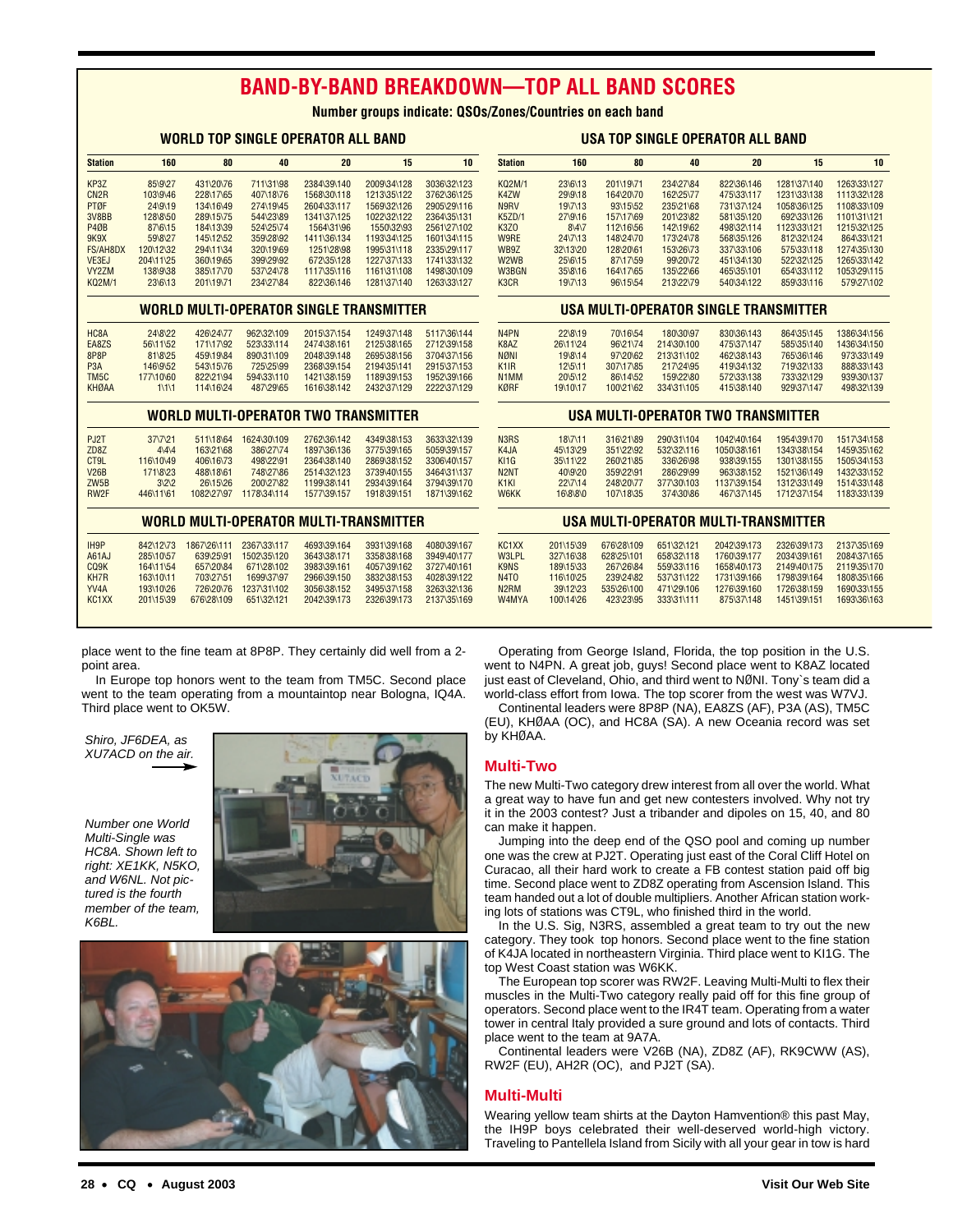# **BAND-BY-BAND BREAKDOWN—TOP ALL BAND SCORES**

**Number groups indicate: QSOs/Zones/Countries on each band**

|                                   |                             |                        |                         | WORLD TOP SINGLE OPERATOR ALL BAND             |                            |                            |                                    |                     |                       |                         | <b>USA TOP SINGLE OPERATOR ALL BAND</b> |                          |                            |
|-----------------------------------|-----------------------------|------------------------|-------------------------|------------------------------------------------|----------------------------|----------------------------|------------------------------------|---------------------|-----------------------|-------------------------|-----------------------------------------|--------------------------|----------------------------|
| <b>Station</b>                    | 160                         | 80                     | 40                      | 20                                             | 15                         | 10                         | <b>Station</b>                     | 160                 | 80                    | 40                      | 20                                      | 15                       | 10                         |
| KP3Z                              | 85\9\27                     | 431\20\76              | 711\31\98               | 2384\39\140                                    | 2009\34\128                | 3036\32\123                | <b>KQ2M/1</b>                      | 23\6\13             | 201\19\71             | 234\27\84               | 822\36\146                              | 1281\37\140              | 1263\33\127                |
| CN <sub>2R</sub>                  | 103\9\46                    | 228\17\65              | 407\18\76               | 1568\30\118                                    | 1213\35\122                | 3762\36\125                | K4ZW                               | 29\9\18             | 164\20\70             | 162\25\77               | 475\33\117                              | 1231\33\138              | 1113\32\128                |
| PTØF                              | 24\9\19                     | 134\16\49              | 274\19\45               | 2604\33\117                                    | 1569\32\126                | 2905\29\116                | N9RV                               | 19\7\13             | 93\15\52              | 235\21\68               | 731\37\124                              | 1058\36\125              | 1108\33\109                |
| 3V8BB                             | 128\8\50                    | 289\15\75              | 544\23\89               | 1341\37\125                                    | 1022\32\122                | 2364\35\131                | <b>K5ZD/1</b>                      | 27\9\16             | 157\17\69             | 201\23\82               | 581\35\120                              | 692\33\126               | 1101\31\121                |
| <b>P40B</b>                       | 87\6\15                     | 184\13\39              | 524\25\74               | 1564\31\96                                     | 1550\32\93                 | 2561\27\102                | <b>K3Z0</b>                        | $8\sqrt{4}7$        | 112\16\56             | 142\19\62               | 498\32\114                              | 1123\33\121              | 1215\32\125                |
| <b>9K9X</b>                       | 59\8\27                     | 145\12\52              | 359\28\92               | 1411\36\134                                    | 1193\34\125                | 1601\34\115                | W9RE                               | 24\7\13             | 148\24\70             | 173\24\78               | 568\35\126                              | 812\32\124               | 864\33\121                 |
| FS/AH8DX                          | 120\12\32                   | 294\11\34              | 320\19\69               | 1251\28\98                                     | 1995\31\118                | 2335\29\117                | WB9Z                               | 32\13\20            | 128\20\61             | 153\26\73               | 337\33\106                              | 575\33\118               | 1274\35\130                |
| VE3EJ<br>VY2ZM                    | 204\11\25<br>138\9\38       | 360\19\65<br>385\17\70 | 399\29\92<br>537\24\78  | 672\35\128<br>1117\35\116                      | 1227\37\133<br>1161\31\108 | 1741\33\132<br>1498\30\109 | W2WB<br>W3BGN                      | 25\6\15<br>35\8\16  | 87\17\59<br>164\17\65 | 99\20\72<br>135\22\66   | 451\34\130<br>465\35\101                | 522\32\125<br>654\33\112 | 1265\33\142<br>1053\29\115 |
| <b>KQ2M/1</b>                     | 23\6\13                     | 201\19\71              | 234\27\84               | 822\36\146                                     | 1281\37\140                | 1263\33\127                | K3CR                               | 19\7\13             | 96\15\54              | 213\22\79               | 540\34\122                              | 859\33\116               | 579\27\102                 |
|                                   |                             |                        |                         | <b>WORLD MULTI-OPERATOR SINGLE TRANSMITTER</b> |                            |                            |                                    |                     |                       |                         | USA MULTI-OPERATOR SINGLE TRANSMITTER   |                          |                            |
|                                   |                             |                        |                         |                                                |                            |                            |                                    |                     |                       |                         |                                         |                          |                            |
| HC8A                              | 24\8\22                     | 426\24\77              | 962\32\109              | 2015\37\154                                    | 1249\37\148                | 5117\36\144                | N <sub>4</sub> PN                  | 22\8\19             | 70\16\54              | 180\30\97               | 830\36\143                              | 864\35\145               | 1386\34\156                |
| EA8ZS                             | 56\11\52                    | 171\17\92              | 523\33\114              | 2474\38\161                                    | 2125\38\165                | 2712\39\158                | K8AZ                               | 26\11\24            | 96\21\74              | 214\30\100              | 475\37\147                              | 585\35\140               | 1436\34\150                |
| 8P8P                              | 81\8\25                     | 459\19\84              | 890\31\109              | 2048\39\148                                    | 2695\38\156                | 3704\37\156                | <b>NØNI</b>                        | 19\8\14             | 97\20\62              | 213\31\102              | 462\38\143                              | 765\36\146               | 973\33\149                 |
| P <sub>3</sub> A                  | 146\9\52                    | 543\15\76              | 725\25\99               | 2368\39\154                                    | 2194\35\141                | 2915\37\153                | K <sub>1</sub> IR                  | 12\5\11             | 307\17\85             | 217\24\95               | 419\34\132                              | 719\32\133               | 888\33\143                 |
| TM <sub>5</sub> C<br><b>KHØAA</b> | 177\10\60<br>$1\frac{1}{1}$ | 822\21\94<br>114\16\24 | 594\33\110<br>487\29\65 | 1421\38\159<br>1616\38\142                     | 1189\39\153<br>2432\37\129 | 1952\39\166<br>2222\37\129 | N <sub>1</sub> MM<br><b>KØRF</b>   | 20\5\12<br>19\10\17 | 86\14\52<br>100\21\62 | 159\22\80<br>334\31\105 | 572\33\138<br>415\38\140                | 733\32\129<br>929\37\147 | 939\30\137<br>498\32\139   |
|                                   |                             |                        |                         |                                                |                            |                            |                                    |                     |                       |                         |                                         |                          |                            |
|                                   |                             |                        |                         | <b>WORLD MULTI-OPERATOR TWO TRANSMITTER</b>    |                            |                            | USA MULTI-OPERATOR TWO TRANSMITTER |                     |                       |                         |                                         |                          |                            |
| PJ2T                              | 37\7\21                     | 511\18\64              | 1624\30\109             | 2762\36\142                                    | 4349\38\153                | 3633\32\139                | N <sub>3</sub> R <sub>S</sub>      | 18\7\11             | 316\21\89             | 290\31\104              | 1042\40\164                             | 1954\39\170              | 1517\34\158                |
| ZD8Z                              | $4\overline{4}4$            | 163\21\68              | 386\27\74               | 1897\36\136                                    | 3775\39\165                | 5059\39\157                | K4JA                               | 45\13\29            | 351\22\92             | 532\32\116              | 1050\38\161                             | 1343\38\154              | 1459\35\162                |
| CT9L                              | 116\10\49                   | 406\16\73              | 498\22\91               | 2364\38\140                                    | 2869\38\152                | 3306\40\157                | KI1G                               | 35\11\22            | 260\21\85             | 336\26\98               | 938\39\155                              | 1301\38\155              | 1505\34\153                |
| <b>V26B</b>                       | 171\8\23                    | 488\18\61              | 748\27\86               | 2514\32\123                                    | 3739\40\155                | 3464\31\137                | N <sub>2</sub> N <sub>T</sub>      | 40\9\20             | 359\22\91             | 286\29\99               | 963\38\152                              | 1521\36\149              | 1432\33\152                |
| ZW <sub>5</sub> B                 | $3\frac{2}{2}$              | 26\15\26               | 200\27\82               | 1199\38\141                                    | 2934\39\164                | 3794\39\170                | K <sub>1</sub> KI                  | 22\7\14             | 248\20\77             | 377\30\103              | 1137\39\154                             | 1312\33\149              | 1514\33\148                |
| RW <sub>2F</sub>                  | 446\11\61                   |                        | 1082\27\97 1178\34\114  | 1577\39\157                                    | 1918\39\151                | 1871\39\162                | <b>W6KK</b>                        | 16\8\8\0            | 107\18\35             | 374\30\86               | 467\37\145                              | 1712\37\154              | 1183\33\139                |
|                                   |                             |                        |                         | <b>WORLD MULTI-OPERATOR MULTI-TRANSMITTER</b>  |                            |                            |                                    |                     |                       |                         | USA MULTI-OPERATOR MULTI-TRANSMITTER    |                          |                            |
| IH9P                              | 842\12\73                   |                        | 1867\26\111 2367\33\117 | 4693\39\164                                    | 3931\39\168                | 4080\39\167                | KC1XX                              | 201\15\39           | 676\28\109            | 651\32\121              | 2042\39\173                             | 2326\39\173              | 2137\35\169                |
| A61AJ                             | 285\10\57                   | 639\25\91              | 1502\35\120             | 3643\38\171                                    | 3358\38\168                | 3949\40\177                | <b>W3LPL</b>                       | 327\16\38           | 628\25\101            | 658\32\118              | 1760\39\177                             | 2034\39\161              | 2084\37\165                |
| CQ9K                              | 164\11\54                   | 657\20\84              | 671\28\102              | 3983\39\161                                    | 4057\39\162                | 3727\40\161                | K9NS                               | 189\15\33           | 267\26\84             | 559\33\116              | 1658\40\173                             | 2149\40\175              | 2119\35\170                |
| KH7R                              | 163\10\11                   | 703\27\51              | 1699\37\97              | 2966\39\150                                    | 3832\38\153                | 4028\39\122                | <b>N4TO</b>                        | 116\10\25           | 239\24\82             | 537\31\122              | 1731\39\166                             | 1798\39\164              | 1808\35\166                |
| YV <sub>4</sub> A                 | 193\10\26                   | 726\20\76              | 1237\31\102             | 3056\38\152                                    | 3495\37\158                | 3263\32\136                | N <sub>2</sub> RM                  | 39\12\23            | 535\26\100            | 471\29\106              | 1276\39\160                             | 1726\38\159              | 1690\33\155                |
| KC <sub>1</sub> XX                | 201\15\39                   | 676\28\109             | 651\32\121              | 2042\39\173                                    | 2326\39\173                | 2137\35\169                | W4MYA                              | 100\14\26           | 423\23\95             | 333\31\111              | 875\37\148                              | 1451\39\151              | 1693\36\163                |
|                                   |                             |                        |                         |                                                |                            |                            |                                    |                     |                       |                         |                                         |                          |                            |

place went to the fine team at 8P8P. They certainly did well from a 2 point area.

In Europe top honors went to the team from TM5C. Second place went to the team operating from a mountaintop near Bologna, IQ4A. Third place went to OK5W.

Shiro, JF6DEA, as XU7ACD on the air.

Number one World Multi-Single was HC8A. Shown left to right: XE1KK, N5KO, and W6NL. Not pictured is the fourth member of the team, K6BL.





# **USA TOP SINGLE OPERATOR ALL BAND**

| <b>WYDE</b><br>WB9Z           | <b>47713</b><br>32\13\20 | 140Y4VU<br>128\20\61 | $1/3$ $24/0$<br>153\26\73 | 3000331120<br>337\33\106              | 01202124<br>575\33\118 | 00433121<br>1274\35\130 |
|-------------------------------|--------------------------|----------------------|---------------------------|---------------------------------------|------------------------|-------------------------|
| W <sub>2</sub> W <sub>B</sub> | $25\sqrt{6}\sqrt{15}$    | 87\17\59             | 99\20\72                  | 451\34\130                            | 522\32\125             | 1265\33\142             |
| W3BGN                         | $35\frac{8}{16}$         | 164\17\65            | 135\22\66                 | 465\35\101                            | 654\33\112             | 1053\29\115             |
| K <sub>3</sub> C <sub>R</sub> | 19\7\13                  | 96\15\54             | 213\22\79                 | 540\34\122                            | 859\33\116             | 579\27\102              |
|                               |                          |                      |                           | USA MULTI-OPERATOR SINGLE TRANSMITTER |                        |                         |
| N <sub>4</sub> PN             | 22\8\19                  | 70\16\54             | 180\30\97                 | 830\36\143                            | 864\35\145             | 1386\34\156             |
| K8AZ                          | 26\11\24                 | 96\21\74             | 214\30\100                | 475\37\147                            | 585\35\140             | 1436\34\150             |
| <b>NØNI</b>                   | 19\8\14                  | 97\20\62             | 213\31\102                | 462\38\143                            | 765\36\146             | 973\33\149              |
| K <sub>1</sub> IR             | $12\frac{5}{11}$         | 307\17\85            | 217\24\95                 | 419\34\132                            | 719\32\133             | 888\33\143              |
| N <sub>1</sub> MM             | $20\frac{5}{12}$         | 86\14\52             | 159\22\80                 | 572\33\138                            | 733\32\129             | 939\30\137              |
| <b>VADE</b>                   | 1011017                  | 10001162             | 334\31\105                | A15/28/1AD                            | 020\27\147             | 108\32\120              |

| N <sub>3</sub> R <sub>S</sub> | 18\7\11          | 316\21\89 | 290\31\104 | 1042\40\164 | 1954\39\170 | 1517\34\158 |
|-------------------------------|------------------|-----------|------------|-------------|-------------|-------------|
| K4JA                          | 45\13\29         | 351\22\92 | 532\32\116 | 1050\38\161 | 1343\38\154 | 1459\35\162 |
| KI1G                          | 35\11\22         | 260\21\85 | 336\26\98  | 938\39\155  | 1301\38\155 | 1505\34\153 |
| N <sub>2</sub> NT             | $40\frac{9}{20}$ | 359\22\91 | 286\29\99  | 963\38\152  | 1521\36\149 | 1432\33\152 |
| K <sub>1</sub> KI             | 22\7\14          | 248\20\77 | 377\30\103 | 1137\39\154 | 1312\33\149 | 1514\33\148 |
| <b>W6KK</b>                   | $16\frac{8}{8}$  | 107\18\35 | 374\30\86  | 467\37\145  | 1712\37\154 | 1183\33\139 |
|                               |                  |           |            |             |             |             |

| KC1XX             | 201\15\39 | 676\28\109 | 651\32\121 | 2042\39\173 | 2326\39\173 | 2137\35\169 |
|-------------------|-----------|------------|------------|-------------|-------------|-------------|
| W3LPL             | 327\16\38 | 628\25\101 | 658\32\118 | 1760\39\177 | 2034\39\161 | 2084\37\165 |
| K9NS              | 189\15\33 | 267\26\84  | 559\33\116 | 1658\40\173 | 2149\40\175 | 2119\35\170 |
| N <sub>4</sub> TO | 116\10\25 | 239\24\82  | 537\31\122 | 1731\39\166 | 1798\39\164 | 1808\35\166 |
| N <sub>2</sub> RM | 39\12\23  | 535\26\100 | 471\29\106 | 1276\39\160 | 1726\38\159 | 1690\33\155 |
| W4MYA             | 100\14\26 | 423\23\95  | 333\31\111 | 875\37\148  | 1451\39\151 | 1693\36\163 |
|                   |           |            |            |             |             |             |

Operating from George Island, Florida, the top position in the U.S. went to N4PN. A great job, guys! Second place went to K8AZ located just east of Cleveland, Ohio, and third went to NØNI. Tony's team did a world-class effort from Iowa. The top scorer from the west was W7VJ.

Continental leaders were 8P8P (NA), EA8ZS (AF), P3A (AS), TM5C (EU), KHØAA (OC), and HC8A (SA). A new Oceania record was set by KHØAA.

#### **Multi-Two**

The new Multi-Two category drew interest from all over the world. What a great way to have fun and get new contesters involved. Why not try it in the 2003 contest? Just a tribander and dipoles on 15, 40, and 80 can make it happen.

Jumping into the deep end of the QSO pool and coming up number one was the crew at PJ2T. Operating just east of the Coral Cliff Hotel on Curacao, all their hard work to create a FB contest station paid off big time. Second place went to ZD8Z operating from Ascension Island. This team handed out a lot of double multipliers. Another African station working lots of stations was CT9L, who finished third in the world.

In the U.S. Sig, N3RS, assembled a great team to try out the new category. They took top honors. Second place went to the fine station of K4JA located in northeastern Virginia. Third place went to KI1G. The top West Coast station was W6KK.

The European top scorer was RW2F. Leaving Multi-Multi to flex their muscles in the Multi-Two category really paid off for this fine group of operators. Second place went to the IR4T team. Operating from a water tower in central Italy provided a sure ground and lots of contacts. Third place went to the team at 9A7A.

Continental leaders were V26B (NA), ZD8Z (AF), RK9CWW (AS), RW2F (EU), AH2R (OC), and PJ2T (SA).

#### **Multi-Multi**

Wearing yellow team shirts at the Dayton Hamvention® this past May, the IH9P boys celebrated their well-deserved world-high victory. Traveling to Pantellela Island from Sicily with all your gear in tow is hard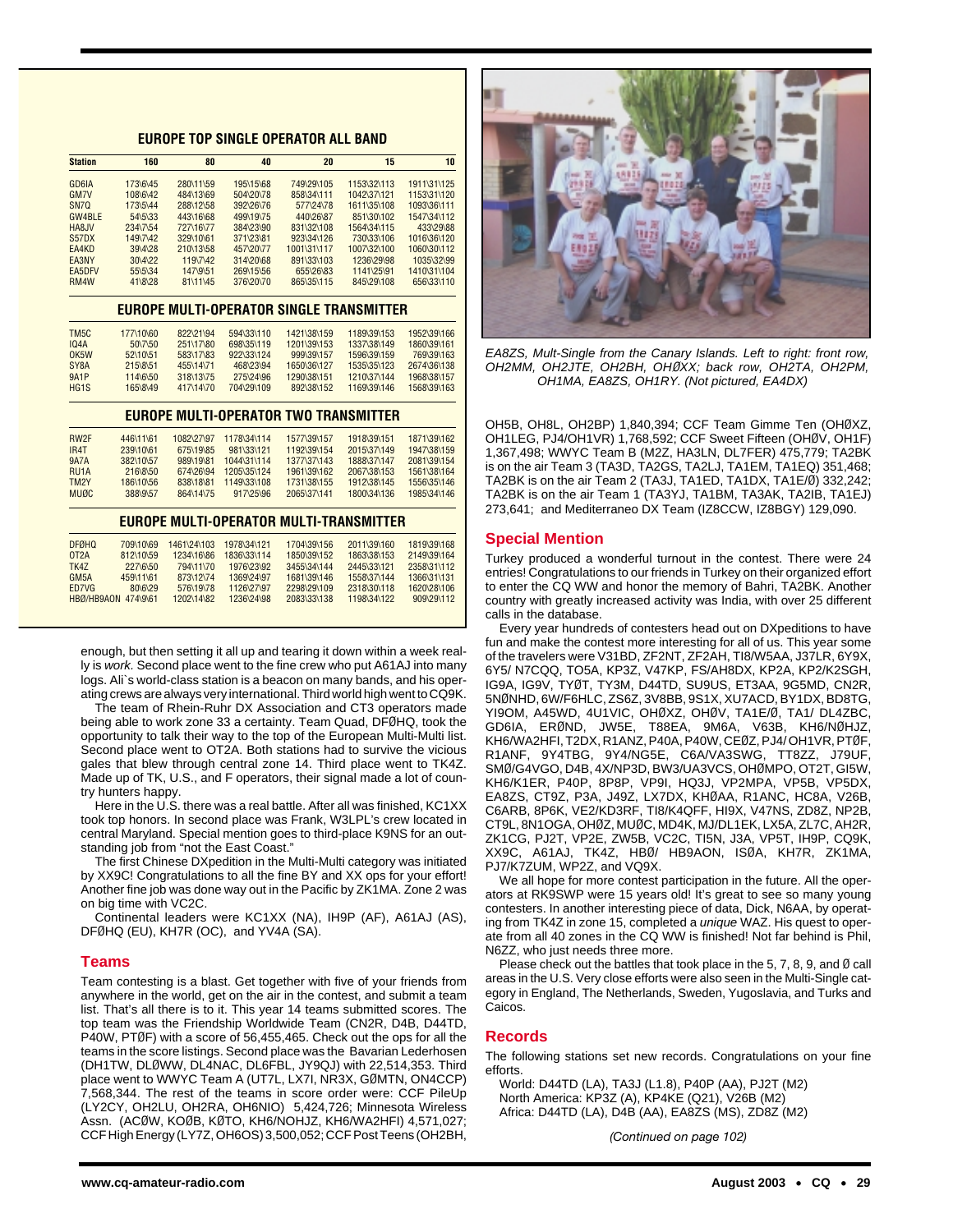## **EUROPE TOP SINGLE OPERATOR ALL BAND**

| <b>Station</b>    | 160                 | 80          | 40          | 20                                              | 15          | 10          |
|-------------------|---------------------|-------------|-------------|-------------------------------------------------|-------------|-------------|
| GD6IA             | 173\6\45            | 280\11\59   | 195\15\68   | 749\29\105                                      | 1153\32\113 | 1911\31\125 |
| <b>GM7V</b>       | 108\6\42            | 484\13\69   | 504\20\78   | 858\34\111                                      | 1042\37\121 | 1153\31\120 |
| SN7Q              | 173\5\44            | 288\12\58   | 392\26\76   | 577\24\78                                       | 1611\35\108 | 1093\36\111 |
| GW4BLE            | 54\5\33             | 443\16\68   | 499\19\75   | 440\26\87                                       | 851\30\102  | 1547\34\112 |
| HA8JV             | 234\7\54            | 727\16\77   | 384\23\90   | 831\32\108                                      | 1564\34\115 | 433\29\88   |
| <b>S57DX</b>      | 149\7\42            | 329\10\61   | 371\23\81   | 923\34\126                                      | 730\33\106  | 1016\36\120 |
| EA4KD             | 39\4\28             | 210\13\58   | 457\20\77   | 1001\31\117                                     | 1007\32\100 | 1060\30\112 |
| EA3NY             | 30\4\22             | 119\7\42    | 314\20\68   | 891\33\103                                      | 1236\29\98  | 1035\32\99  |
| <b>EA5DFV</b>     | 55\5\34             | 147\9\51    | 269\15\56   | 655\26\83                                       | 1141\25\91  | 1410\31\104 |
| RM4W              | 41\8\28             | 81\11\45    | 376\20\70   | 865\35\115                                      | 845\29\108  | 656\33\110  |
|                   |                     |             |             | <b>EUROPE MULTI-OPERATOR SINGLE TRANSMITTER</b> |             |             |
| TM <sub>5</sub> C | 177\10\60           | 822\21\94   | 594\33\110  | 1421\38\159                                     | 1189\39\153 | 1952\39\166 |
| <b>IQ4A</b>       | 50\7\50             | 251\17\80   | 698\35\119  | 1201\39\153                                     | 1337\38\149 | 1860\39\161 |
| OK5W              | 52\10\51            | 583\17\83   | 922\33\124  | 999\39\157                                      | 1596\39\159 | 769\39\163  |
| SY <sub>8</sub> A | 215\8\51            | 455\14\71   | 468\23\94   | 1650\36\127                                     | 1535\35\123 | 2674\36\138 |
| <b>9A1P</b>       | 114\6\50            | 318\13\75   | 275\24\96   | 1290\38\151                                     | 1210\37\144 | 1968\38\157 |
| HG <sub>1</sub> S | 165\8\49            | 417\14\70   | 704\29\109  | 892\38\152                                      | 1169\39\146 | 1568\39\163 |
|                   |                     |             |             | <b>EUROPE MULTI-OPERATOR TWO TRANSMITTER</b>    |             |             |
| RW <sub>2F</sub>  | 446\11\61           | 1082\27\97  | 1178\34\114 | 1577\39\157                                     | 1918\39\151 | 1871\39\162 |
| IR <sub>4</sub> T | 239\10\61           | 675\19\85   | 981\33\121  | 1192\39\154                                     | 2015\37\149 | 1947\38\159 |
| <b>9A7A</b>       | 382\10\57           | 989\19\81   | 1044\31\114 | 1377\37\143                                     | 1888\37\147 | 2081\39\154 |
| RU <sub>1</sub> A | 216\8\50            | 674\26\94   | 1205\35\124 | 1961\39\162                                     | 2067\38\153 | 1561\38\164 |
| TM <sub>2</sub> Y | 186\10\56           | 838\18\81   | 1149\33\108 | 1731\38\155                                     | 1912\38\145 | 1556\35\146 |
| <b>MUØC</b>       | 388\9\57            | 864\14\75   | 917\25\96   | 2065\37\141                                     | 1800\34\136 | 1985\34\146 |
|                   |                     |             |             | EUROPE MULTI-OPERATOR MULTI-TRANSMITTER         |             |             |
| <b>DFØHQ</b>      | 709\10\69           | 1461\24\103 | 1978\34\121 | 1704\39\156                                     | 2011\39\160 | 1819\39\168 |
| 0T2A              | 812\10\59           | 1234\16\86  | 1836\33\114 | 1850\39\152                                     | 1863\38\153 | 2149\39\164 |
| TK4Z              | 227\6\50            | 794\11\70   | 1976\23\92  | 3455\34\144                                     | 2445\33\121 | 2358\31\112 |
| GM <sub>5</sub> A | 459\11\61           | 873\12\74   | 1369\24\97  | 1681\39\146                                     | 1558\37\144 | 1366\31\131 |
| ED7VG             | 80\6\29             | 576\19\78   | 1126\27\97  | 2298\29\109                                     | 2318\30\118 | 1620\28\106 |
|                   | HBØ/HB9AON 474\9\61 | 1202\14\82  | 1236\24\98  | 2083\33\138                                     | 1198\34\122 | 909\29\112  |

enough, but then setting it all up and tearing it down within a week really is work. Second place went to the fine crew who put A61AJ into many logs. Ali`s world-class station is a beacon on many bands, and his operating crews are always very international. Third world high went to CQ9K.

The team of Rhein-Ruhr DX Association and CT3 operators made being able to work zone 33 a certainty. Team Quad, DFØHQ, took the opportunity to talk their way to the top of the European Multi-Multi list. Second place went to OT2A. Both stations had to survive the vicious gales that blew through central zone 14. Third place went to TK4Z. Made up of TK, U.S., and F operators, their signal made a lot of country hunters happy.

Here in the U.S. there was a real battle. After all was finished, KC1XX took top honors. In second place was Frank, W3LPL's crew located in central Maryland. Special mention goes to third-place K9NS for an outstanding job from "not the East Coast."

The first Chinese DXpedition in the Multi-Multi category was initiated by XX9C! Congratulations to all the fine BY and XX ops for your effort! Another fine job was done way out in the Pacific by ZK1MA. Zone 2 was on big time with VC2C.

Continental leaders were KC1XX (NA), IH9P (AF), A61AJ (AS), DFØHQ (EU), KH7R (OC), and YV4A (SA).

#### **Teams**

Team contesting is a blast. Get together with five of your friends from anywhere in the world, get on the air in the contest, and submit a team list. That's all there is to it. This year 14 teams submitted scores. The top team was the Friendship Worldwide Team (CN2R, D4B, D44TD, P40W, PTØF) with a score of 56,455,465. Check out the ops for all the teams in the score listings. Second place was the Bavarian Lederhosen (DH1TW, DLØWW, DL4NAC, DL6FBL, JY9QJ) with 22,514,353. Third place went to WWYC Team A (UT7L, LX7I, NR3X, GØMTN, ON4CCP) 7,568,344. The rest of the teams in score order were: CCF PileUp (LY2CY, OH2LU, OH2RA, OH6NIO) 5,424,726; Minnesota Wireless Assn. (ACØW, KOØB, KØTO, KH6/NOHJZ, KH6/WA2HFI) 4,571,027; CCF High Energy (LY7Z, OH6OS) 3,500,052; CCF Post Teens (OH2BH,



EA8ZS, Mult-Single from the Canary Islands. Left to right: front row, OH2MM, OH2JTE, OH2BH, OH*Ø*XX; back row, OH2TA, OH2PM, OH1MA, EA8ZS, OH1RY. (Not pictured, EA4DX)

OH5B, OH8L, OH2BP) 1,840,394; CCF Team Gimme Ten (OHØXZ, OH1LEG, PJ4/OH1VR) 1,768,592; CCF Sweet Fifteen (OHØV, OH1F) 1,367,498; WWYC Team B (M2Z, HA3LN, DL7FER) 475,779; TA2BK is on the air Team 3 (TA3D, TA2GS, TA2LJ, TA1EM, TA1EQ) 351,468; TA2BK is on the air Team 2 (TA3J, TA1ED, TA1DX, TA1E/Ø) 332,242; TA2BK is on the air Team 1 (TA3YJ, TA1BM, TA3AK, TA2IB, TA1EJ) 273,641; and Mediterraneo DX Team (IZ8CCW, IZ8BGY) 129,090.

#### **Special Mention**

Turkey produced a wonderful turnout in the contest. There were 24 entries! Congratulations to our friends in Turkey on their organized effort to enter the CQ WW and honor the memory of Bahri, TA2BK. Another country with greatly increased activity was India, with over 25 different calls in the database.

Every year hundreds of contesters head out on DXpeditions to have fun and make the contest more interesting for all of us. This year some of the travelers were V31BD, ZF2NT, ZF2AH, TI8/W5AA, J37LR, 6Y9X, 6Y5/ N7CQQ, TO5A, KP3Z, V47KP, FS/AH8DX, KP2A, KP2/K2SGH, IG9A, IG9V, TYØT, TY3M, D44TD, SU9US, ET3AA, 9G5MD, CN2R, 5NØNHD, 6W/F6HLC, ZS6Z, 3V8BB, 9S1X, XU7ACD, BY1DX, BD8TG, YI9OM, A45WD, 4U1VIC, OHØXZ, OHØV, TA1E/Ø, TA1/ DL4ZBC, GD6IA, ERØND, JW5E, T88EA, 9M6A, V63B, KH6/NØHJZ, KH6/WA2HFI, T2DX, R1ANZ, P40A, P40W, CEØZ, PJ4/ OH1VR, PTØF, R1ANF, 9Y4TBG, 9Y4/NG5E, C6A/VA3SWG, TT8ZZ, J79UF, SMØ/G4VGO, D4B, 4X/NP3D, BW3/UA3VCS, OHØMPO, OT2T, GI5W, KH6/K1ER, P40P, 8P8P, VP9I, HQ3J, VP2MPA, VP5B, VP5DX, EA8ZS, CT9Z, P3A, J49Z, LX7DX, KHØAA, R1ANC, HC8A, V26B, C6ARB, 8P6K, VE2/KD3RF, TI8/K4QFF, HI9X, V47NS, ZD8Z, NP2B, CT9L, 8N1OGA, OHØZ, MUØC, MD4K, MJ/DL1EK, LX5A, ZL7C, AH2R, ZK1CG, PJ2T, VP2E, ZW5B, VC2C, TI5N, J3A, VP5T, IH9P, CQ9K, XX9C, A61AJ, TK4Z, HBØ/ HB9AON, ISØA, KH7R, ZK1MA, PJ7/K7ZUM, WP2Z, and VQ9X.

We all hope for more contest participation in the future. All the operators at RK9SWP were 15 years old! It's great to see so many young contesters. In another interesting piece of data, Dick, N6AA, by operating from TK4Z in zone 15, completed a unique WAZ. His quest to operate from all 40 zones in the CQ WW is finished! Not far behind is Phil, N6ZZ, who just needs three more.

Please check out the battles that took place in the 5, 7, 8, 9, and Ø call areas in the U.S. Very close efforts were also seen in the Multi-Single category in England, The Netherlands, Sweden, Yugoslavia, and Turks and Caicos.

#### **Records**

The following stations set new records. Congratulations on your fine efforts.

World: D44TD (LA), TA3J (L1.8), P40P (AA), PJ2T (M2) North America: KP3Z (A), KP4KE (Q21), V26B (M2) Africa: D44TD (LA), D4B (AA), EA8ZS (MS), ZD8Z (M2)

*(Continued on page 102)*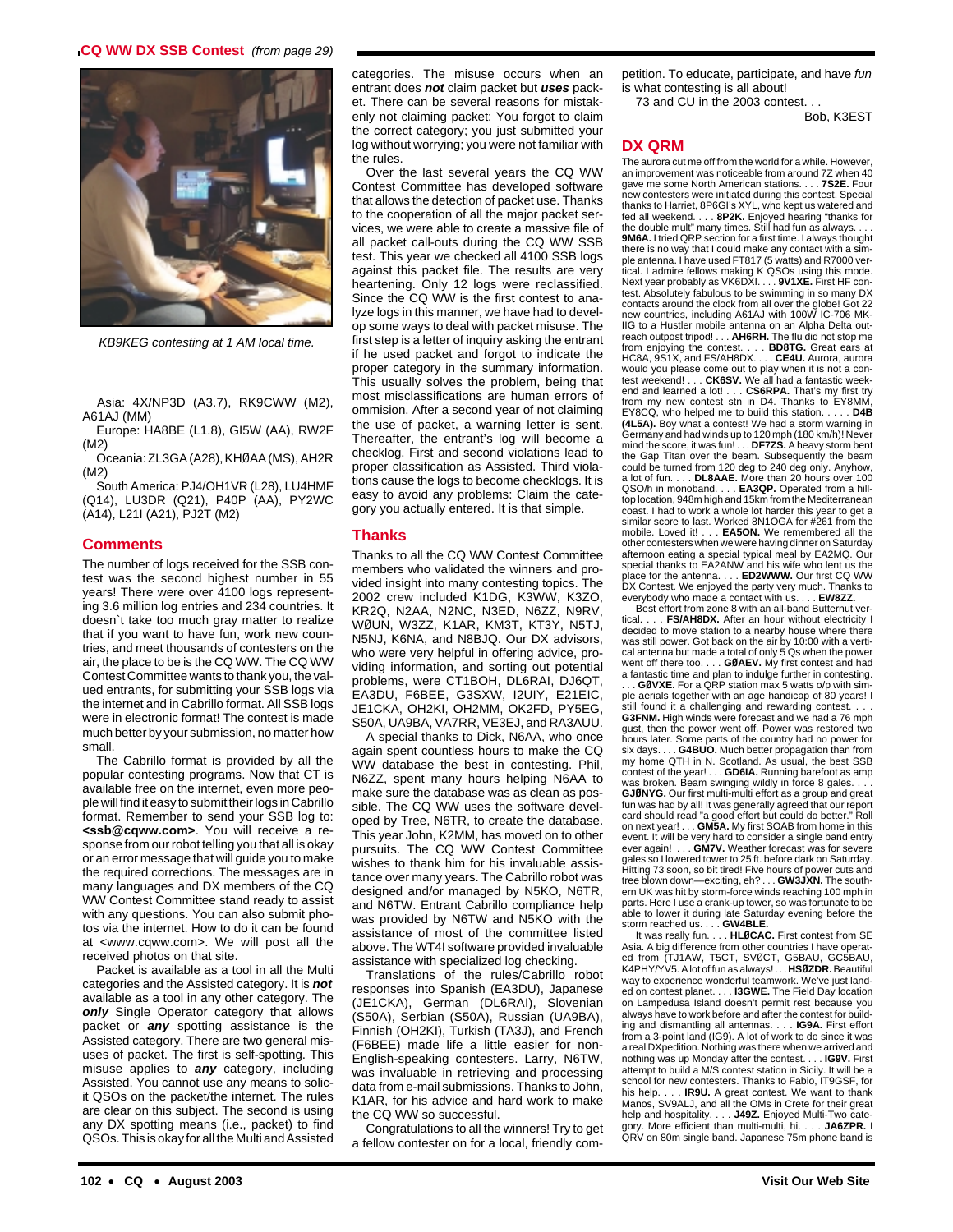# **CQ WW DX SSB Contest** (from page 29)



KB9KEG contesting at 1 AM local time.

Asia: 4X/NP3D (A3.7), RK9CWW (M2), A61AJ (MM)

Europe: HA8BE (L1.8), GI5W (AA), RW2F (M2)

Oceania: ZL3GA (A28), KHØAA (MS), AH2R (M2)

South America: PJ4/OH1VR (L28), LU4HMF (Q14), LU3DR (Q21), P40P (AA), PY2WC (A14), L21I (A21), PJ2T (M2)

#### **Comments**

The number of logs received for the SSB contest was the second highest number in 55 years! There were over 4100 logs representing 3.6 million log entries and 234 countries. It doesn`t take too much gray matter to realize that if you want to have fun, work new countries, and meet thousands of contesters on the air, the place to be is the CQ WW. The CQ WW Contest Committee wants to thank you, the valued entrants, for submitting your SSB logs via the internet and in Cabrillo format. All SSB logs were in electronic format! The contest is made much better by your submission, no matter how small.

The Cabrillo format is provided by all the popular contesting programs. Now that CT is available free on the internet, even more people will find it easy to submit their logs in Cabrillo format. Remember to send your SSB log to: **<ssb@cqww.com>**. You will receive a response from our robot telling you that all is okay or an error message that will guide you to make the required corrections. The messages are in many languages and DX members of the CQ WW Contest Committee stand ready to assist with any questions. You can also submit photos via the internet. How to do it can be found at <www.cqww.com>. We will post all the received photos on that site.

Packet is available as a tool in all the Multi categories and the Assisted category. It is **not** available as a tool in any other category. The **only** Single Operator category that allows packet or **any** spotting assistance is the Assisted category. There are two general misuses of packet. The first is self-spotting. This misuse applies to **any** category, including Assisted. You cannot use any means to solicit QSOs on the packet/the internet. The rules are clear on this subject. The second is using any DX spotting means (i.e., packet) to find QSOs. This is okay for all the Multi and Assisted

categories. The misuse occurs when an entrant does **not** claim packet but **uses** packet. There can be several reasons for mistakenly not claiming packet: You forgot to claim the correct category; you just submitted your log without worrying; you were not familiar with the rules.

Over the last several years the CQ WW Contest Committee has developed software that allows the detection of packet use. Thanks to the cooperation of all the major packet services, we were able to create a massive file of all packet call-outs during the CQ WW SSB test. This year we checked all 4100 SSB logs against this packet file. The results are very heartening. Only 12 logs were reclassified. Since the CQ WW is the first contest to analyze logs in this manner, we have had to develop some ways to deal with packet misuse. The first step is a letter of inquiry asking the entrant if he used packet and forgot to indicate the proper category in the summary information. This usually solves the problem, being that most misclassifications are human errors of ommision. After a second year of not claiming the use of packet, a warning letter is sent. Thereafter, the entrant's log will become a checklog. First and second violations lead to proper classification as Assisted. Third violations cause the logs to become checklogs. It is easy to avoid any problems: Claim the category you actually entered. It is that simple.

#### **Thanks**

Thanks to all the CQ WW Contest Committee members who validated the winners and provided insight into many contesting topics. The 2002 crew included K1DG, K3WW, K3ZO, KR2Q, N2AA, N2NC, N3ED, N6ZZ, N9RV, WØUN, W3ZZ, K1AR, KM3T, KT3Y, N5TJ, N5NJ, K6NA, and N8BJQ. Our DX advisors, who were very helpful in offering advice, providing information, and sorting out potential problems, were CT1BOH, DL6RAI, DJ6QT, EA3DU, F6BEE, G3SXW, I2UIY, E21EIC, JE1CKA, OH2KI, OH2MM, OK2FD, PY5EG, S50A, UA9BA, VA7RR, VE3EJ, and RA3AUU.

A special thanks to Dick, N6AA, who once again spent countless hours to make the CQ WW database the best in contesting. Phil, N6ZZ, spent many hours helping N6AA to make sure the database was as clean as possible. The CQ WW uses the software developed by Tree, N6TR, to create the database. This year John, K2MM, has moved on to other pursuits. The CQ WW Contest Committee wishes to thank him for his invaluable assistance over many years. The Cabrillo robot was designed and/or managed by N5KO, N6TR, and N6TW. Entrant Cabrillo compliance help was provided by N6TW and N5KO with the assistance of most of the committee listed above. The WT4I software provided invaluable assistance with specialized log checking.

Translations of the rules/Cabrillo robot responses into Spanish (EA3DU), Japanese (JE1CKA), German (DL6RAI), Slovenian (S50A), Serbian (S50A), Russian (UA9BA), Finnish (OH2KI), Turkish (TA3J), and French (F6BEE) made life a little easier for non-English-speaking contesters. Larry, N6TW, was invaluable in retrieving and processing data from e-mail submissions. Thanks to John, K1AR, for his advice and hard work to make the CQ WW so successful.

Congratulations to all the winners! Try to get a fellow contester on for a local, friendly competition. To educate, participate, and have fun is what contesting is all about! 73 and CU in the 2003 contest.

Bob, K3EST

# **DX QRM**

The aurora cut me off from the world for a while. However, an improvement was noticeable from around 7Z when 40 gave me some North American stations. . . . **7S2E.** Four new contesters were initiated during this contest. Special thanks to Harriet, 8P6GI's XYL, who kept us watered and fed all weekend. . . . **8P2K.** Enjoyed hearing "thanks for the double mult" many times. Still had fun as always. . . . **9M6A.** I tried QRP section for a first time. I always thought there is no way that I could make any contact with a sim-ple antenna. I have used FT817 (5 watts) and R7000 vertical. I admire fellows making K QSOs using this mode. Next year probably as VK6DXI. . . . **9V1XE.** First HF contest. Absolutely fabulous to be swimming in so many DX contacts around the clock from all over the globe! Got 22 new countries, including A61AJ with 100W IC-706 MK-IIG to a Hustler mobile antenna on an Alpha Delta outreach outpost tripod! . . . **AH6RH.** The flu did not stop me from enjoying the contest. . . . **BD8TG.** Great ears at HC8A, 9S1X, and FS/AH8DX. . . . **CE4U.** Aurora, aurora would you please come out to play when it is not a contest weekend! . . . **CK6SV.** We all had a fantastic week-end and learned a lot! . . . **CS6RPA.** That's my first try from my new contest stn in D4. Thanks to EY8MM EY8CQ, who helped me to build this station. . . . . **D4B (4L5A).** Boy what a contest! We had a storm warning in Germany and had winds up to 120 mph (180 km/h)! Never mind the score, it was fun! . . . **DF7ZS.** A heavy storm bent the Gap Titan over the beam. Subsequently the beam could be turned from 120 deg to 240 deg only. Anyhow, a lot of fun. . . . **DL8AAE.** More than 20 hours over 100 QSO/h in monoband. . . . **EA3QP.** Operated from a hilltop location, 948m high and 15km from the Mediterranean coast. I had to work a whole lot harder this year to get a similar score to last. Worked 8N1OGA for #261 from the mobile. Loved it! . . . **EA5ON.** We remembered all the other contesters when we were having dinner on Saturday afternoon eating a special typical meal by EA2MQ. Our special thanks to EA2ANW and his wife who lent us the place for the antenna. . . . **ED2WWW.** Our first CQ WW DX Contest. We enjoyed the party very much. Thanks to everybody who made a contact with us. . . . **EW8ZZ.**

Best effort from zone 8 with an all-band Butternut ver-<br>tical.... **FS/AH8DX.** After an hour without electricity I . FS/AH8DX. After an hour without electricity I decided to move station to a nearby house where there was still power. Got back on the air by 10:00 with a vertical antenna but made a total of only 5 Qs when the power went off there too. . . . **GØAEV.** My first contest and had a fantastic time and plan to indulge further in contesting. . GØVXE. For a QRP station max 5 watts o/p with sim ple aerials together with an age handicap of 80 years! I still found it a challenging and rewarding contest. **G3FNM.** High winds were forecast and we had a 76 mph gust, then the power went off. Power was restored two hours later. Some parts of the country had no power for six days. . . . **G4BUO.** Much better propagation than from my home QTH in N. Scotland. As usual, the best SSB contest of the year! . . . **GD6IA.** Running barefoot as amp was broken. Beam swinging wildly in force 8 gales. . . . **GJØNYG.** Our first multi-multi effort as a group and great fun was had by all! It was generally agreed that our report card should read "a good effort but could do better." Roll on next year! . . . **GM5A.** My first SOAB from home in this event. It will be very hard to consider a single band entry ever again! . . . **GM7V.** Weather forecast was for severe gales so I lowered tower to 25 ft. before dark on Saturday. Hitting 73 soon, so bit tired! Five hours of power cuts and tree blown down—exciting, eh? . . . **GW3JXN.** The south-ern UK was hit by storm-force winds reaching 100 mph in parts. Here I use a crank-up tower, so was fortunate to be able to lower it during late Saturday evening before the storm reached us. . . . **GW4BLE.**

It was really fun. . . . **HLØCAC.** First contest from SE Asia. A big difference from other countries I have operat-ed from (TJ1AW, T5CT, SVØCT, G5BAU, GC5BAU, K4PHY/YV5. A lot of fun as always! . . . **HSØZDR.**Beautiful way to experience wonderful teamwork. We've just landed on contest planet. . . . **I3GWE.** The Field Day location on Lampedusa Island doesn't permit rest because you always have to work before and after the contest for building and dismantling all antennas. . . . **IG9A.** First effort from a 3-point land (IG9). A lot of work to do since it was a real DXpedition. Nothing was there when we arrived and nothing was up Monday after the contest. . . . **IG9V.** First attempt to build a M/S contest station in Sicily. It will be a school for new contesters. Thanks to Fabio, IT9GSF, for<br>his help..... **IR9U.** A great contest. We want to thank **IR9U.** A great contest. We want to thank Manos, SV9ALJ, and all the OMs in Crete for their great help and hospitality. . . . **J49Z.** Enjoyed Multi-Two cate-gory. More efficient than multi-multi, hi. . . . **JA6ZPR.** I QRV on 80m single band. Japanese 75m phone band is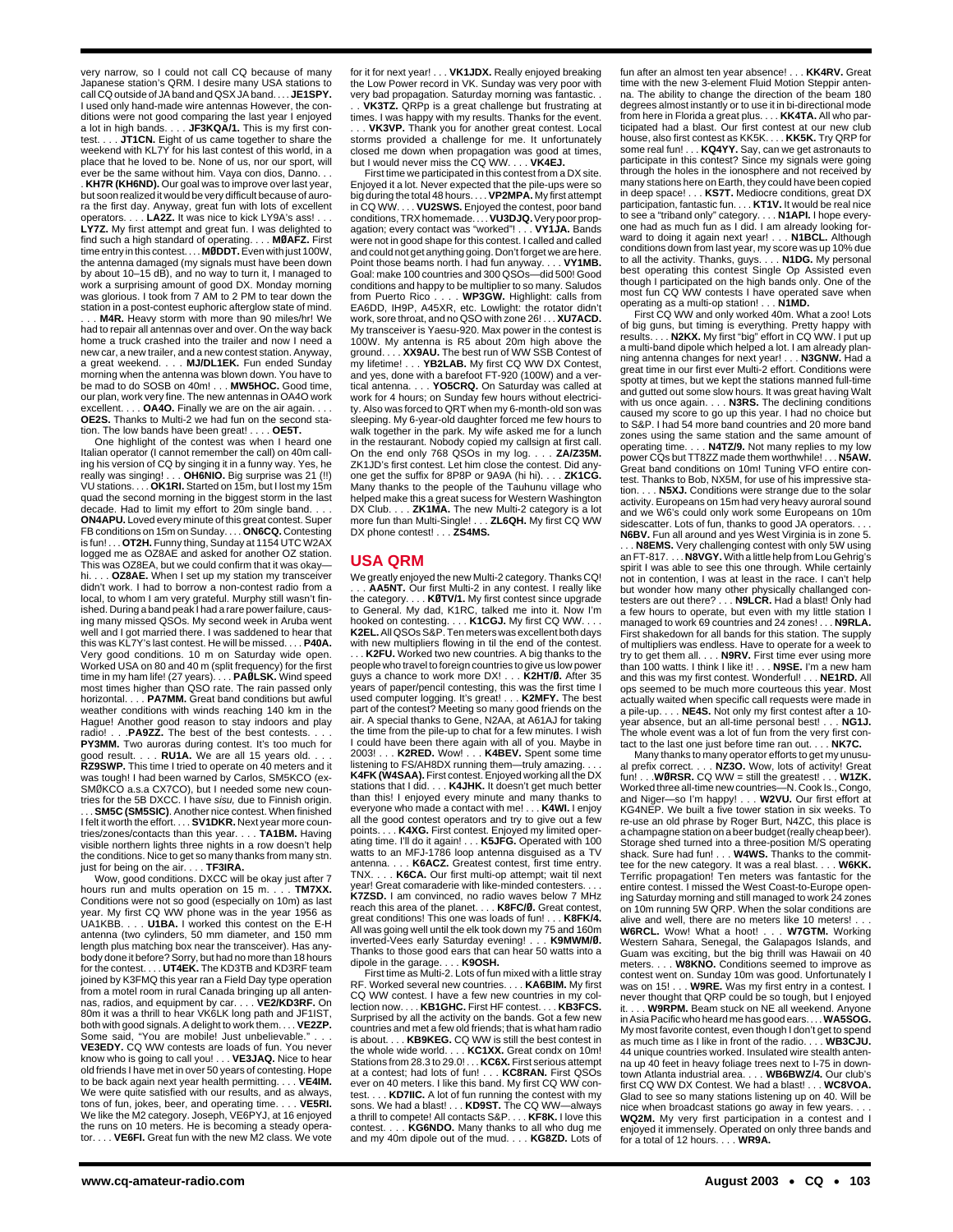very narrow, so I could not call CQ because of many Japanese station's QRM. I desire many USA stations to call CQ outside of JA band and QSX JA band. . . . **JE1SPY.** I used only hand-made wire antennas However, the conditions were not good comparing the last year I enjoyed a lot in high bands. . . . **JF3KQA/1.** This is my first contest. . . . **JT1CN.** Eight of us came together to share the weekend with KL7Y for his last contest of this world, in a place that he loved to be. None of us, nor our sport, will ever be the same without him. Vaya con dios, Danno. . . . **KH7R (KH6ND).** Our goal was to improve over last year, but soon realized it would be very difficult because of aurora the first day. Anyway, great fun with lots of excellent operators. . . . **LA2Z.** It was nice to kick LY9A's ass! . . . **LY7Z.** My first attempt and great fun. I was delighted to find such a high standard of operating. . . . **MØAFZ.** First time entry in this contest. . . . **MØDDT.**Even with just 100W, the antenna damaged (my signals must have been down by about 10–15 dB), and no way to turn it, I managed to work a surprising amount of good DX. Monday morning was glorious. I took from 7 AM to 2 PM to tear down the station in a post-contest euphoric afterglow state of mind.

M4R. Heavy storm with more than 90 miles/hr! We had to repair all antennas over and over. On the way back home a truck crashed into the trailer and now I need a new car, a new trailer, and a new contest station. Anyway, a great weekend. . . . **MJ/DL1EK.** Fun ended Sunday morning when the antenna was blown down. You have to be mad to do SOSB on 40m! . . . **MW5HOC.** Good time, our plan, work very fine. The new antennas in OA4O work excellent. . . . **OA4O.** Finally we are on the air again. **OE2S.** Thanks to Multi-2 we had fun on the second station. The low bands have been great! . . . . **OE5T.**

One highlight of the contest was when I heard one Italian operator (I cannot remember the call) on 40m calling his version of CQ by singing it in a funny way. Yes, he really was singing! . . . **OH6NIO.** Big surprise was 21 (!!)<br>VU stations. . . . **OK1RI.** Started on 15m, but I lost my 15m<br>quad the second morning in the biggest storm in the last decade. Had to limit my effort to 20m single band. . . . **ON4APU.** Loved every minute of this great contest. Super FB conditions on 15m on Sunday. . . . **ON6CQ.** Contesting is fun! . . . **OT2H.** Funny thing, Sunday at 1154 UTC W2AX logged me as OZ8AE and asked for another OZ station. This was OZ8EA, but we could confirm that it was okay hi. . . . **OZ8AE.** When I set up my station my transceiver didn't work. I had to borrow a non-contest radio from a local, to whom I am very grateful. Murphy still wasn't finished. During a band peak I had a rare power failure, caus-ing many missed QSOs. My second week in Aruba went well and I got married there. I was saddened to hear that this was KL7Y's last contest. He will be missed. . . . **P40A.** Very good conditions. 10 m on Saturday wide open. Worked USA on 80 and 40 m (split frequency) for the first time in my ham life! (27 years). . . . **PAØLSK.** Wind speed most times higher than QSO rate. The rain passed only horizontal. . . . **PA7MM.** Great band conditions but awful weather conditions with winds reaching 140 km in the Hague! Another good reason to stay indoors and play<br>radio! . . .**PA9ZZ.** The best of the best contests. . . .<br>**PY3MM.** Two auroras during contest. It's too much for ood result. . . . **RU1A.** We are all 15 years old. **RZ9SWP.** This time I tried to operate on 40 meters and it was tough! I had been warned by Carlos, SM5KCO (ex-SMØKCO a.s.a CX7CO), but I needed some new coun-

tries for the 5B DXCC. I have sisu, due to Finnish origin. . . . **SM5C (SM5SIC)**. Another nice contest. When finished I felt it worth the effort. . . . **SV1DKR.** Next year more countries/zones/contacts than this year. . . . **TA1BM.** Having visible northern lights three nights in a row doesn't help the conditions. Nice to get so many thanks from many stn. just for being on the air. . . . **TF3IRA.**

Wow, good conditions. DXCC will be okay just after 7 hours run and mults operation on 15 m. . . . **TM7XX.** Conditions were not so good (especially on 10m) as last year. My first CQ WW phone was in the year 1956 as UA1KBB. . . . **U1BA.** I worked this contest on the E-H antenna (two cylinders, 50 mm diameter, and 150 mm length plus matching box near the transceiver). Has anybody done it before? Sorry, but had no more than 18 hours for the contest. . . . **UT4EK.** The KD3TB and KD3RF team joined by K3FMQ this year ran a Field Day type operation from a motel room in rural Canada bringing up all anten-nas, radios, and equipment by car. . . . **VE2/KD3RF.** On 80m it was a thrill to hear VK6LK long path and JF1IST, both with good signals. A delight to work them. . . . **VE2ZP.** Some said, "You are mobile! Just unbelievable." . . .

**VE3EDY.** CQ WW contests are loads of fun. You never know who is going to call you! . . . **VE3JAQ.** Nice to hear old friends I have met in over 50 years of contesting. Hope to be back again next year health permitting. . . . **VE4IM.** We were quite satisfied with our results, and as always, tons of fun, jokes, beer, and operating time. . . . **VE5RI.** We like the M2 category. Joseph, VE6PYJ, at 16 enjoyed the runs on 10 meters. He is becoming a steady opera-tor. . . . **VE6FI.** Great fun with the new M2 class. We vote for it for next year! . . . **VK1JDX.** Really enjoyed breaking the Low Power record in VK. Sunday was very poor with very bad propagation. Saturday morning was fantastic. .

VK3TZ. QRPp is a great challenge but frustrating at times. I was happy with my results. Thanks for the event. . . . **VK3VP.** Thank you for another great contest. Local storms provided a challenge for me. It unfortunately closed me down when propagation was good at times, but I would never miss the CQ WW. . . . **VK4EJ.**

First time we participated in this contest from a DX site. Enjoyed it a lot. Never expected that the pile-ups were so big during the total 48 hours. . . . **VP2MPA.** My first attempt in CQ WW. . . . **VU2SWS.** Enjoyed the contest, poor band conditions, TRX homemade. . . . **VU3DJQ.**Very poor propagation; every contact was "worked"! . . . **VY1JA.** Bands were not in good shape for this contest. I called and called and could not get anything going. Don't forget we are here.<br>Point those beams north. I had fun anyway.... VY1MB. Point those beams north. I had fun anyway. . Goal: make 100 countries and 300 QSOs—did 500! Good conditions and happy to be multiplier to so many. Saludos from Puerto Rico . . . . **WP3GW.** Highlight: calls from EA6DD, IH9P, A45XR, etc. Lowlight: the rotator didn't work, sore throat, and no QSO with zone 26! . . . **XU7ACD.** My transceiver is Yaesu-920. Max power in the contest is 100W. My antenna is R5 about 20m high above the ground. . . . **XX9AU.** The best run of WW SSB Contest of my lifetime! . . . **YB2LAB.** My first CQ WW DX Contest, and yes, done with a barefoot FT-920 (100W) and a vertical antenna. . . . **YO5CRQ.** On Saturday was called at work for 4 hours; on Sunday few hours without electricity. Also was forced to QRT when my 6-month-old son was sleeping. My 6-year-old daughter forced me few hours to walk together in the park. My wife asked me for a lunch in the restaurant. Nobody copied my callsign at first call. On the end only 768 QSOs in my log. . . . **ZA/Z35M.** ZK1JD's first contest. Let him close the contest. Did anyone get the suffix for 8P8P or 9A9A (hi hi). . . . **ZK1CG.** Many thanks to the people of the Tauhunu village who helped make this a great sucess for Western Washington DX Club. . . . **ZK1MA.** The new Multi-2 category is a lot more fun than Multi-Single! . . . **ZL6QH.** My first CQ WW DX phone contest! . . . **ZS4MS.** 

#### **USA QRM**

We greatly enjoyed the new Multi-2 category. Thanks CQ! . . . **AA5NT.** Our first Multi-2 in any contest. I really like the category. . . . **KØTV/1**. My first contest since upgrade<br>to General. My dad, K1RC, talked me into it. Now I'm<br>hooked on contesting. . . . **K1CGJ.** My first CQ WW. . .<br>**K2EL.** All QSOs S&P. Ten meters was excellent both with new multipliers flowing in til the end of the contest. . **K2FU.** Worked two new countries. A big thanks to the people who travel to foreign countries to give us low power guys a chance to work more DX! . . . **K2HT/Ø.** After 35 years of paper/pencil contesting, this was the first time I used computer logging. It's great! . . . **K2MFY.** The best part of the contest? Meeting so many good friends on the air. A special thanks to Gene, N2AA, at A61AJ for taking the time from the pile-up to chat for a few minutes. I wish I could have been there again with all of you. Maybe in 2003! . . . **K2RED.** Wow! . . . **K4BEV.** Spent some time listening to FS/AH8DX running them—truly amazing. . . . **K4FK (W4SAA).** First contest. Enjoyed working all the DX stations that I did. . . . **K4JHK.** It doesn't get much better than this! I enjoyed every minute and many thanks to everyone who made a contact with me! . . . **K4WI.** I enjoy all the good contest operators and try to give out a few points. . . . **K4XG.** First contest. Enjoyed my limited operating time. I'll do it again! . . . **K5JFG.** Operated with 100 watts to an MFJ-1786 loop antenna disguised as a TV antenna... K6ACZ. Greatest contest, first time entry. antenna. . . . **K6ACZ.** Greatest contest, first time entry. TNX. . . . **K6CA.** Our first multi-op attempt; wait til next vear! Great comaraderie with like-minded contesters. **K7ZSD.** I am convinced, no radio waves below 7 MHz reach this area of the planet. . . . **K8FC/Ø.** Great contest, great conditions! This one was loads of fun! . . . **K8FK/4.** All was going well until the elk took down my 75 and 160m inverted-Vees early Saturday evening! . . . **K9MWM/Ø.** Thanks to those good ears that can hear 50 watts into a

dipole in the garage. . . . **K9OSH.** First time as Multi-2. Lots of fun mixed with a little stray RF. Worked several new countries. . . . **KA6BIM.** My first CQ WW contest. I have a few new countries in my col-lection now. . . . **KB1GHC.** First HF contest. . . . **KB3FCS.** Surprised by all the activity on the bands. Got a few new countries and met a few old friends; that is what ham radio is about. . . . **KB9KEG.** CQ WW is still the best contest in the whole wide world. . . . KC1XX. Great condx on 10m!<br>Stations from 28.3 to 29.0! . . . KC6X. First serious attempt<br>at a contest; had lots of fun! . . . KC8RAN. First QSOs<br>ever on 40 meters. I like this band. My first CQ test. . . . **KD7IIC.** A lot of fun running the contest with my sons. We had a blast! . . . **KD9ST.** The CQ WW—always a thrill to compete! All contacts S&P. . . . **KF8K.** I love this contest. . . . **KG6NDO.** Many thanks to all who dug me and my 40m dipole out of the mud. . . . **KG8ZD.** Lots of

fun after an almost ten year absence! . . . **KK4RV.** Great time with the new 3-element Fluid Motion Steppir antenna. The ability to change the direction of the beam 180 degrees almost instantly or to use it in bi-directional mode from here in Florida a great plus. . . . **KK4TA.** All who par-<br>ticipated had a blast. Our first contest at our new club house, also first contest as KK5K. . . . **KK5K.** Try QRP for<br>some real fun! . . . **KQ4YY.** Say, can we get astronauts to<br>participate in this contest? Since my signals were going through the holes in the ionosphere and not received by many stations here on Earth, they could have been copied in deep space! . . . **KS7T.** Mediocre conditions, great DX participation, fantastic fun. . . . **KT1V.** It would be real nice to see a "triband only" category. . . . **N1API.** I hope every-one had as much fun as I did. I am already looking forward to doing it again next year! . . . **N1BCL.** Although conditions down from last year, my score was up 10% due to all the activity. Thanks, guys. . . . **N1DG.** My personal best operating this contest Single Op Assisted even though I participated on the high bands only. One of the most fun CQ WW contests I have operated save when operating as a multi-op station! . . . **N1MD.**

First CQ WW and only worked 40m. What a zoo! Lots of big guns, but timing is everything. Pretty happy with results. . . . **N2KX.** My first "big" effort in CQ WW. I put up a multi-band dipole which helped a lot. I am already plan-ning antenna changes for next year! . . . **N3GNW.** Had a great time in our first ever Multi-2 effort. Conditions were spotty at times, but we kept the stations manned full-time and gutted out some slow hours. It was great having Walt with us once again. . . . **N3RS.** The declining conditions caused my score to go up this year. I had no choice but to S&P. I had 54 more band countries and 20 more band zones using the same station and the same amount of operating time. . . . **N4TZ/9.** Not many replies to my low power CQs but TT8ZZ made them worthwhile! . . . **N5AW.** Great band conditions on 10m! Tuning VFO entire contest. Thanks to Bob, NX5M, for use of his impressive station. . . . **N5XJ.** Conditions were strange due to the solar activity. Europeans on 15m had very heavy auroral sound and we W6's could only work some Europeans on 10m sidescatter. Lots of fun, thanks to good JA operators. **N6BV.** Fun all around and yes West Virginia is in zone 5.

. . . **N8EMS.** Very challenging contest with only 5W using an FT-817. . . . **N8VGY.** With a little help from Lou Gehrig's spirit I was able to see this one through. While certainly not in contention, I was at least in the race. I can't help but wonder how many other physically challanged con-testers are out there? . . . **N9LCR.** Had a blast! Only had a few hours to operate, but even with my little station I managed to work 69 countries and 24 zones! . . . **N9RLA.** First shakedown for all bands for this station. The supply of multipliers was endless. Have to operate for a week to try to get them all. . . . **N9RV.** First time ever using more than 100 watts. I think I like it! . . . **N9SE.** I'm a new ham and this was my first contest. Wonderful! . . . **NE1RD.** All ops seemed to be much more courteous this year. Most actually waited when specific call requests were made in a pile-up. . . . **NE4S.** Not only my first contest after a 10 ear absence, but an all-time personal best! . The whole event was a lot of fun from the very first contact to the last one just before time ran out. . . . **NK7C.**

Many thanks to many operator efforts to get my unusual prefix correct. . . . **NZ3O.** Wow, lots of activity! Great fun! . . .**WØRSR.** CQ WW = still the greatest! . . . **W1ZK.** Worked three all-time new countries—N. Cook Is., Congo, and Niger—so I'm happy! . . . **W2VU.** Our first effort at KG4NEP. We built a five tower station in six weeks. To re-use an old phrase by Roger Burt, N4ZC, this place is a champagne station on a beer budget (really cheap beer). Storage shed turned into a three-position M/S operating shack. Sure had fun! . . . **W4WS.** Thanks to the committee for the new category. It was a real blast. . . . **W6KK.** Terrific propagation! Ten meters was fantastic for the entire contest. I missed the West Coast-to-Europe opening Saturday morning and still managed to work 24 zones on 10m running 5W QRP. When the solar conditions are alive and well, there are no meters like 10 meters! **W6RCL.** Wow! What a hoot! . . . **W7GTM.** Working Western Sahara, Senegal, the Galapagos Islands, and Guam was exciting, but the big thrill was Hawaii on 40 meters. . . . **W8KNO.** Conditions seemed to improve as contest went on. Sunday 10m was good. Unfortunately I<br>was on 15! . . . **W9RE.** Was my first entry in a contest. I<br>never thought that QRP could be so tough, but I enjoyed<br>it. . . . **W9RPM.** Beam stuck on NE all weekend. Any in Asia Pacific who heard me has good ears. . . . **WA5SOG.** My most favorite contest, even though I don't get to spend as much time as I like in front of the radio. . . . **WB3CJU.** 44 unique countries worked. Insulated wire stealth antenna up 40 feet in heavy foliage trees next to I-75 in downtown Atlanta industrial area. . . . **WB6BWZ/4.** Our club's first CQ WW DX Contest. We had a blast! . . . **WC8VOA.** Glad to see so many stations listening up on 40. Will be nice when broadcast stations go away in few years. . . . **WQ2M.** My very first participation in a contest and I enjoyed it immensely. Operated on only three bands and for a total of 12 hours. . . . **WR9A.**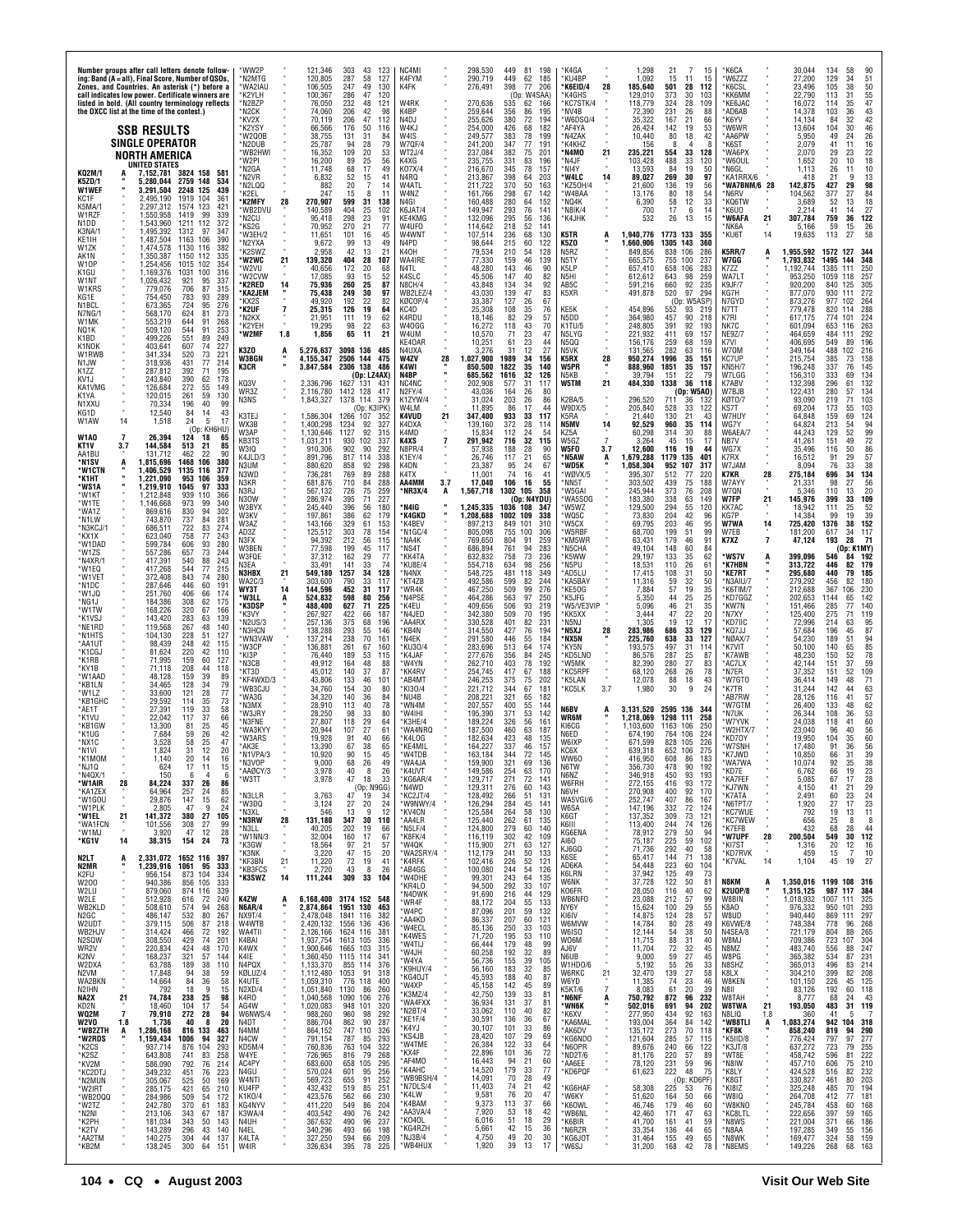| Number groups after call letters denote follow-<br>ing: Band (A = all), Final Score, Number of QSOs,<br>Zones, and Countries. An asterisk (*) before a<br>call indicates low power. Certificate winners are<br>listed in bold. (All country terminology reflects<br>the DXCC list at the time of the contest.)<br><b>SSB RESULTS</b>                                                                                                                                                                                                                                                                                                                                                                                                 | 'WW2P<br>N2MTG<br>'WA2IAU<br>K2YLH<br>*N2BZP<br>*N2CK<br>*KV2X<br>*K2YSY                                                                                             | 121,346<br>303<br>43<br>123<br>120.805<br>287<br>58<br>127<br>106,505<br>247<br>49<br>130<br>100,367<br>286<br>47<br>120<br>76,050<br>232<br>48<br>121<br>74,060<br>206<br>42<br>98<br>70,119<br>206<br>47<br>112<br>176<br>50<br>66.566<br>116                                                                                                                                                                                                                                                                                          | NC4MI<br>K4FYM<br>K4FK<br>W4RK<br>K4BP<br>N4DJ<br>W4KJ                                                                                                                              | 298,530<br>449<br>81<br>290,719<br>449<br>62<br>276,491<br>398<br>77<br>(Op: W4SAA)<br>270,636<br>535<br>62<br>259,644<br>86<br>356<br>255,626<br>380<br>72<br>254,000<br>426<br>68                                                                                                                                                                                                   | 198<br>185<br>206<br>166<br>195<br>194<br>182                                                          | *K4GA<br>*KU4BP<br>28<br>*K6EID/4<br>'K4GHS<br><b>'KC7STK/4</b><br>*NV4B<br>*W6DSQ/4<br>*AF4YA                                                                                        | 1,298<br>1.092<br>185,640<br>129,010<br>118,779<br>72,390<br>35,322<br>26,424                                                                                     | 21<br>15<br>15<br>15<br>11<br>501<br>28<br>112<br>30<br>373<br>103<br>324<br>28<br>109<br>231<br>26<br>88<br>167<br>21<br>66<br>142<br>19<br>53                                                                                                                                                                                                                      | *K6CA<br>*W6ZZZ<br>*K6CSL<br>*KK6MM<br>*KE6JAC<br>*AD6AB<br>*K6YV<br>*W6WR                                                                                                                | 30,044<br>27,200<br>23,496<br>22,790<br>16,072<br>14,378<br>14,134<br>13,604                                                                                                          | 58<br>134<br>129<br>34<br>51<br>50<br>105<br>38<br>$\frac{55}{47}$<br>113<br>31<br>114<br>35<br>$\substack{43\\42}$<br>103<br>36<br>84<br>32<br>46<br>104<br>30                                                                                                                                                                          |
|--------------------------------------------------------------------------------------------------------------------------------------------------------------------------------------------------------------------------------------------------------------------------------------------------------------------------------------------------------------------------------------------------------------------------------------------------------------------------------------------------------------------------------------------------------------------------------------------------------------------------------------------------------------------------------------------------------------------------------------|----------------------------------------------------------------------------------------------------------------------------------------------------------------------|------------------------------------------------------------------------------------------------------------------------------------------------------------------------------------------------------------------------------------------------------------------------------------------------------------------------------------------------------------------------------------------------------------------------------------------------------------------------------------------------------------------------------------------|-------------------------------------------------------------------------------------------------------------------------------------------------------------------------------------|---------------------------------------------------------------------------------------------------------------------------------------------------------------------------------------------------------------------------------------------------------------------------------------------------------------------------------------------------------------------------------------|--------------------------------------------------------------------------------------------------------|---------------------------------------------------------------------------------------------------------------------------------------------------------------------------------------|-------------------------------------------------------------------------------------------------------------------------------------------------------------------|----------------------------------------------------------------------------------------------------------------------------------------------------------------------------------------------------------------------------------------------------------------------------------------------------------------------------------------------------------------------|-------------------------------------------------------------------------------------------------------------------------------------------------------------------------------------------|---------------------------------------------------------------------------------------------------------------------------------------------------------------------------------------|------------------------------------------------------------------------------------------------------------------------------------------------------------------------------------------------------------------------------------------------------------------------------------------------------------------------------------------|
| SINGLE OPERATOR<br>NORTH AMERICA<br>UNITED STATES<br>KQ2M/1<br>7,152,781 3824 158<br>581<br>2759 148<br>K5ZD/1<br>534<br>5.280.044<br>W1WEF<br>3,291,504<br>2248 125<br>439<br>2,495,190<br>KC1F<br>1919<br>104<br>361<br>123<br>K5MA/1<br>2,297,312<br>1574<br>421<br>W1RZF<br>99<br>339<br>1.550.958<br>1419<br>N1DD<br>1,543,960<br>1211 112<br>372<br>K3NA/1<br>1,495,392<br>1312<br>97<br>347<br>KE1IH<br>1,487,504<br>1163<br>106<br>390<br>W1ZK<br>1,474,578<br>1130<br>116<br>382                                                                                                                                                                                                                                            | *W2Q0B<br>*N2DUB<br>*WB2HWI<br>*W2PI<br>*N2GA<br>*N2VR<br>*N2LQQ<br>*K2EL<br>*K2MFY<br>28<br>*WB2DVU<br>*N2CU<br>*KS2G<br>*W3EH/2<br>*N2YXA<br>*K2SWZ                | 131<br>38,755<br>31<br>84<br>94<br>28<br>25,787<br>79<br>109<br>20<br>16,352<br>53<br>$\frac{25}{17}$<br>89<br>16,200<br>56<br>68<br>49<br>11,748<br>52<br>15<br>6,832<br>41<br>20<br>7<br>882<br>14<br>247<br>15<br>8<br>11<br>270,907<br>599<br>31<br>138<br>140,589<br>404<br>25<br>102<br>23<br>95.418<br>298<br>91<br>70,952<br>270<br>21<br>77<br>11,651<br>101<br>16<br>45<br>99<br>9,672<br>13<br>49<br>2,958<br>42<br>13<br>21                                                                                                  | W4IS<br>W7QF/4<br>WT2J/4<br>K4XG<br>K07X/4<br>N4RQ<br>W4ATL<br>W4NZ<br>N4GI<br>K6JAT/4<br>KE4KMG<br>W4UFO<br><b>W4WNT</b><br>N4PD<br>K40H                                           | 383<br>78<br>249,577<br>241,200<br>347<br>77<br>237,084<br>382<br>75<br>83<br>235,755<br>331<br>345<br>78<br>216,670<br>213,867<br>398<br>64<br>50<br>211,722<br>370<br>161,766<br>298<br>67<br>160,488<br>280<br>64<br>149,947<br>293<br>76<br>132,096<br>295<br>56<br>114,642<br>218<br>52<br>68<br>107,514<br>236<br>98,644<br>215<br>60<br>79,534<br>210<br>54                    | 199<br>191<br>201<br>196<br>157<br>203<br>163<br>142<br>152<br>141<br>136<br>141<br>130<br>122<br>128  | <b>N4ZAK</b><br>'K4KHZ<br>*N4MO<br>21<br>*N4JF<br>*NI4Y<br>*W4LC<br>14<br>*KZ50H/4<br>*W4BAA<br>*NQ4K<br>*N8IK/4<br>*K4JHK<br>K5TR<br>K5ZO<br>N5RZ                                    | 10,440<br>156<br>235,221<br>103,428<br>13,593<br>89,027<br>21,600<br>13,176<br>6,390<br>700<br>532<br>1,940,776<br>1,660,906<br>849,856                           | 80<br>18<br>42<br>Я<br>4<br>33<br>554<br>128<br>33<br>488<br>120<br>84<br>19<br>50<br>97<br>269<br>30<br>19<br>136<br>56<br>54<br>80<br>18<br>58<br>12<br>33<br>17<br>6<br>14<br>26<br>13<br>15<br>1773 133<br>355<br>1305 143<br>360<br>838<br>106<br>286                                                                                                           | *AA6PW<br>*K6ST<br>*WA6PX<br>*W6OUL<br>*N6GL<br>*KA1RRX/6<br>*WA7BNM/6 28<br>*N6RV<br>*KQ6TW<br>*K6UO<br>*W6AFA<br>21<br>*NK6A<br>*KU6T<br>14<br><b>K5RR/7</b><br>A                       | 5,950<br>2,079<br>2,070<br>1.652<br>1,113<br>418<br>142,875<br>104,562<br>3,689<br>2,214<br>307,784<br>5,166<br>19,635<br>1,955,592                                                   | 49<br>$^{26}_{16}$<br>24<br>41<br>29<br>22<br>23<br>18<br>20<br>10<br>26<br>10<br>11<br>13<br>21<br>q<br>98<br>427<br>29<br>377<br>27<br>84<br>18<br>52<br>13<br>27<br>41<br>14<br>122<br>759<br>36<br>59<br>15<br>26<br>27<br>58<br>113<br>1572 127<br>344                                                                              |
| 1,350,387<br>AK1N<br>1150<br>112<br>335<br>W10P<br>1,254,456<br>1015<br>102<br>354<br>1,169,376<br>316<br>K1GU<br>1031<br>100<br>W1NT<br>1,026,432<br>921<br>95<br>337<br>706<br>87<br>315<br>W1KRS<br>779,076<br>783<br>KG1E<br>754,450<br>93<br>289<br>724<br>95<br>673,365<br>276<br>N1BCL<br>624<br>81<br>N7NG/1<br>568,170<br>273<br>644<br>553,219<br>91<br>268<br>W1MK<br>544<br>91<br>NQ1K<br>509,120<br>253<br>551<br>89<br>249<br>K1BD<br>499,226<br>607<br>227<br>K1NOK<br>403,641<br>74<br>520<br>W1RWB<br>341,334<br>73<br>221<br>77<br>318,936<br>431<br>214<br>N1JW<br>392<br>K1ZZ<br>287,812<br>71<br>195                                                                                                            | *W2WC<br>21<br>'W2VU<br>*W2CVW<br>14<br>'K2RED<br>'KA2JEM<br>KX2S<br>*K2UF<br>$\overline{7}$<br>*N2KX<br>*K2YEH<br>*W2MF<br>1.8<br>K3ZO<br>A<br><b>W3BGN</b><br>K3CR | 139,320<br>404<br>28<br>107<br>172<br>20<br>40,656<br>68<br>93<br>15<br>17,085<br>52<br>25<br>260<br>75,936<br>87<br>249<br>30<br>75,438<br>97<br>22<br>192<br>82<br>49.920<br>126<br>19<br>25,315<br>64<br>21,951<br>111<br>19<br>62<br>19.295<br>98<br>22<br>63<br>1,856<br>65<br>11<br>21<br>3098 136<br>5,276,637<br>485<br>4,155,347<br>2506 144<br>475<br>3,847,584<br>2306 138<br>486<br>(Op: LZ4AX)                                                                                                                              | WA4IRE<br>N4TL<br>K4SLC<br>N8CH/4<br>WB2LEZ/4<br>KØCOP/4<br>KC4D<br>K4RDU<br>W40GG<br>W4UM<br>KE40AR<br>N4UXA<br>W4ZV<br>28<br>K4WI<br>×<br>N4BP                                    | 77,330<br>159<br>46<br>48,280<br>143<br>46<br>147<br>40<br>45,506<br>34<br>43,848<br>134<br>139<br>47<br>43,030<br>26<br>127<br>33,387<br>108<br>35<br>25,308<br>82<br>29<br>18,146<br>16,272<br>43<br>118<br>23<br>10,570<br>71<br>23<br>61<br>10,251<br>31<br>12<br>3.276<br>1,027,900<br>1989<br>34<br>850,500<br>1822<br>35<br>685,562<br>32<br>1616                              | 139<br>90<br>82<br>92<br>83<br>67<br>76<br>57<br>70<br>47<br>44<br>27<br>156<br>140<br>126             | N5TY<br>K <sub>5</sub> LP<br>N <sub>5</sub> HI<br>AB5C<br>K5XR<br>KE5K<br>N5DD<br>$K1$ TU/5<br>N5LYG<br>N500<br>N5VK<br>K5RX<br>28<br>W5PR<br>N5KB                                    | 665,575<br>657.410<br>612,612<br>591,216<br>491,878<br>454,896<br>364,980<br>248,805<br>221,932<br>156,176<br>131,565<br>950.274<br>888,960<br>39,794             | 237<br>755<br>100<br>283<br>658 106<br>643<br>98<br>259<br>92<br>235<br>660<br>520<br>97<br>294<br>(Op: W5ASP)<br>552<br>93<br>219<br>457<br>90<br>218<br>391<br>92<br>193<br>411<br>69<br>157<br>259<br>68<br>159<br>282<br>63<br>116<br>1996<br>35<br>151<br>1851<br>35<br>157<br>22<br>-79<br>151                                                                 | W7GG<br>K7ZZ<br>WA7LT<br>K9JF/7<br>KG7H<br>N7GYD<br>N7TT<br>K7RI<br>NK7C<br>NE9Z/7<br>K7VI<br>W70M<br>KC7UP<br><b>KN5H/7</b><br>W7LGG                                                     | 1,793,832<br>1,192,744<br>953,250<br>920,200<br>877,070<br>873,276<br>779,478<br>617,175<br>601,094<br>464,659<br>406,695<br>349,164<br>215,754<br>196,248<br>156,310                 | 1495 144<br>348<br>250<br>1385<br>111<br>1059<br>118<br>257<br>305<br>840<br>-125<br>930<br>111<br>272<br>977<br>102<br>264<br>288<br>820<br>114<br>774<br>101<br>224<br>263<br>653<br>116<br>484<br>292<br>111<br>196<br>549<br>89<br>488<br>102<br>216<br>158<br>385<br>73<br>337<br>76<br>145<br>333<br>134<br>69                     |
| 243.840<br>390<br>178<br>KV <sub>1</sub> .<br>62<br>KA1VMG<br>126,684<br>272<br>55<br>149<br>120,015<br>261<br>59<br>K <sub>1</sub> YA<br>130<br>N1XXU<br>70,334<br>196<br>40<br>99<br>12,540<br>84<br>43<br>14<br>KG1D<br>14<br>24<br>5<br>17<br>W1AW<br>1,518<br>(Op: KH6HU)<br>26,394<br><b>W1AO</b><br>124<br>18<br>65<br>144,584<br>KT1V<br>513<br>21<br>85<br>3.7<br>131,712<br>AA1BU<br>462<br>22<br>90<br>106<br>*N1SV<br>1,815,696<br>1468<br>380<br>1,406,529<br>*W1CTN<br>1135<br>116<br>377<br>*K1HT<br>1,221,090<br>953<br>106<br>359<br>1,219,910<br>1045<br>97<br>'WS1A<br>333<br>*W1KT<br>1,212,848<br>939<br>110<br>366                                                                                             | KQ3V<br>WR3Z<br>N3NS<br>K3TEJ<br>WX3B<br>W3AP<br>KB3TS<br>W3IQ<br>K4JLD/3<br>N3UM<br>N3WD<br>N <sub>3</sub> KR<br>N3RJ<br>N30W                                       | 2,336,796<br>1627 131<br>-43<br>2,116,780<br>1412 128<br>417<br>1378 114<br>379<br>1,843,327<br>(Op: K3IPK)<br>1,586,304<br>1266 107<br>352<br>1,400,298<br>1234<br>92<br>327<br>1127<br>1,130,646<br>92<br>315<br>,031,211<br>930<br>102<br>337<br>910,306<br>902<br>90<br>292<br>891,796<br>817<br>114<br>338<br>880,620<br>92<br>298<br>858<br>736,281<br>769<br>89<br>288<br>681,876<br>710<br>84<br>288<br>567,132<br>726<br>75<br>259<br>71<br>395<br>227<br>286,974                                                               | NC4NC<br>N <sub>2</sub> FY/4<br>K1ZYW/4<br>W4LM<br>K4VUD<br>21<br>K4DXA<br>K4MD<br>K4XS<br>N8PR/4<br>K1EY/4<br>K4DN<br>K4TX<br>AA4MM<br>3.7<br>*NR3X/4<br>А                         | 31<br>202,908<br>577<br>43,036<br>164<br>26<br>203<br>26<br>31,024<br>86<br>17<br>11.895<br>933<br>33<br>347,400<br>139,160<br>372<br>28<br>15,834<br>112<br>24<br>32<br>291,942<br>716<br>28<br>57,938<br>188<br>21<br>26,746<br>117<br>24<br>23,387<br>95<br>11,001<br>74<br>16<br>17,040<br>106<br>16<br>1,567,718<br>1302<br>105<br>(Op: N4YDU)                                   | 117<br>-80<br>86<br>44<br>117<br>114<br>.54<br>115<br>90<br>65<br>67<br>41<br>55<br>358                | W5TM<br>21<br>K2BA/5<br>W9DX/5<br>K5RA<br>14<br>N5MV<br>KZ5A<br>W5GZ<br>7<br>W5FO<br>3.7<br>*N5AW<br>A<br>*WD5K<br>WØVX/5<br>*NN5T<br>'W5GAI<br>WA5SOG                                | 484,330<br>296,520<br>205,840<br>21,440<br>92,529<br>60,298<br>3,264<br>12,600<br>1,679,288<br>1,058,304<br>395.307<br>303,502<br>245,944<br>183.380              | 1338<br>36<br>118<br>(Op: W5AO)<br>711<br>36<br>132<br>33<br>122<br>528<br>21<br>130<br>43<br>35<br>960<br>114<br>30<br>314<br>88<br>15<br>45<br>17<br>116<br>19<br>44<br>1179<br>135<br>401<br>952 107<br>317<br>512<br>77<br>220<br>439<br>75<br>188<br>373<br>76<br>208<br>338<br>63<br>149                                                                       | K7ABV<br>W7BJB<br>KØT0/7<br>KS7T<br>W7HUY<br>WG7Y<br>W6AEA/7<br>NB7V<br>WG7X<br>K7RX<br>$\alpha$<br>W7JAM<br>K7KR<br>28<br>W7AYY<br>W7QN<br>W7FP<br>21                                    | 132,398<br>122,431<br>93,090<br>69,204<br>64,848<br>64,824<br>44,243<br>41,261<br>35,496<br>16,512<br>8.094<br>275,184<br>21,331<br>5.346<br>145,976                                  | 132<br>296<br>61<br>134<br>280<br>57<br>103<br>219<br>71<br>103<br>173<br>55<br>124<br>159<br>69<br>94<br>213<br>54<br>129<br>99<br>72<br>151<br>49<br>$\frac{86}{57}$<br>116<br>50<br>91<br>29<br>38<br>76<br>33<br>696<br>34<br>134<br>$\frac{56}{20}$<br>98<br>27<br>110<br>13<br>33<br>109<br>399                                    |
| *W1TE<br>1,146,668<br>973<br>99<br>340<br>*WA1Z<br>869,616<br>830<br>94<br>302<br>*N1LW<br>743.870<br>737<br>84<br>281<br>*N3KCJ/1<br>686,511<br>722<br>83<br>274<br>758<br>623.040<br>77<br>243<br>*KX1X<br>606<br>*W1DAD<br>599,784<br>93<br>280<br>657<br>73<br>*W1ZS<br>557,286<br>244<br>540<br>243<br>*N4XR/1<br>417,391<br>88<br>544<br>77<br>*W1EQ<br>417,268<br>215<br>*W1VET<br>843<br>372,408<br>74<br>280<br>446<br>287,646<br>60<br>*N1DC<br>191<br>406<br>*W1JQ<br>251,760<br>66<br>174<br>*NG1J<br>184,386<br>308<br>62<br>175<br>*W1TW<br>168,226<br>320<br>67<br>166<br>*K1VSJ<br>143,420<br>283<br>63<br>139                                                                                                       | W3BYX<br>wзкv<br>W3AZ<br>AD3Z<br>N3FX<br>W3BEN<br>W3FQE<br>N3EA<br>N3HBX<br>21<br><b>WA2C/3</b><br>WY3T<br>14<br>*W3LL<br>ë<br>*K3DSP<br>*K3VY<br>N2US/3             | 396<br>245,440<br>56<br>180<br>62<br>386<br>179<br>197,861<br>329<br>61<br>143,166<br>153<br>78<br>303<br>125,512<br>154<br>212<br>56<br>94,392<br>115<br>77,598<br>199<br>45<br>117<br>162<br>29<br>37,312<br>77<br>33,491<br>141<br>33<br>74<br>549.180<br>1257<br>34<br>128<br>303,600<br>790<br>33<br>117<br>31<br>144,596<br>452<br>117<br>80<br>524,832<br>598<br>256<br>488,400<br>627<br>71<br>225<br>267,927<br>422<br>66<br>187<br>257,136<br>375<br>68<br>196                                                                 | 'N4IG<br>'K4GKD<br>K4BEV<br>N1GC/4<br>MA4K*<br>MS4T*<br><b>KK4TA</b><br>KU8E/4<br>N4NX*<br>'KT4ZB<br>WR4K<br>N4PSE*<br>'K4EU<br>N4JED*<br>AA4RX*                                    | 1,245,335<br>1036 108<br>1,208,688<br>1002 109<br>897,213<br>849<br>101<br>100<br>805,098<br>755<br>91<br>769,650<br>804<br>94<br>686,894<br>761<br>73<br>632,832<br>758<br>634<br>554,718<br>98<br>548,725<br>481<br>118<br>492,586<br>599<br>82<br>467,250<br>509<br>99<br>97<br>464,286<br>563<br>409,656<br>506<br>93<br>342,380<br>509<br>70<br>330,528<br>401<br>82             | 347<br>338<br>310<br>306<br>259<br>283<br>236<br>256<br>349<br>244<br>276<br>250<br>219<br>195<br>231  | W5WZ<br>WQ5C<br>W5CX<br>W5RBF<br>'KM5WR<br>*N5CHA<br>'K5WW<br>*N5PU<br>*AD5LU<br>KA5BAY<br>KE50G<br>۲K5JFG<br>'W5/VE3VIP<br>*KK5XX<br>*N5NJ                                           | 129,500<br>73,830<br>69,795<br>68,700<br>63,431<br>49,104<br>29,197<br>18,531<br>17.415<br>11,316<br>7,884<br>5,350<br>5,096<br>3,444<br>1,305                    | 294<br>120<br>55<br>42<br>204<br>96<br>203<br>46<br>95<br>99<br>199<br>51<br>179<br>91<br>46<br>84<br>60<br>148<br>35<br>62<br>133<br>26<br>110<br>61<br>108<br>31<br>50<br>59<br>32<br>50<br>57<br>19<br>$\frac{35}{25}$<br>44<br>25<br>46<br>$\frac{21}{22}$<br>35<br>47<br>20<br>12<br>19<br>17                                                                   | KK7AC<br>KG7P<br>W7WA<br>14<br>W7EB<br>$\overline{7}$<br>K7XZ<br>*WS7V<br>A<br>*K7HBN<br>*KE7RT<br>*N3AIU/7<br>K6TIM/7<br>*KD7GGZ<br>*KW7N<br>*N7XY<br>*KD7IIC                            | 18,942<br>14.384<br>725,420<br>181,200<br>47,124<br>399,096<br>313,722<br>295,680<br>279,292<br>212,688<br>202,653<br>151,466<br>125,400<br>72,996                                    | 52<br>111<br>25<br>39<br>19<br>99<br>1376<br>38<br>152<br>117<br>617<br>34<br>193<br>- 71<br>-28<br>(Oo: K1MY<br>546<br>192<br>84<br>446<br>82<br>179<br>440<br>79<br>185<br>456<br>180<br>82<br>367<br>230<br>106<br>1144<br>65<br>142<br>285<br>77<br>140<br>275<br>119<br>71<br>95<br>214<br>63                                       |
| *NE1RD<br>267<br>48<br>140<br>119,568<br>*N1HTS<br>104,130<br>228<br>51<br>127<br>248<br>98.439<br>42<br>*AA1UT<br>115<br>*K1CGJ<br>81,624<br>220<br>42<br>110<br>*K1RB<br>71,995<br>159<br>60<br>127<br>208<br>*KY1B<br>71,118<br>44<br>118<br>159<br>*W1AAD<br>39<br>48.128<br>-89<br>*KB1LN<br>34,465<br>128<br>34<br>79<br>*W1LZ<br>33,600<br>121<br>28<br>77<br>*KB1GHC<br>29,592<br>114<br>35<br>73<br>*AE1T<br>27,391<br>119<br>33<br>58<br>*K1VU<br>22,042<br>117<br>37<br>66<br>*KB1GW<br>13,300<br>81<br>25<br>45<br>*K1UG<br>59<br>26<br>42<br>7,684<br>*NX1C<br>3,528<br>58<br>25<br>47                                                                                                                                  | M3HCN'<br>WN3VAW<br>*W3CP<br>*KI3P<br>*N3CB<br>*KT3D<br>'KF4WXD/3<br>*WB3CJU<br>'WA3G<br>*N3MX<br>'W3.IRY<br>M3FNE*<br><b>WA3KY\</b><br>*W3ARS<br>*AK3F              | 293<br>138,288<br>55<br>146<br>238<br>70<br>137,214<br>161<br>261<br>136,881<br>67<br>160<br>189<br>53<br>76,440<br>115<br>164<br>48<br>49,912<br>88<br>140<br>37<br>45,012<br>87<br>133<br>43,806<br>46<br>101<br>34,760<br>154<br>30<br>80<br>34,320<br>140<br>36<br>84<br>28,910<br>113<br>40<br>78<br>28,250<br>98<br>33<br>80<br>27,807<br>118<br>29<br>64<br>27<br>20.944<br>107<br>61<br>19,928<br>91<br>40<br>66<br>67<br>38<br>13,390<br>65                                                                                     | 'KB4N<br>N4EK*<br>KU30/4<br>'K4JAF<br>'W4YN<br><b>KK4RV</b><br>AB4MT*<br>KI30/4<br>NU4B*<br>WN4M<br>'W4IHI<br>K3HE/4<br>'WA4NRQ<br>'K4LOG<br>*KE4MIL                                | 427<br>314,550<br>76<br>291,580<br>446<br>55<br>283,696<br>513<br>64<br>84<br>277,676<br>356<br>403<br>78<br>262,710<br>67<br>254,745<br>417<br>75<br>246,253<br>375<br>221,712<br>344<br>67<br>321<br>65<br>208,221<br>207,557<br>400<br>55<br>195,390<br>371<br>53<br>189,224<br>326<br>56<br>187,500<br>460<br>63<br>182,634<br>423<br>48<br>337<br>46<br>164,227                  | 194<br>184<br>174<br>245<br>192<br>188<br>202<br>181<br>182<br>144<br>142<br>161<br>187<br>135<br>157  | *N5XJ<br>28<br>*NX5N<br>*KY5N<br>*KD5LNO<br>'W5MK<br>*KC5RPF<br>*K5LAN<br>3.7<br>*KC5LK<br>N6BV<br>WR6M<br>KI6CG<br>N6ED<br>W6IXP                                                     | 283,986<br>225,760<br>193,575<br>86,576<br>82.390<br>68,120<br>12,078<br>1,980<br>3,131,520<br>1,218,069<br>1.103.600<br>674,190<br>671,599                       | 686<br>33<br>129<br>33<br>638<br>127<br>497<br>31<br>114<br>25<br>287<br>87<br>27<br>83<br>280<br>26<br>78<br>268<br>18<br>43<br>88<br>9<br>30<br>24<br>2595 136<br>-344<br>1298 111<br>258<br>1163 106<br>250<br>764<br>106<br>224<br>828 105<br>226                                                                                                                | *KQ7JJ<br>*NØAX/7<br>*K7VIT<br>*K7AWB<br>AC7LX*<br>*N7ER<br>*W7GTO<br>*K7TR<br>AB7RW<br>W7GTM<br>*N7UK<br>*W7YVK<br>W2HTX/7<br>*KD70Y<br>*W7SNH                                           | 57,684<br>54,230<br>50,100<br>48,230<br>42,144<br>37,352<br>36,414<br>31,244<br>28,126<br>26,400<br>26,344<br>24,038<br>23.040<br>19,950<br>17,480                                    | 196<br>87<br>94<br>189<br>85<br>140<br>65<br>$\frac{78}{59}$<br>150<br>52<br>151<br>37<br>109<br>151<br>52<br>71<br>149<br>48<br>63<br>142<br>44<br>$\frac{57}{62}$<br>41<br>116<br>133<br>48<br>53<br>108<br>36<br>60<br>118<br>41<br>$\begin{array}{c} 56 \\ 60 \end{array}$<br>96<br>40<br>104<br>35<br>36<br>56<br>91                |
| *N <sub>1V</sub><br>20<br>1.824<br>31<br>12<br>*K1MOM<br>1.140<br>20<br>16<br>*NJ1Q<br>17<br>624<br>11<br>15<br>*N4QX/1<br>150<br>6<br>4<br>6<br>*W1AIR<br>28<br>337<br>26<br>86<br>84,224<br>*KA1ZEX<br>257<br>64,964<br>24<br>85<br>*W1GOU<br>62<br>29,876<br>147<br>15<br>*W1PLK<br>2,805<br>9<br>47<br>24<br>27<br>*W1EL<br>380<br>105<br>21<br>141,372<br>*WA1FCN<br>101,556<br>308<br>27<br>99<br>28<br>*W1MJ<br>3,920<br>47<br>12<br>*KG1V<br>38,315<br>154<br>24<br>73<br>14<br>N <sub>2L</sub> T<br>2,331,072 1652 116 397<br>A<br>N2MR<br>,239,916<br>1061<br>95<br>333                                                                                                                                                    | *N1VPA/:<br>*N3VOP<br>AAØCY/3<br>*W3TT<br>*N3LLR<br>*W3DQ<br>*N3XL<br>*N3RW<br>28<br>*N3LL<br>*W1NN/3<br>*K3GW<br>*K3NK<br>21<br>*KF3BN                              | 10.920<br>90<br>15<br>45<br>9,000<br>68<br>26<br>49<br>40<br>8<br>26<br>3,978<br>47<br>3,978<br>18<br>33<br>(Op: N9GG)<br>3,763<br>47 <sup>2</sup><br>19<br>34<br>3,124<br>27<br>24<br>20<br>546<br>13<br>9<br>12<br>131,180<br>347<br>30<br>110<br>40,205<br>202<br>19<br>66<br>32,004<br>160<br>17<br>67<br>18,564<br>97<br>21<br>57<br>15<br>3,220<br>47<br>20<br>11,220<br>72<br>19<br>41                                                                                                                                            | *W4TDB<br>*WA4JA<br><b>K4UVT</b><br>*KG6AR/4<br>*N4WD<br>*KC2JT/4<br>*W9NWY/4<br>*KV4CN<br>*AA4LR<br>*N5LF/4<br>*K8FK/4<br>*W4QK<br>*WA2SRY/4<br>*K4RFK                             | 163.184<br>344<br>72<br>159,900<br>321<br>69<br>254<br>63<br>149,586<br>72<br>271<br>129,717<br>129,311<br>276<br>60<br>128,492<br>51<br>266<br>126,294<br>284<br>45<br>58<br>125,584<br>264<br>125,440<br>262<br>61<br>124,800<br>279<br>60<br>116,119<br>42<br>302<br>115,900<br>271<br>63<br>112,179<br>241<br>50<br>102,416<br>226<br>52                                          | 145<br>136<br>170<br>141<br>143<br>131<br>141<br>130<br>135<br>140<br>109<br>127<br>133<br>121         | KC6X<br>WW60<br>N6TW<br>N6NZ<br>W6FRH<br>N6VH<br>WA5VGI/6<br>W6SA<br>K6GT<br>K6III<br>KG6ENA<br>AI60<br>KJ6GQ<br>K6SE<br>AD6KA                                                        | 639.318<br>416.950<br>356,730<br>346,918<br>272,155<br>270,908<br>252,747<br>147,196<br>137,352<br>113,400<br>78,912<br>75,187<br>71,736<br>65,417<br>54,448      | 652 106<br>275<br>608<br>86<br>183<br>478<br>90<br>192<br>450<br>93<br>193<br>416<br>93<br>172<br>92<br>400<br>170<br>407<br>86<br>167<br>332<br>72<br>124<br>73<br>121<br>309<br>74<br>126<br>244<br>279<br>50<br>94<br>225<br>59<br>102<br>292<br>40<br>58<br>144<br>71<br>138<br>223<br>60<br>104                                                                 | *K7JWD<br>*WA7WA<br>*KD7E<br>*KA7FEF<br>*KJ7WN<br>*K7ATA<br>*N6TPT/7<br>*KC7WUE<br>*KC7WEW<br>*K7EFB<br>*W7UPF<br>28<br>*KI7ST<br>*KD7RVK<br>×<br>14<br>*K7VAL                            | 10.850<br>10,074<br>6,762<br>5,085<br>4,150<br>2,491<br>1,920<br>792<br>656<br>432<br>200,504<br>1,316<br>459<br>1,104                                                                | 66<br>31<br>92<br>38<br>35<br>$^{23}_{28}$<br>66<br>19<br>67<br>17<br>29<br>41<br>21<br>$\frac{24}{23}$<br>60<br>-23<br>27<br>17<br>19<br>11<br>13<br>8<br>25<br>8<br>68<br>28<br>44<br>549<br>30<br>112<br>20<br>12<br>16<br>$\overline{7}$<br>10<br>15<br>45<br>19<br>27                                                               |
| K2FU<br>873 104<br>956,154<br>334<br>W200<br>940,386<br>856<br>105<br>333<br>W2LU<br>879,060<br>874 116<br>339<br>W2LE<br>512,928<br>616<br>72<br>240<br>WB2KLD<br>508,610<br>94<br>268<br>574<br>N2GC<br>532<br>80<br>486,147<br>267<br>506<br>W2UDT<br>87<br>379,115<br>218<br>WB2HJV<br>314,424<br>466<br>72<br>192<br>N2SQW<br>429<br>308,550<br>201<br>74<br>WR2V<br>220,834<br>424<br>48<br>170<br>321<br>K2NV<br>168,237<br>57<br>144<br>W2DXA<br>189<br>110<br>63,788<br>38<br>N2VM<br>17,848<br>94<br>38<br>59<br>84<br>WA2BKN<br>14,664<br>58<br>36<br>N2IHN<br>792<br>18<br>9<br>15<br>NA2X<br>21<br>74,784<br>238<br>25<br>98                                                                                            | *KB3FCS<br>*K3SWZ<br>14<br>K4ZW<br>A<br><b>N6AR/4</b><br>NX9T/4<br>W4WTB<br>WA4TII<br>K4BAI<br>K4WX<br>K4IE<br>N4PQX<br>KØLUZ/4<br>K4UTE<br>N2XD/4<br>K4RO           | 2,720<br>43<br>8<br>26<br>111,244<br>309<br>33<br>104<br>6,168,400<br>3174 152 548<br>2,874,864<br>1951 130<br>463<br>2,478,048<br>1841 116<br>382<br>2,420,132<br>1556 136<br>436<br>2,126,166<br>1624 116<br>381<br>1,937,754<br>1613 105<br>336<br>1,900,646<br>1665 103<br>315<br>1,360,450<br>1115 114<br>341<br>1,133,370<br>376<br>855 114<br>1,112,480<br>1053 91<br>318<br>1,059,310<br>776 118<br>400<br>1,051,840<br>1130<br>86<br>260<br>1,040,568<br>1090 106<br>276                                                        | *AB4GG<br>'W4DHE<br>'KR4L0<br>N4DWK<br>*WR4F<br>*W4PC<br>`AA4KD<br>'W4ECL<br><b>K4WES</b><br>'W4TIJ<br>*W4JH<br>'W4YA<br>*K9HUY/4<br>*KG40JT<br>*W4XP<br>K3MZ/4                     | 54<br>100,080<br>244<br>99,301<br>243<br>64<br>94,500<br>292<br>33<br>91,690<br>44<br>216<br>55<br>88,172<br>204<br>87,096<br>201<br>59<br>86,337<br>207<br>60<br>33<br>85,136<br>250<br>71,720<br>195<br>53<br>66,444<br>179<br>48<br>32<br>60,258<br>192<br>39<br>56,736<br>155<br>56,160<br>183<br>32<br>40<br>45,593<br>188<br>45,158<br>142<br>45<br>42,750<br>139<br>33         | 126<br>135<br>107<br>129<br>133<br>132<br>121<br>103<br>110<br>99<br>89<br>105<br>85<br>87<br>89<br>81 | K6LRN<br><b>W6NK</b><br>K06FR<br>WB6NFO<br>NY6Y<br>KI6IV<br>W6MVW<br>W6ISO<br>W06M<br>AJ6V<br>N6UB<br>W1HD0/6<br>$\frac{21}{1}$<br>W6RKC<br>W6YD<br>$\overline{7}$<br>K5KT/6<br>*N6NF | 37,942<br>37,728<br>28,050<br>23,088<br>15,624<br>14,875<br>14,784<br>12,144<br>11,715<br>11,704<br>9,000<br>5,192<br>32,470<br>11,385<br>8,083<br>750,792        | 125<br>49<br>73<br>122<br>50<br>81<br>116<br>40<br>62<br>212<br>57<br>99<br>100<br>29<br>$\frac{55}{57}$<br>28<br>124<br>28<br>80<br>49<br>54<br>38<br>50<br>88<br>31<br>40<br>$\substack{72\\59}$<br>$\frac{32}{27}$<br>45<br>45<br>55<br>$\frac{26}{27}$<br>$\begin{array}{c} 33 \\ 58 \end{array}$<br>139<br>74<br>23<br>46<br>61<br>20<br>39<br>872<br>96<br>232 | N8KM<br>A<br><b>K2U0P/8</b><br>W8BIN<br>K8A0<br>W8UD<br>K6VWE/8<br>N4SEA/8<br>W8MJ<br>N8MZ<br>W8PG<br>N8SHZ<br>K8LX<br>W8KEN<br>$\bar{a}$<br>N8II<br>$\alpha$<br>W8TAH                    | 1,350,016<br>1,315,125<br>1,018,932<br>976,332<br>940,440<br>748,384<br>721,179<br>709,386<br>483,740<br>365,382<br>365,013<br>304,210<br>101,150<br>83,126<br>8.777                  | 1199 108<br>316<br>987 117<br>384<br>1007 111<br>325<br>950 101<br>293<br>869 111<br>297<br>778<br>96<br>268<br>265<br>804<br>88<br>304<br>723<br>107<br>247<br>556<br>88<br>231<br>534<br>87<br>496<br>214<br>83<br>399<br>208<br>-82<br>226<br>125<br>45<br>118<br>192<br>60<br>68<br>43<br>24                                         |
| KD2N<br>18,460<br>104<br>17<br>54<br>94<br>WQ2M<br>$\overline{7}$<br>79,910<br>272<br>28<br>W2VO<br>1.8<br>1,736<br>40<br>8<br>20<br>*WB2ZTH<br>1,286,168<br>816 133<br>463<br>A<br>*W2RDS<br>1,159,434<br>1006<br>94<br>327<br>*K2CS<br>937,714<br>876<br>104<br>293<br>*K2SZ<br>643,808<br>83<br>258<br>741<br>792<br>*KV2M<br>76<br>214<br>586,090<br>*KC2DTJ<br>349,232<br>451<br>223<br>76<br>525<br>*N2MUN<br>305,067<br>169<br>50<br>*W2IRT<br>421<br>210<br>285,175<br>65<br>*WB20QQ<br>284,986<br>509<br>54<br>172<br>*W2TZ<br>242,780<br>370<br>61<br>183<br>*N2NI<br>213,106<br>343<br>67<br>187<br>*K2PH<br>181,034<br>343<br>143<br>50<br>*K2TV<br>143,289<br>296<br>43<br>140<br>140,275<br>*AA2TM<br>304<br>44<br>137 | AG4W<br>W6NWS/4<br>N4DT<br>N4MM<br>N4CW<br><b>KD5M/4</b><br>W4YE<br>AC4PY<br>N4GU<br>W4NTI<br>KU4FP<br>K1K0/4<br>KG4NYV<br>K3WA/4<br>N4UH<br>N4EL<br>K4LTA           | 1,020,083<br>948 101<br>320<br>988,260<br>960<br>98<br>292<br>90<br>886,704<br>862<br>287<br>747 110<br>864,152<br>326<br>791,154<br>787<br>85<br>293<br>760,836<br>763 104<br>322<br>726,965<br>816<br>79<br>268<br>658<br>683,600<br>105<br>295<br>570,024<br>601<br>95<br>256<br>91<br>252<br>569,723<br>655<br>432,432<br>519<br>85<br>251<br>230<br>423,576<br>562<br>66<br>411,220<br>549<br>86<br>204<br>490<br>403,542<br>76<br>242<br>367,632<br>490<br>96<br>237<br>340,296<br>493<br>66<br>198<br>327,250<br>594<br>66<br>209 | 'WA4FXX<br>*N2BT/4<br>*KE1F/4<br>*K4YJ<br>*KS4JB<br>'W4TME<br>*KX4F<br>*AF4MO<br><b>K4AHC</b><br>*WB9BSH/4<br>N7DLS/4<br>*K4LW<br>*K4BAM<br>AA3VA/4<br>*K040L<br>*KG4RZH<br>*NJ3B/4 | 36,934<br>131<br>37<br>33,062<br>110<br>40<br>30,591<br>136<br>36<br>101<br>33<br>30,107<br>29<br>28,420<br>107<br>26,384<br>122<br>33<br>22,896<br>101<br>36<br>16,443<br>94<br>21<br>179<br>33<br>14,520<br>28<br>14,091<br>70<br>11,403<br>74<br>21<br>20<br>9,581<br>76<br>9,373<br>113<br>37<br>53<br>18<br>7,920<br>51<br>6,016<br>18<br>42<br>5,661<br>15<br>4,750<br>49<br>20 | 81<br>82<br>67<br>86<br>69<br>64<br>72<br>60<br>77<br>49<br>42<br>47<br>66<br>42<br>29<br>36<br>30     | Ă.<br>*WN6K<br>*K6XV<br>*KA6MAL<br>*AK6DV<br>*KG6NDO<br>*N6OPR<br>*ND2T/6<br>*AA6EE<br>*KD6PQF<br><b>KG6HAF</b><br>*W6KY<br>*K60WL<br>*WB6NL<br>*K6BIR<br>*N6RZR<br>*KG6JOT           | 502,016<br>277,950<br>193,004<br>135,172<br>121,604<br>89,676<br>81,176<br>78,120<br>61,623<br>58,308<br>51,620<br>46,746<br>42,460<br>41,700<br>33,354<br>31,464 | 691<br>94<br>202<br>434<br>92<br>163<br>364<br>84<br>142<br>273<br>70<br>118<br>285<br>57<br>115<br>240<br>66<br>122<br>220<br>57<br>89<br>59<br>231<br>96<br>222<br>48<br>75<br>(Op: KD6PF)<br>225<br>$\begin{array}{c} 53 \\ 50 \end{array}$<br>76<br>164<br>66<br>179<br>46<br>60<br>171<br>47<br>63<br>41<br>59<br>161<br>136<br>44<br>65<br>65<br>155<br>49     | 21<br><b>W8TWA</b><br>N8LIQ<br>1.8<br>*WB8TLI<br>A<br>*KF8K<br>*K5IID/8<br>*K3JT/8<br>*WT8E<br>*N8IW<br>*K8LY<br>*K8GT<br>*KI8IZ<br>*W8IQ<br>*W8KNO<br>*KC8LTL<br>*N8WS<br>*N8AA<br>*N8WK | 193,050<br>360<br>1,083,274<br>858,240<br>776,424<br>637,272<br>458,742<br>457,710<br>424,528<br>330,827<br>325,248<br>264,708<br>245,784<br>222,656<br>221,004<br>197,285<br>169,477 | 483<br>31 119<br>41<br>$\cdot$<br>942<br>104 318<br>819<br>290<br>94<br>797<br>97<br>277<br>723<br>79<br>255<br>596<br>222<br>81<br>210<br>606<br>75<br>516<br>232<br>82<br>461<br>203<br>80<br>485<br>194<br>70<br>412<br>181<br>77<br>458<br>168<br>60<br>397<br>59<br>165<br>371<br>186<br>66<br>349<br>55<br>156<br>324<br>58<br>159 |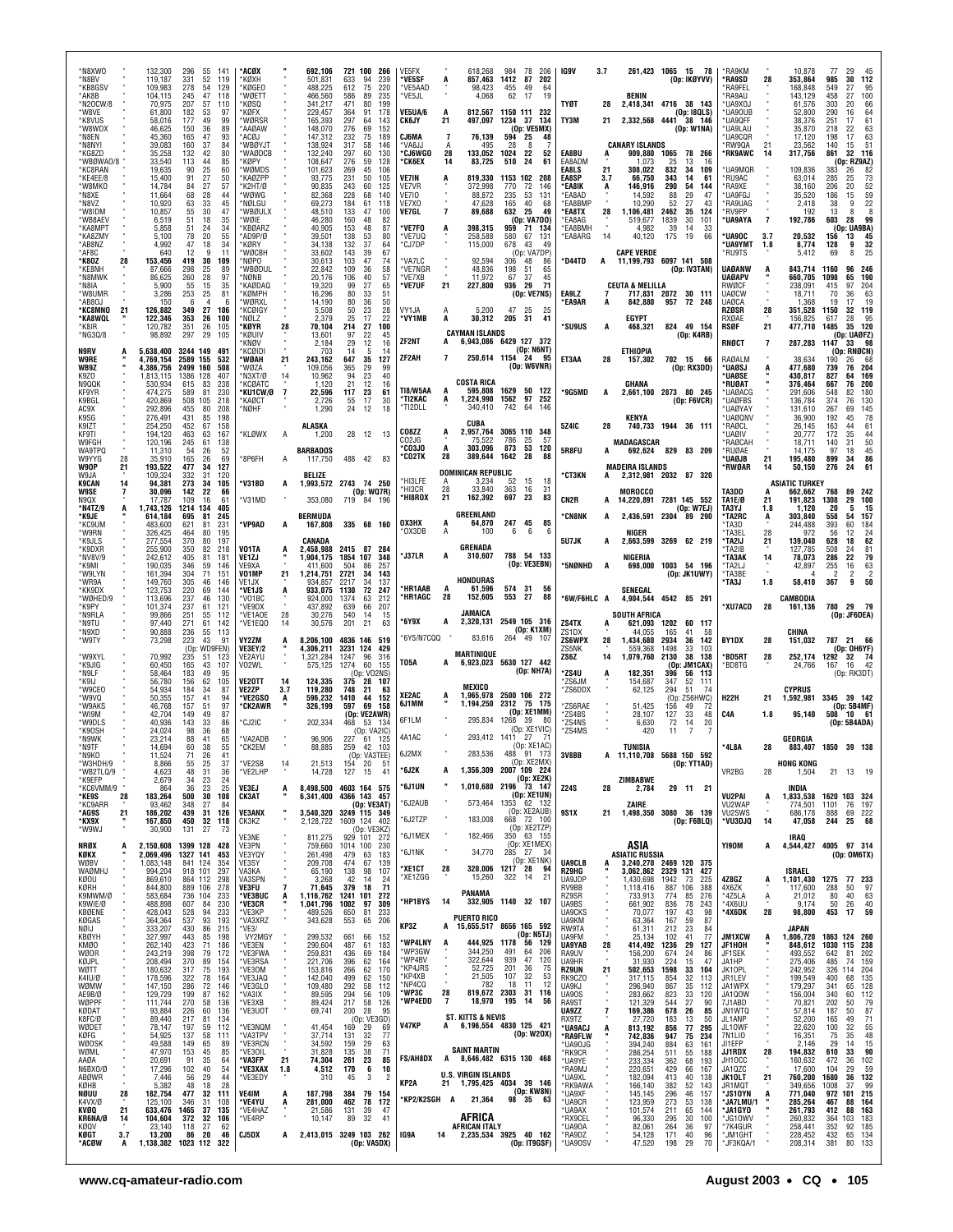| *N8XWO<br>*N8BV                  |          | 132,300<br>119,187                         | 296<br>331                     | 55<br>52                 | -141<br>119        | *ACØX<br>'KØXH                            |                | 692.106<br>501,831                  | 633                    | 721 100<br>266<br>94<br>239                  | VE5FX<br>*VE5SF                       |                      | 618,268<br>857,463                                     | 984<br>1412            | 78<br>206<br>87<br>202                             | IG9V                            | 3.7           |                                                                       |                      | 261,423 1065 15 78<br>(Op: IKØYVV)       | *RA9KM<br>*RA9SD                              | 28             | 10,878<br>353,864                           | -77<br>29<br>985<br>30                 | $\frac{45}{112}$                                    |
|----------------------------------|----------|--------------------------------------------|--------------------------------|--------------------------|--------------------|-------------------------------------------|----------------|-------------------------------------|------------------------|----------------------------------------------|---------------------------------------|----------------------|--------------------------------------------------------|------------------------|----------------------------------------------------|---------------------------------|---------------|-----------------------------------------------------------------------|----------------------|------------------------------------------|-----------------------------------------------|----------------|---------------------------------------------|----------------------------------------|-----------------------------------------------------|
| *KB8GSV<br>*AK8B<br>*N2OCW/8     |          | 109,983<br>104,115<br>70.975               | 278<br>245<br>207              | 54<br>47<br>57           | 129<br>118<br>110  | 'KØGEO<br>'WØETT<br>'KØSQ                 |                | 488,225<br>466,560<br>341,217       | 612<br>586<br>471      | 75<br>220<br>89<br>235<br>80<br>199          | *VE5AAD<br>*VE5JL                     |                      | 98,423<br>4,068                                        | 455<br>62              | 49<br>64<br>19<br>17                               | <b>TYØT</b>                     | 28            | BENIN<br>2,418,341 4716 38 143                                        |                      |                                          | <b>RA9FFI</b><br><b>RA9AU</b><br>*UA9XOJ      |                | 168,848<br>143,129<br>61,576                | 549<br>27<br>458<br>27<br>303<br>20    | 95<br>100<br>66                                     |
| *W8VE<br>*K8VUS<br>*W8WDX        |          | 61,800<br>58,016<br>46,625                 | 182<br>177<br>150              | 53<br>49<br>36           | 97<br>99<br>89     | 'KØFX<br>'WØRSR<br>`AAØAW                 |                | 229,457<br>165,393<br>148,070       | 364<br>297<br>276      | 91<br>178<br>64<br>143<br>152<br>69          | VE5UA/6<br><b>CK6JY</b>               | 21                   | 812,567<br>497,097                                     | 1234 37                | 1150 111 232<br>-134<br>(Op: VE5MX)                | TY3M                            | 21            | 2,332,568 4441 38 146                                                 |                      | (Op: 18QLS)<br>(Op: W1NA)                | *UA90UB<br>*UA9QFF<br><b>UA9LAU</b>           |                | 52.800<br>38,376<br>35,870                  | 290<br>16<br>251<br>17<br>218<br>22    | 64<br>61<br>$63$<br>$63$                            |
| *N8EN<br>*N8NYI<br>*KG8ZD        |          | 45.360<br>39,083<br>35,258                 | 165<br>160<br>132              | 47<br>37<br>42           | 93<br>84<br>80     | ACØJ.<br>'WBØYJT<br>'WAØDCB               |                | 147,312<br>138.924<br>132,240       | 232<br>317<br>297      | 75<br>189<br>58<br>146<br>60<br>130          | CJ6MA<br>*VA6JJ<br><b>CJ6WGO</b>      | 7<br>А<br>28         | 76,139<br>495<br>133,052                               | 594<br>28<br>1024      | 25<br>48<br>8<br>22<br>52                          | EA8BU                           |               | <b>CANARY ISLANDS</b><br>909,880 1065                                 |                      | 78 266                                   | *UA9CQR<br>RW90A<br><b>RK9AWC</b>             | $^{21}_{14}$   | 17,120<br>23,562<br>317,756                 | 198<br>17<br>140<br>15<br>861<br>32    | 51<br>116                                           |
| *WBØWA0/8<br>*KC8RAN<br>*KE4EE/8 |          | 33,540<br>19,635<br>15,400                 | 113<br>90<br>91                | 44<br>25<br>27           | 85<br>60<br>50     | 'KØPY<br>'WØMDS<br>*KAØZPP                |                | 108,647<br>101,623<br>93.775        | 276<br>269<br>231      | 59<br>128<br>45<br>106<br>50<br>105          | °СК6ЕХ<br><b>VE7IN</b>                | 14                   | 83,725<br>819.330                                      | 510                    | 24<br>61<br>1153 102 208                           | EA8ADM<br>EA8LS<br>EA8SP        | 21<br>3.7     | 1.073<br>308,022<br>66.750                                            | -25<br>832<br>343    | 13<br>16<br>34<br>109<br>14<br>61        | UA9MQR<br>RU9AC <sup>+</sup>                  |                | 109,836<br>63,014                           | (Op: RZ9AZ)<br>383<br>26<br>285<br>25  | 82                                                  |
| *W8MKO<br>*N8XE                  |          | 14,784<br>11,664                           | 84<br>68                       | 27<br>28                 | 57<br>44           | *K2HT/Ø<br>*WØWG                          |                | 90,835<br>82.368                    | 243<br>228             | 60<br>125<br>68<br>140                       | <b>VE7VR</b><br><b>VE710</b>          |                      | 372,998<br>88,872                                      | 770<br>235             | 72<br>146<br>53<br>131                             | *EA8IK<br>*EA8AD                |               | 146,916<br>14.592                                                     | 290<br>88            | 54<br>144<br>29<br>47<br>27<br>43        | *RA9XE<br><b>UA9FGJ</b>                       |                | 38,160<br>35,520                            | 206<br>20<br>186<br>15<br>9            | 73<br>52<br>59<br>22                                |
| *N8VZ<br>*W8IDM<br>*WB8AEV       |          | 10,920<br>10,857<br>6,519                  | 63<br>55<br>51                 | 33<br>30<br>18           | 45<br>47<br>35     | 'NØLGU<br>'WBØULX<br>*WØIE                |                | 69,273<br>48,510<br>46,280          | 184<br>133<br>160      | 61<br>118<br>100<br>47<br>48<br>82           | VE7X0<br>VE7GL                        | $\overline{7}$       | 47.628<br>89,688                                       | 165<br>632             | 40<br>68<br>25<br>49<br>(Op: VA700)                | *EA8BMP<br>*EA8TX<br>EA8AG      | 28            | 10,290<br>1,106,481<br>519,677                                        | 52<br>2462<br>1839   | 35<br>124<br>30<br>101                   | *RA9UAG<br>*RV9PP<br><b>'UA9AYA</b>           | $\overline{7}$ | 2,418<br>192<br>192,786                     | 38<br>13<br>8<br>603<br>28             | 8<br>99                                             |
| *KA8MPT<br>*KA8ZMY<br>*AB8NZ     |          | 5,858<br>5,100<br>4,992                    | 51<br>78<br>47                 | 24<br>20<br>18           | 34<br>55<br>34     | 'KBØARZ<br>AD9P/Ø<br>'KØRY                |                | 40,905<br>39,501<br>34,138          | 153<br>138<br>132      | 48<br>87<br>53<br>80<br>37<br>64             | 'VE7FO<br>*VE7UQ<br>*CJ7DP            |                      | 398,315<br>258,588<br>115,000                          | 959<br>580<br>678      | 71<br>134<br>67<br>131<br>49<br>43                 | <b>EA8BMH</b><br>EA8ARG         | 14            | 4,982<br>40,120                                                       | 39<br>175            | 14<br>33<br>19<br>66                     | <b>UA9OC</b><br>*UA9YMT                       | 3.7<br>1.8     | 20,532<br>8,774                             | (Op: UA9BA)<br>156<br>13<br>128<br>9   | $\frac{45}{32}$                                     |
| *AF8C<br>*K80Z<br>*KE8NH         | 28       | 640<br>153,456<br>87.666                   | 12<br>419<br>298               | 9<br>30<br>25            | 11<br>109<br>89    | *WØCBH<br>*NØPO<br>'WBØDUL                |                | 33,602<br>30,613<br>22,842          | 143<br>103<br>109      | 67<br>39<br>47<br>74<br>36<br>58             | *VA7LC<br>*VE7NGR                     |                      | 92,594<br>48.836                                       | 306<br>198             | (Op: VAZDP)<br>48<br>86<br>65<br>-51               | *D44TD                          | A             | <b>CAPE VERDE</b><br>11,199,793 6097 141 508                          |                      | (Op: IV3TAN)                             | *RU9TS<br><b>UAØANW</b>                       | A              | 5,412<br>843.714                            | 8<br>69<br>1160<br>96                  | 25<br>246                                           |
| *N8MWK<br>*N8IA<br>*W8UMR        |          | 86,625<br>5.900<br>3,286                   | 260<br>55<br>253               | 28<br>15<br>25           | 97<br>35<br>81     | 'NØNB<br>KAØDAQ<br>'KØMPH                 |                | 20,176<br>19.320<br>16,296          | 106<br>99<br>80        | 40<br>57<br>27<br>65<br>33<br>51             | *VE7XB<br>*VE7UF                      | 21                   | 11,972<br>227,800                                      | 67<br>936              | 37<br>45<br>29<br>71<br>(Op: VE7NS)                | EA9LZ                           |               | <b>CEUTA &amp; MELILLA</b>                                            |                      | 717,831 2072 30 111                      | <b>UAØAPV</b><br><b>RWØCF</b><br><b>UAØCW</b> |                | 660,705<br>238.091<br>18,711                | 1098<br>65<br>97<br>415<br>70<br>36    | 190<br>204<br>63                                    |
| *AB80J<br>*KC8MNO                | 21       | 150<br>126,882                             | 6<br>349                       | $\overline{4}$<br>27     | 6<br>106           | 'WØRXL<br>'KCØIG\                         |                | 14,190<br>5,508                     | 80<br>50               | 36<br>50<br>23<br>28<br>17                   | VY1JA                                 |                      | 5,200                                                  | 47                     | 25<br>25                                           | <b>EA9AR</b>                    |               | 842.880                                                               | 957                  | 72 248                                   | <b>UAØCA</b><br>RZØSR                         | 28             | 1.368<br>351,528                            | 19<br>17<br>1150<br>32                 | 19<br>119                                           |
| *KA8WQL<br>*K8IR<br>*NG30/8      |          | 122,346<br>120,782<br>98,892               | 353<br>351<br>297              | 26<br>26<br>29           | 100<br>105<br>105  | NØLZ*<br>*KØYR<br>*KØUIV                  | 28             | 2,379<br>70,104<br>13,601           | 25<br>214<br>97        | 22<br>100<br>27<br>22<br>45                  | *VY1MB                                |                      | 30,312<br><b>CAYMAN ISLANDS</b>                        | 205                    | 31<br>41                                           | *SU9US                          | A             | EGYPT<br>468,321                                                      |                      | 824 49 154<br>(Dp: KARB)                 | <b>RXØAE</b><br>RSØF                          | 21             | 156,825<br>477,710                          | 617<br>28<br>1485                      | 95<br>35 120<br>(Op: UAØFZ)                         |
| N9RV<br>W9RE                     |          | 5,638,400<br>4,769,154                     | 3244 149<br>2589               | 155                      | 491<br>532         | KNØV<br><b>KCQIDI</b><br>'WØAH            | 21             | 2,184<br>703<br>243,162             | 29<br>14<br>647        | 12<br>16<br>5<br>14<br>35<br>127             | ZF2NT<br>ZF2AH                        | A<br>$\overline{7}$  | 6,943,086 6429 127 372<br>250,614 1154 24              |                        | (Op: N6NT)<br>95                                   | ET3AA                           | 28            | ETHIOPIA<br>157,302                                                   | 702 15               | - 66                                     | RNØCT<br>RAØALM                               | $\overline{7}$ | 287,283<br>38,634                           | 1147<br>33<br>(On<br>190<br>26         | - 98<br>RNØCN)<br>68                                |
| WB9Z<br>K9ZO<br>N9QQK            |          | 4,386,756<br>1,813,115<br>530,934          | 2499 160<br>1386<br>615        | 128<br>83                | 508<br>407<br>238  | 'W0ZA<br>N3XT/Ø<br>'KCØATC                | 14             | 109,056<br>10,962<br>1,120          | 365<br>94<br>21        | 99<br>29<br>23<br>40<br>12<br>16             |                                       |                      | <b>COSTA RICA</b>                                      |                        | (Dp: W6VNR)                                        |                                 |               | GHANA                                                                 |                      | (Dp: RX3DD)                              | 'UAØSJ<br><b>UAØSE</b><br>*RUØAT              |                | 477,680<br>430,817<br>376,464               | 739<br>76<br>827<br>64<br>667<br>76    | 204<br>169<br>200                                   |
| KF9YR<br>K9BGL                   |          | 474.275<br>420,869                         | 589<br>508                     | 81<br>105                | 230<br>218         | <b>'KU1CW/Ø</b><br>*KAØCT                 | 7              | 22,596<br>2,726                     | 117<br>55<br>24        | 23<br>61<br>17<br>30                         | <b>TI8/W5AA</b><br>*TI2KAC<br>*TI2DLL | A                    | 595.808<br>1,224,990<br>340,410                        | 1629<br>1562<br>742    | 50<br>122<br>97<br>252<br>64<br>146                | *9G5MD                          | A             | 2,661,100 2873 80 245                                                 |                      | (Dp: F6VCR)                              | *UAØACG<br>*UAØFBS                            |                | 291.606<br>136,784                          | 82<br>548<br>374<br>76                 | 180<br>130                                          |
| AC9X<br>K9SG<br>K9IZT            |          | 292.896<br>276,491<br>254.250              | 455<br>431<br>452              | 80<br>85<br>67           | 208<br>198<br>158  | *NØHF                                     |                | 1,290<br>ALASKA                     |                        | 12<br>18                                     |                                       |                      | CUBA                                                   |                        |                                                    | 5Z4IC                           | 28            | KENYA                                                                 |                      | 740.733 1944 36 111                      | <b>UAØYAY</b><br>*UAØQNV<br>*RAØCL            |                | 131.610<br>36,900<br>26.145                 | 267<br>69<br>192<br>45<br>163          | 145<br>78<br>61                                     |
| KF9TI<br>W9FGH<br>WA9TPQ         |          | 194,120<br>120,196<br>11,310               | 463<br>245<br>54               | 63<br>61<br>26           | 167<br>138<br>52   | KLØWX                                     | A              | 1,200<br><b>BARBADOS</b>            |                        | 28 12<br>13                                  | CO8ZZ<br>CO2JG<br>CO3JO*              | A                    | 2,957,764<br>75,<br>303,096                            | 3065 110<br>786<br>873 | 348<br>25<br>-57<br>53<br>120                      | 5R8FU                           |               | <b>MADAGASCAR</b><br>692,624                                          |                      | 829 83 209                               | 'UAØIV<br>RAØCAH<br>*RUØAE                    |                | 20,777<br>18,711<br>14,175                  | 172<br>35<br>140<br>31<br>97<br>18     | 44<br>50<br>45                                      |
| W9YYG<br>W9OP<br>W9JA            | 28<br>21 | 35.910<br>193,522<br>109,324               | 165<br>477<br>332              | 26<br>34<br>31           | 69<br>127<br>120   | 8P6FH                                     | A              | 117,750<br><b>BELIZE</b>            |                        | 488 42<br>83                                 | °CO2TK                                | 28                   | 389,644<br><b>DOMINICAN REPUBLIC</b>                   | 1642                   | 28<br>88                                           | *СТЗКН                          |               | <b>MADEIRA ISLANDS</b><br>2,312,981 2032 87 320                       |                      |                                          | *UAØJB<br>*RWØAR                              | 21<br>14       | 195,480<br>50,150                           | 899<br>34<br>276<br>24                 | 86<br>61                                            |
| K9CAN<br><b>W9SE</b><br>N9QX     | 14       | 94,381<br>30,096<br>17,787                 | 273<br>142<br>109              | 34<br>22<br>16           | 105<br>66<br>61    | 'V31BD<br>'V31MD                          | A              | 1.993.572 2743 74 250<br>353,080    |                        | (Op: WQ7R)<br>719 84 196                     | *HI3LFE<br>*HI3CR<br>*HI8ROX          | A<br>28<br>21        | 3,234<br>33,840<br>162,392                             | 52<br>363<br>697       | 15<br>18<br>16<br>31<br>23<br>83                   | CN2R                            | A             | <b>MOROCCO</b><br>14,220,891 7281 145 552                             |                      |                                          | TA3DD<br>TA1E/Ø                               | A<br>21        | <b>ASIATIC TURKEY</b><br>662,662<br>191,823 | 768<br>89<br>1308<br>29                | 242<br>100                                          |
| *N4TZ/9<br>*K9JE                 |          | 1,743,126<br>614.184                       | 1214<br>695                    | 134<br>-81               | 405<br>245         |                                           |                | <b>BERMUDA</b>                      |                        |                                              | ОХЗНХ                                 |                      | <b>GREENLAND</b><br>64,870                             | 247                    | 45<br>85                                           | <b>CN8NK</b>                    | A             | 2,436,591 2304 89 290                                                 |                      | (Op: W7EJ)                               | TA3YJ<br>*TA2RC                               | 1.8<br>A       | 1,120<br>303.840                            | 20<br>5<br>558<br>54                   | 15<br>157                                           |
| *KC9UM<br>*W9RN<br>*K9JLS        |          | 483,600<br>326,425<br>277,554              | 621<br>464<br>370              | 81<br>80<br>80           | 231<br>195<br>197  | 'VP9AD                                    |                | 167,808<br>CANADA                   |                        | 335 68 160                                   | *OX3DB                                | A                    | 100                                                    | 6                      | 6<br>- 6                                           | 5U7JK                           |               | NIGER<br>2,663,599 3269 62 219                                        |                      |                                          | 'TA3D<br>*TA3EL<br>*TA2IJ                     | 28<br>21       | 244,488<br>972<br>139,040                   | 393<br>60<br>56<br>12<br>628<br>18     | 184<br>$^{24}_{62}$                                 |
| *K9DXR<br>*NV8V/9<br>*K9MI       |          | 255,900<br>242,612<br>190,035              | 350<br>405<br>346              | 82<br>81<br>59           | 218<br>181<br>146  | V01TA<br>VE1ZJ<br>VF9XA                   | A              | 2,458,988<br>1,904,175<br>411,600   | 2415 87<br>1854<br>504 | 284<br>107<br>348<br>86<br>257               | <b>'J37LR</b>                         | A                    | GRENADA<br>310,607                                     |                        | 788 54 133<br>(Op: VE3EBN)                         | *5NØNHD                         | A             | NIGERIA                                                               |                      | 698,000 1003 54 196                      | TA2IB<br>*ТАЗАК<br>*TA2LJ                     | 14             | 127,785<br>78,073<br>42,897                 | 508<br>24<br>22<br>286<br>255<br>16    | 81<br>79<br>$\begin{array}{c} 63 \\ 2 \end{array}$  |
| *W9LYN<br>*WR9A<br>*KK9DX        |          | 161,394<br>149,760<br>123,753              | 304<br>305<br>220              | 71<br>46<br>69           | 151<br>146<br>144  | V01MP<br>VE1JX<br>*VE1JS                  | 21<br>A        | 1,214,751<br>934.857<br>933.075     | 2721<br>2217<br>1130   | 34<br>143<br>137<br>34<br>72<br>247          | *HR1AAB                               |                      | HONDURAS<br>61,596                                     | 574                    | 31<br>56                                           |                                 |               | SENEGAL                                                               |                      | (0p:JK1UWY)                              | *TA3BE<br>*TA3J                               | 1.8            | 58,410                                      | $\overline{2}$<br>2<br>9<br>367        | 50                                                  |
| *WØHED/9<br>*K9PY<br>*N9RLA      |          | 113,696<br>101,374<br>99,866               | 237<br>237<br>251              | 46<br>61<br>55           | 130<br>121<br>-112 | *VO1BC<br>*VE9DX<br>*VE1AOE               | 28             | 924.000<br>437,892<br>30,276        | 1374<br>639<br>540     | 212<br>63<br>66<br>207<br>-14<br>15          | 'HR1AGC                               | 28                   | 152,605<br>JAMAICA                                     | 553 27                 | 88                                                 | *6W/F6HLC A                     |               | 4,904,544<br><b>SOUTH AFRICA</b>                                      |                      | 4542 85 291                              | *XU7ACD                                       | 28             | CAMBODIA<br>161,136                         | 780 29 79<br>(Op: JF6DEA)              |                                                     |
| *N9TU<br>*N9XD                   |          | 97,440<br>90,888                           | 271<br>236                     | 61<br>55                 | 142<br>113         | *VE1EQ0                                   | 14             | 30,576                              | 201                    | 21<br>63                                     | *6Y9X<br>*6Y5/N7CQQ                   | A                    | 2,320,131<br>83,616                                    |                        | 2549 105 316<br>(Op: K1XM)<br>264 49 107           | ZS4TX<br>ZS1DX                  | A             | 621,093<br>44.055                                                     | 1202<br>165          | 60<br>117<br>41<br>-58                   |                                               |                | CHINA                                       |                                        |                                                     |
| *W9TY<br>*W9XYL                  |          | 73,298<br>70.992                           | 223<br>235                     | 43<br>(Op: WD9FEN)<br>51 | 91<br>123          | VY2ZM<br>VE3EY/2<br>VF2AYU                | A              | 8.206.100<br>4,306,211<br>1,321,284 | 3231 124<br>1247       | 4836 146 519<br>429<br>316<br>96             | T05A                                  |                      | <b>MARTINIQUE</b><br>6,923,023 5630 127 442            |                        |                                                    | <b>ZS6WPX</b><br>ZS5NK<br>ZS6Z  | 28<br>14      | 1.434.680<br>559,368<br>1,079,760                                     | 2934<br>1498<br>2130 | 36<br>142<br>33<br>103<br>38<br>138      | BY1DX<br><b>BD5RT</b>                         | 28<br>28       | 151,032<br>252,174                          | 787 21 66<br>(Op: OH6YF)<br>1292 32 74 |                                                     |
| *K9JIG<br>*N9LF<br>*K9IJ         |          | 60,450<br>58.464<br>56,780                 | 165<br>183<br>156              | 43<br>49<br>62           | 107<br>95<br>105   | V02WL<br><b>VE2OTT</b>                    | 14             | 575,125<br>124,335                  | 1274<br>375            | 60<br>155<br>(Op: VO2NS)<br>28 107           |                                       |                      |                                                        |                        | (Op: NH7A)                                         | *ZS4U<br>*ZS6JM                 | A             | 182.351<br>154,687                                                    | (0p)<br>396<br>347   | <b>JM1CAX</b><br>56<br>-113<br>52<br>111 | *BD8TG                                        |                | 24,766                                      | 167<br>16                              | - 42<br>(Op: RK3DT)                                 |
| *W9CEO<br>*W9VQ<br>*W9AKS        |          | 54.934<br>50,355<br>46,768                 | 184<br>157<br>157              | 34<br>41<br>51           | 87<br>94<br>97     | <b>VE2ZP</b><br>*VE2GSO<br><b>°CK2AWR</b> | 3.7<br>А       | 119.280<br>596,232<br>326,199       | 748<br>1410<br>597     | 21<br>63<br>44<br>152<br>69<br>158           | XE2AC<br>6J1MM                        |                      | MEXICO<br>1,965,978<br>1,194,250                       | 2312                   | 2500 106 272<br>75 175                             | ZS6DDX<br>'ZS6RAE               |               | 62,125<br>51,425                                                      | 294<br>(Op:<br>156   | 51<br>74<br>ZS6HWC)<br>49<br>72          | <b>H22H</b>                                   | 21             | <b>CYPRUS</b><br>1,592,981                  | 3345 39 142<br>(Dp: 5B4MF)             |                                                     |
| *WI9M<br>*W9DLS<br>*K90SH        |          | 42,704<br>40,936<br>24,024                 | 149<br>143<br>98               | 49<br>33<br>36           | 87<br>86<br>68     | CJ2IC                                     |                | 202,334                             | 468                    | (Op: VE2AWR)<br>53<br>- 134<br>(Op: VA2IC)   | 6F1LM                                 |                      | 295,834                                                | 1268                   | (Op: XE1MM)<br>39<br>-80<br>(Op: XE1VIC)           | ZS4BS<br>'ZS4NS<br>ZS4MS        |               | 28,107<br>6,630<br>420                                                | 127<br>72<br>11      | 33<br>48<br>14<br>20                     | C4A                                           | 1.8            | 95,140                                      | 508 10 61<br>(Op: 5B4ADA)              |                                                     |
| *N9WK<br>*N9TF                   |          | 23,214<br>14,694                           | 88<br>60                       | 41<br>38                 | 65<br>55           | *VA2ADB<br>*CK2EM                         |                | 96,906<br>88,885                    | 227<br>259             | 61<br>- 125<br>42<br>103                     | 4A1AC<br>6J2MX                        |                      | 293,412<br>283,536                                     | 1411                   | 7 <sup>1</sup><br>-27<br>(Op: XE1AC)<br>488 91 173 | 3V8BB                           |               | <b>TUNISIA</b><br>A 11,110,708 5688 150 592                           |                      |                                          | *4L8A                                         | 28             | GEORGIA                                     | 883,407 1850 39 138                    |                                                     |
| *N9KO<br>*W3HDH/9<br>*WB2TLQ/9   |          | 11,524<br>8,866<br>4,623                   | 71<br>55<br>48                 | 26<br>25<br>31           | 41<br>37<br>36     | *VE2SB<br>*VE2LHP                         | 14             | 21,513<br>14,728                    |                        | (Op: VA3TEE)<br>154 20<br>51<br>127 15<br>41 | *6J2K                                 |                      | 1,356,309 2007 109 224                                 |                        | (Op: XE2MX)<br>(Op: XE2K)                          |                                 |               |                                                                       |                      | (Op: YT1AD)                              | VR2BG                                         | 28             | <b>HONG KONG</b><br>1,504                   | 21 13 19                               |                                                     |
| *K9EFP<br>*KC6VMM/9<br>*KE9S     | 28       | 2,679<br>864<br>183,264                    | 34<br>36<br>500                | 23<br>23<br>30           | 24<br>25<br>108    | VE3EJ<br><b>CK3AT</b>                     |                | 8,498,500<br>6,341,400              |                        | 4603 164 575<br>4366 143 457                 | '6J1UN                                |                      | 1,010,680                                              |                        | 2196 73 147<br>(Op: XE1UN)                         | Z24S                            | 28            | ZIMBABWE<br>2,784                                                     |                      | 29 11 21                                 | <b>VU2PAI</b>                                 | A              | INDIA<br>1,833,538                          | 1620 103 324                           |                                                     |
| *KC9ARR<br>*AG9S<br>*KX9X        | 21       | 93,462<br>186,202<br>167,850               | 348<br>439<br>450              | 27<br>31<br>32           | 84<br>126<br>118   | <b>VE3ANX</b><br>CK3KZ                    |                | 3,540,320<br>2,128,722              | 1609 124               | (Op: VE3AT)<br>3249 115 349<br>402           | *6J2AUB<br>*6J2TZP                    |                      | 573,464<br>183,008                                     |                        | 1353 62 132<br>(Op: XE2AUB)<br>668 72 100          | 9S1X                            | 21            | ZAIRE<br>1,498,350 3080 36 139                                        |                      | (Dp: F6BLQ)                              | VU2WAP<br>VU2SWS<br>*VU3DJQ                   | 14             | 774,501<br>686,178<br>47,058                | 1101<br>76<br>888<br>69<br>244<br>25   | 197<br>222<br>68                                    |
| *W9WJ<br>NRØX                    |          | 30,900<br>2,150,608 1399 128 428           | 131 27                         |                          | 73                 | VE3NE<br>VE3PN                            |                | 811,275<br>759,660                  | 1014 100               | (Op: VE3KZ)<br>929 101 272<br>230            | *6J1MEX                               |                      | 182,466                                                |                        | (Op: XE2TZP)<br>350 63 155<br>(Op: XE1MEX)         |                                 |               | ASIA                                                                  |                      |                                          | YI90M                                         | A              | IRAQ<br>4,544,427 4005 97 314               |                                        |                                                     |
| KØKX<br>WØBV<br><b>WAØMHJ</b>    |          | 2,069,496<br>1,083,148<br>994,204          | 1327 141<br>841 124<br>918 101 |                          | 453<br>354<br>297  | VE3YQY<br>VE3SY<br>VA3KA                  |                | 261,498<br>209,708<br>65,190        | 479<br>474<br>138      | 183<br>63<br>139<br>67<br>98<br>107          | *6J1NK<br>*XE1CT                      | 28                   | 34,770<br>320,006                                      | 285 27<br>$1217$ 28    | -34<br>(Op: XE1NK)<br>94                           | <b>UA9CLB</b><br>RZ9HG          |               | <b>ASIATIC RUSSIA</b><br>3,240,270 2469 120 375<br>3,062,862 2329 131 |                      | 427                                      |                                               |                | ISRAEL                                      | (0p: 0M6TX)                            |                                                     |
| KØOU<br>KØRH<br>K9MWM/Ø          |          | 869,610<br>844,800                         |                                | 864 112<br>889 106       | 298<br>278         | VA3SPN<br>VE3FU                           | $\overline{7}$ | 3,268<br>71,645                     | 42<br>379              | 14<br>24<br>18<br>71                         | *XE1ZGG                               |                      | 15,260<br>PANAMA                                       | 322                    | 14<br>21                                           | UA9JDP<br>RV9BB                 |               | 1,430,698<br>1,118,416                                                | 1942<br>887          | 73<br>225<br>106<br>388                  | 4Z8GZ<br>4X6ZK                                | A              | 1,101,430<br>117,600                        | 1275 77 233<br>288<br>50               | 97                                                  |
| K9WIE/Ø<br>KBØENE                |          | 583,684<br>488,898<br>428,043              | 736 104<br>607<br>528          | 84<br>94                 | 233<br>230<br>233  | *VE3BUC<br>*VE3CR<br>*VE3KP               | А              | 1,116,762<br>1,041,796<br>489,526   | 1241<br>1002<br>650    | 101<br>272<br>97<br>309<br>81<br>233         | *HP1BYS                               | 14                   |                                                        |                        | 332,905 1140 32 107                                | RZ9SR<br>UA9BS<br>UA9CKS        |               | 733,913<br>661,902<br>70,077                                          | 774<br>836<br>197    | 85<br>276<br>78<br>243<br>43<br>98       | *4Z5LA<br>*4X6UU<br>*4X6DK                    | Ą<br>28        | 21,012<br>9.174<br>98,800                   | 80<br>40<br>50<br>26<br>453<br>17      | 63<br>40<br>59                                      |
| KØGAS<br>NØIJ<br><b>KBØYH</b>    |          | 364,364<br>333,207<br>327,997              | 537<br>430<br>443              | 93<br>86<br>85           | 193<br>215<br>198  | *VA3XRZ<br>*VE3/<br>VY2MGY                |                | 343,628<br>299,532                  | 553<br>661             | 65<br>206<br>66<br>152                       | KP3Z                                  | A                    | <b>PUERTO RICO</b><br>15,655,517 8656 165 592          |                        | (Op: N5TJ)                                         | UA9KM<br>RW9TA<br>UA9FM         |               | 63,364<br>61,311<br>25,134                                            | 167<br>212<br>102    | 59<br>87<br>23<br>84<br>41<br>77         | <b>JM1XCW</b>                                 | Ă.             | JAPAN<br>1,806,720                          | 1863 124 260                           |                                                     |
| KMØ0<br>WØOR<br>KØJPL            |          | 262,140<br>243,219<br>208,494              | 423<br>398<br>370              | 71<br>79<br>89           | 186<br>172<br>154  | *VE3EN<br>*VE3FWA<br>*VE3RSA              |                | 290,604<br>259,831<br>221,706       | 487<br>436<br>396      | 61<br>183<br>69<br>184<br>62<br>164          | *WP4LNY<br>*WP3GW<br>*WP4BV           | A                    | 444,925<br>344,250<br>322,644                          | 1178<br>491<br>939     | 56 129<br>206<br>64<br>47<br>120                   | UA9YAB<br>RA9UV<br>UA9HR        | $28 \atop 26$ | 414,492<br>156,200<br>31,930                                          | 1236<br>674<br>224   | 29<br>127<br>24<br>86<br>15<br>47        | JF1HOH<br>JF1SEK<br>JA1HP                     |                | 848,612<br>493,552<br>275,406               | 1030 115<br>642<br>81<br>485<br>74     | 238<br>202<br>159                                   |
| WØTT<br>K41U/Ø<br>WØMW           |          | 180,632<br>178,596<br>147,150              | 317<br>322<br>286              | 75<br>78<br>72           | 193<br>164<br>146  | *VE3OM<br>*VE3JAQ<br>*VE3GLO              |                | 153,816<br>142,040<br>109,480       | 266<br>499<br>292      | 62<br>170<br>62<br>150<br>58<br>112          | *KP4JRS<br>*KP4XB<br>*NP4CQ           |                      | 52,725<br>21,505<br>782                                | 201<br>107<br>18       | 36<br>75<br>32<br>53<br>11<br>12                   | <b>RZ9UN</b><br>RK9CZ0<br>UA9KJ | 21            | 502,653<br>317,115<br>296,940                                         | 1598<br>854<br>867   | 33<br>104<br>32<br>113<br>35             | JK10PL<br>JR1LEV<br>JA1WPX                    |                | 242,952<br>199,549<br>179,297               | 326 114<br>400<br>68<br>341<br>65      | 204<br>135<br>128                                   |
| AE9B/Ø<br>WØPPF                  |          | 129,729<br>111,744                         | 199<br>270                     | 87<br>58                 | 162<br>136         | *VA3IX<br>*VE3XB                          |                | 89,595<br>89,424                    | 294<br>217             | 56<br>109<br>58<br>126                       | *WP3C<br>*WP4EDD                      | 28<br>$\overline{7}$ | 819,672 2303<br>18,970                                 | 195                    | 31<br>116<br>14<br>56                              | <b>UA90S</b><br>RA9ST           |               | 283,662<br>121,329                                                    | 823<br>544           | 112<br>33<br>120<br>27<br>90             | <b>JA100W</b><br>7J1ABD                       |                | 156,004<br>70,821                           | 340<br>60<br>202<br>50                 | 112<br>79                                           |
| KØDAT<br>K8FC/Ø<br>WØDET         |          | 93,884<br>89,440<br>78,147                 | 226<br>217<br>197              | 60<br>81<br>59           | 136<br>134<br>112  | *VE3UOT<br>*VE3NQM                        |                | 69,741<br>41,454                    | 200<br>169             | 28<br>95<br>(Op: VE3GD)<br>29<br>69          | <b>V47KP</b>                          | A                    | <b>ST. KITTS &amp; NEVIS</b><br>6,196,554 4830 125 421 |                        |                                                    | UA9ZZ<br>RX9TZ<br>*UA9ACJ       | 7<br>Ĥ        | 169,386<br>27,720<br>813,192                                          | 678<br>183<br>856    | 26<br>85<br>13<br>50<br>77<br>295        | JN1WTQ<br>JL1ANP<br>JL10WF                    |                | 57,814<br>52,200<br>22,620                  | 187<br>50<br>165<br>49<br>100<br>32    | 87<br>71<br>$\begin{array}{c} 55 \\ 48 \end{array}$ |
| KØFG<br>WØOSK<br>WØML            |          | 54,925<br>49,588<br>47,970                 | 137<br>149<br>153              | 58<br>65<br>45           | 111<br>89<br>85    | *VA3TPV<br>*VE3RCN<br>*VE3OIL             |                | 37,714<br>34,592<br>31,828          | 131<br>159<br>135      | 32<br>77<br>29<br>63<br>38<br>71             |                                       |                      | <b>SAINT MARTIN</b>                                    |                        | (Dp: W20X)                                         | *RA9FLW<br>*UA90JG<br>*RK9CR    |               | 742,836<br>394,240<br>286,254                                         | 947<br>884<br>511    | 75<br>234<br>63<br>161<br>55<br>188      | 7N1LIO<br>JI1EFP<br>JJ1RDX                    | 28             | 16,351<br>2.146<br>194,832                  | 75<br>35<br>29<br>14<br>610<br>33      | 15<br>90                                            |
| AAØA<br>N6BXO/Ø<br>ABØWR         |          | 20,691<br>17,296<br>7,446                  | 91<br>102<br>56                | 35<br>40<br>29           | 64<br>54<br>44     | *VA3FP<br>*VE3XAX<br>*VE3EDY              | 21<br>1.8      | 74,304<br>4,512<br>310              | 261<br>170<br>45       | 23<br>85<br>6<br>10<br>3<br>2                | <b>FS/AH8DX</b>                       | A                    | 8,646,482 6315 130 468<br><b>U.S. VIRGIN ISLANDS</b>   |                        |                                                    | *UA9YE<br>*RA9MJ<br>*UA9XL      |               | 233,334<br>220,651<br>182,094                                         | 362<br>429<br>413    | 68<br>193<br>66<br>167<br>40<br>138      | JH10CC<br>JA10ZC<br><b>JK10LT</b>             | 21             | 160,632<br>17,600<br>760,200                | 472<br>36<br>104<br>29<br>1680<br>36   | 102<br>59<br>132                                    |
| KØHB<br>NØUU<br>K4VX/Ø           | 28       | 5,382<br>182,754<br>125,100                | 48<br>477<br>346               | 18<br>32<br>31           | 28<br>111<br>108   | VE4IM<br>*VE4YU                           | A              | 187,798<br>281,000                  | 384<br>462             | 79<br>154<br>78<br>172                       | KP2A<br>*KP2/K2SGH A                  | 21                   | 1,795,425 4034 39 146<br>21,364                        |                        | (Op: KW8N)<br>98 35<br>63                          | *RK9AWA<br>*UA9XF<br>*UA9CR     |               | 166,140<br>145,145<br>123,959                                         | 382<br>296<br>273    | 52<br>143<br>46<br>157<br>53<br>138      | JR1MQT<br>*JS10YN<br>*JA7LMU/1                | A              | 349,656<br>771,040<br>285,264               | 1008<br>37<br>101<br>972<br>467<br>88  | 99<br>215<br>164                                    |
| KVØQ<br>KR6NA/Ø<br>KØQV          | 21<br>14 | 633,476<br>104,604                         | 1465<br>372<br>118             | 37<br>32<br>27           | 135<br>106<br>62   | *VE4HAZ<br>*VE4RP                         | Ą              | 21,586<br>10,147                    | 131<br>89              | 47<br>-39<br>32<br>41                        |                                       |                      | AFRICA                                                 |                        |                                                    | *UA9AX<br>*RX9CEL               |               | 101,574<br>96,330                                                     | 211<br>295           | 65<br>144<br>30<br>100                   | *JA1GY0<br>*JG10WV<br>*7K4GUR                 |                | 261,793<br>260,832<br>258,441               | 412<br>88<br>364<br>103<br>352<br>92   | 163<br>183<br>185                                   |
| KØGT<br>*ACØW                    | 3.7<br>A | 23,140<br>13,200<br>1,138,382 1023 112 322 | 86                             | -20                      | 46                 | CJ5DX                                     | A              | 2,413,015 3249 103 262              |                        | (Op: VA5DX)                                  | IG9A                                  | 14                   | AFRICAN ITALY<br>2,235,534 3925 40 162                 |                        | (Op: IT9GSF)                                       | *UA90A<br>*RA9DZ<br>*UA90SV     |               | 82,061<br>54,128<br>47,520                                            | 264<br>171<br>198    | 36<br>97<br>40<br>96<br>29<br>70         | *JM1GHT<br>*JF3KQA/1                          |                | 228,452<br>208,314                          | 432<br>381                             | 65 134<br>80 133                                    |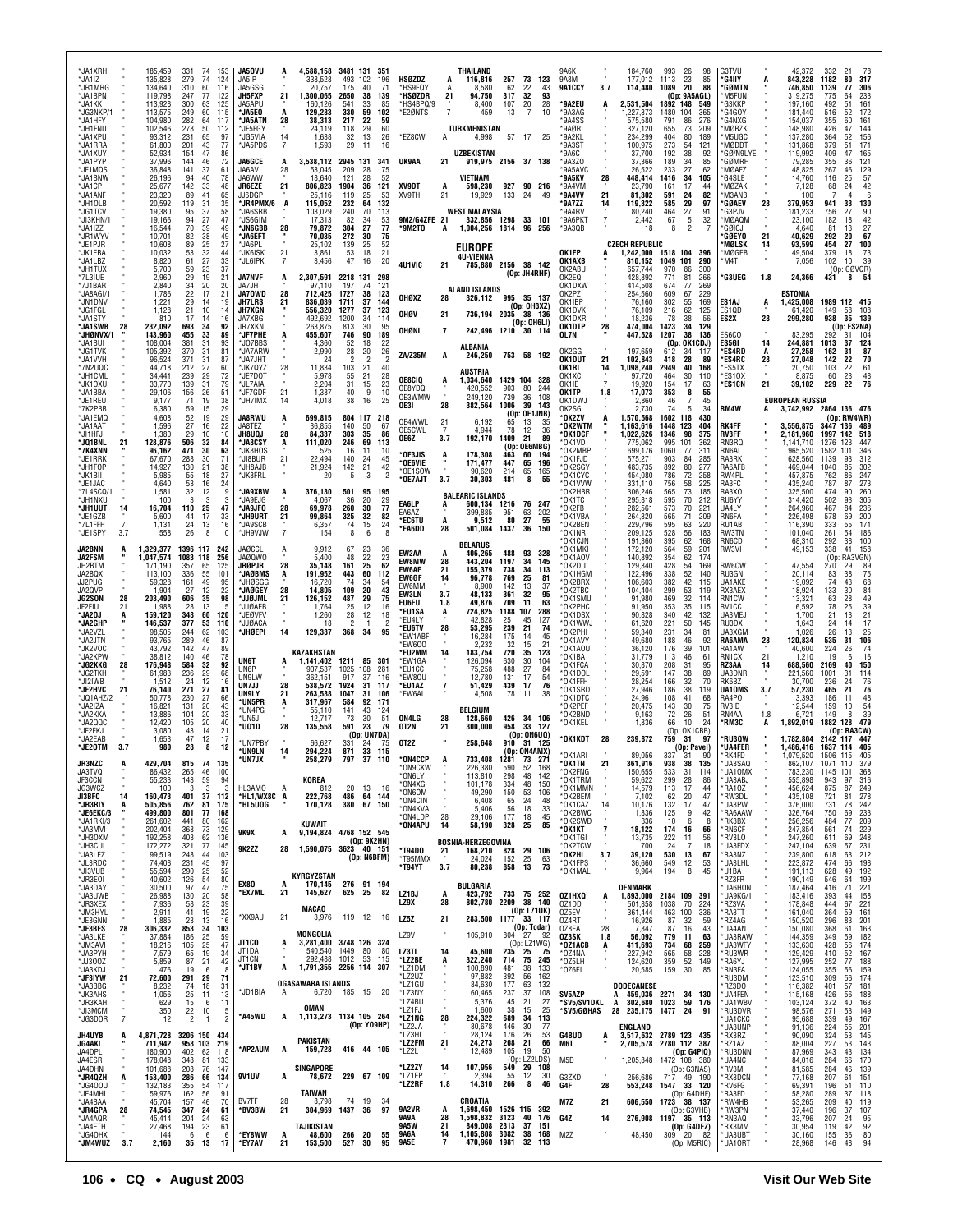| *JA1XRH<br>*JA1IZ<br>*JR1MRG<br>*JA1BPN<br>*JA1KK<br>*JG3NKP/1<br>*JA1HFY<br>*JH1FNU<br>*JA1XPU<br>*JA1RRA<br>*JA1XUY<br>*JA1PYP<br><b>'JF1MQS</b><br>MA1BN'<br>*JA1CP<br>*JA1ANF<br>*JH1OLB<br>*JG1TCV<br>*JI3KHN/1<br>*JA1IZZ<br>*JR1WYV<br>*JE1PJR<br>*JK1EBA<br>*JA1LBZ<br>*JH1TUX<br>*7L3IUE<br>*7J1BAR |                                        | 185,459<br>135,828<br>134,640<br>119.798<br>113,928<br>113,575<br>104,980<br>102,546<br>93,312<br>61,800<br>52,934<br>37,996<br>36,848<br>26,196<br>25,677<br>23,320<br>20,592<br>19,380<br>19,166<br>16,544<br>10,701<br>10,608<br>10,032<br>8,820<br>5,700<br>2,960<br>2,840 | 331<br>279<br>310<br>247<br>300<br>249<br>282<br>278<br>231<br>201<br>154<br>144<br>141<br>94<br>142<br>89<br>119<br>95<br>94<br>70<br>82<br>89<br>53<br>61<br>59<br>29<br>34 | 74<br>74<br>60<br>77<br>63<br>60<br>64<br>50<br>65<br>43<br>46<br>37<br>40<br>33<br>41<br>31<br>37<br>27<br>39<br>38<br>25<br>32<br>27<br>23<br>19<br>20 | 153<br>124<br>116<br>122<br>125<br>115<br>117<br>112<br>97<br>77<br>86<br>72<br>61<br>78<br>48<br>65<br>35<br>58<br>47<br>49<br>49<br>27<br>44<br>33<br>37<br>21<br>20 | JA50VU<br>JA5IP<br>JA5GSG<br>JH5FXP<br>JA5APU<br><b>JA5EO</b><br>'JA5ATN<br>*JF5FGY<br>*JG5VIA<br>*JA5PDS<br><b>JA6GCE</b><br>JA6AV<br>JA6WW<br>JR6EZE<br>JJ6DGP<br>*JR4PMX/6<br>*JA6SRB<br><b>SSGIM</b><br>*JN6GBB<br>*JA6EFT<br>*JA6PL<br>*JK6ISK<br>*JL6IPK<br><b>JA7NVF</b><br>JA7JH | 21<br>28<br>14<br>$\overline{7}$<br>$\frac{28}{1}$<br>21<br>28<br>21<br>A | 4,588,158<br>338,528<br>20,757<br>1.300.065<br>160.126<br>129.283<br>38,313<br>24,119<br>1,638<br>1,593<br>3,538,112<br>53,045<br>18,640<br>806,823<br>25,116<br>115,052<br>103,029<br>17,313<br>79,872<br>70,035<br>25,102<br>3,861<br>3,456<br>2,307,591<br>97.110 | 3481 131<br>493<br>175<br>2650<br>541<br>330<br>217<br>118<br>32<br>29<br>2945 131<br>209<br>121<br>1904<br>119<br>232<br>240<br>82<br>304<br>272<br>139<br>53<br>47<br>2218 131<br>197 | 351<br>102<br>196<br>40<br>71<br>38<br>139<br>33<br>85<br>59<br>102<br>22<br>59<br>60<br>29<br>13<br>26<br>11<br>16<br>341<br>28<br>75<br>28<br>52<br>36<br>121<br>53<br>25<br>132<br>64<br>70<br>113<br>34<br>53<br>27<br>77<br>30<br>75<br>25<br>52<br>18<br>21<br>16<br>20<br>298<br>74<br>121 | HSØZDZ<br>'HS9EQY<br>'HSØZDR<br>'HS4BPQ/9<br>*E2ØNTS<br>*EZ8CW<br>UK9AA<br><b>XV9DT</b><br>XV9TH<br>9M2/G4ZFE 21<br>°9M2TO<br>4U1VIC                  | 21<br>$\overline{7}$<br>Α<br>21<br>A<br>21<br>A<br>21                               | THAILAND<br>116,816<br>8,580<br>94.750<br>8,400<br>459<br>TURKMENISTAN<br>4,998<br>UZBEKISTAN<br>919,975 2156 37 138<br>VIETNAM<br>598,230<br>19.929<br><b>WEST MALAYSIA</b><br>332,856 1298 33 101<br>1,004,256<br><b>EUROPE</b><br>4U-VIENNA<br>785,880 2156 38 142<br><b>ALAND ISLANDS</b> | 257<br>62<br>317<br>107<br>13<br>57<br>927<br>133<br>1814                                        | 73 123<br>22<br>43<br>32<br>93<br>28<br>20<br>$\overline{7}$<br>10<br>17<br>25<br>90 216<br>24<br>49<br>96<br>256<br>(Op: JH4RHF)                                                                  | 9A6K<br>9A8M<br>9A1CCY<br>*9A2EU<br>*9A3AG<br>*9A4SS<br>9AØR<br>*9A2KL<br>*9A3ST<br>9A6C<br>*9A3Z0<br>*9A5AVC<br>°9A5KV<br>*9A4VM<br>*9A4VV<br>°9A7ZZ<br>*9A4RV<br>*9A6PKT<br>*9A3QB<br>OK1EP<br>OK1AXB<br>OK2ABU<br>OK2EQ<br>OK1DXW | 3.7<br>A<br>28<br>21<br>14<br>7              | 184,760<br>177,012<br>114,480<br>2,531,504<br>1,227,373<br>575,580<br>327.120<br>234,299<br>100,975<br>37,700<br>37,366<br>26.522<br>448,414<br>23.790<br>81,302<br>119,322<br>80,240<br>2,442<br>18<br><b>CZECH REPUBLIC</b><br>1,242,000<br>810,152<br>657,744<br>428.892<br>414.508 | 993<br>1113<br>1089<br>1892<br>1480<br>104<br>791<br>655<br>404<br>273<br>192<br>189<br>233<br>1416<br>161<br>591<br>585<br>464<br>67<br>8<br>1518 104 396<br>1049 101<br>970<br>771<br>674 | 98<br>26<br>23<br>85<br>-20<br>88<br>(On: 9A5AGL)<br>148<br>549<br>365<br>86<br>276<br>73<br>209<br>80<br>189<br>54<br>121<br>38<br>-92<br>34<br>85<br>27<br>62<br>34<br>105<br>17<br>44<br>24<br>82<br>29<br>97<br>27<br>91<br>5<br>32<br>$\overline{2}$<br>290<br>86<br>300<br>81<br>266<br>77<br>269 | G3TVU<br>'G4IIY<br>*GØMTN<br>M5FUN<br>'G3KKP<br>G4GOY<br>`G4NXG<br>MØBZK<br>M5UGC<br>MØDDT<br>GØ/N9LYE<br><b>GØMRH</b><br><b>MØAFZ</b><br>'G4SLE<br><b>MØZAK</b><br>M3ANB<br><b>GØAEV</b><br>G3PJV<br><b>MØAQM</b><br>GØICJ<br><b>GØEYO</b><br>'MØLSK<br>*MØGEB<br>M4T<br><b>'G3UEG</b> | A<br>28<br>21<br>14<br>1.8        | 42,372<br>843,228<br>746,850<br>319,275<br>197,160<br>181.440<br>154,037<br>148,980<br>137,280<br>131,868<br>119,992<br>79,285<br>48,825<br>14.760<br>7,128<br>100<br>379,953<br>181,233<br>23,100<br>4,640<br>40.629<br>93,599<br>49,504<br>7,056<br>24,366 | 332<br>1182<br>1139<br>775<br>492<br>516<br>355<br>426<br>364<br>379<br>409<br>355<br>267<br>116<br>68<br>941<br>756<br>182<br>81<br>292<br>454<br>379<br>102<br>431 | 21<br>80<br>317<br>77<br>306<br>233<br>64<br>51<br>161<br>52<br>172<br>161<br>60<br>144<br>47<br>52<br>156<br>171<br>51<br>47<br>165<br>121<br>36<br>46<br>129<br>57<br>25<br>42<br>24<br>6<br>4<br>33<br>130<br>27<br>90<br>18<br>42<br>13<br>27<br>67<br>20<br>27<br>100<br>73<br>18<br>39<br>10<br>(Op: GØVQR)<br>8<br>54 |
|--------------------------------------------------------------------------------------------------------------------------------------------------------------------------------------------------------------------------------------------------------------------------------------------------------------|----------------------------------------|--------------------------------------------------------------------------------------------------------------------------------------------------------------------------------------------------------------------------------------------------------------------------------|-------------------------------------------------------------------------------------------------------------------------------------------------------------------------------|----------------------------------------------------------------------------------------------------------------------------------------------------------|------------------------------------------------------------------------------------------------------------------------------------------------------------------------|------------------------------------------------------------------------------------------------------------------------------------------------------------------------------------------------------------------------------------------------------------------------------------------|---------------------------------------------------------------------------|----------------------------------------------------------------------------------------------------------------------------------------------------------------------------------------------------------------------------------------------------------------------|-----------------------------------------------------------------------------------------------------------------------------------------------------------------------------------------|---------------------------------------------------------------------------------------------------------------------------------------------------------------------------------------------------------------------------------------------------------------------------------------------------|-------------------------------------------------------------------------------------------------------------------------------------------------------|-------------------------------------------------------------------------------------|-----------------------------------------------------------------------------------------------------------------------------------------------------------------------------------------------------------------------------------------------------------------------------------------------|--------------------------------------------------------------------------------------------------|----------------------------------------------------------------------------------------------------------------------------------------------------------------------------------------------------|--------------------------------------------------------------------------------------------------------------------------------------------------------------------------------------------------------------------------------------|----------------------------------------------|----------------------------------------------------------------------------------------------------------------------------------------------------------------------------------------------------------------------------------------------------------------------------------------|---------------------------------------------------------------------------------------------------------------------------------------------------------------------------------------------|---------------------------------------------------------------------------------------------------------------------------------------------------------------------------------------------------------------------------------------------------------------------------------------------------------|-----------------------------------------------------------------------------------------------------------------------------------------------------------------------------------------------------------------------------------------------------------------------------------------|-----------------------------------|--------------------------------------------------------------------------------------------------------------------------------------------------------------------------------------------------------------------------------------------------------------|----------------------------------------------------------------------------------------------------------------------------------------------------------------------|------------------------------------------------------------------------------------------------------------------------------------------------------------------------------------------------------------------------------------------------------------------------------------------------------------------------------|
| *JA8AGI/<br>*JN1DNV<br>'JG1FGL<br>'JA1STY<br>*JA1SWB<br>*JHØNVX/1<br><b>JA1BUI</b><br>'JG1TVK<br>*.JA1VVH<br>*7N2UQC<br>*JH1CML<br>*JK10XU<br>*JA1BBA<br>*JE1REU<br>*7K2PBB<br><b>SJA1EMQ</b><br><b>JA1AAT</b><br>*JI1HFJ<br>*JQ1BNL<br>*7K4XNN                                                              | 28<br>21                               | 1,786<br>1,221<br>1,128<br>810<br>232,092<br>143,960<br>108,004<br>105,392<br>96,524<br>44,718<br>34.441<br>33,770<br>29,106<br>9,177<br>6,380<br>4,608<br>1,596<br>1,380<br>128,876<br>96,162                                                                                 | 22<br>29<br>21<br>17<br>693<br>455<br>381<br>370<br>371<br>212<br>239<br>139<br>156<br>71<br>59<br>52<br>27<br>29<br>506<br>471                                               | 17<br>14<br>10<br>14<br>34<br>33<br>31<br>31<br>31<br>27<br>29<br>31<br>26<br>19<br>15<br>19<br>16<br>10<br>32<br>30                                     | 21<br>19<br>14<br>16<br>92<br>89<br>93<br>81<br>87<br>60<br>72<br>79<br>51<br>38<br>29<br>29<br>22<br>10<br>84<br>63                                                   | <b>JA70WD</b><br><b>JH7LRS</b><br>JH7XGN<br>JA7XBG<br><b>JR7XKN</b><br>*JF7PHE<br>*JO7BBS<br>*JA7ARW<br><b>JA7JHT</b><br>*JK7QYZ<br>*JE7D01<br>*JL7AIA<br>*JF7GDF<br>*JH7IMX<br><b>JA8RWU</b><br>JA8TEZ<br><b>JH8UQJ</b><br>'JA8CSY<br>*JK8HOS                                           | 28<br>21<br>28<br>21<br>14<br>A<br>28<br>A                                | 712,425<br>836,039<br>556,320<br>492,692<br>263,875<br>455,607<br>4,360<br>2,990<br>24<br>11,834<br>5,978<br>2,204<br>1,387<br>4,018<br>699,815<br>36,855<br>84,337<br>111,020<br>525                                                                                | 1727<br>1711<br>1277<br>1200<br>813<br>746<br>52<br>28<br>2<br>103<br>55<br>31<br>40<br>38<br>804 117<br>140<br>303<br>246<br>16                                                        | 38<br>123<br>144<br>37<br>123<br>37<br>34<br>114<br>95<br>30<br>90<br>189<br>18<br>22<br>20<br>26<br>$\overline{2}$<br>21<br>40<br>21<br>28<br>15<br>23<br>9<br>10<br>16<br>25<br>218<br>-50<br>67<br>35<br>86<br>69<br>113<br>11<br>10                                                           | OHØXZ<br>OHØV<br>OHØNL<br>ZA/Z35M<br>OE8CIQ<br>OE8YDQ<br>OE3WMW<br>OE3I<br>OE4WWL<br>OE5CWL<br>OE6Z<br>OE3JIS                                         | 28<br>21<br>$\overline{7}$<br>A<br>A<br>28<br>$^{21}$<br>$\overline{7}$<br>3.7<br>A | 326,112<br>736,194 2035 38 136<br>242,496 1210 30 114<br><b>ALBANIA</b><br>246,250<br><b>AUSTRIA</b><br>1,034,640<br>420,552<br>249.120<br>382,564<br>6,192<br>4.944<br>192,170<br>178,308                                                                                                    | 903<br>739<br>1006<br>65<br>78<br>1409<br>(0 <sub>D</sub> )<br>463                               | 995 35 137<br>(Op: OH3XZ)<br>(Op: OH6LI)<br>753 58 192<br>1429 104 328<br>80<br>244<br>36<br>108<br>39<br>143<br>(Op: OE1JNB)<br>13<br>35<br>12<br>36<br>21<br>89<br>OE6MBG)<br>60<br>194          | OK2PZ<br>OK1IBP<br>OK1DVK<br>OK1DXR<br>OK1DTP<br>OL7N<br>OK2GG<br>OK1DUT<br>OK1RI<br>OK1XC<br>OK1IE<br>OK1TP<br>OK1DWJ<br>OK2SG<br>*OK2ZV<br>°0K2WTM<br>'OK1DCF<br>*OK1VD<br>*OK2MBF                                                 | 28<br>21<br>14<br>$\overline{7}$<br>1.8<br>A | 254,560<br>76,160<br>76,109<br>18.236<br>474,004<br>447,528<br>197,659<br>102,843<br>1,098,240<br>97.720<br>19,920<br>17,073<br>2,860<br>2.730<br>1,570,568<br>1.163.616<br>1,022,626<br>775,062<br>699,176                                                                            | 609<br>302<br>216<br>-78<br>1423<br>1207<br>(0 <sub>D</sub> )<br>612<br>418<br>2949<br>464<br>154<br>353<br>46<br>-74<br>1602<br>118<br>1448<br>1346<br>995<br>1060                         | 67<br>229<br>55<br>169<br>62<br>125<br>38<br>56<br>34<br>129<br>38<br>136<br>: OK1CDJ)<br>-34<br>-11<br>28<br>-89<br>40<br>168<br>30<br>110<br>17<br>63<br>8<br>55<br>7<br>45<br>5<br>-34<br>430<br>123<br>404<br>98<br>375<br>101<br>362<br>311<br>77                                                  | ES1AJ<br>ES1QD<br>ES2X<br>ES6CO<br>ES5GI<br>*ES4RD<br>*ES4RC<br>ES5TX'<br>'ES10X<br>*ES1CN<br>RM4W<br><b>RK4FF</b><br>RV3FF<br>RN3RQ<br>RN6AL                                                                                                                                           | A<br>28<br>14<br>A<br>28<br>21    | ESTONIA<br>1,425,008<br>61,420<br>299,280<br>83,295<br>244.881<br>27,258<br>27.048<br>20,750<br>8,875<br>39,102<br><b>EUROPEAN RUSSIA</b><br>3,742,992 2864 136 476<br>3,556,875<br>2,181,960<br>1.141.710<br>965,520                                        | 149<br>938<br>292<br>1013<br>162<br>142<br>103<br>60<br>229<br>3447<br>1997<br>1276<br>1582                                                                          | 1989 112 415<br>58<br>108<br>35<br>139<br>(Op: ES2NA)<br>31<br>104<br>124<br>37<br>87<br>31<br>70<br>22<br>22<br>61<br>23<br>48<br>22<br>76<br>(Op: RW4WR)<br>136<br>489<br>142<br>518<br>123<br>447<br>101<br>346                                                                                                           |
| ™JE1RRK<br>*JH1FOP<br>*JK1BII<br>'.JF1.IAC<br>*7L4SCQ/1<br>'JH1NXU<br>*JH1UUT<br>*JE1GZB<br>*7L1FFH<br>*JE1SPY<br>JA2BNN<br><b>JA2FSM</b><br>JH2BTM<br>JA2BQX<br>JJ2PUG<br>JA2QVP<br><b>JG2SON</b>                                                                                                           | 14<br>$\overline{7}$<br>3.7<br>A<br>28 | 67,670<br>14.927<br>5,985<br>4.640<br>1,581<br>100<br>16,704<br>5,600<br>1,131<br>558<br>1,329,377<br>1,047,574<br>171.190<br>113,100<br>59,328<br>1.904<br>203,490                                                                                                            | 288<br>130<br>55<br>53<br>32<br>3<br>110<br>44<br>24<br>26<br>1396 117<br>1083<br>357<br>336<br>161<br>27<br>606                                                              | 30<br>21<br>18<br>16<br>12<br>3<br>25<br>17<br>13<br>8<br>118<br>65<br>55<br>49<br>12<br>35                                                              | 71<br>38<br>27<br>24<br>19<br>3<br>47<br>33<br>16<br>10<br>242<br>256<br>125<br>101<br>95<br>22<br>98                                                                  | *JI8BUR<br>*JH8AJB<br>*JK8FRL<br>*JA9XBW<br>*JA9EJG<br>*JA9JF0<br>*JH9URT<br>MJA9SCB<br>*JH9VJW<br>JAØCCL<br><b>JAØQWO</b><br>JRØPJR<br>'JAØBMS<br>*JHØSGG<br><b>'JAØGEY</b><br>*JJØJML                                                                                                  | 21<br>28<br>21<br>$\overline{7}$<br>28<br>A<br>28<br>21                   | 22,494<br>21,924<br>20<br>376,130<br>4,067<br>69,978<br>99,864<br>6,357<br>154<br>9,912<br>5,400<br>35,148<br>191,952<br>16,720<br>14,805<br>126,152                                                                                                                 | 140<br>142<br>5<br>501<br>36<br>260<br>325<br>74<br>8<br>67<br>48<br>161<br>443<br>74<br>109<br>487                                                                                     | 24<br>45<br>21<br>42<br>3<br>95<br>195<br>20<br>29<br>30<br>77<br>32<br>82<br>24<br>15<br>6<br>23<br>36<br>22<br>23<br>25<br>62<br>60<br>112<br>34<br>54<br>20<br>43<br>29<br>75                                                                                                                  | 'OE6VIE<br>OE1SOW<br>'OE7AJT<br>EA6LP<br>EA6AZ<br><b>EC6TU</b><br>*EA6DD<br>EW2AA<br><b>EW8MW</b><br>EW6AF<br>EW6GF<br>EW6MM<br>EW3LN<br><b>EU6EU</b> | 3.7<br>A<br>A<br>28<br>A<br>28<br>21<br>14<br>3.7<br>1.8                            | 171,477<br>90,620<br>30,303<br><b>BALEARIC ISLANDS</b><br>600,134<br>399,885<br>9,512<br>501,084<br>BELARUS<br>406.265<br>443,204<br>155,379<br>96,778<br>8.900<br>48,133<br>49.876                                                                                                           | 447<br>214<br>481<br>1216<br>951<br>80<br>1437<br>488<br>1197<br>738<br>769<br>142<br>361<br>709 | 196<br>65<br>65<br>165<br>55<br>8<br>76 247<br>63<br>202<br>27<br>55<br>36<br>150<br>93<br>328<br>34<br>145<br>34<br>113<br>25<br>81<br>13<br>37<br>32<br>95<br>11<br>63                           | *OK1FJD<br>*OK2SGY<br>*OK1CYC<br>*OK1VVW<br>*OK2HBR<br>*OK1TC<br>*OK2FB<br>*OK1VBA<br>*OK2BEN<br>*OK1NR<br>*OK1CJN<br>*OK1MKI<br>*OK1AOV<br>*OK2DU<br>*OK1HGM<br>*OK2BRX<br>*OK2TBC<br>*OK1SMU                                       |                                              | 575,271<br>483.735<br>454,080<br>331.110<br>306,246<br>295.818<br>282,561<br>264,320<br>229,796<br>209,125<br>191,360<br>172,120<br>140,892<br>129,340<br>122,496<br>106,603<br>104.404<br>91,980                                                                                      | 903<br>892<br>786<br>756<br>565<br>595<br>573<br>565<br>595<br>528<br>395<br>564<br>354<br>428<br>338<br>382<br>299<br>469                                                                  | 84<br>285<br>80<br>277<br>72<br>258<br>58<br>225<br>73<br>185<br>70<br>212<br>70<br>221<br>209<br>71<br>63<br>220<br>183<br>56<br>62<br>168<br>59<br>201<br>62<br>174<br>54<br>169<br>52<br>140<br>42<br>115<br>53<br>119<br>32<br>114                                                                  | RA3RK<br>RA6AFB<br>RW4PL<br>RA3FC<br>RA3XO<br>RU6YY<br>UA4LY<br>RN6FA<br>RU1AB<br>RW3TN<br>RN6CD<br>RW3VI<br>RW6CW<br>RU3GN<br>UA1AKE<br>RX3AEX<br>RN1CW                                                                                                                                |                                   | 628,560<br>469.044<br>457,875<br>435.240<br>325,500<br>314.420<br>264,960<br>226,498<br>116,390<br>101,040<br>68,310<br>49,153<br>47,554<br>20,114<br>19,092<br>18,924<br>13,321                                                                             | 1139<br>1040<br>762<br>787<br>474<br>502<br>467<br>578<br>333<br>261<br>292<br>338<br>(0p)<br>270<br>83<br>74<br>133<br>63                                           | 93<br>312<br>302<br>85<br>86<br>247<br>273<br>87<br>90<br>260<br>305<br>93<br>84<br>236<br>200<br>69<br>171<br>55<br>54<br>186<br>38<br>100<br>41<br>158<br>RA3VGN)<br>29<br>89<br>75<br>38<br>68<br>43<br>84<br>49<br>30<br>28                                                                                              |
| JF2FIU<br>*JA20J<br>*JA2GHP<br>*JA2VZL<br><b>JA2JTN</b><br>*JK2VOC<br>*JA2KPW<br>*JG2KKG<br>'JG2TKH<br>*JI2IWB<br>*JE2HVC<br>'JQ1AHZ/2<br>*JA2IZA<br>*JA2KKA<br>*JA2QQC<br>*JF2FKJ<br>*JA2EAB<br>*JE20TM                                                                                                     | 21<br>28<br>21<br>3.7                  | 1,988<br>159,120<br>146,537<br>98,505<br>93,765<br>43,792<br>38,812<br>176,948<br>61,983<br>1,512<br>76,140<br>50,778<br>16,821<br>13,886<br>12,420<br>3,080<br>1,653<br>980                                                                                                   | 28<br>348<br>377<br>244<br>289<br>142<br>140<br>584<br>236<br>24<br>271<br>230<br>131<br>104<br>105<br>43<br>47<br>28                                                         | 13<br>60<br>53<br>62<br>46<br>47<br>46<br>32<br>29<br>12<br>27<br>27<br>20<br>20<br>20<br>14<br>12<br>8                                                  | 15<br>120<br>110<br>103<br>87<br>89<br>78<br>92<br>68<br>16<br>81<br>66<br>43<br>33<br>40<br>21<br>17<br>12                                                            | *JJØAEB<br>*JEØVFV<br>*JJØACA<br>*JHØEPI<br><b>UN6T</b><br>UN6P<br>UN9LW<br>UN7JJ<br>UN9LY<br>*UN5PR<br>*UN4PG<br>*UN5J<br>*UQ1D<br>*UN7PB\<br>*UN9LN                                                                                                                                    | 14<br>28<br>21<br>A<br>28<br>14                                           | 1,764<br>1,260<br>18<br>129,387<br>KAZAKHSTAN<br>1.141.402<br>907.537<br>362.151<br>538,572<br>263,588<br>317,967<br>55,110<br>12,717<br>135,558<br>66,627<br>294,224                                                                                                | 25<br>28<br>$\overline{2}$<br>368<br>1025<br>917<br>1924<br>1047<br>584<br>141<br>73<br>591<br>331<br>871                                                                               | 12<br>16<br>12<br>18<br>-1<br>2<br>34<br>95<br>1211 85 301<br>108<br>281<br>37<br>116<br>31<br>-117<br>106<br>-31<br>92<br>171<br>43<br>124<br>30<br>51<br>-23<br>-79<br>(Op: UN7DA)<br>24<br>33<br>115                                                                                           | 'EU1SA<br>*EU4LY<br>*EU6TV<br>'EW1ABF<br>*FW600<br>®EU2MM<br>*FW1GA<br>'EU1CC<br>*EW80U<br>*EU1AZ<br>*EW6AL<br>ON4LG<br>OT2N<br>0T2Z                  | A<br>28<br>14<br>$\overline{7}$<br>28<br>21                                         | 724,825<br>42.828<br>53,295<br>16,284<br>2.232<br>183,754<br>126,094<br>75,258<br>12.780<br>51,429<br>4,508<br><b>BELGIUM</b><br>128,660<br>300,000<br>258,648                                                                                                                                | 1188<br>251<br>239<br>175<br>32<br>720<br>630<br>488<br>131<br>439<br>78<br>426<br>958<br>910    | 107<br>288<br>45<br>127<br>21<br>74<br>14<br>45<br>15<br>21<br>35<br>123<br>30<br>104<br>27<br>84<br>17<br>54<br>76<br>17<br>38<br>11<br>34 106<br>33 127<br>(Op: ON6UQ)<br>31 125<br>(Op: ON4AMX) | *OK2PHC<br>*OK1DSX<br>*OK1WWJ<br>*OK2PHI<br>*OK1AVY<br>*OK1AOU<br>*OK1BA<br>*OK1FCA<br>*OK1DOL<br>*OK1FFH<br>*OK1SRD<br>*OK1DTC<br>*OK2PEF<br>*OK2BND<br>*OK1KEL<br>*OK1KDT                                                          | 28                                           | 91,950<br>90,828<br>61,620<br>59,340<br>49,680<br>36,120<br>31,779<br>30,870<br>29,591<br>28,254<br>27,946<br>24,961<br>20,475<br>9,163<br>1,836<br>239,872                                                                                                                            | 353<br>340<br>221<br>231<br>188<br>176<br>113<br>208<br>147<br>166<br>186<br>108<br>143<br>72<br>66<br>759                                                                                  | 35<br>115<br>42<br>132<br>50<br>145<br>34<br>-81<br>46<br>92<br>39<br>101<br>46<br>-61<br>31<br>95<br>38<br>89<br>32<br>70<br>38<br>119<br>41<br>68<br>30<br>75<br>26<br>-51<br>10<br>-24<br>(Op: OK1CBB)<br>31<br>97<br>(Op: Pavel)                                                                    | RV1CC<br>UA3ME.<br>RU3DX<br>UA3XGM<br>RA6AMA<br>RA1AW<br>RN1CX<br>RZ3AA<br>UA3DNR<br>RK6BZ<br>UA10MS<br>RA4PO<br>RV3ID<br>RN4AA<br>*RM3C<br>*RU3QW<br>*UA4FER                                                                                                                           | 28<br>21<br>14<br>3.7<br>1.8<br>A | 6,592<br>1,700<br>1,643<br>1,026<br>120,834<br>40,600<br>1.210<br>688,560<br>221,560<br>30,700<br>57,230<br>13,393<br>12,544<br>6.721<br>1,892,019<br>1,782,804<br>1,486,416                                                                                 | 78<br>21<br>24<br>26<br>535<br>224<br>19<br>2169<br>1001<br>236<br>465<br>186<br>159<br>149                                                                          | 39<br>25<br>21<br>13<br>17<br>14<br>25<br>13<br>31<br>106<br>26<br>74<br>16<br>6<br>150<br>40<br>31<br>114<br>76<br>24<br>76<br>21<br>11<br>48<br>10<br>54<br>39<br>8<br>1882 128 479<br>(Op: RA3CW)<br>2142 117 447<br>1637 114 405                                                                                         |
| <b>JR3NZC</b><br>JA3TVQ<br>JF3CCN<br>JG3WCZ<br>JI3BFC<br>'JR3RIY<br>*JE6EKC/3<br>*JA1RKI/3<br>*JA3MVI<br>*JH30XM<br>*JH3CUL<br>*JA3LEZ<br>*JL3RDC<br>*JI3VUB<br>*JR3E0I<br>*JA3DAY<br>*JA3UWB                                                                                                                | A<br>14<br>A                           | 429,704<br>86,432<br>55,233<br>100<br>160,473<br>505,856<br>499,800<br>261,602<br>202,404<br>192,258<br>172,272<br>99,519<br>74,408<br>55,594<br>40,602<br>30,500<br>26,988                                                                                                    | 815<br>265<br>143<br>-3<br>401<br>762<br>801<br>441<br>368<br>403<br>321<br>248<br>231<br>290<br>126<br>97<br>130                                                             | 74<br>46<br>59<br>3<br>37<br>81<br>77<br>80<br>73<br>62<br>77<br>44<br>45<br>25<br>54<br>47<br>20                                                        | 135<br>100<br>-94<br>-3<br>112<br>175<br>168<br>162<br>129<br>136<br>145<br>103<br>97<br>52<br>80<br>75<br>58                                                          | 'UN7JX<br>HL3AMO<br>*HL1/WX8C A<br>*HL5U0G<br>9K9X<br>9K2ZZ<br><b>EX80</b><br>*EX7ML                                                                                                                                                                                                     | A<br>A<br>28<br>A<br>21                                                   | 258.279<br>KOREA<br>812<br>222,768<br>170,128<br>KUWAIT<br>9,194,824<br>1,590,075 3623 40 151<br>KYRGYZSTAN<br>170.145<br>145,627                                                                                                                                    | 797<br>20<br>486<br>380<br>625                                                                                                                                                          | - 37<br>- 110<br>13<br>-16<br>64<br>144<br>67 150<br>4768 152 545<br>(Op: 9K2HN)<br>(Op: N6BFM)<br>276 91 194<br>25<br>82                                                                                                                                                                         | ON4CCP<br>*ON9CKW<br>*ON6LY<br>*ON4XG<br>*ON6OM<br>*ON4CIN<br>*ON4KVA<br>*ON4LDP<br>°0N4APU<br>*T94D0<br>*T95MMX<br>*T94YT<br>LZ1BJ                   | 28<br>14<br>21<br>3.7<br>A                                                          | 733,408<br>226,380<br>113,810<br>101.178<br>49,290<br>6,408<br>5,406<br>29,106<br>58,190<br><b>BOSNIA-HERZEGOVINA</b><br>168,210<br>24,024<br>80,238<br>BULGARIA<br>423,792                                                                                                                   | 1281<br>590<br>298<br>334<br>150<br>65<br>56<br>177<br>328<br>828<br>152<br>858                  | 73<br>271<br>52<br>168<br>48<br>142<br>48<br>150<br>53<br>106<br>24<br>48<br>18<br>33<br>45<br>18<br>25<br>85<br>29 106<br>25<br>63<br>73<br>13<br>733 75 252                                      | *OK1ARI<br>*OK1TN<br>*OK2FNG<br>*OK1TRM<br>*OK1MMN<br>*OK2BEM<br>*OK1CAZ<br>*OK2BWC<br>*OK2SWD<br>*OK1KT<br>*OK1TGI<br>*OK2TCW<br>*OK2HI<br>*OK1FPS<br>*OK1MAL<br>OZ1HXQ                                                             | 21<br>$\bar{a}$<br>14<br>7<br>3.7            | 89,056<br>361,916<br>150,655<br>59,622<br>14,579<br>7,102<br>10,176<br>1,836<br>336<br>18,122<br>13,735<br>700<br>39,120<br>36,660<br>9,964<br>DENMARK<br>1,893,000                                                                                                                    | 938<br>533<br>299<br>113<br>62<br>132<br>125<br>10<br>174<br>222<br>24<br>530<br>549<br>194<br>2184 109                                                                                     | 38<br>135<br>31<br>114<br>28<br>-86<br>17<br>44<br>20<br>47<br>17<br>47<br>9<br>42<br>6<br>-8<br>16<br>66<br>11<br>56<br>7<br>18<br>13<br>67<br>12<br>53<br>8<br>45<br>391                                                                                                                              | ™RK4FD<br>*UA3SAQ<br><b>UA10MX</b><br>*UA3ABJ<br>*RA10Z<br>*RW3DL<br><b>UA3PW</b><br>*RA6AAW<br>*RK3BX<br>*RN6CF<br>*RV3LO<br>*UA3FDX<br>*RA3NZ<br>*UA3LHL<br>*U1BA<br>®RZ3FR<br>*UA6HON<br>*UA9KG/1                                                                                    |                                   | 862,107<br>783,230<br>555,898<br>456,624<br>435,108<br>376,000<br>326,764<br>256,256<br>247,854<br>247,260<br>247,104<br>239,800<br>223,872<br>191,113<br>190,149<br>187,464<br>183,416                                                                      | 1506<br>1071 110<br>1145<br>943<br>875<br>721<br>731<br>750<br>484<br>561<br>611<br>639<br>618<br>474<br>628<br>546<br>416<br>393                                    | 405<br>379<br>101<br>368<br>316<br>97<br>249<br>87<br>278<br>81<br>$\frac{242}{233}$<br>78<br>69<br>77 209<br>74<br>229<br>248<br>69<br>231<br>57<br>212<br>63<br>66<br>198<br>49<br>192<br>64<br>199<br>221<br>71<br>158<br>44                                                                                              |
| *JR3XEX<br>*JM3HYL<br>'JE3GNN<br>*JF3BFS<br>*JA3LKE<br>*JM3AVI<br>*JA3PYH<br>*JJ300Z<br>*JA3KDJ<br>*JF3IYW<br>*JA3BBG<br>*JK3AHS<br>*JR3KAH<br>*JI3MCM<br>*JG3DOR                                                                                                                                            | 28<br>21<br>7                          | 7,936<br>2,911<br>1,885<br>306,332<br>37,884<br>18,216<br>7,579<br>5,859<br>476<br>72,600<br>8,232<br>1,056<br>629<br>350<br>12                                                                                                                                                | -58<br>41<br>23<br>853<br>186<br>105<br>65<br>87<br>19<br>291<br>74<br>25<br>15<br>22<br>$\overline{2}$                                                                       | 23<br>19<br>13<br>34<br>25<br>25<br>19<br>21<br>6<br>29<br>18<br>11<br>6<br>10<br>$\mathbf{1}$                                                           | 39<br>22<br>16<br>103<br>59<br>47<br>34<br>42<br>8<br>71<br>31<br>13<br>11<br>15<br>$\overline{2}$                                                                     | *XX9AU<br>JT1CO<br>JT1DA<br>JT1CN<br>*JT1BV<br>*JD1BIA<br>*A45WD                                                                                                                                                                                                                         | 21<br>A<br>A<br>A<br>A                                                    | <b>MACAO</b><br>3,976<br>MONGOLIA<br>3.281.400<br>540.540<br>292,488<br>1,791,355<br>OGASAWARA ISLANDS<br>6,720 185 15<br>OMAN<br>1,113,273 1134 105 264                                                                                                             | 1449 80<br>1012<br>2256 114                                                                                                                                                             | 119 12 16<br>3748 126 324<br>180<br>53<br>115<br>307<br>20<br>(Op: YO9HP)                                                                                                                                                                                                                         | LZ9X<br>LZ5Z<br>LZ9V<br>LZ3TL<br>*LZ2BE<br>*LZ1DM<br>*LZ2UZ<br>*LZ1GU<br>*LZ3NY<br>*LZ4BU<br>*LZ1FJ<br>*LZ1NG<br>*LZ2JA<br>*LZ3HI                     | 28<br>21<br>14<br>A<br>28<br>$\alpha$                                               | 802,780<br>283,500 1177 33 117<br>105,910<br>45,600<br>322,240<br>100,890<br>97,882<br>84,630<br>60,465<br>5,376<br>1,600<br>224,322<br>80,678<br>28,124                                                                                                                                      | 804 27<br>$235 \quad 25$<br>714<br>481<br>392<br>177<br>237<br>45<br>38<br>689<br>446<br>176     | 2209 38 140<br>(Op: LZ1UK)<br>(Op: Todar)<br>-92<br>(Op: LZ1WG)<br>75<br>75 245<br>38<br>133<br>56<br>162<br>63<br>132<br>37<br>108<br>21<br>27<br>15<br>25<br>34 113<br>30<br>77<br>26<br>53      | 0Z1DD<br>0Z5EV<br>0Z4RT<br>0Z8EA<br>OZ3SK<br>*OZ1ACB<br>*OZ4NA<br>*0Z5LH<br>*OZ6EI<br>SV5AZP<br>*SV5/SV1DKL<br>*SV5/GØHAS                                                                                                            | Ą<br>28<br>1.8<br>A                          | 501,858<br>361,444<br>16,926<br>7,847<br>56,092<br>411,693<br>227,942<br>124,620<br>20,585<br>DODECANESE<br>459.036 2271<br>A<br>А<br>302,680 1023<br>28<br>235,175 1477 24<br><b>ENGLAND</b>                                                                                          | 1038<br>463<br>-87<br>87<br>779<br>734<br>565<br>359<br>159                                                                                                                                 | 224<br>- 70<br>100<br>336<br>-32<br>-59<br>16<br>43<br>-11<br>63<br>68<br>259<br>58<br>228<br>52<br>149<br>-30<br>85<br>34 130<br>59<br>176<br>91                                                                                                                                                       | *RZ3VA<br>*RA3TT<br>*RZ4AG<br>*UA4AN<br>*UA3RAW<br><b>UA3WFY</b><br>*RU3WR<br>*RA6YJ<br>*RN3FA<br>*RU3DM<br>*RZ3DO<br>*UA4FEN<br>*UA1WBV<br>*RU3DVR<br><b>'UA1CKC</b><br>*UA3UNP                                                                                                        |                                   | 178,848<br>161,040<br>150,520<br>150,080<br>144,359<br>133,630<br>129,429<br>127,995<br>124,055<br>123,510<br>116,382<br>115,168<br>103,124<br>98,576<br>95,688<br>91,136                                                                                    | 444<br>364<br>296<br>368<br>349<br>428<br>410<br>252<br>355<br>309<br>401<br>426<br>372<br>271<br>339<br>224                                                         | 221<br>67<br>161<br>59<br>201<br>83<br>163<br>61<br>182<br>-59<br>174<br>56<br>167<br>52<br>77<br>188<br>56<br>159<br>174<br>-56<br>57<br>181<br>188<br>-56<br>40<br>163<br>149<br>53<br>49<br>167<br>55<br>201                                                                                                              |
| JH4UYB<br>JG4AKL<br>JA4DPL<br>JA4ESR<br>JA4DHN<br>*JR4QZH<br>*JG400U<br>*JE4MHL<br>*JA4BAA<br>*JR4GPA<br>*JA4AQR<br>*JA4ETH<br>'JG40HX<br>*JM4WUZ                                                                                                                                                            | A<br>A<br>28<br>3.7                    | 4,871,728<br>711,942<br>180,900<br>178,048<br>101,688<br>153,400<br>132,183<br>59,976<br>45,704<br>74,545<br>45,414<br>27,468<br>144<br>2,160                                                                                                                                  | 3206 150<br>958 103<br>402<br>348<br>208<br>286<br>355<br>162<br>157<br>347<br>204<br>194<br>-6<br>35                                                                         | 62<br>-81<br>76<br>66<br>54<br>56<br>46<br>24<br>-24<br>23<br>6<br>13                                                                                    | 434<br>219<br>118<br>133<br>147<br>134<br>117<br>91<br>70<br>61<br>63<br>61<br>-6<br>17                                                                                | *AP2AUM<br>9V1UV<br>BV7FF<br>*BV3BW<br>*EY8WW<br>*EY7AV                                                                                                                                                                                                                                  | A<br>A<br>28<br>21<br>A<br>21                                             | <b>PAKISTAN</b><br>159,728<br>SINGAPORE<br>78,672<br>TAIWAN<br>8.798<br>304,969<br>TAJIKISTAN<br>48.600<br>153,500                                                                                                                                                   | 74<br>1437<br>266 20<br>527                                                                                                                                                             | 416 44 105<br>229 67 109<br>19<br>-34<br>36<br>97<br>55<br>30<br>95                                                                                                                                                                                                                               | *LZ2FM<br>*LZ2L<br>*LZ2ZY<br>*LZ1EP<br>*LZ2RF<br>9A2VR<br><b>9A9A</b><br><b>9A5W</b><br><b>9A6A</b><br><b>9A5E</b>                                    | 21<br>14<br>1.8<br>A<br>28<br>21<br>14<br>7                                         | 24,273<br>12,489<br>107,956<br>2,394<br>14,310<br>CROATIA<br>1,698,450<br>1,598,832<br>849,008<br>1,105,808 3082 38 168<br>470,960 1981                                                                                                                                                       | 208<br>105<br>549<br>55<br>266<br>3123<br>2313                                                   | 21<br>66<br>50<br>19<br>(Op: LZ2LDS)<br>29<br>108<br>12<br>30<br>8<br>46<br>1526 115 392<br>40 176<br>37<br>151<br>32 113                                                                          | G4BU0<br>M6T<br>M5D<br>G3ZXD<br>G4F<br>M7Z<br>G4Z<br>M <sub>2</sub> Z                                                                                                                                                                | A<br>28<br>21<br>14                          | 3,517,632<br>2,705,578 2780 112 387<br>1,205,848 1472 108 380<br>256,686<br>553,248<br>606,550<br>276,908 1197 35 113<br>48,450                                                                                                                                                        | 2789 123 435<br>1547 33 120<br>1723 38 137                                                                                                                                                  | (0p: G4PIQ)<br>(Op: G3NAS)<br>717 49 190<br>(Op: G4DHF)<br>(Op: G3VHB)<br>(Op: G4DEZ)<br>309 20 82<br>(Op: M5RIC)                                                                                                                                                                                       | *RX3RZ<br>*RZ1AZ<br>RU3DNN<br>*UA4NC<br>*RV3MI<br>*RX3DCN<br>*RV6FG<br>*RA3FD<br>*RW4HB<br>*RW3PN<br>*RN3AQ<br>*RX3MM<br>*UA3UBT<br>*UA10RT                                                                                                                                             |                                   | 90,090<br>88,004<br>87,969<br>84,016<br>81,585<br>77,168<br>69,391<br>58,280<br>53,265<br>37,440<br>33,796<br>30,954<br>30,160<br>28,968                                                                                                                     | 324<br>227<br>343<br>284<br>284<br>207<br>196<br>289<br>209<br>196<br>207<br>119<br>155<br>146                                                                       | 145<br>53<br>143<br>53<br>43<br>134<br>170<br>66<br>139<br>46<br>61<br>151<br>51 110<br>37<br>118<br>40<br>119<br>37<br>107<br>95<br>24<br>92<br>42<br>80<br>36<br>94<br>48                                                                                                                                                  |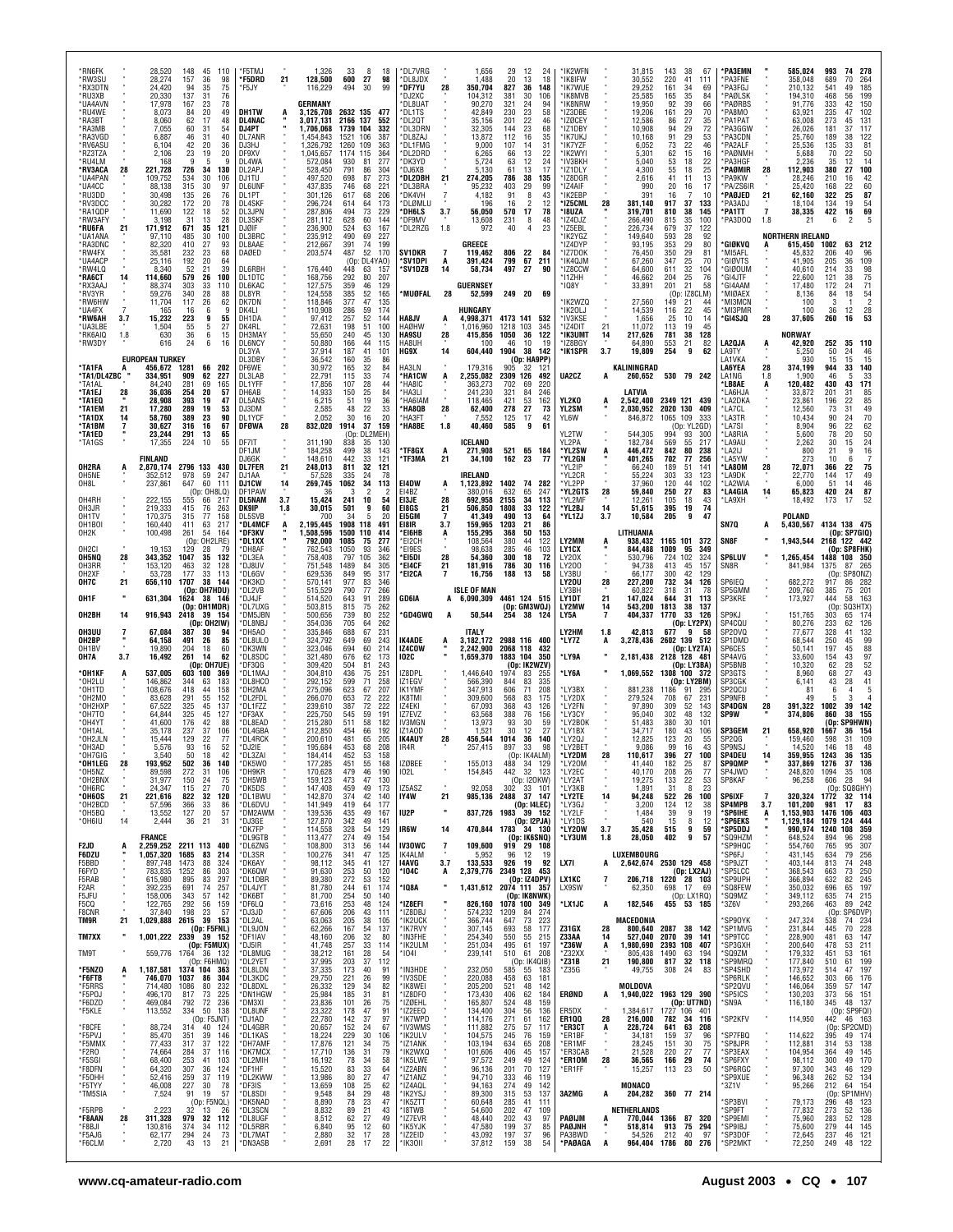| *RN6FK<br>*RW3SU<br>*RX3DTN<br>*RU3XB<br>*UA4AVN<br>*RU4WE<br>*RA3BT<br>*RA3MB<br>*RA3VGD<br>*RV6ASU<br>*RZ3TZA<br>*RU4LM<br>*RV3ACA<br>*UA4PAN<br>*UA4CC<br>*RU3DD<br>*RV3DCC<br>*RA1QDP<br>*RW3AFY<br>*RU6FA | 28<br>21         | 28,520<br>28,274<br>24,420<br>20,330<br>17,978<br>8,073<br>8,060<br>7,055<br>6,887<br>6,104<br>2,106<br>168<br>221,728<br>109,752<br>88.138<br>30,498<br>30,282<br>11,690<br>3,198<br>171,912 | 148<br>45<br>157<br>36<br>94<br>35<br>137<br>31<br>167<br>23<br>20<br>84<br>62<br>17<br>60<br>31<br>46<br>31<br>42<br>20<br>23<br>19<br>9<br>5<br>726<br>34<br>30<br>534<br>315<br>30<br>135<br>26<br>172<br>20<br>122<br>18<br>31<br>13<br>671<br>35 | 110<br>98<br>75<br>76<br>78<br>49<br>48<br>54<br>40<br>36<br>20<br>9<br>130<br>106<br>97<br>76<br>78<br>52<br>28<br>121 | *F5TMJ<br>*F5DRD<br>'F5JY<br><b>DH1TW</b><br>DL4NAC<br>DJ4PT<br>DL7ANR<br>DJ3HJ<br>DF9XV<br>DL4WA<br>DL2APJ<br>DJ1TU<br>DL6UNF<br>DL1PT<br><b>DL4SKF</b><br>DL3JPN<br>DL3SKF<br>DJØIF | 21                          | 1,326<br>128,500<br>116,229<br>GERMANY<br>3,126,708<br>3,017,131<br>1,706,068<br>1,454,843<br>1,326,792<br>1,045,657<br>572,084<br>528,450<br>497,520<br>437,835<br>301,126<br>296,724<br>287,806<br>281,112<br>236,900 | 33<br>600<br>27<br>494<br>30<br>2632 135 477<br>2166 137<br>1739 104<br>1521<br>106<br>1260<br>109<br>1174 115<br>930<br>81<br>791<br>86<br>698<br>87<br>746<br>68<br>617<br>68<br>614<br>64<br>494<br>73<br>628<br>60<br>524<br>63 | 8<br>18<br>98<br>99<br>552<br>332<br>387<br>363<br>364<br>277<br>304<br>273<br>221<br>206<br>173<br>229<br>144<br>167             | *DL7VRG<br>*DL8JDX<br>*DF7YU<br>*DJ2XC<br>DL8UAT<br>*DL1TS<br>*DL2QT<br>*DL3DRN<br>*DL8ZAJ<br>*DL1FMG<br>*DL2DRD<br>*DK3YD<br>*DJ6XB<br>*DL2DBH<br>*DL3BRA<br>*DK4VH<br>*DLØMLU<br>*DH6LS<br>*DF9MV<br>*DL2RZG | 28<br>21<br>$\overline{7}$<br>3.7<br>1.8                     | 1,656<br>1,488<br>350,704<br>104,312<br>90,270<br>42,849<br>35,156<br>32,305<br>13,872<br>9,000<br>6,265<br>5.724<br>5.130<br>274,205<br>95,232<br>4.182<br>196<br>56,050<br>13,608<br>972 | 29<br>20<br>827<br>381<br>321<br>230<br>201<br>144<br>112<br>107<br>66<br>63<br>61<br>786<br>403<br>91<br>16<br>570<br>231<br>40 | 12<br>13<br>36<br>30<br>24<br>23<br>22<br>23<br>16<br>14<br>13<br>12<br>13<br>38<br>29<br>8<br>$\overline{2}$<br>17<br>8<br>$\overline{4}$ | 24<br>18<br>148<br>106<br>94<br>58<br>46<br>68<br>35<br>31<br>22<br>24<br>17<br>135<br>99<br>43<br>12<br>78<br>48<br>23 | *IK2WFN<br>*IK8IFW<br>'IK7WUE<br>*IK8MVB<br>'IK8NRW<br>*IZ3DBE<br>*IZØCEY<br>*IZ1DBY<br>*IK7UKJ<br>*IK7YZF<br>*IK2WYI<br>*IV3BKH<br>*IZ1DLY<br>*IZ8DGR<br>*IZ4AIF<br>*IK2EBP<br>*IZ5CML<br>*18UZA<br>*IZ4DJZ<br>*IZ5EBL | 28                         | 31,815<br>30,552<br>29,252<br>25,585<br>19,950<br>19,206<br>12,586<br>10,908<br>10,168<br>6,052<br>5,301<br>5,040<br>4,300<br>2,616<br>990<br>391<br>381,140<br>319,701<br>266,490<br>226,734 | 143<br>220<br>161<br>165<br>92<br>161<br>86<br>94<br>91<br>73<br>62<br>53<br>55<br>41<br>20<br>16<br>917<br>810<br>815<br>679 | 38<br>67<br>41<br>111<br>34<br>69<br>84<br>35<br>39<br>66<br>29<br>70<br>27<br>35<br>29<br>72<br>29<br>53<br>22<br>46<br>15<br>16<br>18<br>22<br>25<br>18<br>11<br>13<br>16<br>17<br>7<br>10<br>37<br>133<br>38<br>145<br>35<br>100<br>37<br>122 | *PA3EMN<br>*PA3FNE<br>*PA3FGJ<br>*PAØLSK<br>*PAØRBS<br>*PA8MO<br>*PA1PAT<br>*PA3GGW<br>*PA3CDN<br>*PA2ALF<br>*PAØNMH<br>*PA3HGF<br>*PAØMIR<br>*PA9KW<br>*PA/ZS6IR<br>*PAØJED<br>*PA3ADJ<br>*PA1TT<br>*PA3DOQ | 28<br>21<br>$\overline{7}$<br>1.8 | 585,024<br>358,048<br>210,132<br>194,310<br>91,776<br>63,921<br>63,008<br>26,026<br>25,760<br>25,536<br>5,688<br>2,236<br>112,903<br>28,246<br>25.420<br>62,160<br>18,104<br>38,335<br>21 | 993<br>689<br>541<br>468<br>333<br>235<br>273<br>181<br>189<br>135<br>70<br>35<br>380<br>210<br>168<br>322<br>134<br>422<br>6 | 74<br>278<br>70<br>264<br>185<br>49<br>199<br>56<br>42<br>150<br>102<br>47<br>131<br>45<br>37<br>117<br>38<br>122<br>33<br>81<br>22<br>50<br>14<br>12<br>100<br>27<br>16<br>42<br>60<br>22<br>25<br>87<br>19<br>54<br>69<br>16<br>2 |
|----------------------------------------------------------------------------------------------------------------------------------------------------------------------------------------------------------------|------------------|-----------------------------------------------------------------------------------------------------------------------------------------------------------------------------------------------|-------------------------------------------------------------------------------------------------------------------------------------------------------------------------------------------------------------------------------------------------------|-------------------------------------------------------------------------------------------------------------------------|---------------------------------------------------------------------------------------------------------------------------------------------------------------------------------------|-----------------------------|-------------------------------------------------------------------------------------------------------------------------------------------------------------------------------------------------------------------------|-------------------------------------------------------------------------------------------------------------------------------------------------------------------------------------------------------------------------------------|-----------------------------------------------------------------------------------------------------------------------------------|----------------------------------------------------------------------------------------------------------------------------------------------------------------------------------------------------------------|--------------------------------------------------------------|--------------------------------------------------------------------------------------------------------------------------------------------------------------------------------------------|----------------------------------------------------------------------------------------------------------------------------------|--------------------------------------------------------------------------------------------------------------------------------------------|-------------------------------------------------------------------------------------------------------------------------|-------------------------------------------------------------------------------------------------------------------------------------------------------------------------------------------------------------------------|----------------------------|-----------------------------------------------------------------------------------------------------------------------------------------------------------------------------------------------|-------------------------------------------------------------------------------------------------------------------------------|--------------------------------------------------------------------------------------------------------------------------------------------------------------------------------------------------------------------------------------------------|--------------------------------------------------------------------------------------------------------------------------------------------------------------------------------------------------------------|-----------------------------------|-------------------------------------------------------------------------------------------------------------------------------------------------------------------------------------------|-------------------------------------------------------------------------------------------------------------------------------|-------------------------------------------------------------------------------------------------------------------------------------------------------------------------------------------------------------------------------------|
| *UA1ANA<br>*RA3DNC<br>*RW4FX<br>*UA4ACP<br>*RW4LQ<br>*RA6CT<br>*RX3AAJ<br>*RV3YR<br>*RW6HW<br>*UA4FX<br>*RW6AH<br>*UA3LBE<br>*RK6AIQ                                                                           | 14<br>3.7<br>1.8 | 97,110<br>82,320<br>35,581<br>25,116<br>8,340<br>114,660<br>88,374<br>59,276<br>11,704<br>165<br>15,232<br>1,504<br>630                                                                       | 30<br>485<br>410<br>27<br>23<br>232<br>192<br>20<br>52<br>21<br>579<br>26<br>303<br>33<br>340<br>28<br>117<br>26<br>6<br>16<br>223<br>9<br>55<br>5<br>36<br>6                                                                                         | 100<br>93<br>68<br>64<br>39<br>100<br>110<br>88<br>62<br>9<br>55<br>27<br>15                                            | DL3BRC<br>DL8AAE<br>DAØED<br>DL6RBH<br>DL1DTC<br>DL6KAC<br>DL8YR<br>DK7DN<br>DK411<br>DH1DA<br>DK4RL<br>DH3MAY                                                                        |                             | 235,912<br>212,667<br>203,574<br>176,440<br>168,756<br>127,575<br>124.558<br>118,846<br>110,908<br>97,412<br>72,631<br>55,650                                                                                           | 490<br>69<br>391<br>74<br>52<br>487<br>(Op: DL4YAO)<br>448<br>63<br>292<br>80<br>359<br>46<br>385<br>52<br>377<br>47<br>286<br>59<br>52<br>257<br>198<br>51<br>240<br>45                                                            | 227<br>199<br>170<br>157<br>207<br>129<br>165<br>135<br>174<br>144<br>100<br>130                                                  | SV1DKR<br>*SV1DPI<br>*SV1DZB<br>*MUØFAL<br>HA8JV<br><b>HAØHW</b><br><b>HA9SU</b>                                                                                                                               | A<br>14<br>28<br>A<br>28                                     | GREECE<br>119,462<br>391,424<br>58,734<br><b>GUERNSEY</b><br>52,599<br>HUNGARY<br>4,998,371<br>1,016,960<br>415,856                                                                        | 806<br>799<br>497<br>249 20<br>4173 141<br>1218<br>1050                                                                          | 22<br>67<br>27<br>103<br>36                                                                                                                | 84<br>211<br>90<br>69<br>532<br>345<br>122                                                                              | 'IK2YGZ<br>*IZ4DYP<br>*IZ7DOK<br>*IK40JM<br>*IZ8CCW<br>*I1ZHH<br>* 108Y<br>'IK2WZQ<br>'IK20LJ<br>*IV3KSE<br>*IZ4DIT<br>*IK3UMT                                                                                          | 21<br>14                   | 149,640<br>93,195<br>76,450<br>67,260<br>64,600<br>46,662<br>33,891<br>27,560<br>14,539<br>1,656<br>11,072<br>217,626                                                                         | 593<br>353<br>350<br>347<br>611<br>204<br>201<br>(0n)<br>149<br>116<br>25<br>113<br>781                                       | 28<br>92<br>29<br>80<br>29<br>81<br>25<br>70<br>32<br>104<br>25<br>76<br>21<br>58<br>IZ8CLM)<br>21<br>-44<br>22<br>45<br>10<br>14<br>45<br>19<br>38<br>128                                                                                       | *GIØKVQ<br>*MI5AFL<br>*GIØVTS<br>*GIØOUM<br>*GI4JTF<br>*GI4AAM<br>*MIØAEX<br>*MI3MCN<br>*MI3PMR<br>*GI4SJQ                                                                                                   | A<br>28                           | <b>NORTHERN IRELAND</b><br>615,450<br>45,832<br>41.905<br>40,610<br>22.600<br>17,480<br>8,136<br>100<br>100<br>37,605<br><b>NORWAY</b>                                                    | 1002<br>206<br>205<br>214<br>121<br>172<br>84<br>3<br>36<br>260                                                               | 63<br>212<br>40<br>36<br>109<br>33<br>98<br>$\frac{75}{71}$<br>38<br>24<br>$\frac{54}{2}$<br>18<br>$\begin{array}{c} 28 \\ \bf 53 \end{array}$<br>12<br>16                                                                          |
| *RW3DY<br>*TA1FA<br>*TA1/DL4ZBC<br>*TA1AL<br>*TA1EJ<br>*TA1EQ<br>*TA1EM<br>*TA1DX<br>*TA1BM<br>*TA1ED<br>*TA1GS                                                                                                | 28<br>21<br>14   | 616<br><b>EUROPEAN TURKEY</b><br>456,672<br>334,951<br>84,240<br>36,036<br>28.908<br>17,280<br>58,760<br>30,627<br>23,244<br>17,355<br>FINLAND                                                | 24<br>6<br>1281<br>66<br>62<br>909<br>281<br>69<br>254<br>20<br>393<br>19<br>289<br>19<br>389<br>23<br>316<br>16<br>291<br>13<br>224<br>10                                                                                                            | 16<br>202<br>227<br>165<br>57<br>47<br>53<br>90<br>67<br>65<br>55                                                       | DL6NCY<br>DL3YA<br>DL3DBY<br>DF6WE<br>DL3LAB<br>DL1YFF<br>DH6AB<br>DL5ANS<br>DJ3DM<br>DI 1YCE<br>DFØWA<br>DF7IT<br>DF1JM<br>DJ6GK                                                     | 28                          | 50,880<br>37,914<br>36,542<br>30,972<br>22,791<br>17,856<br>14,933<br>6,215<br>2,585<br>2.052<br>832,020<br>311,190<br>184,258<br>148,610                                                                               | 166<br>44<br>187<br>41<br>160<br>35<br>165<br>32<br>33<br>115<br>107<br>28<br>25<br>150<br>51<br>19<br>22<br>48<br>30<br>16<br>1914<br>37<br>(0p)<br>838<br>35<br>499<br>38<br>442<br>33                                            | 115<br>101<br>86<br>84<br>74<br>44<br>84<br>36<br>33<br>20<br>159<br>DL2MEH)<br>130<br>143<br>121                                 | HA8UH<br>HG9X<br>HA3LN<br>*HA1CW<br>*HA8IC<br>*HA3LI<br>'HA6IAM<br>*HA8QB<br>*HA3FT<br>*HA8BE<br>*TF8GX<br>*TF3MA                                                                                              | 14<br>A<br>28<br>1.8<br>A<br>21                              | 100<br>604,440<br>179,316<br>2,255,082<br>363,273<br>241,230<br>118.465<br>62,400<br>7,552<br>40,460<br>ICELAND<br>271,908<br>34,100                                                       | 46<br>1904<br>905<br>2309 126<br>702<br>321<br>421<br>278<br>125<br>585<br>521<br>162                                            | 10<br>38<br>(0p: HASPPP)<br>32<br>69<br>84<br>53<br>27<br>17<br>9<br>65 184<br>23                                                          | 19<br>142<br>121<br>492<br>220<br>246<br>162<br>73<br>42<br>61<br>77                                                    | *IZ8BGY<br>*IK1SPR<br>UA2CZ<br>YL2KO<br><b>YL2SM</b><br>YL6W<br>YL2TW<br>YL2PA<br>*YL2SW<br>*YL2GN                                                                                                                      | 3.7<br>A<br>A<br>A         | 64,890<br>19,809<br>KALININGRAD<br>260,652<br>LATVIA<br>2.542.400<br>,030,952<br>846,872<br>544,305<br>182,784<br>446,472<br>401,265                                                          | 553<br>254<br>2020 130<br>1065 109<br>994<br>569<br>842<br>702                                                                | 21<br>82<br>62<br>9<br>530 79 242<br>2349 121 439<br>409<br>-333<br>(Op: YL2GD)<br>93<br>300<br>55<br>217<br>80<br>238<br>77<br>256                                                                                                              | LA2QJA<br>LA9TY<br>LA1VKA<br>LA6YEA<br>LA1NG<br>'LB8AE<br>'LA6HJA<br>*LA2DKA<br>*LA7CL<br>*LA3TR<br>*LA7SI<br>*LA8RIA<br>*LA9AU<br>*LA2IJ<br>LA5YW                                                           | A<br>28<br>1.8<br>Α               | 42,920<br>5,250<br>930<br>374,199<br>1.900<br>120,482<br>33,872<br>23,861<br>12,560<br>10,434<br>8,904<br>5,600<br>2,262<br>800<br>273                                                    | 252<br>50<br>15<br>944<br>46<br>430<br>201<br>196<br>73<br>90<br>96<br>78<br>30<br>21<br>10                                   | 35<br>110<br>24<br>46<br>15<br>15<br>33<br>140<br>33<br>5<br>43<br>171<br>31<br>85<br>22<br>85<br>49<br>31<br>70<br>24<br>$\overline{2}2$<br>62<br>20<br>50<br>24<br>15<br>16<br>9<br>6                                             |
| OH2RA<br>OH5NE<br>OH8L<br>OH4RH<br>OH3JR<br>OH1TV<br>OH <sub>1</sub> BOI<br>OH <sub>2</sub> K<br>OH <sub>2</sub> CI<br>OH5NQ<br>OH3RR<br>OH <sub>2</sub> XF                                                    | A<br>28          | 2,870,174<br>352,512<br>237,861<br>222,155<br>219,333<br>170,375<br>160,440<br>100,498<br>19,153<br>343,352<br>153,120<br>53,728                                                              | 2796 133<br>978<br>59<br>647<br>60<br>(0p: OH8LQ)<br>555<br>66<br>415<br>76<br>315<br>77<br>411<br>63<br>54<br>261<br>(Op: OH2LRE)<br>129<br>28<br>1047<br>35<br>463<br>32<br>33<br>177                                                               | 430<br>247<br>-111<br>217<br>263<br>158<br>217<br>164<br>79<br>132<br>128<br>113                                        | <b>DL7FER</b><br>DJ1AA<br>DJ1CW<br>DF1PAW<br><b>DL5NAM</b><br>DK9IP<br><b>DL5SVB</b><br><b>DL4MCF</b><br>*DF3KV<br>*DL1XX<br>*DH8AF<br>*DL3EA<br>*DJ8UV<br>*DL6GV                     | 21<br>14<br>3.7<br>1.8<br>A | 248,013<br>57,528<br>269,745<br>36<br>15,424<br>30,015<br>700<br>2,195,445<br>1,508,596<br>792.000<br>762,543<br>758.408<br>751,548<br>629,536                                                                          | 811<br>32<br>335<br>24<br>1062<br>34<br>3<br>241<br>10<br>501<br>34<br>1908 118<br>1500<br>110<br>1085<br>75<br>1050<br>93<br>797<br>105<br>1489<br>84<br>849<br>95                                                                 | 121<br>78<br>113<br>$\overline{2}$<br>$\overline{2}$<br>54<br>60<br>9<br>5<br>20<br>491<br>414<br>277<br>346<br>362<br>305<br>317 | EI4DW<br>EI4BZ<br>EI3JE<br>E18GS<br>EI5GM<br>E181R<br>*EI6HB<br>*EI2CH<br>*EI9ES<br>*EI5DI<br>*E14CF<br>*EI2CA                                                                                                 | Ą<br>28<br>21<br>7<br>3.7<br>A<br>28<br>21<br>$\overline{7}$ | IRELAND<br>1,123,892<br>380,016<br>692,958<br>506,850<br>41,349<br>159,965<br>155,295<br>108,564<br>98,638<br>54.360<br>181,916<br>16,756                                                  | 1402<br>632<br>2155<br>1808<br>490<br>1203<br>368<br>380<br>285<br>300<br>786<br>188                                             | 74 282<br>65<br>34<br>33<br>13<br>21<br>50<br>44<br>46<br>18<br>30<br>13                                                                   | 247<br>113<br>122<br>64<br>86<br>153<br>122<br>103<br>72<br>116<br>58                                                   | 'YL2IP<br>*YL2CR<br>*YL2PP<br>*YL2GTS<br>*YL2MF<br>*YL2BJ<br>*YL1ZJ<br>LY2MM<br>LY1CX<br>LY20X<br>LY200<br>LY3BU                                                                                                        | 28<br>14<br>3.7<br>ā.      | 66,240<br>55,224<br>37,960<br>59,840<br>12,261<br>51,615<br>10,584<br>LITHUANIA<br>938,432<br>844,488<br>530.796<br>94,738<br>66,177                                                          | 189<br>303<br>120<br>250<br>105<br>395<br>205<br>1009<br>724<br>413<br>300                                                    | 51<br>141<br>33<br>123<br>44<br>102<br>27<br>83<br>18<br>43<br>74<br>19<br>9<br>47<br>1165 101 372<br>95<br>349<br>102<br>324<br>45<br>157<br>42<br>129                                                                                          | *LA80M<br>*LA9DK<br>*LA2WIA<br>*LA4GIA<br>*LA9XH<br>SN7Q<br>SN8F<br>SP6LUV<br>SN8R                                                                                                                           | 28<br>14<br>Α                     | 72,071<br>22,770<br>6,000<br>65,823<br>18,492<br>POLAND<br>5,430,567<br>1,943,544<br>1,265,454<br>841,984                                                                                 | 366<br>144<br>51<br>420<br>173<br>1375<br>(0n)                                                                                | 75<br>22<br>17<br>49<br>46<br>14<br>87<br>24<br>52<br>17<br>4134 138 475<br>(Op: SP7GIQ)<br>2168 122 442<br>(Op: SP8FHK)<br>1488 108 350<br>87<br>265<br>SP80NZ)                                                                    |
| OH7C<br>OH1F<br>OH2BH<br>OH3UU<br>OH2BP<br>OH1BV<br>OH7A<br>*OH1KF<br>*OH2LU                                                                                                                                   | 21<br>14<br>3.7  | 656,110<br>631,304<br>916,943<br>67,084<br>64,158<br>19.890<br>16,492<br>537,005<br>146,862                                                                                                   | 1707<br>38<br>(Op: OH7HDU)<br>1624<br>38<br>(Op: OH1MDR)<br>2418<br>39 154<br>(Op: OH2IW)<br>387<br>30<br>491<br>26<br>18<br>204<br>261<br>14<br>(Op: OH7UE)<br>603<br>100<br>344<br>63                                                               | 144<br>146<br>94<br>85<br>60<br>62<br>369<br>183                                                                        | *DK3KD<br>*DL2VB<br>*DJ4JF<br>*DL7UXG<br>*DM5JBN<br>*DL8NBJ<br>*DH5AO<br>*DL8ULO<br>*DK3WN<br>*DL8SDC<br>*DF3QG<br>*DL1MAJ<br>*DL8HCO                                                 |                             | 570,141<br>515,529<br>514,520<br>503,815<br>500,656<br>354,036<br>335,846<br>324,792<br>323,046<br>321,480<br>309,420<br>304,810<br>292,152                                                                             | 977<br>83<br>790<br>77<br>643<br>91<br>815<br>75<br>739<br>80<br>705<br>64<br>688<br>67<br>649<br>69<br>694<br>60<br>676<br>62<br>504<br>81<br>436<br>75<br>71<br>599                                                               | 346<br>266<br>289<br>262<br>252<br>262<br>231<br>243<br>214<br>173<br>243<br>251<br>258                                           | GD6IA<br>*GD4GWQ<br>IK4ADE<br>IZ4COW<br>102C<br>IZ8DPL<br>IZ1EGV                                                                                                                                               | A<br>A                                                       | <b>ISLE OF MAN</b><br>A 6,090,309<br>50,544<br><b>ITALY</b><br>3,182,172<br>2,242,900<br>1,659,370<br>1,446,640<br>566,390                                                                 | 254<br>2988 116 400<br>2068 118<br>1883 104<br>1974<br>844                                                                       | 4461 124 515<br>(Op: GM3WOJ)<br>38<br>(Op: IK2WZV)<br>83<br>83                                                                             | 124<br>432<br>350<br>255<br>335                                                                                         | LY20U<br>LY3BH<br>LY1DT<br>LY2MW<br>LY5A<br>LY2HM<br>*LY7Z<br>*LY9A<br>*LY6A                                                                                                                                            | 28<br>21<br>14<br>1.8<br>Α | 227,200<br>60,822<br>147,024<br>543,200<br>404,337<br>42,813<br>3,278,436<br>2,181,438 2128 128 481<br>1.069.552                                                                              | 732<br>318<br>644<br>1813<br>1770<br>677<br>2602 139<br>1308 100                                                              | 34<br>126<br>31<br>-78<br>31<br>113<br>38<br>-137<br>33<br>126<br>(Op: LY2PX)<br>9<br>- 58<br>512<br>(Op: LY2TA)<br>(Op: LY3BA)<br>372<br>(Op: LY2BM)                                                                                            | SP6IEQ<br>SP5GMM<br>SP3KRE<br>SP9KJ<br>SP4CQU<br>SP20VQ<br>SP1DMD<br>SP6CES<br>SP4AVG<br>SP5BNB<br>SP3GTS<br>SP3CGK                                                                                          |                                   | 682,272<br>209,760<br>173,927<br>151,765<br>80,276<br>77,677<br>68,544<br>50.141<br>33,600<br>10,320<br>8,960<br>6,141                                                                    | 917<br>385<br>444<br>(Op)<br>303<br>233<br>328<br>250<br>197<br>154<br>62<br>68<br>43                                         | 282<br>86<br>201<br>75<br>58<br>163<br>SQ3HTX)<br>174<br>65<br>126<br>62<br>132<br>41<br>99<br>45<br>88<br>45<br>43<br>97<br>$\frac{52}{43}$<br>28<br>27<br>28<br>$\begin{array}{c} 41 \\ 5 \end{array}$                            |
| *OH1TD<br>*OH2MO<br>*OH2HXF<br>*0H7T0<br>*OH4YT<br>*OH1AL<br>*OH2JLN<br>*OH3AD<br>*OH7GIG<br>*OH1LEG<br>*OH5NZ<br>*OH2BNX<br>*OH6RC<br>*OH6OS                                                                  | 28<br>21         | 108,676<br>83,628<br>67,522<br>64.844<br>41,600<br>35.178<br>15,444<br>5,576<br>3.540<br>193,952<br>89,598<br>31,977<br>24.347<br>221,616                                                     | 418<br>44<br>291<br>55<br>325<br>45<br>325<br>45<br>176<br>42<br>37<br>237<br>129<br>22<br>93<br>16<br>50<br>18<br>502<br>36<br>272<br>31<br>150<br>24<br>115<br>27<br>822<br>32                                                                      | 158<br>152<br>137<br>127<br>88<br>106<br>77<br>52<br>42<br>140<br>106<br>75<br>70<br>120                                | *DH2MA<br>*DL2FDL<br>*DL1FZZ<br>*DF3AX<br>*DL8EAD<br>*DL4GBA<br>*DL4RCK<br>*DJ2IE<br>*DL3ZA<br>*DK5WO<br>*DH9KR<br>*DH5WB<br>*DK5DS<br>*DL1BWU                                        |                             | 275,096<br>266,070<br>239,610<br>225,750<br>215,280<br>212,850<br>200,610<br>195,684<br>184.414<br>177,285<br>170,628<br>159,123<br>147,408<br>142,870                                                                  | 623<br>67<br>653<br>72<br>387<br>72<br>545<br>59<br>511<br>58<br>454<br>66<br>481<br>65<br>453<br>68<br>452<br>53<br>451<br>55<br>479<br>46<br>473<br>47<br>459<br>49<br>374<br>42                                                  | 207<br>222<br>222<br>191<br>182<br>192<br>205<br>208<br>158<br>168<br>190<br>130<br>173<br>140                                    | <b>IK1YMF</b><br>IK8TMI<br>IZ4EKI<br>IZ7EVZ<br><b>IV3MGN</b><br>IZ1AOD<br><b>IK4AUY</b><br>IR4R<br>IZØBEE<br>102L<br>IZ5ASZ<br>IY4W                                                                            | 28<br>21                                                     | 347,913<br>309,600<br>67,093<br>63,568<br>13,973<br>1,521<br>456,544<br>257,415<br>155,013<br>154,845<br>92.058<br>985,136                                                                 | 606<br>568<br>368<br>388<br>93<br>30<br>1014<br>897<br>488<br>442                                                                | 71<br>83<br>43<br>76<br>30<br>12<br>36<br>33<br>IK4AI M)<br>34<br>32 123<br>(Op: I2OKW)<br>302 33 101<br>2488 37 147                       | 208<br>175<br>126<br>156<br>59<br>27<br>140<br>98<br>129                                                                | *LY3BX<br>*LY2DX<br>*LY2FN<br>*LY3CY<br>*LY2BOK<br>*LY1BX<br>*LY2QJ<br>*LY2BET<br>*LY2DM<br>*LY20M<br>*I Y2FC<br>*LY2AT<br>*I Y3KB<br>*LY2TE                                                                            | 28<br>14                   | 881,238<br>279,524<br>97,890<br>95,040<br>51,483<br>34,717<br>12,825<br>9,086<br>110.617<br>41,440<br>40.170<br>19,275<br>1.891<br>94,248                                                     | 1186<br>708<br>309<br>302<br>380<br>180<br>123<br>99<br>396<br>182<br>208<br>133<br>31<br>522                                 | 91<br>295<br>67<br>231<br>52<br>143<br>48<br>132<br>30<br>101<br>43<br>106<br>20<br>55<br>43<br>16<br>27<br>100<br>25<br>87<br>26<br>77<br>53<br>22<br>8<br>23<br>26<br>100                                                                      | SP20CU<br><b>SP9NFB</b><br>SP4DGN<br><b>SP9W</b><br>SP3GEM<br>SP2QG<br><b>SP9NSJ</b><br>SP4DEU<br><b>SP9QMP</b><br>SP4JWD<br>SP8KAF<br><b>SP6IXF</b>                                                         | 28<br>21<br>7                     | 81<br>49<br>391,322<br>374,806<br>658,920<br>159,460<br>14,520<br>359.955<br>337,869<br>248,820<br>96,258<br>320,324                                                                      | 6<br>1002<br>860<br>(Op:<br>1667<br>598<br>146<br>1243<br>1276<br>1094<br>606<br>1772                                         | $\overline{4}$<br>3<br>$\overline{4}$<br>39<br>142<br>155<br>38<br>SP9HWN)<br>154<br>36<br>31<br>109<br>18<br>48<br>36<br>135<br>37<br>136<br>108<br>35<br>28<br>-94<br>(Op: SQ8GHY)<br>32 114                                      |
| *OH2BCD<br>*OH5BQ<br>$*$ OH6IU<br>F2JD<br><b>F6DZU</b><br>F5BBD<br>F6FYD<br>F5RAB<br>F2AR<br>F5JFU<br>F5CQ                                                                                                     | 14<br>A          | 57,596<br>13,552<br>2,444<br>FRANCE<br>1,057,320<br>897,748<br>783,835<br>615,980<br>392,235<br>158,006<br>122,765                                                                            | 33<br>366<br>127<br>20<br>36<br>21<br>2,259,252 2211 113<br>1685<br>83<br>1473<br>88<br>1252<br>86<br>83<br>895<br>691<br>74<br>343<br>57<br>292<br>56                                                                                                | 86<br>57<br>31<br>400<br>-214<br>324<br>303<br>297<br>257<br>142<br>159                                                 | *DL6DVU<br>*DM2AWM<br>*DJ3GE<br>*DK7FP<br>*DL9GTB<br>*DL6ZNG<br>*DL3SR<br>*DK6AY<br>*DK6QW<br>*DL1DBR<br>*DL4JYT<br>*DK6BT<br>*DF6LQ                                                  |                             | 141,949<br>139,536<br>127,870<br>114,558<br>113,477<br>108,800<br>100,276<br>98,112<br>91,630<br>89,380<br>81,780<br>81,700<br>73,616                                                                                   | 419<br>-64<br>435<br>49<br>342<br>49<br>328<br>54<br>274<br>49<br>313<br>56<br>47<br>341<br>345<br>41<br>253<br>50<br>272<br>53<br>244<br>61<br>254<br>50<br>253<br>48                                                              | 177<br>167<br>141<br>129<br>154<br>144<br>125<br>127<br>120<br>152<br>174<br>140<br>124                                           | IU2P<br>IR6W<br><b>IV30WC</b><br>IK4ALM<br>14AVG<br>*104C<br>* IQ8A<br>*IZ8EFI                                                                                                                                 | 14<br>7<br>3.7<br>A                                          | 837,726<br>470,844<br>109,600<br>5.952<br>133,533<br>2,379,776<br>1,431,612<br>826,160                                                                                                     | 1983 39 152<br>1783 34 130<br>96<br>926<br>2349 128 453<br>2074 111 357                                                          | (Op: I4LEC)<br>(Op: I2PJA)<br>(Op: IK6SNQ)<br>919 29 108<br>12<br>- 19<br>(Op: IZ4DPV)<br>(Op: IK8NWK)<br>1078 100 349                     | -19<br>92                                                                                                               | *LY3GJ<br>*LY2LF<br>*LY1DS<br>*LY20W<br>*LY3UM<br>LX7I<br>LX1KC<br>LX9SW<br>*LX1JC                                                                                                                                      | 3.7<br>1.8<br>A<br>7<br>A  | 3.200<br>1,484<br>540<br>35,428<br>28,050<br><b>LUXEMBOURG</b><br>2,642,674 2530 129 458<br>206,718<br>62,350<br>182,546                                                                      | 124<br>39<br>15<br>515<br>402<br>698 17                                                                                       | 12<br>-38<br>9<br>19<br>8<br>12<br>9<br>59<br>9<br>57<br>(Op: LX2AJ)<br>1220 28 103<br>- 69<br>(Op: LX1RQ)<br>455 53 185                                                                                                                         | <b>SP4MPB</b><br>*SP6IHE<br>*SP6EKS<br>*SP5DDJ<br>*SQ9HZM<br>'SP9HQC<br>'SP6FJ<br>*SP9JZT<br>*SP5LCC<br>*SP9UPH<br>*SQ8FEW<br>*SQ9MZ<br>*3Z6V                                                                | 3.7<br>Ă.<br>n,                   | 101,200<br>1,153,903<br>1,129,184<br>990,974<br>648,524<br>554,760<br>431,145<br>403,144<br>368,543<br>366,894<br>350,032<br>349,112<br>293,266                                           | 981<br>1476<br>1079<br>1240<br>894<br>765<br>634<br>813<br>663<br>632<br>696<br>635<br>463                                    | 83<br>17<br>106<br>403<br>124<br>444<br>108<br>359<br>298<br>96<br>95<br>307<br>256<br>79<br>248<br>74<br>250<br>73<br>245<br>82<br>65<br>197<br>74<br>215<br>89 242                                                                |
| F8CNR<br>TM9R<br><b>TM7XX</b><br>TM9T<br>*F5NZO<br>*F6FTB<br>*F5RRS<br>*F5POJ<br>*F6DZD<br>*F5KLE                                                                                                              | 21               | 37,840<br>1,187,581<br>746,070 1037<br>714,480<br>496,170<br>469,084<br>113,552                                                                                                               | 198<br>23<br>1,029,888 2615 39<br>(Op: F5FNL)<br>1,001,222 2339 39 152<br>(Op: F5MUX)<br>559,776 1764 36 132<br>(Op: F6HMQ)<br>1374 104 363<br>86<br>80<br>1086<br>817<br>73<br>792<br>72<br>334<br>50                                                | -57<br>153<br>304<br>232<br>225<br>236<br>138                                                                           | *DJ3JD<br>*DL2AL<br>*DL9JON<br>*DF1IAV<br>*DJ5IR<br>*DL8MUG<br>*DL2YET<br>*DL8LDN<br>*DL3KDC<br>*DL8DXL<br>*DN1HGW<br>*DM3XI<br>*DL8UNF                                               |                             | 67,606<br>63,063<br>62,266<br>48,160<br>41,748<br>38,212<br>37,995<br>37,335<br>29,750<br>26,332<br>25,984<br>23,836<br>23,322                                                                                          | 206<br>43<br>205<br>38<br>167<br>54<br>206<br>32<br>33<br>257<br>161<br>28<br>203<br>37<br>173<br>40<br>221<br>26<br>129<br>34<br>185<br>31<br>101<br>26<br>178<br>47<br>37                                                         | 111<br>105<br>137<br>80<br>114<br>54<br>112<br>91<br>99<br>82<br>81<br>75<br>91<br>97                                             | *IZ8DBJ<br>*IK2UCK<br>*IK7RVY<br>*IN3FHE<br>*IK2ULM<br>*1041<br>*IN3HDE<br>*IV3SDE<br>*IK8WEI<br>*IZ8DF0<br>*IZØEHL<br>*IZ2EEQ<br>*IK7WPD                                                                      |                                                              | 574,232<br>366,744<br>307,145<br>254,340<br>251,034<br>239,141<br>232,050<br>220,088<br>205,200<br>173,430<br>165,807<br>134,400<br>114,176                                                | 1209<br>647<br>693<br>550<br>495<br>510<br>585<br>458<br>521<br>406<br>524<br>304                                                | 84<br>73<br>58<br>55<br>61<br>61<br>(Op: IK4QIB)<br>55 183<br>63<br>48<br>62<br>48<br>56                                                   | 274<br>223<br>177<br>215<br>197<br>208<br>181<br>142<br>184<br>159<br>136                                               | <b>Z31GX</b><br>Z33AA<br>*Z36W<br>*Z32XX<br>*Z31B<br>*Z35G<br>ERØND<br>ER5DX<br><b>ER100</b>                                                                                                                            | 28<br>14<br>A<br>21<br>A   | MACEDONIA<br>800,640 2087<br>527,040<br>1,980,690<br>805,438<br>190,800<br>49,755<br>MOLDOVA<br>1,940,022<br>1,384,617<br>216,000                                                             | 2070<br>2393 108<br>1490<br>817<br>308<br>1727 106                                                                            | 38 142<br>39<br>141<br>407<br>63<br>194<br>32<br>118<br>24<br>83<br>1963 129 390<br>(Op: UT7ND)<br>401<br>34<br>116                                                                                                                              | 'SP90YK<br>*SP1MVG<br>*SP9TCC<br>*SP3GXH<br>*SQ9ZM<br>*SP9MRQ<br>*SP4SHD<br>*SP6RLK<br>'SP2QVU<br>*SP5ICS<br>*SN9A<br>'SP2KFV                                                                                |                                   | 247,324<br>231,844<br>228,900<br>200,640<br>179,332<br>177,840<br>173,972<br>146,652<br>146,064<br>130,203<br>116,180                                                                     | 538<br>445<br>481<br>478<br>451<br>510<br>514<br>303<br>359<br>373<br>345<br>442                                              | (Op: SP6DVP)<br>74<br>234<br>228<br>70<br>63<br>147<br>53<br>211<br>161<br>53<br>61<br>199<br>47<br>197<br>176<br>66<br>147<br>57<br>151<br>-56<br>48 137<br>(Op: SP9FQI)<br>46 163                                                 |
| *F8CFE<br>*F5PVJ<br>*F5MMX<br>*F2RO<br>*F5SGI<br>*F8DFN<br>*F50HH<br>*F5TYY<br>*TM5SIA<br>*F5RPB<br>*F8AAN<br>*F8BJI<br>*F5AJG<br>*F6CLM                                                                       | 28               | 88,724<br>85,470<br>77,433<br>74.664<br>68,400<br>64,320<br>52,416<br>46,008<br>7,524<br>2,223<br>311,328<br>130,816<br>62,177                                                                | (Op: F5JNT)<br>314<br>40<br>351<br>39<br>317<br>37<br>284<br>37<br>253<br>41<br>307<br>36<br>37<br>259<br>227<br>30<br>19<br>91<br>(Op: F5NQL)<br>32<br>13<br>979<br>32<br>374<br>34<br>294<br>24                                                     | 124<br>146<br>122<br>116<br>103<br>124<br>119<br>78<br>57<br>26<br>-112<br>112<br>73                                    | *DJ1AD<br>*DL4GBR<br>*DL1KAS<br>*DH7AMF<br>*DK7MCX<br>*DL2MIH<br>*DF1HF<br>*DL2KWW<br>*DF3IS<br>*DL8SDI<br>*DK5NAD<br>*DL3SCN<br>*DL8UGF<br>*DL5RBR<br>*DL7MAT                        |                             | 22,780<br>20,657<br>18,224<br>17,876<br>17,710<br>16,192<br>15,520<br>13,986<br>13,659<br>9,548<br>8,890<br>8,832<br>8,512<br>6,840<br>2,880                                                                            | 142<br>152<br>24<br>229<br>30<br>121<br>34<br>136<br>31<br>78<br>34<br>83<br>33<br>80<br>27<br>108<br>25<br>29<br>84<br>23<br>78<br>89<br>21<br>62<br>27<br>95<br>12<br>32<br>17                                                    | 67<br>106<br>75<br>79<br>58<br>64<br>47<br>62<br>48<br>47<br>43<br>49<br>60<br>28                                                 | *IV3WMS<br>*IK2ULV<br>*IZ1ANK<br>*IK2WXQ<br>*IK5LWE<br>*IZ2ABN<br>*IZ1ANZ<br>*IZ4AQL<br>*IK2YSJ<br>*IK5ZTT<br>*18TWB<br>*IZ7EVR<br>*IK5YJK<br>*IZ2EID                                                          |                                                              | 111,882<br>104,575<br>103,194<br>101,606<br>97,572<br>96,136<br>94,710<br>94,163<br>89,300<br>60,648<br>54,600<br>48,440<br>47,580<br>43,092                                               | 271<br>275<br>245<br>634<br>406<br>249<br>201<br>333<br>274<br>315<br>285<br>202<br>202<br>199<br>197                            | 61<br>57<br>76<br>65<br>45<br>49<br>70<br>46<br>49<br>53<br>41<br>47<br>43<br>37<br>37                                                     | 162<br>117<br>159<br>208<br>157<br>124<br>127<br>119<br>142<br>137<br>111<br>109<br>97<br>85<br>96                      | *ER3CT<br>*ER1BF<br>*ER1MF<br>*ER3CAB<br>*ER10M<br>*ER1FF<br>3A2MG<br>PAØIJM<br>PAØJNH<br>PA3BWD                                                                                                                        | 28<br>Ą<br>28<br>A         | 228,724<br>34.181<br>28,245<br>21,528<br>36,565<br>15,257<br><b>MONACO</b><br>204,282<br>NETHERLANDS<br>770,044<br>518,814<br>54,526                                                          | 782<br>641<br>159<br>151<br>220<br>166<br>113<br>1366<br>913<br>212                                                           | 63<br>208<br>37<br>96<br>30<br>75<br>77<br>27<br>29<br>74<br>50<br>23<br>360 77 214<br>87<br>320<br>294<br>75<br>40<br>97                                                                                                                        | *SP7FBQ<br>*SP8JPR<br>*SP3EAX<br>*SP6FXY<br>*SP6RGC<br>*SP9XUE<br>°3Z1V<br>*SP3BVI<br>*SP9FT<br>*SP9EMI<br>*SP9IBJ<br>*SP3DOF                                                                                | ×                                 | 114,950<br>114.622<br>112,881<br>104,954<br>98,112<br>97,300<br>96,348<br>95,266<br>79,173<br>77,832<br>75,960<br>75,600<br>72,645                                                        | 395<br>314<br>364<br>300<br>343<br>262<br>212<br>296<br>273<br>283<br>279<br>237                                              | (Op: SP2CMD)<br>49 174<br>53 138<br>145<br>49<br>49<br>170<br>46<br>129<br>134<br>52<br>154<br>64<br>(Op: SP1MHV)<br>123<br>48<br>52<br>136<br>128<br>52<br>44<br>145<br>46<br>121<br>48 122                                        |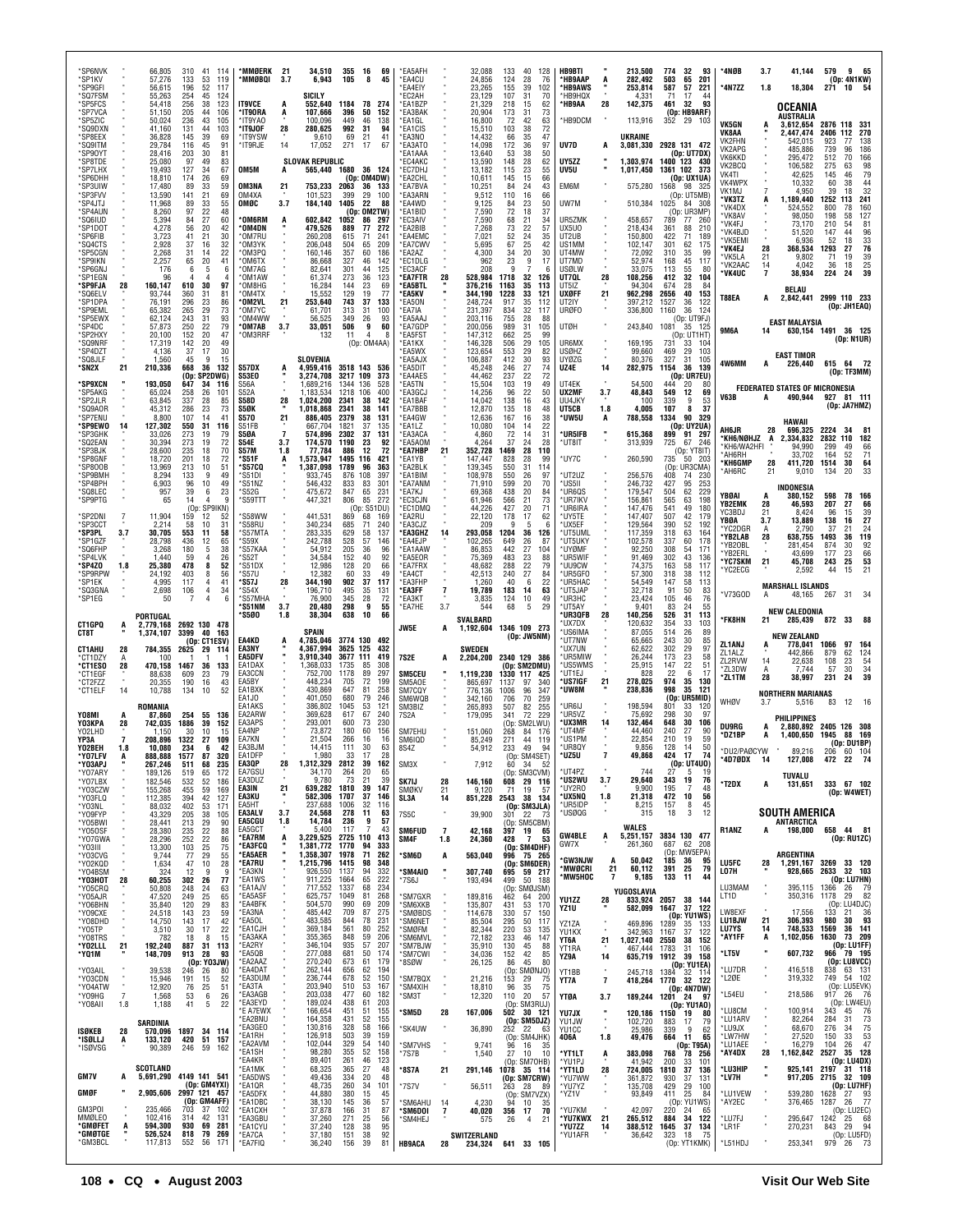| 'SP6NVK<br>*SP1KV<br>*SP9GFI<br>'SQ7FSM<br>*SP5FCS<br>*SP7VCA  |                           | 66,805<br>57,276<br>56,615<br>55.263<br>54,418<br>51,150 | 310<br>41<br>- 114<br>133<br>119<br>53<br>196<br>52<br>117<br>254<br>45<br>124<br>256<br>38<br>123<br>205<br>44<br>106 | *MMØERK 21<br>*MMØBQI<br><b>IT9VCE</b><br>*IT90RA          | 3.7                          | 34,510<br>6,943<br>SICILY<br>552,640<br>107.666                 | 355 16<br>105<br>1184 78<br>396                  | 69<br>8<br>45<br>274<br>50<br>152                                             | *EA5AFH<br>*EA4CU<br>*EA4EIY<br>*FC2AH<br>*EA1BZP                       |                      | 32,088<br>24,856<br>23,265<br>23.129<br>21,329<br>20.904       | 133<br>40<br>124<br>155<br>107<br>218<br>173<br>31 | 128<br>28<br>76<br>39<br>102<br>31<br>70<br>15<br>62<br>73              | <b>HB9BTI</b><br>*HB9AAP<br>*HB9AWS<br>'HB9HQX<br>*HB9AA   | A<br>28              | 213,500<br>282,492<br>253,814<br>4.331<br>142,375              | 774<br>503<br>587<br>71<br>461           | 32<br>93<br>201<br>65<br>57<br>221<br>44<br>17<br>32<br>93<br>(Op: HB9ARF)     | *4NØB<br>*4N7ZZ                                               | 3.7<br>1.8         | 41,144<br>18,304<br>OCEANIA                                                     | 579<br>965<br>(Op: 4N1KW)<br>54<br>271<br>10                                                                          |
|----------------------------------------------------------------|---------------------------|----------------------------------------------------------|------------------------------------------------------------------------------------------------------------------------|------------------------------------------------------------|------------------------------|-----------------------------------------------------------------|--------------------------------------------------|-------------------------------------------------------------------------------|-------------------------------------------------------------------------|----------------------|----------------------------------------------------------------|----------------------------------------------------|-------------------------------------------------------------------------|------------------------------------------------------------|----------------------|----------------------------------------------------------------|------------------------------------------|--------------------------------------------------------------------------------|---------------------------------------------------------------|--------------------|---------------------------------------------------------------------------------|-----------------------------------------------------------------------------------------------------------------------|
| *SP5ZIC<br>'SQ9DXN<br>*SP8EEX<br>'SQ9ITM<br>*SP90YT<br>*SP8TDE |                           | 50,024<br>41.160<br>36,828<br>29,784<br>28,416<br>25,080 | 236<br>43<br>105<br>44<br>103<br>131<br>145<br>39<br>69<br>116<br>45<br>91<br>30<br>203<br>81<br>49<br>83<br>97        | *IT9YAO<br>*IT9JOF<br>*IT9YSW<br>*IT9RJE                   | A<br>28<br>14                | 100,096<br>280,625<br>9,610<br>17,052<br><b>SLOVAK REPUBLIC</b> | 449<br>992<br>69<br>271                          | 46<br>138<br>-31<br>94<br>21<br>41<br>-17<br>67                               | *EA3BAK<br>*EA1GL<br>*EA1CIS<br>*EA3NO<br>*EA3ATO<br>*EA1AAA<br>*EC4AKC |                      | 16,800<br>15,510<br>14,432<br>14,098<br>13,640<br>13,590       | 72<br>103<br>66<br>172<br>53<br>148                | 42<br>63<br>38<br>72<br>35<br>47<br>36<br>97<br>38<br>50<br>62<br>28    | *HB9DCM<br>UV7D<br>UY5ZZ                                   |                      | 113,916<br><b>UKRAINE</b><br>3,081,330<br>1,303,974            | 352<br>2928 131 472<br>1400 123 430      | 29<br>103<br>(Op: UT7DX)                                                       | <b>VK5GN</b><br>VK8AA<br>VK2FHN<br>VK2APG<br>VK6KKD<br>VK2BCQ |                    | AUSTRALIA<br>3,612,654<br>2,447,474<br>542,015<br>485,886<br>295,472<br>106,582 | 2876 118 331<br>270<br>2406<br>112<br>923<br>77<br>138<br>739<br>96<br>186<br>512<br>70<br>166<br>275                 |
| 'SP7LHX<br>*SP6DHH<br>*SP3UIW<br>*SP3FVV<br>*SP4JTJ<br>*SP4AUN |                           | 19,493<br>18,810<br>17,480<br>13,590<br>11,968<br>8,260  | 127<br>34<br>67<br>174<br>26<br>69<br>89<br>33<br>59<br>141<br>21<br>69<br>55<br>89<br>33<br>97<br>22<br>48            | OM5M<br>OM3NA<br>OM4XA<br>OMØC                             | A<br>21<br>3.7               | 565,440 1680<br>753,233<br>101,523<br>184,140                   | 2063<br>399<br>1405                              | 36<br>124<br>(Op: OM4DW)<br>36<br>133<br>29<br>100<br>22<br>88<br>(Op: OM2TW) | *EC7DH.<br>*EA2CHL<br>*EA7BVA<br>*EA3ARN<br>*EA4WD<br>*EA1BID           |                      | 13,182<br>10,611<br>10,251<br>9,512<br>9,125<br>7,590          | 115<br>145<br>84<br>110<br>84<br>72                | 23<br>55<br>15<br>66<br>24<br>43<br>16<br>66<br>50<br>23<br>18<br>37    | UV5U<br>EM6M<br>UW7M                                       |                      | 1,017,450<br>575,280<br>510,384                                | 1361 102<br>1568<br>1025                 | 373<br>(Op: UX1UA)<br>98<br>-325<br>(Op: UT5MB)<br>84 308<br>(Op: UR3MP        | VK4TI<br><b>VK4WPX</b><br>VK1MJ<br>*VK3TZ<br>'VK4DX           |                    | 42,625<br>10,332<br>4,950<br>1,189,440<br>524.552                               | 98<br>79<br>63<br>145<br>46<br>60<br>44<br>38<br>32<br>39<br>18<br>241<br>1252<br>113<br>160<br>800<br>78             |
| *SQ6IUD<br>*SP1DOT<br>'SP6FIB<br>*SQ4CTS<br>*SP5CGN            |                           | 5,394<br>4,278<br>3,723<br>2,928<br>2,268                | 27<br>60<br>84<br>56<br>20<br>42<br>41<br>21<br>30<br>32<br>37<br>16<br>22<br>31<br>14                                 | *OM6RM<br>*OM4DN<br>'OM7RU<br>*ОМЗҮК<br>*OM3PQ             | A                            | 602.842<br>479,526<br>260.208<br>206,048<br>160.146             | 1052<br>889<br>615<br>504<br>357                 | 86<br>297<br>77<br>272<br>241<br>-71<br>65<br>209<br>60<br>186                | *FC3AIV<br>*EA2BIB<br>*EA4EMC<br>*EA7CWV<br>*FA2A7                      |                      | 7.590<br>7,268<br>7.021<br>5,695<br>4,300                      | 68<br>21<br>73<br>52<br>67<br>34                   | 34<br>22<br>57<br>24<br>35<br>25<br>42<br>20<br>30                      | UR5ZMK<br>UX5U0<br>UT2UB<br>US1MM<br>UT4MW                 |                      | 458,657<br>218,434<br>150,800<br>102,147<br>72,092             | 789<br>361<br>422<br>301<br>310          | 77<br>- 260<br>88<br>210<br>71<br>189<br>62<br>175<br>35<br>99                 | 'VK8AV<br>'VK4FJ<br>'VK4BJD<br>*VK5EMI<br>*VK4EJ<br>*VK5LA    | 28<br>21           | 98.050<br>73,170<br>51.520<br>6.936<br>368,534<br>9,802                         | 127<br>198<br>58<br>81<br>210<br>54<br>96<br>44<br>147<br>$\frac{33}{76}$<br>52<br>18<br>1293<br>27<br>39<br>71<br>19 |
| *SP9IKN<br>*SP6GNJ<br>'SP1EGN<br>*SP9FJA<br>*SQ6ELV<br>*SP1DPA | 28                        | 2,257<br>176<br>96<br>160,147<br>93,744<br>76,191        | 65<br>20<br>41<br>6<br>-5<br>6<br>610<br>30<br>97<br>360<br>31<br>81<br>296<br>23<br>86                                | *OM6TX<br>*OM7AG<br>*OM1AW<br>*OM8HG<br>*OM4TX<br>*OM2VL   | 21                           | 86,668<br>82,641<br>61,374<br>16,284<br>15,552<br>253,640       | 327<br>301<br>273<br>144<br>129<br>743           | 46<br>142<br>125<br>44<br>36<br>123<br>23<br>69<br>19<br>77<br>37<br>133      | *EC1DLG<br>*EC3ACF<br>*EA7FTR<br>*EA5BTL<br>*EA5KV<br>*EA5ON            | 28                   | 962<br>208<br>528,984<br>376,216<br>344,190<br>248,724         | 23<br>q<br>1718<br>1163<br>1228<br>917             | 9<br>17<br>7<br>32<br>126<br>35<br>113<br>33<br>121<br>35<br>112        | UT7MD<br>USØLW<br>UT7QL<br>UT5IZ<br><b>UXØFF</b><br>UT2IY  | 28<br>21             | 52,974<br>33,075<br>108,256<br>94.304<br>962,298<br>397,212    | 168<br>113<br>412<br>674<br>2656<br>1527 | 45<br>117<br>55<br>80<br>32<br>104<br>28<br>-84<br>40<br>153<br>36<br>122      | *VK2AAC<br>*VK4UC<br><b>T88EA</b>                             | 14<br>A            | 4,042<br>38,934<br><b>BELAU</b><br>2,842,441                                    | $\frac{25}{39}$<br>18<br>36<br>224<br>24<br>2999 110 233<br>(Op: JH1EAQ)                                              |
| 'SP9EML<br>'SP5EWX<br>*SP4DC<br>*SP2HXY<br>'SQ9NRF<br>*SP4DZT  |                           | 65,382<br>62,124<br>57,873<br>20,100<br>17,319<br>4,136  | 265<br>29<br>73<br>31<br>243<br>93<br>250<br>22<br>79<br>152<br>20<br>47<br>142<br>20<br>49<br>37<br>17<br>30          | 'OM7YC<br>*OM4WW<br>*OM7AB<br>*OM3RRF                      | 3.7                          | 61,701<br>56,525<br>33,051<br>132                               | 313<br>349<br>506<br>11                          | 31<br>100<br>26<br>93<br>9<br>60<br>$\overline{4}$<br>(Op: OM4AA)             | *EA7IA<br>*EA5AAJ<br>*EA7GDP<br>*EA5FST<br>*EA1KX<br>*EA5WX             |                      | 231,397<br>203,116<br>200,056<br>147,312<br>146,328<br>123,654 | 834<br>755<br>989<br>662<br>506<br>553             | 32<br>117<br>28<br>88<br>31<br>105<br>25<br>99<br>29<br>105<br>29<br>82 | <b>URØFO</b><br><b>UTØH</b><br>UR6MX<br><b>USØHZ</b>       |                      | 336,800<br>243,840<br>169,195<br>99,660                        | 1160<br>1081<br>731<br>469               | 36<br>124<br>(Op: UT9FJ)<br>35<br>125<br>(Op: UT1HT)<br>33<br>104<br>29<br>103 | <b>9M6A</b>                                                   | 14                 | EAST MALAYSIA                                                                   | 630,154 1491 36 125<br>(Op: N1UR)                                                                                     |
| *SQ8JLF<br>*SN2X<br>*SP9XCN                                    | 21                        | 1,560<br>210,336<br>193,050                              | 45<br>9<br>15<br>36<br>668<br>132<br>(Op: SP2DWG)<br>647<br>34<br>116                                                  | S57DX<br><b>S53E0</b><br>S56A                              |                              | SLOVENIA<br>4,959,416<br>3.274.708<br>1.689.216                 | 3518 143<br>3217 109<br>1344                     | 373<br>136                                                                    | *FA5A.IX<br>*EA5DIT<br>*EA4AES<br>*EA5TN                                |                      | 106,887<br>45,248<br>44.462<br>15,504                          | 412<br>246<br>237<br>103                           | 30<br>93<br>27<br>74<br>22<br>72<br>19<br>49                            | <b>UYØZG</b><br>UZ4E<br>UT4EK                              | 14                   | 80,376<br>282,975<br>54,500                                    | 327<br>1154<br>444                       | 31<br>105<br>36<br>139<br>(Op: UR7EU)<br>20<br>80                              | 4W6MM                                                         | А                  | <b>EAST TIMOR</b><br>226,440                                                    | 615 64 72<br>(Op: TF3MM)                                                                                              |
| *SP5AKG<br>*SP2JLR<br>*SQ9AOR<br>'SP7ENU<br>*SP9EWO            | 14                        | 65,024<br>63,845<br>45,312<br>8,800<br>127,302           | 258<br>26<br>101<br>337<br>28<br>85<br>23<br>286<br>73<br>107<br>14<br>41<br>31<br>550<br>116                          | <b>S52A</b><br><b>S58D</b><br>S5ØK<br><b>S570</b><br>S51FB | 28<br>21                     | 1,183,534<br>1,024,200<br>1.018.868<br>886,405<br>667.704       | 1218 106<br>2341<br>2341<br>2379<br>1821         | 400<br>38<br>142<br>38<br>141<br>38<br>131<br>37<br>135                       | *EA3GCJ<br>*EA1BAF<br>*EA7BBB<br>*EA4GW<br>*EA1LZ                       |                      | 14,256<br>14,042<br>12,870<br>12,636<br>10,080                 | 96<br>22<br>138<br>135<br>167<br>104               | 50<br>16<br>43<br>18<br>48<br>38<br>16<br>22<br>14                      | UX2MF<br>UU4JKY<br>UT5CB<br>*UW5U                          | 3.7<br>1.8<br>A      | 48,843<br>100<br>4,005<br>788,558                              | 549<br>339<br>107<br>1334                | 12<br>69<br>9<br>53<br>8<br>37<br>90<br>329<br>(Op: UY2UA)                     | V63B<br>AH6JR                                                 | A<br>28            | <b>FEDERATED STATES OF MICRONESIA</b><br>490,944<br>HAWAII<br>696.325           | 927 81 111<br>(Op: JA7HMZ)<br>2224<br>34                                                                              |
| *SP3GHK<br>*SQ2EAN<br><b>SP3BJK</b><br>*SP8GNF<br>*SP800B      |                           | 33,026<br>30,394<br>28,600<br>18,720<br>13,969           | 273<br>19<br>79<br>273<br>19<br>72<br>235<br>70<br>18<br>201<br>18<br>72<br>213<br>10<br>51                            | S5ØA<br>S54E<br><b>S57M</b><br>*S51F<br>*S57CQ             | $\overline{7}$<br>3.7<br>1.8 | 574.896<br>174,570<br>77,784<br>573,947,<br>1.387.098           | 2302<br>1190<br>886<br>1495<br>1789              | 37<br>131<br>23<br>92<br>12<br>72<br>116<br>421<br>96<br>363                  | *EA3ACA<br>*EA5AOM<br>*EA7HBP<br>*EA1YB<br>*EA2BLK                      | 21                   | 4,860<br>4,264<br>352,728<br>147,447<br>139,345                | 72<br>37<br>1469<br>828<br>550<br>31               | 14<br>31<br>28<br>24<br>28<br>110<br>28<br>99<br>114                    | *UR5IFB<br>*UT8IT<br>UY7C                                  | ×                    | 615,368<br>313,939<br>260,590                                  | 899<br>725<br>735                        | 91<br>297<br>67<br>246<br>(Op: YT8IT<br>50<br>-203<br>(Op: UR3CMA)             | *KH6/NØHJZ<br>*KH6/WA2HFI<br>*AH6RH<br>*КН6GMP<br>AH6RC*      | A<br>28<br>21      | ,334,832<br>94,990<br>33,702<br>411,720<br>9,010                                | 2832 110<br>182<br>299<br>49<br>66<br>164<br>71<br>52<br>64<br>1514<br>30<br>33<br>134<br>20                          |
| *SP9BMH<br>*SP4BPH<br>*SQ8LEC<br>*SP9PTG<br>'SP2DNI            |                           | 8,294<br>6,903<br>957<br>65<br>11,904                    | 133<br>9<br>49<br>96<br>10<br>49<br>39<br>23<br>6<br>14<br>9<br>(Op: SP9IKN)<br>52<br>159<br>12                        | *S51DI<br>*S51NZ<br>*S52G<br>*S59TTT<br>'S58WW             |                              | 933,745<br>546.432<br>475,672<br>447,321<br>441,531             | 876<br>833<br>847<br>806<br>869                  | 108<br>397<br>301<br>83<br>65<br>231<br>85<br>272<br>(Op: S51DU)<br>68<br>169 | *EA1BIM<br>*EA7ANM<br>*EA7KJ<br>*EC3CJN<br>*EC1DMQ<br>*EA2RU            |                      | 108,978<br>71.910<br>69,368<br>61.946<br>44,226<br>22,120      | 550<br>599<br>20<br>438<br>566<br>427<br>178       | 26<br>97<br>70<br>20<br>84<br>21<br>73<br>20<br>71<br>62<br>17          | *UT2UZ<br>*US5II<br>*UR6QS<br>*UR7IKV<br>*UR6IRA<br>*UY5TE |                      | 256,576<br>246.732<br>179,547<br>156,861<br>147,476<br>147,407 | 408<br>427<br>504<br>565<br>541<br>507   | 74<br>230<br>253<br>95<br>62<br>229<br>63<br>198<br>49<br>180<br>42<br>179     | YBØAI<br>YB2EMK<br>YC3BDJ                                     | 28<br>21           | INDONESIA<br>380,152<br>46,593<br>8,424                                         | 598<br>78<br>166<br>207<br>27<br>66<br>96<br>15<br>39                                                                 |
| 'SP3CCT<br>*SP3PL<br>*SP1GZF<br>'SQ6FHP<br>'SP4LVK             | 3.7                       | 2,214<br>30,705<br>28,798<br>3,268<br>1,440              | 58<br>10<br>31<br>553<br>58<br>11<br>65<br>436<br>12<br>38<br>180<br>5<br>59<br>26                                     | 'S58RU<br>*S57MTA<br>*S59X<br>*S57KAA<br>*S52T             |                              | 340,234<br>283,335<br>242,788<br>54,912<br>34,584               | 685<br>629<br>528<br>205<br>152                  | 71<br>240<br>58<br>137<br>57<br>146<br>36<br>96<br>92<br>40                   | EA3CJZ<br>*EA3GHZ<br>*EA4EJP<br>*EA1AAW<br>*EA5EOR                      | 14                   | 209<br>293,058<br>102,265<br>86,853<br>75,369                  | 1204<br>649<br>27<br>442<br>483                    | 36<br>126<br>26<br>87<br>104<br>23<br>88                                | *UX5EF<br>*UT5UML<br>*UT5UKY<br>*UYØMF<br>*UR5WIF          |                      | 129,564<br>117,359<br>102,578<br>92,250<br>91,469              | 390<br>318<br>337<br>308<br>302          | 52<br>192<br>63<br>164<br>60<br>178<br>54<br>171<br>43<br>136                  | YBØA<br>'YC2DGR<br>*YB2LAB<br>'YB20BL<br>'YB2ERL              | 3.7<br>A<br>28     | 13,889<br>2,790<br>638.755<br>281,454<br>43.699                                 | 27<br>138<br>16<br>24<br>37<br>21<br>119<br>1493<br>36<br>874<br>92<br>30<br>66<br>177<br>23                          |
| *SP4ZO<br>*SP9RPW<br>*SP1EK<br>'SQ3GNA<br>*SP1EG               | 1.8                       | 25,380<br>24,192<br>4,995<br>2,698<br>50                 | 478<br>52<br>8<br>56<br>403<br>8<br>117<br>41<br>$\overline{4}$<br>4<br>34<br>106<br>7<br>4                            | *S51DX<br>*S57U<br>*S57J<br>*S54X<br>*S57MHA               | 28                           | 12,986<br>12,382<br>344,190<br>196,710<br>76,900                | 128<br>60<br>902<br>495<br>345                   | 20<br>66<br>33<br>49<br>37<br>117<br>35<br>131<br>28<br>72                    | *ea7frx<br>*EA4CT<br>*EA3FHP<br>*EA3FF<br>*EA3KT                        | $\overline{1}$       | 48,682<br>42,513<br>1,260<br>19,789<br>3,835                   | 288<br>240<br>40<br>183<br>14<br>124               | 22<br>79<br>27<br>84<br>6<br>22<br>63<br>10<br>49                       | *UU9CW<br>*UR5GF0<br>*UR5HAC<br>*UT5JAP<br>*UR3HC          |                      | 74,375<br>57,300<br>54,549<br>32,718<br>23,424                 | 163<br>318<br>147<br>91<br>105           | 58<br>117<br>38<br>112<br>58<br>113<br>50<br>83<br>46<br>76                    | *YC7SKM<br>YC2ECG<br>*V73GOD                                  | 21<br>A            | 45,708<br>2,592<br><b>MARSHALL ISLANDS</b><br>48,165                            | 25<br>53<br>243<br>21<br>44<br>15<br>267<br>31                                                                        |
|                                                                |                           | PORTUGAL                                                 |                                                                                                                        | *S51NM<br>*S5Ø0                                            | 3.7<br>1.8                   | 20.480<br>38,304                                                | 298<br>638                                       | 9<br>55<br>10<br>66                                                           | *EA7HE                                                                  | 3.7                  | 544                                                            | 68                                                 | 5<br>29                                                                 | *UT5AY<br>*UR3QFB                                          | 28                   | 9.401<br>140,256                                               | 83<br>526                                | 24<br>55<br>31<br>113                                                          | *FK8HN                                                        |                    | <b>NEW CALEDONIA</b><br>285,439                                                 | 872 33<br>-88                                                                                                         |
| CT1GPQ<br>CT8T                                                 | A                         | 2,779,168<br>1,374,107                                   | 2692 130 478<br>3399<br>40<br>163                                                                                      |                                                            |                              | SPAIN                                                           |                                                  |                                                                               | JW5E                                                                    | A                    | SVALBARD<br>1,192,604                                          | 1346 109 273                                       |                                                                         | *UX7DX<br>*US6IMA                                          |                      | 120,632<br>87,055                                              | 354<br>514                               | 33<br>103<br>26<br>89                                                          |                                                               | 21                 |                                                                                 |                                                                                                                       |
| <b>CT1AHU</b><br>*CT1DZY<br>*CT1ESO<br>*CT1EGF                 | 28<br>А<br>28             | 784,355<br>100<br>470,158<br>88,638                      | (Op: CT1ESV)<br>2625<br>29<br>-114<br>1467<br>36<br>133<br>609<br>23<br>79                                             | EA4KD<br>EA3NY<br>EA5DFV<br>EA1DAX<br>EA3CCN               |                              | 4,785,046<br>4,367,994<br>3,910,340<br>1,368,033<br>752,700     | 3774 130<br>3625 125<br>3677 111<br>1735<br>1178 | 492<br>432<br>419<br>308<br>85<br>89<br>297                                   | 7S2E<br><b>SM5CEU</b>                                                   | A                    | SWEDEN<br>2,204,200<br>1,119,230                               | 2340 129 386<br>(Op: SM2DMU)<br>1330 117           | (Op: JW5NM)<br>425                                                      | *UT7NW<br>*UX7UN<br>*UR5MIW<br>*US5WMS<br>*UT1EJ           |                      | 65,665<br>62,622<br>26,244<br>25,915<br>828                    | 243<br>302<br>173<br>147<br>22           | 30<br>85<br>29<br>97<br>23<br>58<br>22<br>51<br>6<br>-17                       | ZL1ANJ<br>ZL1ALZ<br>ZL2RVW<br>*ZL3DW<br>*ZL1TM                | A<br>14<br>A<br>28 | <b>NEW ZEALAND</b><br>778,041<br>442,866<br>22.638<br>7,744<br>38.997           | 97 164<br>1066<br>879<br>62<br>124<br>108<br>23<br>$\frac{54}{34}$<br>57<br>30<br>231<br>24                           |
| *CT2FZZ<br>*CT1ELF                                             | 14                        | 20,355<br>10,788<br>ROMANIA                              | 190<br>16<br>43<br>134<br>10<br>52                                                                                     | EA5BY<br>EA1BXK<br>EA1JO<br>EA1AKS                         |                              | 448.234<br>430,869<br>401,050<br>386,802                        | 705<br>647<br>680<br>1045                        | 72<br>199<br>258<br>81<br>79<br>246<br>53<br>121                              | SM5AOE<br>SM7CQY<br>SM6WQB<br>SM3BIZ                                    |                      | 865,697<br>776,136<br>342,160<br>265,893                       | 1137<br>97<br>1006<br>706<br>507                   | 340<br>96<br>347<br>259<br>70<br>82<br>255                              | *US7IGF<br>*UW8M<br>'UR6IJ                                 | 21                   | 278,025<br>238,836<br>198,594                                  | 974<br>998<br>(0p)<br>801                | 35<br>130<br>35<br>- 121<br>UR5MID)<br>33<br>120                               | WHØV                                                          | 3.7                | <b>NORTHERN MARIANAS</b><br>5,516                                               | 12<br>16<br>83                                                                                                        |
| Y08MI<br>Y03KPA<br>Y02LHD<br>YP3A                              | A<br>28<br>$\overline{7}$ | 87,860<br>742,035<br>1.150<br>208.896                    | 254<br>55<br>136<br>1886<br>39<br>152<br>30<br>10<br>15<br>1322<br>27<br>109                                           | <b>FA2ARW</b><br>EA3APS<br>EA4NP<br>EA7KN                  |                              | 369.628<br>293,001<br>73,872<br>21,504                          | 617<br>600<br>180<br>266                         | 67<br>240<br>73<br>230<br>60<br>156<br>16<br>16                               | 7S2A<br>SM7EHU<br>SM6IQD                                                |                      | 179,095<br>151,060<br>85,249                                   | 341<br>(Op: SM2LWU)<br>268<br>84<br>271            | 72<br>229<br>176<br>44<br>119                                           | *UR5VZ<br>*UX3MR<br>*UT4MF<br>*US1PM                       |                      | 75,692<br>132,464<br>44.460<br>22,854                          | 298<br>648<br>240<br>210                 | 30<br>97<br>30<br>106<br>27<br>90<br>19<br>59                                  | <b>DU9RG</b><br>*DZ1BP                                        | A<br>A             | <b>PHILIPPINES</b><br>2,880,892<br>1,400,650                                    | 2405 126 308<br>1945<br>169<br>88                                                                                     |
| Y02BEH<br><b>VO7I EV</b><br>*Y03APJ<br>*Y07ARY                 | 1.8                       | 10,080<br>888 888<br>267,246<br>189,126                  | 234<br>6<br>42<br>1577<br>87<br>320<br>511<br>68<br>235<br>519<br>172<br>65                                            | FA3BJM<br>EA1DFP<br>EA3QP<br>EA7GSU                        | 28                           | 14,415<br>1,980<br>1,312,329 2812 39<br>34,170                  | 111<br>33<br>264                                 | 30<br>63<br>17<br>28<br>162<br>20<br>65                                       | 8S4Z<br>SM <sub>3</sub> X                                               |                      | 54,912<br>7,912                                                | 233<br>49<br>60 34                                 | 94<br>- 52<br>(Op: SM3CVM)                                              | *UR8QY<br>*UZ5U<br>*UT4P7                                  |                      | 9,856<br>49,868<br>744                                         | 128<br>424<br>27                         | 50<br>14<br>17<br>74<br>(Op: UT4UO)<br>5<br>-19                                | *DU2/PAØCYW<br>4D7ØDX                                         |                    | 89,216<br>127.008<br>TUVALU                                                     | (0p:DU1BP)<br>206<br>60 104                                                                                           |
| *Y07LBX<br>*Y03CZW<br>*Y03FLQ<br>*Y03NL                        |                           | 182,546<br>155,268<br>112,385<br>88,032                  | 532<br>52<br>186<br>59<br>455<br>169<br>394<br>42<br>127<br>402<br>171<br>53                                           | EA3DUZ<br>EA3IN<br>EA3KU<br>EA5HT                          | 21                           | 9.780<br>639,282<br>582,306 1707<br>237,688                     | 73<br>1810<br>1006                               | -21<br>39<br>39<br>147<br>37<br>146<br>32<br>116                              | SK7IJ<br>SMØKV<br>SL3A                                                  | 28<br>21<br>14       | 146,160<br>9,120<br>851,228                                    | 608 29 116<br>-71<br>2543 38 134                   | 19<br>- 57<br>(Op: SM3JLA)                                              | *US2WU<br>*UY2R0<br>*UX5NQ<br>*UR5IDP                      | 3.7<br>1.8           | 29,640<br>9,900<br>21,318<br>8,215                             | 343<br>195<br>472<br>157                 | 19<br>76<br>7<br>48<br>10<br>56<br>8<br>45                                     | *T2DX                                                         | A                  | 131,651                                                                         | 333 67 102<br>(Op: W4WET)                                                                                             |
| *Y09FYP<br>*Y05BWI<br>*Y050SF                                  |                           | 43,329<br>28,441<br>28,380                               | 205<br>38<br>105<br>213<br>29<br>90<br>235<br>22<br>88                                                                 | EA3ALV<br><b>EA5CGU</b><br>EA5GCT<br>*EA7RM                | 3.7<br>1.8<br>A              | 24,568<br>14,784<br>5,400<br>3,229,525 2725 110                 | 278<br>236<br>117                                | 11<br>63<br>9<br>57<br>-7<br>43<br>413                                        | 7S5C<br><b>SM6FUD</b><br>SM4F                                           | 7<br>1.8             | 39,900<br>42,168                                               | 301<br>22<br>397 19 65<br>428                      | -73<br>(Op: SM5CBM)<br>$\overline{7}$<br>53                             | *USØQG<br><b>GW4BLE</b>                                    | A                    | 315<br>WALES<br>5,251,157                                      | 18<br>3834 130 477                       | 3<br>12                                                                        | R1ANZ                                                         |                    | SOUTH AMERICA<br><b>ANTARCTICA</b><br>198,000                                   | 658 44 81<br>(Op: RU1ZC)                                                                                              |
| *Y07GWA<br>*YO3III<br>*Y03CVG<br>*Y02KQD                       |                           | 28,296<br>13,300<br>9,744<br>1,634                       | 22<br>252<br>86<br>25<br>103<br>75<br>29<br>77<br>55<br>28<br>47<br>10                                                 | *EA3FCQ<br>*EA5AER<br>*EA7RU<br>*FA3KN                     |                              | 1,381,772<br>1.358.307 1978<br>1,215,796 1415                   | 1770                                             | 94<br>333<br>71<br>262<br>98<br>348<br>94<br>332                              | *SM6D                                                                   | А<br><b>H</b>        | 24,360<br>563,040                                              | 996                                                | (Op: SM4DHF)<br>75 265<br>(Op: SM6DER)                                  | GW7X<br>'GW3NJW<br>*MWØCRI                                 | A<br>21              | 261,360<br>50,042<br>60,112                                    | 687<br>185<br>391                        | 62<br>208<br>(Op: MW5EPA)<br>36<br>95<br>25<br>79                              | <b>LU5FC</b>                                                  | 28                 | <b>ARGENTINA</b><br>1,291,167                                                   | 3269 33 120                                                                                                           |
| *Y04BSM<br>*Ү03НОТ<br>*Y05CRQ<br>*Y05AJR                       | 28                        | 324<br>60,255<br>50,808<br>47,520                        | 12<br>9<br>9<br>302 26<br>77<br>248<br>24<br>63<br>249<br>25<br>65                                                     | *EA1WS<br>*EA1AJV<br>*EA5ASF                               |                              | 926,550<br>911,225<br>717,552<br>625,757                        | 1137<br>1664<br>1337<br>1049                     | 65<br>222<br>68<br>234<br>268<br>81                                           | *SM4AIO<br>*7S6J<br>*SM7GXR                                             |                      | 307,740<br>193,494<br>189,816                                  | 695 59 217<br>499<br>(Op: SMØJSM)<br>64<br>462     | 50 188<br>200                                                           | *MW5HOC<br>YU1ZZ                                           | 7                    | 9,185<br>YUGOSLAVIA<br>833,924 2057 38 144                     | 133                                      | 11<br>44                                                                       | LO7H<br>LU3MAM<br>LT1D                                        |                    | 928,665<br>395,115<br>350,316 1178                                              | 2633 32 103<br>(Op: LU7HN)<br>1366<br>- 79<br>26<br>82<br>29                                                          |
| *Y06BHN<br>*Y09CXE<br>*Y08DHD                                  |                           | 35,840<br>24,518<br>14,750                               | 120<br>29<br>83<br>59<br>143<br>23<br>143<br>17<br>42<br>17                                                            | *EA4BFK<br>*EA3NA<br>*EA5OL<br>*EA1CJH                     |                              | 504,570<br>485,442<br>483,585<br>369,184                        | 990<br>709<br>844<br>561                         | 209<br>69<br>87<br>275<br>78<br>231<br>252<br>80                              | *SM6XKB<br>*SMØBDS<br>*SM6NET                                           |                      | 135,807<br>114,678<br>85,504                                   | 431<br>330<br>295<br>220                           | 53<br>170<br>57<br>150<br>50<br>117                                     | YZ1U<br>YZ1ZA                                              | 28                   | 582,099<br>469,896                                             | 1647<br>1289                             | 37<br>122<br>(Op: YU1WS)<br>35<br>133                                          | LW8EXF<br>LU1BJW<br><b>LU7YS</b>                              | 21<br>14           | 17,556<br>306,393<br>748,533                                                    | (Op: LU4DJC)<br>133<br>21<br>-36<br>93<br>980<br>30<br>36 141<br>1569                                                 |
| *Y05TP<br>*Y08TRS<br>*Y02LLL<br>*YQ1M                          | 21                        | 3,510<br>782<br>192,240<br>148,709                       | 22<br>30<br>18<br>8<br>15<br>31<br>887<br>113<br>913<br>28<br>93                                                       | *ЕАЗАКА<br>*EA2RY<br>*EA5QB                                |                              | 355,365<br>346,104<br>277,088                                   | 848<br>935<br>681                                | 59<br>206<br>57<br>207<br>50<br>174                                           | *SMØFM<br>*SM6MVL<br>*SM7BJW<br>*SM7CWI                                 |                      | 82,344<br>72,182<br>35,910<br>34,036                           | 233<br>130<br>152<br>42                            | 53<br>135<br>46<br>147<br>45<br>88<br>85                                | YU1KX<br>YT6A<br>YT1RA<br>YZ9A                             | 21<br>14             | 342,963<br>1,027,140<br>467,444<br>635,719                     | 1167<br>2550<br>1783<br>1912 39 158      | 122<br>37<br>38<br>152<br>31<br>-106                                           | *AY1FF<br>*LT5V                                               | A                  | 1,102,056<br>607,732                                                            | 1630 73 209<br>(Op: LU1FF)<br>966<br>79 195                                                                           |
| *Y03AIL<br>*Y03CDN<br>*Y04ATW                                  |                           | 39,538<br>15,946<br>12,920                               | (Op: YO3JW)<br>246<br>26<br>80<br>191<br>15<br>52<br>76<br>25<br>51                                                    | *EA2AAZ<br>*EA4DAT<br>*EA3DUM<br>*EA3TA                    |                              | 270,240<br>262,144<br>236,744<br>203,940                        | 673<br>656<br>678<br>510                         | 61<br>179<br>62<br>194<br>52<br>150<br>53<br>167                              | *8SØW<br>*SM7BQX<br>*SM4XIH                                             |                      | 26,125<br>21,216<br>18,810                                     | 86<br>153<br>29<br>96<br>35                        | 45<br>80<br>(Op: SMØNJO)<br>75<br>-75                                   | YT1BB<br>YT7A                                              | 7                    | 245,718<br>418,264                                             | 1384<br>1770                             | (Op: YU1EA)<br>$\frac{32}{32}$ 114<br>32 122<br>(Op: 4N7DW)                    | *LU7DR<br>*L2ØE                                               |                    | 416,518<br>319,332                                                              | (Op: LU8VCC)<br>838<br>63 131<br>749 54 102<br>(Op: LU5EVK)                                                           |
| *YO9HG<br>*Y08AII                                              | $\overline{7}$<br>1.8     | 1,568<br>1,188                                           | 53<br>6<br>26<br>$\sqrt{5}$<br>41<br>22                                                                                | *EA3AGB<br>*EA3EYD<br>*E A7EWX                             |                              | 203,038<br>189,024<br>166,654                                   | 477<br>438<br>451                                | 60<br>182<br>61<br>203<br>155<br>-51                                          | *SM3T<br>*SM5D                                                          | 28                   | 12,320<br>167,006                                              | 110<br>20<br>502 30 121                            | 57<br>(Op: SM3RUJ)                                                      | <b>YTØA</b><br>YU7JX                                       | 3.7<br><b>H</b><br>× | 189,244<br>120,186 1150                                        | 1201 24 97                               | (Op: YU1AO)<br>19<br>80                                                        | *L54EU<br>*LU8CM                                              |                    | 218,586<br>100,914                                                              | 917 26 76<br>(Op: LW4EU)<br>343 45 76<br>- 76                                                                         |
| ISØKEB<br>*ISØLLJ<br>*ISØVSG                                   | 28<br>A                   | SARDINIA<br>133,120<br>90,389                            | 570,096 1897 34 114<br>420<br>51<br>157<br>246<br>59<br>162                                                            | *EA2BNU<br>*EA3GEO<br>*EA1RH<br>*EA2AVM                    |                              | 164,358<br>130,816<br>126,918<br>102,044                        | 431<br>328<br>503<br>329                         | 52<br>155<br>58<br>166<br>39<br>159<br>140<br>54                              | *SK4UW<br>*SM7VHS                                                       |                      | 36,890<br>9,741                                                | 252<br>96                                          | (Op: SM5DJZ)<br>22<br>-63<br>(Op: SM4JHK)<br>16<br>35                   | YU1JW<br>YU1CC<br>406A                                     | 1.8                  | 102,720<br>25,986<br>49,476                                    | 883<br>339<br>664                        | 17<br>79<br>9<br>62<br>11<br>65<br>(Op: T95A)                                  | *LU1ARV<br>*LU9JX<br>*LW7HW<br>*LU1AEE                        | n.                 | 82,264<br>68,670<br>27,520<br>16,279                                            | $\frac{73}{75}$<br>284<br>31<br>276<br>34<br>33<br>53<br>150<br>47<br>104<br>26                                       |
| <b>GM7V</b>                                                    | A                         | SCOTLAND<br>5,691,290                                    | 4149 141 541                                                                                                           | *EA1SH<br>*EA4KR<br>*EA1MK<br>*EA5DWS                      |                              | 98,280<br>89,401<br>68,325<br>49,436                            | 355<br>261<br>365<br>334                         | 52<br>158<br>46<br>123<br>27<br>48<br>20<br>48                                | *7S7B<br>*8S7A                                                          | 21                   | 1,540<br>291,146                                               | 27<br>1078 35 114<br>(Op: SM7CRW)                  | 10<br>10<br>(Op: SM7OHB)                                                | *YT1LT<br>*YU1PJ<br>*YT1LD<br>*YU7WW                       | ť<br>28              | 383,098<br>41,942<br>724,005<br>361,872                        | 768<br>200<br>1810<br>930                | 78<br>256<br>33<br>101<br>37<br>136<br>37<br>131                               | *AY4DX<br>*LU3HIP<br>*LV7H                                    | 28                 | 1,162,842<br>925,141<br>917,205                                                 | 2527<br>35 128<br>(Op: LU4DX)<br>2197 31 118<br>2715 32 109                                                           |
| GMØF<br>GM3POI                                                 |                           | 2,905,606<br>235,466                                     | (Op: GM4YXI)<br>2997 121 457<br>(Op: GM4AFF)<br>703<br>37<br>102                                                       | *FA10R<br>*EA5DFX<br>*EA1DBC<br>*EA1CXH                    |                              | 48,735<br>44,880<br>38,130<br>37,878                            | 260<br>380<br>145<br>166                         | 34<br>101<br>15<br>45<br>36<br>57<br>31<br>87                                 | *7S7V<br>*SM6AHU<br>*SM6DOI                                             | 14<br>$\overline{1}$ | 56,511<br>4,230<br>40,020                                      | 263 28<br>94<br>10<br>356 17                       | - 89<br>(Op: SM7VZX)<br>35<br>70                                        | *YU7YZ<br>*YZ1V<br>*YU7KM                                  |                      | 135,708<br>93,849<br>42,097                                    | 429<br>411<br>220                        | 29<br>100<br>25<br>84<br>(Op: YU1WS)<br>24<br>- 65                             | *LU1VEW<br>*AY2EC                                             | $\alpha$           | 539,280<br>376,465                                                              | (Op: LU7HF)<br>1628<br>93<br>27<br>1287 26<br>- 77<br>(Op: LU2EC)                                                     |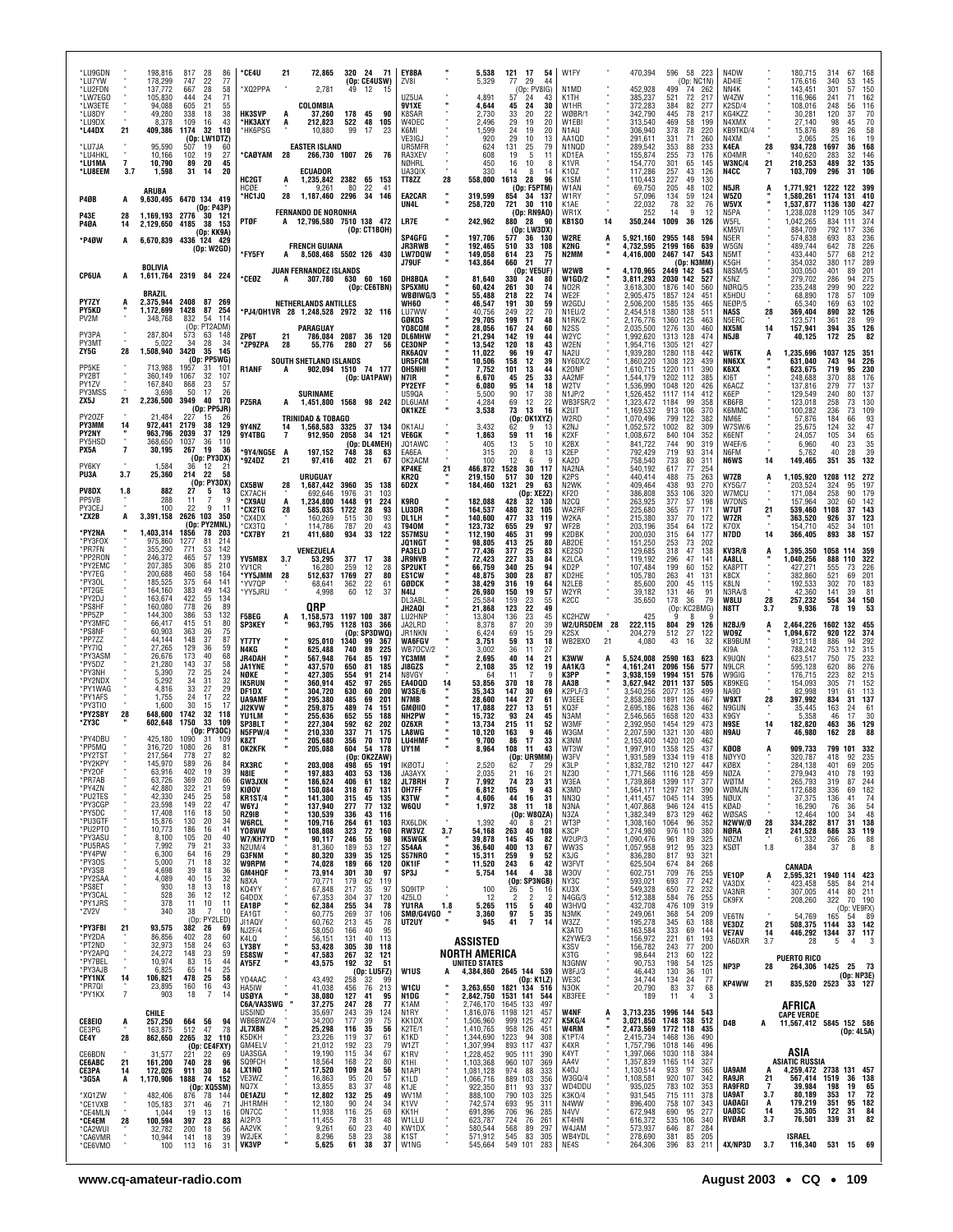| *LU9GDN                       |                       | 198,816                       | 817<br>28<br>86                                            | *CE4U<br>72,865<br>21                                                       | 320<br>24 71                                               | EY8BA                                          | 5,538                                     | 121<br>17<br>54                                                                                 | W1FY                                               | 470,394                             | 596 58 223                                                | N4DW                            |                             | 180,715                                         | 314                                   | 67<br>168                                                 |
|-------------------------------|-----------------------|-------------------------------|------------------------------------------------------------|-----------------------------------------------------------------------------|------------------------------------------------------------|------------------------------------------------|-------------------------------------------|-------------------------------------------------------------------------------------------------|----------------------------------------------------|-------------------------------------|-----------------------------------------------------------|---------------------------------|-----------------------------|-------------------------------------------------|---------------------------------------|-----------------------------------------------------------|
| *LU7YW<br>*LU2FDN<br>*LW7EGO  |                       | 178,299<br>137,772<br>105,830 | 747<br>77<br>22<br>58<br>667<br>28<br>444<br>71<br>-24     | *XQ2PPA<br>2,781                                                            | (Op: CE4USW)<br>49<br>12<br>15                             | ZV8I<br>UZ5UA                                  | 5,329<br>4,891                            | 77<br>29<br>44<br>(Op: PV8IG)<br>57<br>-24<br>43                                                | N <sub>1</sub> M <sub>D</sub><br>K1TH              | 452,928<br>385,237                  | (Op: NC1N)<br>499<br>-74<br>262<br>72<br>521<br>-217      | AD4IE<br>NN4K<br>W4ZW           |                             | 176,616<br>143,451<br>116,966                   | 340<br>301<br>241                     | 145<br>53<br>150<br>57<br>162<br>71                       |
| *LW3ETE<br>*LU8DY             |                       | 94.088<br>49,280              | 605<br>21<br>55<br>38<br>338<br>18                         | COLOMBIA<br><b>HK3SVP</b><br>37,260                                         | 178<br>45<br>90                                            | <b>9V1XE</b><br>K8SAR                          | 4,644<br>2,730                            | 45<br>24<br>30<br>33<br>20<br>22                                                                | W1HR<br>WØBR/1                                     | 372,283<br>342,790                  | 384<br>82<br>277<br>445<br>78<br>217                      | K2SD/4<br>KG4KZZ                |                             | 108.016<br>30,281                               | 248<br>120                            | 116<br>56<br>37<br>70                                     |
| *LU9DX<br>*L44DX              | 21                    | 8,378<br>409,386              | 43<br>109<br>16<br>1174<br>32<br>110<br>(Op: LW1DTZ)       | *НКЗАХҮ<br>212,823<br>A<br>*HK6PSG<br>10,880                                | 522<br>48<br>105<br>99<br>17<br>23                         | W4DEC<br>K6MI<br>VE3IGJ                        | 2.496<br>1,599<br>920                     | 29<br>20<br>19<br>24<br>19<br>20<br>29<br>10<br>13                                              | W1EBI<br>N <sub>1</sub> AU<br>AA10D                | 313,540<br>306,940<br>291,611       | 469<br>58<br>199<br>378<br>78<br>220<br>331<br>260<br>71  | N4XMX<br>KB9TKD/4<br>N4XM       |                             | 27.140<br>15,876<br>2.065                       | 98<br>89<br>25                        | 70<br>45<br>26<br>58<br>19<br>16                          |
| *LU7JA<br>*LU4HKL             |                       | 95,590<br>10.166              | 507<br>19<br>60<br>102<br>27<br>19                         | <b>EASTER ISLAND</b><br>*CAØYAM 28                                          | 266,730 1007 26<br>76                                      | UR5MFR<br>RA3XEV                               | 624<br>608                                | 131<br>25<br>79<br>5<br>19<br>11                                                                | N1NQD<br>KD1FA                                     | 289,542<br>155,874                  | 353<br>88<br>233<br>255<br>73<br>176                      | K4EA<br>K04MR                   | 28                          | 934,728<br>140,620                              | 1697<br>283                           | 168<br>36<br>32<br>146                                    |
| *LU1MA<br>*LU8EEM             | $\overline{7}$<br>3.7 | 10,790<br>1,598               | 89<br>20<br>45<br>31<br>14<br>20                           | ECUADOR<br>HC2GT<br>1,235,842<br>A                                          | 2382<br>65<br>153                                          | NØHRL<br>UA3QIX<br>TT8ZZ                       | 450<br>330<br>558,000<br>28               | 16<br>10<br>8<br>14<br>8<br>14<br>1613<br>28<br>96                                              | K1VR<br>K <sub>107</sub><br>K <sub>1</sub> SM      | 154,770<br>117,286<br>110,443       | 301<br>65<br>145<br>257<br>43<br>126<br>227<br>49<br>130  | <b>W3NC/4</b><br>N4CC           | 21                          | 210,253<br>103,709                              | 489<br>296                            | 32 135<br>31 106                                          |
| <b>P40B</b>                   | A                     | ARUBA                         | 9,630,495 6470 134 419                                     | HCØE<br>9,261<br>*HC1JQ<br>28<br>1,187,460                                  | 22<br>80<br>41<br>2296<br>34<br>146                        | EA2CAR                                         | 319,599                                   | (Op: F5PTM)<br>854<br>34<br>137                                                                 | W1AN<br>W1RY                                       | 69,750<br>57,096                    | 48<br>205<br>102<br>134<br>59<br>124                      | N5JR<br>W5ZO                    |                             | 1,771,921<br>1,580,261                          | 1222 122 399<br>1174 131              | 410                                                       |
| <b>P43E</b>                   | 28                    | 1.169.193                     | (0p: P43P)<br>2776<br>30 121                               | <b>FERNANDO DE NORONHA</b><br>PTØF                                          | A 12,796,580 7510 138 472                                  | UN4L<br>LR7E                                   | 258,720<br>242,962                        | 30<br>721<br>110<br>(Op: RN9AO)<br>880<br>28<br>90                                              | K1AE<br>WR1X<br>14<br>KB1SO                        | 22,032<br>252<br>350,244            | 78<br>32<br>76<br>14<br>9<br>12<br>1009<br>36<br>126      | W5VX<br>N5PA<br>W5FL            |                             | 1,537,877<br>1,238,028<br>1,042,265             | 1136 130<br>1129<br>105<br>834<br>111 | 427<br>347<br>374                                         |
| P40A<br>*P4ØW                 | 14<br>A               | 2,129,650                     | 4185<br>38<br>153<br>(Op: KK9A)<br>6,670,839 4336 124 429  |                                                                             | (Op: CT1BOH)                                               | SP4GFG                                         | 197,706                                   | (Op: LW3DX)<br>577<br>36<br>130                                                                 | <b>W2RE</b>                                        | 5,921,160                           | 2955 148<br>594                                           | KM5VI<br>N5ER                   |                             | 884,709<br>574,838                              | 792<br>117<br>693                     | 336<br>83<br>236                                          |
|                               |                       |                               | (Dp: W2GD)                                                 | <b>FRENCH GUIANA</b><br>*FY5FY<br>A                                         | 8,508,468 5502 126 430                                     | <b>JR3RWB</b><br><b>LW7DQW</b><br>J79UF        | 192,465<br>149,058<br>143,864             | 510<br>33<br>108<br>614<br>23<br>75<br>660<br>21<br>-77                                         | K2NG<br>N2MM                                       | 4,732,595<br>4,416,000              | 2199 166<br>639<br>2467 147<br>543<br>(Op: N3MM)          | W5GN<br>N5MT<br>K5GH            |                             | 489.744<br>433,440<br>354,032                   | 642<br>577<br>380<br>117              | 226<br>78<br>212<br>68<br>289                             |
| CP6UA                         | A                     | <b>BOLIVIA</b>                | 1,611,764 2319 84 224                                      | JUAN FERNANDEZ ISLANDS<br>*CEØZ<br>A                                        | 307,780 630<br>60 160                                      | DH8BQA                                         | 81.640                                    | (Op: VE5UF)<br>330<br>24<br>80                                                                  | W2WB<br><b>W1GD/2</b>                              | 4,170,965<br>3,811,293              | 2449 142<br>543<br>2030 142<br>527                        | <b>N8SM/5</b><br>K5NZ           |                             | 303,050<br>279,702                              | 401<br>286                            | 89<br>201<br>275<br>94                                    |
| <b>PY7ZY</b>                  | A                     | BRAZIL<br>2,375,944           | 2408<br>87<br>269                                          | NETHERLANDS ANTILLES                                                        | (Op: CE6TBN)                                               | <b>SP5XMU</b><br>WBØIWG/3<br>WH60              | 60,424<br>55,488<br>46,547                | 261<br>30<br>74<br>218<br>22<br>74<br>191<br>30<br>59                                           | NO2R<br>WE2F<br>W2GDJ                              | 3,618,300<br>2,905,475<br>2,506,200 | 1876<br>140<br>560<br>1857 124<br>451<br>1585 135<br>465  | NØRQ/5<br>K5HDU<br>NEØP/5       |                             | 235,248<br>68,890<br>65,340                     | 299<br>178<br>169                     | 222<br>90<br>109<br>57<br>102<br>63                       |
| PY5KD<br>PV2M                 |                       | 1,172,699<br>348,768          | 1428<br>87<br>254<br>832<br>-54<br>- 114                   | *PJ4/OH1VR 28 1,248,528 2972 32 116                                         |                                                            | LU7WW<br>GØKDS                                 | 40.756<br>29,705                          | 249<br>22<br>70<br>199<br>17<br>48                                                              | N1EU/2<br>N1RK/2                                   | 2,454,518<br>2,176,776              | 1380 138<br>511<br>1360 125<br>463                        | NA5S<br>N5ERC                   | 28                          | 369,404<br>123,571                              | 890<br>361                            | 126<br>32<br>99<br>28                                     |
| PY3PA<br>PY3MT                |                       | 287.804<br>5,022              | (Op: PT2ADM)<br>573<br>148<br>63<br>34<br>28<br>34         | PARAGUAY<br>ZP6T<br>21<br>786,084<br>*ZP9ZPA<br>28<br>55,776                | 2087 36 120<br>280<br>27<br>56                             | Y08CQM<br><b>DL6MHW</b><br><b>CE3DNP</b>       | 28,056<br>21,294<br>13,542                | 167<br>24<br>60<br>142<br>19<br>44<br>120<br>18<br>43                                           | N2SS<br>W2YC<br>W2EN                               | 2,035,500<br>1,992,620<br>1,954,716 | 1276 130<br>460<br>1313 128<br>474<br>427<br>1305 121     | NX5M<br>N5JB                    | 14                          | 157,941<br>40,125                               | 394<br>172                            | 126<br>35<br>82<br>25                                     |
| ZY5G                          | 28                    | 1,508,940                     | 3420<br>35 145<br>(Op: PP5WG)                              | SOUTH SHETLAND ISLANDS                                                      |                                                            | <b>RK6AQV</b><br>UR5FCM                        | 11,022<br>10,506                          | 96<br>19<br>47<br>158<br>12<br>39                                                               | NA2U<br>NY6DX/2                                    | 1,939,280<br>1,860,220              | 1280 118<br>442<br>1308 123<br>439                        | <b>W6TK</b><br>NN6XX            |                             | 1,235,696<br>631,040                            | 1037<br>125<br>743                    | 351<br>94<br>226                                          |
| PP5KE<br>PY2BT<br>PY1ZV       |                       | 713,988<br>360,149<br>167,840 | 101<br>1957<br>-31<br>1067<br>32<br>107<br>57<br>868<br>23 | <b>R1ANF</b><br>A                                                           | 902,094 1510 74 177<br>(Op: UA1PAW)                        | <b>OH5NHI</b><br>N7IR<br><b>PY2EYF</b>         | 7,752<br>6.670<br>6.080                   | 101<br>13<br>44<br>45<br>25<br>33<br>95<br>14<br>18                                             | K20NP<br>AA2MF<br>W2TV                             | 1,610,715<br>1,544,179<br>1.536.990 | 1220 111<br>390<br>1202 112<br>385<br>1048 120<br>426     | K6XX<br>KI6T<br>K6ACZ           |                             | 623,675<br>248,688<br>137,816                   | 719<br>370<br>279                     | 230<br>95<br>88<br>176<br>77<br>137                       |
| PY3MSS<br>ZX5J                | 21                    | 3,698<br>2,236,500            | 50<br>17<br>26<br>3949<br>40<br>170<br>(Op: PP5JR)         | SURINAME<br>PZ5RA<br>A                                                      | 1,451,800 1568 98 242                                      | US90A<br>DL6UAM                                | 5,500<br>4,284                            | 90<br>17<br>38<br>69<br>12<br>22                                                                | N1JP/2<br>WB3FSR/2                                 | 1,526,452<br>1,323,472              | 1117 114<br>412<br>1184<br>99<br>358<br>913 106           | K6EP<br>KB6FB                   |                             | 129,549<br>123,018                              | 240<br>258                            | 80<br>137<br>73<br>130                                    |
| PY20ZF<br>PY3MM               | 14                    | 21,484<br>972.441             | 227<br>15<br>-26<br>2179<br>38<br>129                      | <b>TRINIDAD &amp; TOBAGO</b><br>9Y4NZ<br>14<br>1,568,583                    | 3325<br>37 134                                             | OK1KZE<br>OK1AIJ                               | 3,538<br>3,432                            | 73<br>13<br>16<br>(Op: OK1XYZ)<br>62<br>9<br>13                                                 | K <sub>2</sub> UT<br>W2RD<br>K2NJ                  | 1,169,532<br>1,070,496<br>1,052,572 | 370<br>799 122<br>382<br>1002<br>82<br>309                | K6MMC<br>NM6E<br><b>W7SW/6</b>  |                             | 100,282<br>57,876<br>25,675                     | 236<br>184<br>124                     | 73<br>109<br>93<br>66<br>32<br>47                         |
| PY2NY<br>PY5HSD<br>PX5A       | ×<br>7                | 963,796<br>368.650<br>30,195  | 2039<br>37<br>129<br>36<br>1037<br>110<br>267<br>19<br>36  | 9Y4TBG<br>7<br>912,950                                                      | 2058<br>34<br>- 121<br>(Op: DL4MEH)                        | VE6GK<br>JQ1AWC                                | 1,863<br>405                              | 59<br>11<br>16<br>13<br>10<br>5                                                                 | K2XF<br>K <sub>2</sub> BX                          | 1,008,672<br>841,722                | 840<br>104<br>352<br>90<br>744<br>319                     | K6ENT<br>W4EF/6                 |                             | 24,057<br>6,960                                 | 105<br>40                             | 65<br>34<br>23<br>$\begin{array}{c} 35 \\ 39 \end{array}$ |
| PY6KY                         |                       | 1,584                         | (Op: PY3DX)<br>36<br>12<br>$2^{\circ}$                     | 197,152<br>*9Y4/NG5E A<br>*9Z4DZ<br>21<br>97,416                            | 748<br>38<br>63<br>402<br>21<br>67                         | EA6EA<br>OK2ACM<br>KP4KE                       | 315<br>100<br>21<br>466,872               | 20<br>8<br>13<br>12<br>9<br>6<br>1528<br>30<br>117                                              | K2EP<br>KA2D<br>NA2NA                              | 792,429<br>758,540<br>540,192       | 719<br>93<br>314<br>733<br>80<br>311<br>77<br>617<br>254  | N6FM<br><b>N6WS</b>             | 14                          | 5,762<br>149,465                                | 40<br>351                             | 28<br>35<br>132                                           |
| PU3A<br>PV8DX                 | 3.7                   | 25,360<br>882                 | 214<br>-22<br>58<br>(Op: PY3DX)<br>27<br>5                 | URUGUAY<br>CX5BW<br>28<br>1,687,442                                         | 3960<br>35<br>138                                          | KR20<br>6D2X                                   | 219.150<br>184,460                        | 517<br>30<br>120<br>1321<br>29<br>63                                                            | K <sub>2</sub> P <sub>S</sub><br>N <sub>2</sub> WK | 440.414<br>409,464                  | 488<br>75<br>263<br>438<br>93<br>270                      | W7ZB<br><b>KY5G/7</b>           | A                           | 1,105,920<br>203,524                            | 1208<br>324                           | 112 272<br>95<br>197                                      |
| PP5VB<br>PY3CEJ               | 1.8                   | 288<br>100                    | 13<br>11<br>q<br>22<br>11                                  | CX7ACH<br>692,646<br>°CX9AU<br>А<br>1,234,800<br>°CX2TG<br>28<br>585,035    | 1976<br>31<br>103<br>91<br>1448<br>224<br>1722<br>28<br>93 | K9RO<br>LU3DR                                  | 182,088<br>164.537                        | (Op: XE2Z)<br>428<br>32<br>130<br>480<br>32<br>105                                              | KF20<br>N <sub>2</sub> CQ<br>WA2RF                 | 386,808<br>263,925<br>225,680       | 353<br>106<br>320<br>377<br>57<br>198<br>365<br>77<br>171 | W7MCU<br>W7DNS<br>W7UT          | 21                          | 171.084<br>157,964<br>539,460                   | 258<br>302<br>1108                    | 90<br>179<br>60<br>142<br>37<br>143                       |
| *ZX2B<br>*PY2NA               | A                     | 3,391,158<br>1,403,314        | 2626 103<br>350<br>(Op: PY2MNL)<br>1856<br>78<br>203       | *CX4DX<br>160,269<br>°CX3TQ<br>114,786<br>21                                | 515<br>30<br>93<br>787<br>20<br>43<br>33                   | DL1LH<br><b>T940M</b>                          | 140,600<br>123,732                        | 477<br>33<br>119<br>655<br>29<br>97                                                             | W2KA<br>WF2B                                       | 215,380<br>203,196                  | 337<br>70<br>172<br>354<br>64<br>172<br>64                | W7ZR<br>K70X                    |                             | 363,520<br>154,710                              | 926<br>452                            | 123<br>37<br>34<br>101                                    |
| *PY3F0X<br>*PR7FN             |                       | 975,860<br>355,290            | 214<br>1277<br>-81<br>771<br>53<br>142                     | *CX7BY<br>411,680<br>VENEZUELA                                              | 934<br>122                                                 | S57MSU<br>JQ1NGT<br>PA3ELD                     | 112,190<br>98,805<br>77,436               | 465<br>31<br>99<br>413<br>25<br>80<br>377<br>25<br>83                                           | K2DBK<br>AB2DE<br>KE2SD                            | 200,030<br>151,250<br>129,685       | 315<br>177<br>253<br>73<br>202<br>318<br>47<br>138        | N7DD<br><b>KV3R/8</b>           | 14                          | 366,405<br>1,395,350                            | 893<br>1058 114 359                   | 38<br>157                                                 |
| *PP2RON<br>*PY2EMC<br>*PY7EG  |                       | 246.372<br>207.385<br>200.688 | 465<br>57<br>139<br>306<br>85<br>210<br>460<br>58<br>164   | YV5MBX<br>3.7<br>53,295<br>YV1CR<br>16,280<br>'YY5JMM<br>28                 | 377<br>- 17<br>38<br>259<br>12<br>28<br>1769<br>27<br>80   | <b>JR9NVB</b><br><b>SP2UKT</b><br><b>ES1CW</b> | 72,423<br>66,759<br>48.875                | 33<br>84<br>227<br>25<br>94<br>340<br>28<br>87<br>300                                           | K2LCA<br>KD <sub>2</sub> P<br>KD2HE                | 119,192<br>107,484                  | 296<br>47<br>141<br>199<br>60<br>152<br>263<br>41<br>131  | AA8LL<br>KA8PTT<br>K8CX         |                             | 1,040,256<br>427,271                            | 888<br>110<br>555<br>521              | 322<br>73<br>226<br>201<br>69                             |
| *PY30L<br>*PT2GE              |                       | 185,525<br>164,160            | 375<br>64<br>141<br>383<br>49<br>143                       | 512,637<br>*YV7QP<br>68,641<br>4,998<br>*YY5JRU                             | 362<br>22<br>61<br>12<br>60<br>37                          | GØDCK<br>N4IJ                                  | 38,429<br>26,980                          | 316<br>19<br>64<br>57<br>19<br>150                                                              | N2LEB<br>W2YR                                      | 105,780<br>85,600<br>39,182         | 45<br>200<br>115<br>46<br>131<br>91                       | K8LN<br>N3RA/8                  |                             | 382,860<br>192,533<br>42,360                    | 302<br>141                            | 70<br>183<br>81<br>39                                     |
| *PY2DJ<br>*PS8HF<br>*PP5ZP    |                       | 163,674<br>160,080<br>144,300 | 422<br>55<br>134<br>778<br>26<br>89<br>132<br>386<br>53    | QRP<br><b>F5BEG</b><br>1,158,573                                            | 1197 100 387                                               | DL3ABL<br>JH2AQI<br>LU2HNP                     | 25.584<br>21,868                          | 159<br>$\frac{23}{22}$<br>55<br>49<br>123<br>136<br>23<br>45                                    | K <sub>2</sub> CC<br>KC2HZW                        | 35,650<br>425                       | 178<br>36<br>79<br>(0p)<br>KC2BMG)<br>-8                  | <b>W8LU</b><br>N8TT             | 28<br>3.7                   | 257,232<br>9,936                                | 554<br>78                             | 150<br>34<br>19<br>53                                     |
| *PY3MFC<br>*PS8NF             |                       | 66,417<br>60,903              | 415<br>51<br>80<br>75<br>26<br>363                         | A<br><b>SP3KEY</b><br>963,795                                               | 1128 103<br>366<br>(Op: SP3DWQ)                            | JA2LRD<br>JR1NKN                               | 13,804<br>8,378<br>6,424                  | 87<br>20<br>39<br>69<br>15<br>29                                                                | W2/UR5DEM 28<br>K <sub>2</sub> SX                  | 222,115<br>204,279                  | 804<br>29<br>126<br>512<br>27<br>122                      | <b>N2BJ/9</b><br>WO9Z           |                             | 2,464,226<br>1,094,672                          | 1602 132 455<br>920 122               | 374                                                       |
| *PP7ZZ<br>*PY7IQ<br>*PY3ASM   |                       | 44,144<br>27,265<br>26,676    | 148<br>87<br>37<br>59<br>129<br>-36<br>173<br>68<br>40     | YT7TY<br>925,010<br>N4KG<br>625.488<br>JR4DAH<br>567,948                    | 1340<br>99<br>367<br>740<br>89<br>225<br>764<br>85<br>197  | <b>WA6FGV</b><br><b>WB70CV/2</b><br>үсзмм      | 3,751<br>3.002<br>2,695                   | 59<br>13<br>18<br>27<br>-36<br>11<br>40<br>14<br>21                                             | WB2BX0<br>21<br>K3WW                               | 4,080<br>5,524,008                  | 43<br>16<br>32<br>2590 163<br>623                         | KB9BUM<br>KI9A<br>K9UQN         |                             | 912,118<br>788,242<br>623,517                   | 886<br>753<br>750                     | 94<br>292<br>112<br>315<br>75<br>232                      |
| *PY5DZ<br>*PY3NH              |                       | 21,280<br>5,390               | 143<br>58<br>37<br>72<br>-25<br>24                         | JA1YNE<br>437,570<br>NØKE<br>427,305                                        | 650<br>81<br>185<br>91<br>554<br>214                       | JI8GZS<br>N8VGY                                | 2,108<br>64                               | 35<br>12<br>19<br>11<br>9                                                                       | AA1K/3<br>КЗРР                                     | 4,161,241<br>3.938.159              | 2096 156<br>577<br>1994 151<br>576                        | N9LCR<br>W9GIG                  |                             | 595,128<br>176,715                              | 620<br>223                            | 276<br>86<br>82<br>215                                    |
| *PY2NDX<br>*PY1WAG<br>*PY1AFS |                       | 5,292<br>4,816<br>1,755       | 34<br>31<br>32<br>33<br>27<br>29<br>22<br>24<br>17         | IK5RUN<br>360,914<br>304,720<br>DF1DX<br><b>UA9AMF</b><br>295,380           | 452<br>97<br>265<br>630<br>200<br>60<br>485<br>69<br>201   | EA4DOD<br>W3SE/6<br>N7MB                       | 14<br>53,856<br>35,343<br>28,600          | 370<br>18<br>78<br>147<br>30<br>69<br>144<br>27<br>61                                           | AA3B<br>K2PLF/3<br>W3EEE                           | 3,627,942<br>3,540,256<br>2,858,260 | 2011 137<br>505<br>2077 135<br>499<br>1891 126<br>467     | KB9KEG<br>NA9D<br>W9XT          | 28                          | 154,093<br>82.998<br>397,992                    | 305<br>191<br>834                     | 71<br>152<br>113<br>61<br>137<br>31                       |
| *PY3TIO<br>*PY2SBY            | 28                    | 1.600<br>648,600              | 17<br>30<br>15<br>1742<br>32<br>118<br>1750<br>33<br>109   | JI2KVW<br>259,875<br><b>YU1LM</b><br>255,636                                | 489<br>74<br>151<br>652<br>55<br>188                       | GMØIIO<br>NH2PW                                | 17,088<br>15,732                          | 227<br>13<br>51<br>93<br>24<br>45                                                               | KQ3F<br>N3AM                                       | 2,695,186<br>2,546,565              | 1628 136<br>462<br>1658 120<br>433                        | N9GUN<br>K9GY                   |                             | 35,445<br>5,358                                 | 163<br>46                             | 24<br>61<br>30<br>17                                      |
| *ZY3C<br>*PY4DBU              |                       | 602,648<br>425,180            | (Op: PY3OC)<br>1090<br>109<br>-31                          | SP3BLT<br>227,304<br>N5FPW/4<br>210,330<br>205,680<br>K8ZT                  | 592<br>202<br>62<br>337<br>71<br>175<br>356<br>70<br>170   | 0Z6XR<br>LA8WG<br><b>LU4HMF</b>                | 13.734<br>10,120<br>9.700                 | 215<br>11<br>52<br>163<br>9<br>46<br>86<br>17<br>33                                             | W3MF<br>W3GM<br>K3NM                               | 2.392.950<br>2,207,590<br>2,153,400 | 1454 129<br>473<br>1321<br>130<br>480<br>1420 120<br>462  | N9SE<br>N9AU                    | 14                          | 182.820<br>46,980                               | 463<br>162                            | 36<br>129<br>28<br>88                                     |
| *PP5MQ<br>*PY2TST             |                       | 316,720<br>217,564            | 1080<br>26<br>81<br>82<br>778<br>27                        | OK2KFK<br>205,088                                                           | 604<br>54<br>178<br>(n <sub>n</sub> )<br><b>OK27AW)</b>    | UY1M                                           | 8,964                                     | 108<br>11<br>43<br>(IR9MM)<br>(0n)                                                              | WT3W<br>W3FV                                       | 1,997,910<br>1 931 589              | 1358 125<br>437<br>1334<br>119<br>418                     | KØOB<br>NØYYC                   |                             | 909,733                                         | 418                                   | 799 101 332<br>92                                         |
| *PY2KPY<br>*PY20F<br>*PR7AB   |                       | 145,970<br>63,916<br>63,726   | 589<br>26<br>84<br>402<br>39<br>19<br>369<br>66<br>20      | <b>RX3RC</b><br>203,008<br>N8IE<br>197,883<br><b>GW3JXN</b><br>186,624      | 498<br>65<br>191<br>403<br>53<br>136<br>406<br>61<br>182   | <b>IKØOTJ</b><br>JA3AYX<br>JL7BRH              | 2,520<br>2.035<br>$\overline{7}$<br>7,992 | 62<br>7<br>29<br>21<br>21<br>16<br>74<br>23<br>31                                               | K3LP<br>NZ30<br>W3EA                               | 1,832,782<br>1,771,566<br>1,739,868 | 1210 127<br>447<br>1116 128<br>459<br>1399 117<br>377     | KØBX<br><b>NØZA</b><br>WØTM     |                             | 284,138<br>279,943<br>265,793                   | 401<br>410<br>319                     | 69<br>205<br>78<br>193<br>244<br>87                       |
| *PY4ZN<br>*PU2TES             |                       | 42,880<br>42,330              | 59<br>322<br>21<br>58<br>245<br>25<br>47<br>149<br>22      | KIØOV<br>150,084<br>141,300<br><b>KR1ST/4</b>                               | 318<br>67<br>131<br>45<br>135<br>315                       | OH7FF<br>K3TW                                  | 6,812<br>4,606<br>u,                      | 105<br>-9<br>43<br>44<br>16<br>31                                                               | K3MD<br>NN3Q                                       | 1,564,171<br>1.411.457              | 1297 121<br>390<br>1045 114<br>395                        | WØMJN<br>NØUX                   |                             | 172,688<br>37,375                               | 336<br>136                            | 182<br>69<br>$^{74}_{54}$<br>41                           |
| *PY3CGP<br>*PY5DC<br>*PU3GTF  |                       | 23,598<br>17,408<br>15,876    | 116<br>18<br>50<br>130<br>20<br>34                         | 137,940<br>W6YJ.<br>RZ9IB<br>130,539<br>109,716<br><b>W6RCL</b>             | 77<br>277<br>132<br>336<br>43<br>116<br>264<br>61<br>103   | W6QU<br>RX6LDK                                 | 1,972<br>1,392                            | 38<br>11<br>18<br>(Op: W8QZA)<br>40<br>8<br>-21                                                 | N3NA<br>N3ZA<br>WT3P                               | 1,407,868<br>1,382,349<br>1,308,160 | 946 124<br>415<br>873 129<br>462<br>1064<br>96<br>352     | KØAD<br>WØSAS<br>N2WW/Ø         | 28                          | 16,290<br>12,464<br>334,282                     | 76<br>100<br>817                      | 36<br>48<br>34<br>138<br>31                               |
| *PU2PT0<br>*PY3ASU<br>*PU5RAS |                       | 10.773<br>8,100<br>7.992      | 41<br>186<br>16<br>105<br>20<br>40<br>79<br>21<br>33       | Y08WW<br>108,808<br>W7/KH7YD<br>90,117                                      | 323<br>72<br>160<br>246<br>98<br>55                        | RW3VZ<br>IK5WGK                                | 3.7<br>54,168<br>39,878                   | 263<br>40<br>108<br>82<br>145<br>45                                                             | K3CP<br>W2UP/3                                     | 1,274,980<br>1,090,476              | 976 110<br>380<br>961<br>89<br>325                        | NØRA<br>NØZM                    | 21                          | 241,528<br>61,332                               | 686<br>266                            | 119<br>33<br>88<br>26                                     |
| *PY4PW<br>*PY30S              |                       | 6,300<br>5,000                | 29<br>64<br>16<br>32<br>71<br>18                           | <b>N2UM/4</b><br>81,360<br><b>G3FNM</b><br>80,320<br><b>W9RPM</b><br>74,028 | 189<br>53<br>127<br>339<br>35<br>125<br>189<br>66<br>120   | S54AA<br>S57NRO<br>OK1IF                       | 36,640<br>15,311<br>11,520                | 400<br>13<br>67<br>259<br>9<br>52<br>243<br>42<br>- 6                                           | WW3S<br>K3JG<br>W3FVT                              | 1,057,958<br>836,280<br>625,504     | 912<br>95<br>323<br>817<br>93<br>321<br>674<br>84<br>268  | <b>KSØT</b>                     | 1.8                         | 384<br>CANADA                                   | 37                                    | 8<br>8                                                    |
| *PY3SB<br>*PY2SAA<br>*PS8ET   |                       | 4,698<br>4,089<br>930         | 39<br>$\frac{36}{32}$<br>18<br>40<br>15<br>18<br>18<br>13  | GM4HQF<br>73,914<br>N8XA<br>70,771<br>K04YY                                 | 301<br>30<br>97<br>179<br>62<br>119<br>97                  | SP3J<br>SQ9ITP                                 | 5,754                                     | 144<br>4<br>38<br>(Op: SP3NGB)                                                                  | W30V<br>NY3C<br>KU3X                               | 602,751<br>593,021                  | 709<br>76<br>255<br>693<br>77<br>242<br>232               | VE10P<br>VA3DX                  | A                           | 2,595,321<br>423,458                            | 1940 114 423<br>585                   | 214<br>-84                                                |
| *PY3CAL<br>*PY1JRS            |                       | 528<br>378                    | 12<br>36<br>12<br>11<br>10<br>11                           | 67,848<br>G4DDX<br>67,353<br>EA1BP<br>62,384                                | 217<br>35<br>37<br>304<br>120<br>255<br>34<br>78           | 4Z5L0<br>YU1RA                                 | 100<br>-12<br>1.8<br>5,265                | 26<br>5<br>16<br>$\overline{2}$<br>$\overline{2}$<br>$\overline{\phantom{a}}$<br>115<br>5<br>40 | N4GG/3<br>W3HVQ                                    | 549,328<br>512,388<br>432,708       | 650<br>72<br>76<br>584<br>255<br>476 109<br>319           | VA3NR<br>CK9FX                  |                             | 307,005<br>208,260                              | 414<br>322                            | 80<br>211<br>70 190<br>(Op: VE9FX)                        |
| *ZV2V<br>*PY3FBI              | 21                    | 340<br>93,575                 | 10<br>38<br>7<br>(Op: PY2LED)<br>382<br>-26<br>69          | EA1GT<br>60,775<br>JI1AQY<br>60,762<br>NJ2F/4<br>58,050                     | 269<br>37<br>106<br>213<br>45<br>78<br>40<br>166<br>95     | SMØ/G4VGO<br>UT2UY                             | 3,360<br>945                              | 97<br>5<br>35<br>41<br>$\overline{\mathbf{r}}$<br>14                                            | N3MK<br>W3ZZ<br>КЗАТО                              | 249,061<br>195,278<br>163,584       | 368<br>209<br>54<br>345<br>63<br>188<br>333<br>69<br>144  | <b>VE6TN</b><br>VE3DZ           | 21                          | 54,769<br>508,375                               | 165<br>1144                           | 54 89<br>33 142                                           |
| *PY2DA<br>*PT2ND              |                       | 86,856<br>32,973              | 402<br>28<br>60<br>63<br>158<br>24                         | K4LQ<br>56,151<br>×<br>LY3BY<br>53,428                                      | 131<br>40<br>113<br>30 118<br>305                          |                                                | ASSISTED                                  |                                                                                                 | K2YWE/3<br>K3SV                                    | 156,972<br>156,782                  | 221<br>193<br>61<br>243<br>200<br>77                      | <b>VE7AV</b><br>VA6DXR          | 14<br>3.7                   | 446,292 1344<br>28                              | -5                                    | 37 117<br>$\overline{4}$<br>-3                            |
| *PY2APQ<br>*PY7BEL<br>*PY3AJB |                       | 24.272<br>10,974<br>6.825     | 59<br>148<br>23<br>44<br>83<br>15<br>65<br>25<br>14        | n<br>47,583<br><b>ES8SW</b><br>n,<br>AY5FZ<br>43,575                        | 267<br>32<br>121<br>192<br>32<br>51<br>(Op: LU5FZ)         | <b>W1US</b>                                    | NORTH AMERICA<br>UNITED STATES            | 4,384,860 2645 144 539                                                                          | K3TG<br>N3GNW<br>W8FJ/3                            | 98,644<br>90,753<br>46,443          | 213<br>60<br>122<br>54<br>198<br>125<br>36<br>130<br>101  | NP3P                            | 28                          | <b>PUERTO RICO</b><br>264,306 1425 25 73        |                                       |                                                           |
| *PY1NX<br>*PR7QI              | 14                    | 106,821<br>23,895             | 478<br>58<br>25<br>160<br>16<br>43                         | Y04AAC<br>43,492<br>HA5IW<br>41,038                                         | 258<br>32<br>99<br>456<br>76<br>213                        | <b>W1CU</b>                                    |                                           | (0p: K1LZ)<br>3,263,650 1821 134 516                                                            | WE3C<br>N3OK                                       | 34,744<br>20,790                    | 134<br>24<br>77<br>83<br>37<br>68                         | <b>KP4WW</b>                    | 21                          | 835,520 2523 33 127                             |                                       | (Op: NP3E)                                                |
| *PY1KX                        | $\overline{7}$        | 903<br><b>CHILE</b>           | 18<br>$\overline{7}$<br>14                                 | USØYA<br>38,080<br>C6A/VA3SWG<br>37,275<br>US5IND<br>35,697                 | 127<br>41<br>95<br>247<br>28<br>77<br>243<br>39<br>124     | N1DG<br>K <sub>1</sub> AM<br>N <sub>1</sub> RY | 2,842,750<br>2,746,170                    | 1531 141<br>544<br>1645 133<br>497<br>1,816,076 1198 121<br>457                                 | KB3FEE<br><b>W4NF</b><br>A                         | 189                                 | 11<br>$\overline{4}$<br>-3<br>3,713,235 1996 144<br>543   |                                 |                             | AFRICA                                          |                                       |                                                           |
| CE8EIO<br>CE3PG               | Ą                     | 257,250<br>163.875            | 664<br>56<br>94<br>78<br>512<br>47                         | WB6BWZ/4<br>34,200<br>JL7XBN<br>25,298                                      | 177<br>39<br>75<br>35<br>116<br>56                         | KK1DX<br>K2TE/1                                | 1,506,960<br>1,410,765                    | 999 125<br>427<br>958 126<br>451                                                                | <b>K5KG/4</b><br>W4RM                              | 2,473,569                           | 3,021,850 1748 138<br>512<br>1772 118<br>435              | D4B                             | Α                           | <b>CAPE VERDE</b><br>11,567,412 5845 152 586    |                                       | (Dp: 4L5A)                                                |
| CE4Y<br>CE6BDN                | 28                    | 862,650<br>31,577             | 32<br>2265<br>110<br>(0p:CE4FXY)<br>221<br>22<br>-69       | 23,226<br>K5DKH<br>21,012<br>GM4ELV<br>UA3SGA<br>19,190                     | 119<br>37<br>61<br>192<br>23<br>79<br>34<br>67<br>115      | K1KD<br>W1ZT<br>K1RV                           | 1,344,690<br>1,307,994<br>1,228,452       | 1223<br>94<br>308<br>893 117<br>437<br>905 111<br>390                                           | K1PT/4<br>K4XR<br>K4YT                             | 2,415,734<br>1,757,796<br>1,397,066 | 1468 136<br>490<br>1018 146<br>496<br>1030 118<br>384     |                                 |                             | ASIA                                            |                                       |                                                           |
| <b>CE6ABC</b><br>CE3PA        | 21<br>14              | 161,200<br>172,026            | 740<br>28<br>96<br>911<br>30<br>84                         | SQ9FCH<br>18,564<br>LX1NO<br>17,520                                         | 22<br>80<br>168<br>24<br>109<br>56                         | K1HI<br>N <sub>1</sub> API                     | 1,103,368<br>1,081,128                    | 960 107<br>369<br>974<br>88<br>333                                                              | AA4V<br>K40J                                       | 1,357,839<br>1,130,514              | 1165 114<br>327<br>933<br>97<br>365                       | UA9AM                           | A                           | <b>ASIATIC RUSSIA</b><br>4,259,472 2738 131 457 |                                       |                                                           |
| *3G5A<br>*XQ1ZW               | A                     | 1,170,906<br>482,406          | 1888<br>74<br>152<br>(Op: XQ5SM)<br>876<br>78<br>144       | VE3WZ<br>16,863<br>13,855<br>NQ7X<br>OE1AZU<br>12,802                       | 20<br>95<br>57<br>48<br>83<br>37<br>132<br>25<br>49        | K <sub>1</sub> LD<br>K1JE<br>WV1M              | 1,066,716<br>922,350<br>888,100           | 889 103<br>356<br>811<br>93<br>337<br>790 103<br>325                                            | W3G0/4<br>WD4DDU<br>K3K0/4                         | 1,108,581<br>935,025<br>931,545     | 920 107<br>342<br>783 102<br>353<br>715 111<br>378        | RA9JR<br><b>RA9FRD</b><br>UA9AT | 21<br>$\overline{7}$<br>3.7 | 567,414<br>39,984<br>80,189                     | 1519<br>198<br>353                    | 36 138<br>19<br>$\frac{65}{72}$<br>17                     |
| *CE1VXB<br>*CE4MLN            |                       | 105,183<br>1.044              | 371<br>71<br>46<br>16<br>19<br>13                          | JH1RMH<br>12,180<br>ON7CC<br>11,938                                         | 90<br>24<br>34<br>25<br>116<br>69                          | K1VV<br>KK1H                                   | 742,574<br>691,896                        | 693<br>95<br>311<br>706<br>96<br>285                                                            | N4WW<br>N4VV                                       | 896,400<br>672,948                  | 758 107<br>343<br>690<br>95<br>277                        | UAØAGI<br><b>UAØSC</b>          | A<br>14                     | 179,219<br>35,305                               | 351<br>122                            | 182<br>95<br>84<br>31                                     |
| *CE4EM<br>*CA2WUI<br>*CA6VMR  | 28                    | 100,594<br>32,782<br>10,944   | 397<br>23<br>83<br>56<br>200<br>18<br>39<br>141<br>18      | AI2P/3<br>11,455<br>AA2VK<br>9,261<br>W2JEK<br>8,296                        | 31<br>78<br>48<br>$\frac{23}{23}$<br>60<br>40<br>58<br>38  | W1LLU<br>KW1DX<br>K <sub>1</sub> ST            | 623,787<br>580,544<br>571,912             | 724<br>76<br>261<br>568<br>89<br>297<br>545<br>83<br>305                                        | KT4HN<br>W4JAM<br>WB4YDL                           | 616,372<br>573,937<br>278,690       | 535 106<br>340<br>646<br>284<br>87<br>381<br>85<br>205    | <b>RVØAR</b>                    | 3.7                         | 76,501<br>ISRAEL                                | 339                                   | 82<br>-31                                                 |
| *CE6VMO                       |                       | 100                           | 113<br>16<br>31                                            | VK3VP<br>5,625                                                              | 38<br>61<br>37                                             | W1NG                                           | 545,664                                   | 549 101<br>283                                                                                  | NE4S                                               | 264,306                             | 396<br>83<br>211                                          | 4X/NP3D                         | 3.7                         | 116,340                                         |                                       | 531 15 69                                                 |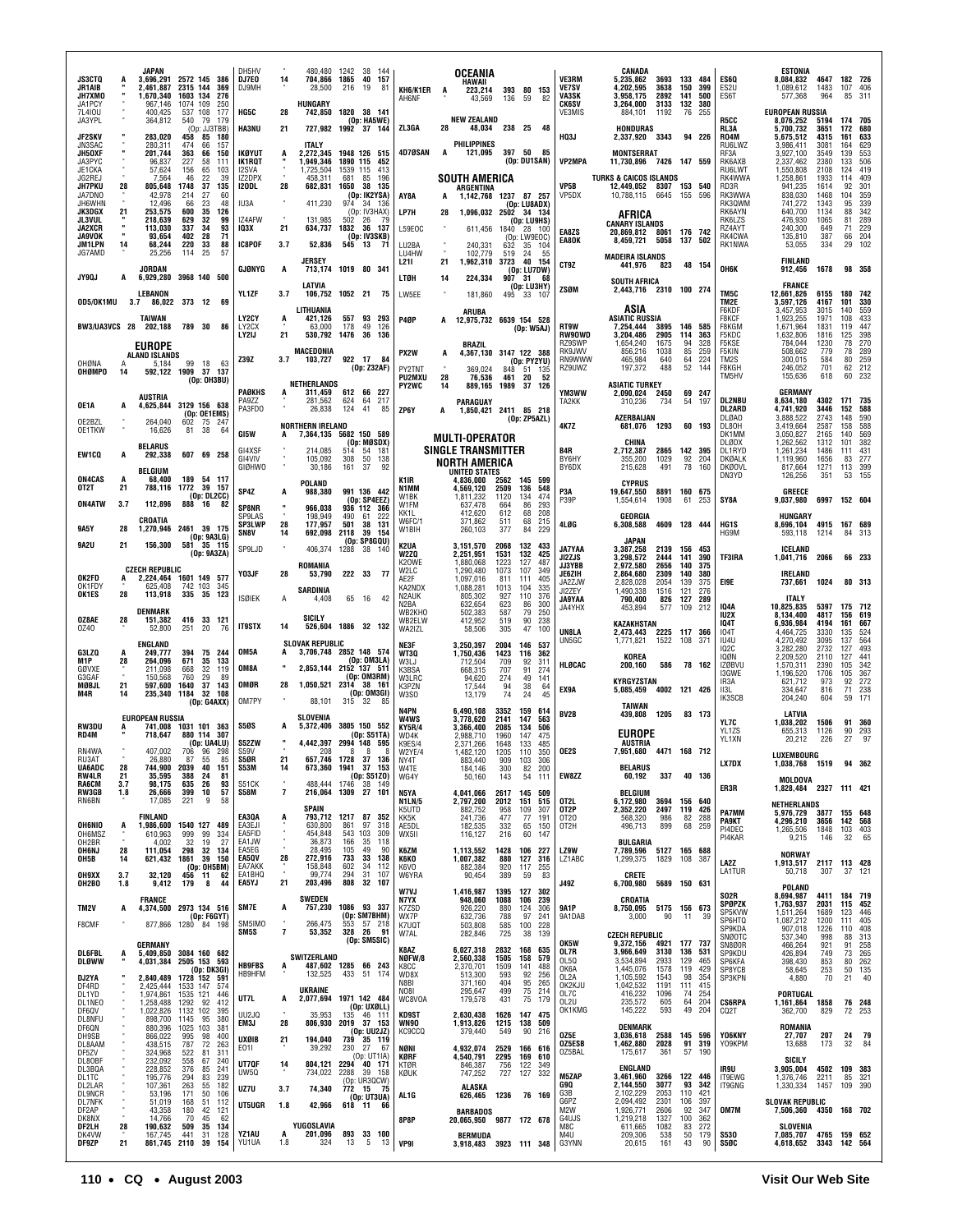|                                          |                  | JAPAN                                               |                              |                                              | DH5HV                       |          | 480,480                                          | 1242 38              | - 144                                                   |                                      |                | OCEANIA                                            |                      |                                      |                   |                                          | CANADA                                                             |                              |                       |                   |                                    | ESTONIA                                          |                      |                           |                        |
|------------------------------------------|------------------|-----------------------------------------------------|------------------------------|----------------------------------------------|-----------------------------|----------|--------------------------------------------------|----------------------|---------------------------------------------------------|--------------------------------------|----------------|----------------------------------------------------|----------------------|--------------------------------------|-------------------|------------------------------------------|--------------------------------------------------------------------|------------------------------|-----------------------|-------------------|------------------------------------|--------------------------------------------------|----------------------|---------------------------|------------------------|
| <b>JS3CTQ</b><br>JR1AIB<br>JH7XMO        | A                | 3,696,291 2572 145 386<br>2,461,887<br>1,670,340    | 2315 144<br>1603 134         | 369<br>276                                   | DJ7E0<br>DJ9MH              | 14       | 704,866 1865 40 157<br>28,500                    | 216                  | 19<br>81                                                | KH6/K1ER<br>AH6NF                    | A              | HAWAII<br>223,214<br>43,569                        | 136                  | 393 80 153<br>59                     | -82               | VE3RM<br><b>VE7SV</b><br>VA3SK           | 5,235,862<br>4,202,595<br>3.958.175                                | 3693 133 484<br>3638<br>2892 | 150<br>141            | 399<br>500        | ES6Q<br>ES <sub>2U</sub><br>ES6T   | 8,084,832<br>1,089,612<br>577,368                | 4647<br>1483<br>964  | 182 726<br>107<br>85      | 406<br>311             |
| JA1PCY<br>7L410U<br>JA3YPL               |                  | 967,146<br>400.425<br>364,812                       | 1074<br>537 108<br>540 79    | 109<br>250<br>177<br>179                     | HG5C                        | 28       | HUNGARY<br>742,850                               |                      | 1820 38 141<br>(Op: HA5WE)                              |                                      |                | <b>NEW ZEALAND</b>                                 |                      |                                      |                   | <b>CK6SV</b><br>VE3MIS                   | 3,264,000<br>884,101                                               | 3133<br>1192                 | 132<br>76             | 380<br>- 255      | R5CC                               | <b>EUROPEAN RUSSIA</b><br>8,076,252              | 5194                 | 174 705                   |                        |
| <b>JF2SKV</b><br>JN3SAC                  |                  | 283,020<br>280,311                                  | 458<br>474                   | (Op: JJ3TBB)<br>85 180<br>66<br>157          | <b>HA3NU</b>                | 21       | 727,982 1992 37 144<br>ITALY                     |                      |                                                         | ZL3GA                                | 28             | <b>PHILIPPINES</b>                                 | 48,034 238 25 48     |                                      |                   | <b>HQ3J</b>                              | <b>HONDURAS</b><br>2,337,920                                       | 3343                         |                       | 94 226            | RL3A<br>RO4M<br>RU6LWZ             | 5,700,732<br>5,675,512<br>3,986,411              | 3651<br>4315<br>3081 | 172<br>161<br>164         | 680<br>633<br>629      |
| JH50XF<br>JA3PYC<br>JE1CKA               |                  | 201,744<br>96,837<br>57,624                         | 363<br>227<br>156            | 66<br>150<br>111<br>58<br>65<br>103          | IKØYUT<br>IK1RQT<br>I2SVA   | A        | 2.272.345 1948 126 515<br>1,949,346<br>1,725,504 | 1890 115<br>1539 115 | 452<br>413                                              | 4D7ØSAN                              | A              | 121,095                                            |                      | 397 50<br>(Op: DU1SAN)               | - 85              | <b>VP2MPA</b>                            | <b>MONTSERRAT</b><br>11,730,896 7426 147 559                       |                              |                       |                   | RF3A<br>RK6AXB<br>RU6LWT           | 3,927,100<br>2,337,462<br>1,550,808              | 3549<br>2380<br>2108 | 139<br>133<br>124         | 553<br>506<br>419      |
| JG2REJ<br><b>JH7PKU</b><br>JA7DNO        | 28               | 7,564<br>805,648<br>42.978                          | 46<br>1748<br>214            | 39<br>22<br>37<br>135<br>27<br>60            | IZ2DPX<br>I2ODL             | 28       | 458,311<br>682,831                               | 681<br>1650          | 85<br>196<br>38<br>135<br>(Op: IK2YSA)                  |                                      |                | <b>SOUTH AMERICA</b><br>ARGENTINA                  |                      |                                      |                   | VP5B<br>VP5DX                            | <b>TURKS &amp; CAICOS ISLANDS</b><br>12,449,052<br>10,788,115      | 8307 153 540<br>6645 155     |                       | 596               | RK4WWA<br>RD3R<br>RK3WWA           | 1,258,861<br>941,235<br>838,030                  | 1933<br>1614<br>1468 | 114<br>92<br>104          | 409<br>301<br>359      |
| JH6WHN<br>JK3DGX                         | 21               | 12,496<br>253,575                                   | 66<br>600                    | 23<br>48<br>126<br>35                        | IU3A                        |          | 411,230                                          |                      | 974 34 136<br>(Op: IV3HAX)                              | AY8A<br>LP7H                         | A<br>28        | 1,142,768<br>1,096,032 2502 34 134                 |                      | 1237 87 257<br>(Op: LU8ADX)          |                   |                                          | AFRICA                                                             |                              |                       |                   | RK30WM<br>RK6AYN                   | 741,272<br>640,700                               | 1343<br>1134         | 95<br>88                  | 339<br>342             |
| <b>JL3VUL</b><br>JA2XCR<br><b>JA9VOK</b> | $\mathbf{u}$     | 218,639<br>113,030<br>93,654                        | 629<br>337<br>402            | 32<br>99<br>34<br>93<br>71<br>28             | IZ4AFW<br>103X              | 21       | 131.985<br>634,737                               | 502                  | - 79<br>-26<br>1832 36 137<br>(Op: IV3SKB)              | L59EOC                               |                | 611,456 1840 28 100                                |                      | (Op: LU9HS)<br>(Op: LW9EOC)          |                   | EA8ZS<br>EA80K                           | <b>CANARY ISLANDS</b><br>20,869,812 8061 176 742<br>8,459,721 5058 |                              | 137                   | 502               | RK6LZS<br>RZ4AYT<br>RK4CWA         | 476,930<br>240,300<br>135,810                    | 1065<br>649<br>387   | 81<br>71<br>66            | 289<br>229<br>204      |
| JM1LPN<br>JG7AMD                         | 14               | 68,244<br>25,256                                    | 220<br>114                   | 88<br>33<br>25<br>57                         | IC8POF                      | 3.7      | 52,836<br>JERSEY                                 | 545                  | 13<br>-71                                               | LU2BA<br>LU4HW<br>L211               | $\alpha$<br>21 | 240,331<br>102,779<br>1,962,310                    | 632<br>519<br>3723   | 35 104<br>24                         | 55<br>40 154      | CT9Z                                     | <b>MADEIRA ISLANDS</b><br>441,976                                  | 823                          |                       | 48 154            | RK1NWA                             | 53,055<br><b>FINLAND</b>                         | 334                  | 29                        | 102                    |
| <b>JY9QJ</b>                             | Α                | JORDAN<br>6,929,280 3968 140 500                    |                              |                                              | GJØNYG                      | A        | 713,174 1019 80 341<br>LATVIA                    |                      |                                                         | <b>LTØH</b>                          | 14             | 224,334                                            |                      | (Op: LU7DW)<br>907 31<br>(Op: LU3HY) | - 68              | <b>ZSØM</b>                              | <b>SOUTH AFRICA</b><br>2,443,716 2310 100 274                      |                              |                       |                   | ОНБК                               | 912,456<br>FRANCE                                | 1678                 |                           | 98 358                 |
| 0D5/0K1MU                                |                  | <b>LEBANON</b><br>86,022 373<br>3.7                 |                              | 12<br>-69                                    | YL1ZF                       | 3.7      | 106,752 1052 21 75<br>LITHUANIA                  |                      |                                                         | LW5EE                                |                | 181,860<br>ARUBA                                   |                      | 495 33 107                           |                   |                                          | ASIA                                                               |                              |                       |                   | TM5C<br>TM2E<br>F6KDF              | 12,661,826<br>3,597,126<br>3,457,953             | 6155<br>4167<br>3015 | 180<br>101<br>140         | 742<br>330<br>559      |
| BW3/UA3VCS 28                            |                  | <b>TAIWAN</b><br>202,188                            | 789 30                       | 86                                           | LY2CY<br>LY2CX<br>LY2IJ     | A<br>21  | 421,126<br>63,000<br>530,792 1476 36             | 178                  | 557 93 293<br>49<br>126<br>136                          | P4ØP                                 | A              | 12,975,732 6639 154 528                            |                      | (Op: W5AJ)                           |                   | RT9W<br><b>RW90WD</b>                    | <b>ASIATIC RUSSIA</b><br>7,254,444<br>3,204,486                    | 3895<br>2905                 | 146 585<br>114        | 363               | F8KCF<br>F8KGM<br>F5KDC            | 1,923,255<br>1,671,964<br>1,632,806              | 1971<br>1831<br>1816 | 108<br>119<br>125         | 433<br>447<br>398      |
|                                          |                  | EUROPE<br>ALAND ISLANDS                             |                              |                                              | Z39Z                        | 3.7      | MACEDONIA<br>103,727                             | 922 17               | -84                                                     | PX2W                                 | A              | <b>BRAZIL</b><br>4,367,130 3147 122 388            |                      | (Op: PY2YU)                          |                   | RZ9SWP<br>RK9JWV<br>RN9WWW               | 1,654,240<br>856,216<br>465,984                                    | 1675<br>1038<br>640          | 94<br>85<br>64        | 328<br>259<br>224 | F5KSE<br>F5KIN<br>TM2S             | 784.044<br>508,662<br>300,015                    | 1230<br>779<br>584   | 78<br>78<br>80            | 270<br>289<br>259      |
| OHØNA<br>OHØMPO                          | А<br>14          | 5,184<br>592,122 1909                               | 99                           | 18<br>-63<br>37 137<br>(Op: OH3BU)           |                             |          | NETHERLANDS                                      |                      | (Op: Z32AF)                                             | PY2TNT<br><b>PU2MXU</b>              | 28             | 369.024<br>76,536                                  |                      | 848 51 135<br>461 20                 | - 52              | RZ9UWZ                                   | 197,372<br><b>ASIATIC TURKEY</b>                                   | 488                          | 52                    | 144               | F8KGH<br>TM5HV                     | 246,052<br>155,636                               | 701<br>618           | 62<br>60                  | 212<br>232             |
| OE1A                                     | A                | <b>AUSTRIA</b><br>4,625,844 3129 156 638            |                              |                                              | PAØKHS<br>PA9ZZ             | A        | 311,459<br>281,562                               | 624                  | 612 66 227<br>64<br>217                                 | PY2WC                                | 14             | 889,165 1989 37 126<br>PARAGUAY                    |                      |                                      |                   | YM3WW<br>TA2KK                           | 2,090,024<br>310,236                                               | 2450<br>734                  | 54                    | 69 247<br>197     | <b>DL2NBU</b>                      | <b>GERMANY</b><br>8,634,180                      | 4302                 | 171                       | 735                    |
| OE2BZL<br>OE1TKW                         | ٠                | 264,040<br>16,626                                   | 602<br>81                    | (Op: OE1EMS)<br>75 247<br>38<br>-64          | PA3FDO                      |          | 26,838<br><b>NORTHERN IRELAND</b>                | 124                  | 41<br>85                                                | ZP6Y                                 | A              | 1,850,421                                          |                      | 2411 85 218<br>(Op: ZP5AZL)          |                   | <b>4K7Z</b>                              | AZERBAIJAN<br>681,076                                              | 1293                         |                       | 60 193            | <b>DL2ARD</b><br>DLØA0<br>DL80H    | 4,741,920<br>3,888,522<br>3,419,664              | 3446<br>2743<br>2587 | 152<br>148<br>158         | 588<br>590<br>588      |
| EW1CQ                                    | Α                | <b>BELARUS</b><br>292,338                           |                              | 607 69 258                                   | GI5W<br>GI4XSF              | A        | 7.364.135 5682 150 589<br>214,085                | 514                  | (Op: MØSDX)<br>54 181                                   |                                      |                | <b>MULTI-OPERATOR</b><br><b>SINGLE TRANSMITTER</b> |                      |                                      |                   | B <sub>4</sub> R                         | CHINA<br>2,712,387                                                 | 2865                         | 142 395               |                   | DK1MM<br>DLØDX<br>DL1RYD           | 3,050,827<br>1,262,562<br>1,261,234              | 2165<br>1312<br>1486 | 140<br>101<br>111         | 569<br>382<br>431      |
| ON4CAS                                   | A                | <b>BELGIUM</b><br>68,400                            | 189                          | 54 117                                       | GI4VIV<br>GIØHWO            |          | 105,092<br>30,186                                | 308<br>161           | 50<br>138<br>-37<br>92                                  |                                      |                | NORTH AMERICA<br><b>UNITED STATES</b><br>4,836,000 | 2562                 |                                      |                   | BY6HY<br>BY6DX                           | 355,200<br>215,628                                                 | 1029<br>491                  | 92<br>78              | 204<br>160        | DKØALK<br><b>DKØOVL</b><br>DN3YD   | 1,119,960<br>817,664<br>126,256                  | 1656<br>1271<br>351  | 83<br>113<br>53           | 277<br>399<br>155      |
| OT2T<br><b>ON4ATW</b>                    | 21<br>3.7        | 788,116<br>112,896                                  | 1772<br>888                  | 39<br>157<br>(Op: DL2CC)<br>16<br>82         | SP4Z                        |          | <b>POLAND</b><br>988,380                         |                      | 991 136 442<br>(Op: SP4EEZ)                             | K1IR<br>N1MM<br>W1BK                 |                | 4,569,120<br>1,811,232                             | 2509<br>1120         | 145 599<br>136<br>134                | 548<br>474        | P3A<br>P39P                              | <b>CYPRUS</b><br>19,647,550<br>1,554,614                           | 8891<br>1908                 | 160 675<br>61         | 253               | SY8A                               | GREECE<br>9,037,980                              | 6997 152 604         |                           |                        |
|                                          |                  | CROATIA                                             |                              |                                              | SP8NR<br>SP9I AS<br>SP3LWP  | 28       | 966,038<br>198,949<br>177,957                    | 490<br>501           | 936 112 366<br>61<br>222<br>38<br>131                   | W1FM<br>KK1L<br>W6FC/1               |                | 637,478<br>412,620<br>371,862                      | 664<br>612<br>511    | 86<br>68<br>68                       | 293<br>208<br>215 | 4LØG                                     | GEORGIA<br>6,308,588                                               | 4609                         | 128 444               |                   | HG1S                               | <b>HUNGARY</b><br>8,696,104                      | 4915                 | 167 689                   |                        |
| 9A5Y<br>9A2U                             | 28<br>21         | 1,270,946<br>156,300                                |                              | 2461 39 175<br>(Op: 9A3LG)<br>581 35 115     | SN8V<br>SP9LJD              | 14       | 692,098<br>406,374                               | 2118<br>1288         | 39<br>154<br>(Op: SP8GQU)<br>38 140                     | W1BIH<br>K2UA                        |                | 260,103<br>3,151,570                               | 377<br>2068          | 84<br>132                            | 229<br>433        | <b>JA7YAA</b>                            | <b>JAPAN</b><br>3,387,258                                          | 2139                         | 156 453               |                   | HG9M                               | 593,118<br>ICELAND                               | 1214                 | -84                       | - 313                  |
|                                          |                  | <b>CZECH REPUBLIC</b>                               |                              | (Op: 9A3ZA)                                  | Y03JF                       | 28       | ROMANIA<br>53,790                                | 222 33               | - 77                                                    | W2ZQ<br>K20WE<br>W2LC                |                | 2,251,951<br>1,880,068<br>1,290,480                | 1531<br>1223<br>1073 | 132<br>127<br>107                    | 425<br>487<br>349 | JI2ZJS<br><b>JJ3YBB</b><br><b>JE6ZIH</b> | 3,298,572<br>2,972,580<br>2,864,680                                | 2444<br>2656<br>2309         | 141<br>140<br>140     | 390<br>375<br>380 | TF3IRA                             | 1,041,716 2066<br>IRELAND                        |                      |                           | 66 233                 |
| OK2FD<br>OK1FDY<br>OK1ES                 | $\ddot{A}$<br>28 | 2,224,464 1601 149 577<br>625,408<br>113,918        | 742 103<br>335               | 345<br>35<br>123                             | <b>ISØIEK</b>               | A        | <b>SARDINIA</b><br>4,408                         | 65                   | 16<br>42                                                | AE2F<br>KA2NDX<br>N <sub>2</sub> AUK |                | 1,097,016<br>1,088,281<br>805,302                  | 811<br>1013<br>927   | 111<br>104<br>110                    | 405<br>335<br>376 | JA2ZJW<br>JI2ZEY<br><b>JA9YAA</b>        | 2,828,028<br>1.490.338<br>790,400                                  | 2054<br>1516<br>826          | 139<br>121<br>127     | 375<br>276<br>289 | EI9E                               | 737,661<br><b>ITALY</b>                          | 1024                 |                           | 80 313                 |
| OZ8AE                                    | 28               | DENMARK<br>151,382                                  | 416                          | 33<br>121                                    |                             |          | SICILY                                           |                      |                                                         | N2BA<br>WB2KHO<br>WB2ELW             |                | 632,654<br>502,383<br>412,952                      | 623<br>587<br>519    | 86<br>79<br>90                       | 300<br>250<br>238 | JA4YHX                                   | 453,894<br><b>KAZAKHSTAN</b>                                       | 577                          | 109                   | 212               | <b>IQ4A</b><br>IU2X<br><b>104T</b> | 10,825,835<br>8,134,400<br>6,936,984             | 5397<br>4817<br>4194 | 175 712<br>156<br>161     | 619<br>667             |
| 0Z40                                     |                  | 52,800<br><b>ENGLAND</b>                            | 251                          | 20<br>76                                     | <b>IT9STX</b>               | 14       | 526,604 1886 32 132<br><b>SLOVAK REPUBLIC</b>    |                      |                                                         | WA2IZL<br>NE3F                       |                | 58,506<br>3,250,397                                | 305<br>2004          | 47<br>146 537                        | 100               | UN8LA<br>UN5GC                           | 2,473,443<br>1,771,821                                             | 2225<br>1522                 | 117<br>108            | 366<br>-371       | <b>104T</b><br>IU4U                | 4,464,725<br>4,270,492<br>3,282,280              | 3330<br>3095         | 135<br>137                | 524<br>564<br>493      |
| G3LZQ<br>M1P<br>GØVXE                    | 28               | 249,777<br>264.096<br>211,098                       | 394<br>671<br>668            | 75 244<br>35<br>133<br>32<br>119             | OM5A<br>OM8A                |          | 3,706,748 2852 148 574<br>2,853,144 2152 137 511 |                      | (Op: OM3LA)                                             | WT3Q<br>W3LJ<br>K3BSA                |                | 1,750,436<br>712,504<br>668,315                    | 1423<br>709<br>707   | 116<br>92<br>91                      | 362<br>311<br>274 | HLØCAC                                   | KOREA<br>200,160                                                   | 586                          |                       | 78 162            | 102C<br>IQØN<br>IZØBVU             | 2,209,520<br>1,570,311                           | 2732<br>2110<br>2390 | 127<br>127<br>105         | 441<br>342             |
| G3GAF<br>MØBJL<br>M4R                    | 21<br>14         | 150.568<br>597,600 1640                             | 760                          | 29<br>-89<br>37 143<br>235.340 1184 32 108   | OMØR                        | 28       | 1,050,521 2314 38 161                            |                      | (Op: OM3RM)<br>(Op: OM3GI)                              | <b>W3LRC</b><br>K3PZN<br>W3S0        |                | 94,620<br>17.544<br>13,179                         | 274<br>94<br>74      | 49<br>38<br>24                       | 141<br>64<br>45   | EX9A                                     | <b>KYRGYZSTAN</b><br>5.085.459                                     | 4002 121 426                 |                       |                   | <b>I3GWE</b><br>IR3A<br>II3L       | 1,196,520<br>621,712<br>334,647                  | 1706<br>973<br>816   | 105<br>92<br>71           | 367<br>272<br>238      |
|                                          |                  | <b>EUROPEAN RUSSIA</b>                              |                              | (Op: G4AXX)                                  | OM7PY                       |          | 88,101<br><b>SLOVENIA</b>                        | 315 32               |                                                         | N4PN<br><b>W4WS</b>                  |                | 6.490.108<br>3,778,620                             | 3352<br>2141         | 159<br>147                           | 614<br>563        | BV <sub>2</sub> B                        | TAIWAN<br>439.808                                                  | 1205                         |                       | 83 173            | IK3SCB                             | 204,240<br>LATVIA                                | 604                  | 59                        | 171                    |
| RW3DU<br>RD4M                            |                  | 741.008<br>718,647                                  |                              | 1031 101 363<br>880 114 307<br>(Op: UA4LU)   | <b>S50S</b><br>S52ZW        | A        | 5,372,406<br>4,442,397                           |                      | 3805 150 552<br>(Op: S51TA)<br>2994 148 595             | <b>KY5R/4</b><br>WD4K<br>K9ES/4      |                | 3,366,400<br>2,988,710<br>2,371,266                | 2085<br>1960<br>1648 | 134<br>147<br>133                    | 506<br>475<br>485 |                                          | <b>EUROPE</b><br>AUSTRIA                                           |                              |                       |                   | YL7C<br>YL1ZS<br>YL1XN             | 1,038,202<br>655,313<br>20,212                   | 1506<br>1126<br>226  | 91<br>90<br>27            | 360<br>293<br>97       |
| RN4WA<br>RU3AT<br><b>UA6ADC</b>          | 28               | 407,002<br>26.880<br>744.900 2039                   | 706<br>-87                   | 96 298<br>55<br>85<br>40<br>151              | S59V<br><b>S50R</b><br>S53M | 21<br>14 | 208<br>657,746 1728 37 136                       | 8                    | 8<br>-8<br>673,360 1941 37 153                          | W2YE/4<br>NY41<br>W4TE               |                | 1,482,120<br>883.440<br>184,146                    | 1205<br>909<br>300   | 110<br>103 306                       | 350<br>200        | OE2S                                     | 7,951,680<br><b>BELARUS</b>                                        | 4471 168 712                 |                       |                   | <b>LX7DX</b>                       | <b>LUXEMBOURG</b><br>1,038,768 1519              |                      | 94 362                    |                        |
| RW4LR<br>RA6CM                           | 21<br>3.7        | 35,595<br>98,175                                    | 388<br>635                   | 24<br>81<br>26<br>93<br>57                   | S51CK<br><b>S58M</b>        | 7        | 488,444 1746 38 149<br>216,064 1309 27 101       |                      | (0p: \$51Z0)                                            | WG4Y<br>N5YA                         |                | 50,160                                             | 143                  | 82<br>54                             | 111               | EW8ZZ                                    | 60,192<br>BELGIUM                                                  | 337                          |                       | 40 136            | ER3R                               | MOLDOVA<br>1,828,484 2327 111 421                |                      |                           |                        |
| RW3GB<br>RN6BN                           | 1.8              | 26,666<br>17,085                                    | 399<br>221                   | 10<br>9<br>58                                | EA3QA                       |          | SPAIN                                            |                      | 793,712 1217 87 352                                     | <b>N1LN/5</b><br>K5UTD               |                | 4,041,066<br>2,797,200<br>882,752                  | 2617<br>2012<br>958  | 145<br>151<br>109                    | 509<br>515<br>307 | OT2L<br>OT2P                             | 6,172,980<br>2,352,220                                             | 3694<br>2497                 | 156 640<br>119        | 426               | PA7MM                              | NETHERLANDS<br>5,976,729                         | 3877                 | 155 648                   |                        |
| <b>OH6NIO</b><br>OH6MSZ                  | Ą                | <b>FINLAND</b><br>1,986,600 1540 127 489<br>610,963 | 999                          | 99<br>334                                    | EA3EJI<br>EA5FID            | A        | 630,800<br>454,848                               | 861<br>543 103       | 97<br>318<br>309                                        | KK5K<br>AE5DL<br>WX5II               |                | 241,736<br>182,535<br>116,127                      | 477<br>332<br>216    | -77<br>65<br>60                      | 191<br>150<br>147 | 0T20<br>OT2H                             | 568,320<br>496,713                                                 | 986<br>899                   | 82<br>68              | 288<br>259        | <b>PA9KT</b><br>PI4DEC<br>PI4KAR   | 4,296,210<br>1,265,506<br>9,215                  | 3656<br>1848<br>146  | 142 568<br>103 403<br>32  | 65                     |
| OH2BR<br><b>OH6NJ</b><br>OH5B            | 28<br>14         | 4,002<br>111,054                                    | 32<br>298                    | 19<br>27<br>32<br>134<br>621,432 1861 39 150 | EA1JW<br>FA5FG<br>EA5QV     | ٠<br>28  | 36,873<br>28.495<br>272,916                      | 166<br>105<br>733    | 35<br>118<br>49<br>90<br>33 138                         | K6ZM<br>K6KO                         |                | 1,113,552<br>1,007,382                             | 1428<br>880          | 106<br>127                           | 227<br>316        | LZ9W<br>LZ1ABC                           | BULGARIA<br>7,789,596<br>1,299,375                                 | 5127 165 688<br>1829         | 108 387               |                   | LA2Z                               | <b>NORWAY</b><br>1,913,517 2117 113 428          |                      |                           |                        |
| <b>OH9XX</b><br>OH2BO                    | 3.7<br>1.8       | 32,120<br>9,412                                     | 179                          | (Op: OH5BM)<br>456 11 62<br>8<br>44          | EA7AKK<br>EA1BHQ<br>EA5YJ   | 21       | 158,848<br>99,774<br>203,496                     | 602<br>294<br>808    | 34<br>112<br>31<br>107<br>32<br>107                     | K6VO<br>W6YRA                        |                | 882,384<br>90,454                                  | 920<br>389           | 117 255<br>59                        | 83                | <b>J49Z</b>                              | CRETE<br>6,700,980                                                 | 5689 150 631                 |                       |                   | <b>LA1TUR</b>                      | 50,718<br>POLAND                                 | 307                  |                           | 37 121                 |
| TM2V                                     | A                | <b>FRANCE</b><br>4,374,500 2973 134 516             |                              |                                              | SM7E                        | A        | <b>SWEDEN</b><br>757,230 1086 93 337             |                      |                                                         | <b>W7VJ</b><br>N7YX<br>K7ZSD         |                | 1,416,987<br>948,060<br>926,220                    | 1395<br>1088<br>880  | 127<br>106<br>124                    | 302<br>239<br>306 | <b>9A1P</b>                              | CROATIA<br>8.750.095 5175 156 673                                  |                              |                       |                   | SO2R<br><b>SPØPZK</b><br>SP5KVW    | 8.694.987<br>1,763,937<br>1,511,264              | 4411<br>2031<br>1689 | 184 719<br>115 452<br>123 | 446                    |
| F8CMF                                    | ٠                |                                                     |                              | (0p:FGGYT)<br>877,866 1280 84 198            | SM5IMO<br>SM5S              | 7        | 266,475<br>53,352                                | 553                  | (Op: SM7BHM)<br>57 218<br>328 26 91                     | WX7P<br>K7UQT<br>W7AL                |                | 632,736<br>503,808<br>282,846                      | 788<br>585<br>725    | 97<br>100<br>38                      | 241<br>228<br>139 | 9A1DAB                                   | 3,000<br><b>CZECH REPUBLIC</b>                                     | 90                           | 11                    | 39                | SP6HTQ<br>SP9KDA<br>SNØOTC         | 1,087,212<br>907,018                             | 1200<br>1226<br>998  | 111<br>110 408<br>88      | 405<br>313             |
| <b>DL6FBL</b>                            | A                | <b>GERMANY</b><br>5,409,850 3084 160 682            |                              |                                              |                             |          | <b>SWITZERLAND</b>                               |                      | (Dp: SM5SIC)                                            | K8AZ<br>NØFW/8                       |                | 6,027,318<br>2,560,338                             | 2832<br>1505         | 168 635<br>158                       | 579               | OK5W<br>OL7R<br>OL50                     | 9,372,156<br>3,966,649<br>3,534,894                                | 4921<br>3130<br>2933         | 177 737<br>136<br>129 | 531               | SN8Ø0R<br>SP9KDU                   | 537,340<br>466,264<br>426,894                    | 921<br>749           | 91<br>73                  | 258<br>265             |
| <b>DLØWW</b><br>DJ2YA                    |                  | 4,031,384 2505 153 593<br>2,840,489 1728 152 591    |                              | (Op: DK3GI)                                  | <b>HB9FBS</b><br>HB9HFM     |          | 132,525                                          |                      | 487,602 1285 66 243<br>433 51 174                       | K8CC<br>WD8X<br>N8BI                 |                | 2,370,701<br>513,300<br>371,160                    | 1509<br>593<br>404   | 141<br>92                            | 488<br>256<br>265 | OK6A<br>OL2A                             | 1,445,076<br>1,105,592                                             | 1578<br>1543<br>1191         | 119<br>98             | 465<br>429<br>354 | SP6KFA<br>SP8YCB<br>SP3KPN         | 398,430<br>58,645<br>4,880                       | 853<br>253<br>70     | 21                        | 80 262<br>50 135<br>40 |
| DF4RD<br>DL1YD<br>DL1NEO                 |                  | 2,425,444<br>1,974,861<br>1,258,488                 | 1533 147<br>1535 121<br>1292 | -574<br>446<br>92<br>412                     | UT7L                        | A        | UKRAINE<br>2,077,694 1971 142 484                |                      |                                                         | NO81<br>WC8VOA                       |                | 295,647<br>179,578                                 | 499<br>431           | $\frac{95}{75}$<br>75                | 214<br>179        | OK2KJU<br>OL7C<br>OL <sub>2U</sub>       | 1,042,532<br>416,232<br>235,572                                    | 1096<br>605                  | 111<br>74<br>64       | 415<br>254<br>204 | <b>CS6RPA</b>                      | PORTUGAL<br>1,161,864 1858                       |                      |                           | 76 248                 |
| DF6QV<br>DL8NFU<br>DF6QN                 |                  | 1,022,826 1132 102<br>898,700<br>880,396            | 1145<br>1025 103             | 395<br>95<br>380<br>381                      | UU2JQ<br>EM3J               | 28       | 35,953<br>806,930                                |                      | (Op: UXØLL)<br>135 46 111<br>2019 37 153<br>(Op: UU2JZ) | <b>KD9ST</b><br>WN90<br>KC9CCO       |                | 2,630,438<br>1,913,826<br>379,440                  | 1626<br>1215<br>549  | 147 475<br>138 509<br>90             | 216               | OK1KMG                                   | 145,222<br><b>DENMARK</b>                                          | 593                          | 49                    | 204               | CQ2T                               | 362,700<br>ROMANIA                               | 829                  |                           | 72 253                 |
| DH9SB<br>DL8AAM<br>DF5ZV                 |                  | 866,022<br>438,515<br>324,968                       | 995<br>787<br>522            | 98<br>400<br>72<br>263<br>81<br>311          | <b>UXØIB</b><br>E011        | 21       | 194,040<br>39,292                                |                      | 739 35 119<br>230 27 67<br>(Op: UT1IA)                  | NØNI<br>KØRF                         |                | 4,932,074                                          | 2529<br>2295         | 166 616                              | 610               | 0Z5E<br>OZ5ESB<br>OZ5BAL                 | 3,036,618<br>1,462,880<br>175,617                                  | 2588<br>2028<br>361          | 145 596<br>91         | 319<br>57 190     | YO6KNY<br>Y09KPM                   | 27,707<br>13,688                                 | 207<br>173           | 24<br>32                  | 79<br>- 84             |
| DL80BF<br>DL3BQA<br>DL1TC                |                  | 232,092<br>228,852<br>195,776                       | 558<br>376<br>294            | 67<br>240<br>85<br>241<br>83<br>239          | UT70F<br>UW5Q               | 14       | 804,121 2294 40 171<br>734,022                   |                      | 2288 39 158                                             | KTØR<br>KØUK                         |                | 4,540,791<br>846,387<br>747,252                    | 756<br>727           | 169<br>122<br>127                    | 349<br>332        | <b>M5ZAP</b>                             | <b>ENGLAND</b><br>3,461,960                                        | 3266                         | 122 446               |                   | IR9U<br>IT9EWG                     | SICILY<br>3,905,004<br>1,376,746                 | 4502<br>2211         | 109 383<br>85             | 321                    |
| DL2LAR<br><b>DL9NCR</b><br><b>DL7NFK</b> |                  | 107,361<br>53,196<br>51,019                         | 263<br>171<br>168            | 55<br>182<br>50<br>106<br>51 112             | UZ7U                        | 3.7      | 74,340                                           |                      | (Op: UT3UA)                                             | AL1G                                 |                | ALASKA<br>626,465                                  | 1236                 | 76 169                               |                   | G9Q<br>G3B<br>G6PZ                       | 2,144,550<br>2,102,229<br>2,094,492                                | 3077<br>2053<br>2301         | 93<br>110<br>106      | 342<br>421<br>397 | IT9GNG                             | 1,330,334<br><b>SLOVAK REPUBLIC</b>              | 1457                 | 109 390                   |                        |
| DF2AP<br>DK8NX<br>DF2LH                  | 28               | 43,358<br>14,766<br>190,632                         | 180<br>70<br>509             | 42 121<br>45<br>62<br>35<br>134              | UT5UGR                      | 1.8      | 42,966<br>YUGOSLAVIA                             |                      | 618 11 66                                               | 8P8P                                 |                | <b>BARBADOS</b><br>20,065,950 9877 172 678         |                      |                                      |                   | M2W<br>G4UJS<br>M8C                      | 1,926,771<br>1,219,218<br>611,665                                  | 2606<br>1327<br>1082         | 92<br>100<br>83       | 347<br>362<br>272 | OM7M                               | 7,506,360<br>SLOVENIA                            | 4350 168 702         |                           |                        |
| DK4VW<br>DF9ZP                           | 21               | 167,745<br>861,745 2110 39                          | 441                          | 31<br>128<br>154                             | YZ1AU<br>YU1UA              | A<br>1.8 | 201,096<br>324                                   | 13                   | 893 33 100<br>5<br>13                                   | VP9I                                 |                | BERMUDA<br>3,918,483 3923 111 348                  |                      |                                      |                   | M4U<br>G3YNN                             | 209,306<br>20,615                                                  | 538<br>161                   | 43                    | 50 179<br>90      | <b>S530</b><br>S5ØC                | 7,085,707 4765 159 652<br>4,618,652 3343 142 564 |                      |                           |                        |